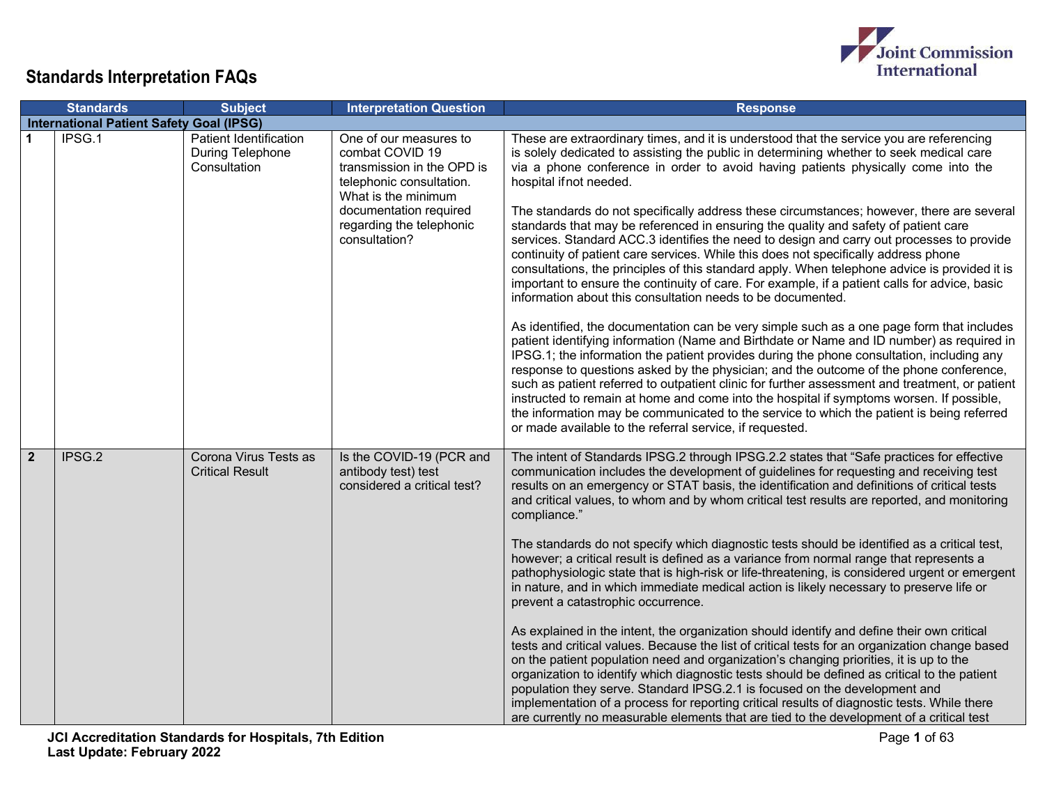

|                | <b>Standards</b>                                | <b>Subject</b>                                             | <b>Interpretation Question</b>                                                                                                                                                                    | <b>Response</b>                                                                                                                                                                                                                                                                                                                                                                                                                                                                                                                                                                                                                                                                                                                                                                                                                                                                                                                                                                                                                                                                                                                                                                                                                                                                                                                                                                                                                                                                                                                                                                                                                                                                      |
|----------------|-------------------------------------------------|------------------------------------------------------------|---------------------------------------------------------------------------------------------------------------------------------------------------------------------------------------------------|--------------------------------------------------------------------------------------------------------------------------------------------------------------------------------------------------------------------------------------------------------------------------------------------------------------------------------------------------------------------------------------------------------------------------------------------------------------------------------------------------------------------------------------------------------------------------------------------------------------------------------------------------------------------------------------------------------------------------------------------------------------------------------------------------------------------------------------------------------------------------------------------------------------------------------------------------------------------------------------------------------------------------------------------------------------------------------------------------------------------------------------------------------------------------------------------------------------------------------------------------------------------------------------------------------------------------------------------------------------------------------------------------------------------------------------------------------------------------------------------------------------------------------------------------------------------------------------------------------------------------------------------------------------------------------------|
|                | <b>International Patient Safety Goal (IPSG)</b> |                                                            |                                                                                                                                                                                                   |                                                                                                                                                                                                                                                                                                                                                                                                                                                                                                                                                                                                                                                                                                                                                                                                                                                                                                                                                                                                                                                                                                                                                                                                                                                                                                                                                                                                                                                                                                                                                                                                                                                                                      |
|                | IPSG.1                                          | Patient Identification<br>During Telephone<br>Consultation | One of our measures to<br>combat COVID 19<br>transmission in the OPD is<br>telephonic consultation.<br>What is the minimum<br>documentation required<br>regarding the telephonic<br>consultation? | These are extraordinary times, and it is understood that the service you are referencing<br>is solely dedicated to assisting the public in determining whether to seek medical care<br>via a phone conference in order to avoid having patients physically come into the<br>hospital if not needed.<br>The standards do not specifically address these circumstances; however, there are several<br>standards that may be referenced in ensuring the quality and safety of patient care<br>services. Standard ACC.3 identifies the need to design and carry out processes to provide<br>continuity of patient care services. While this does not specifically address phone<br>consultations, the principles of this standard apply. When telephone advice is provided it is<br>important to ensure the continuity of care. For example, if a patient calls for advice, basic<br>information about this consultation needs to be documented.<br>As identified, the documentation can be very simple such as a one page form that includes<br>patient identifying information (Name and Birthdate or Name and ID number) as required in<br>IPSG.1; the information the patient provides during the phone consultation, including any<br>response to questions asked by the physician; and the outcome of the phone conference,<br>such as patient referred to outpatient clinic for further assessment and treatment, or patient<br>instructed to remain at home and come into the hospital if symptoms worsen. If possible,<br>the information may be communicated to the service to which the patient is being referred<br>or made available to the referral service, if requested. |
| $\overline{2}$ | IPSG.2                                          | Corona Virus Tests as<br><b>Critical Result</b>            | Is the COVID-19 (PCR and<br>antibody test) test<br>considered a critical test?                                                                                                                    | The intent of Standards IPSG.2 through IPSG.2.2 states that "Safe practices for effective<br>communication includes the development of guidelines for requesting and receiving test<br>results on an emergency or STAT basis, the identification and definitions of critical tests<br>and critical values, to whom and by whom critical test results are reported, and monitoring<br>compliance."<br>The standards do not specify which diagnostic tests should be identified as a critical test,<br>however; a critical result is defined as a variance from normal range that represents a<br>pathophysiologic state that is high-risk or life-threatening, is considered urgent or emergent<br>in nature, and in which immediate medical action is likely necessary to preserve life or<br>prevent a catastrophic occurrence.<br>As explained in the intent, the organization should identify and define their own critical<br>tests and critical values. Because the list of critical tests for an organization change based<br>on the patient population need and organization's changing priorities, it is up to the<br>organization to identify which diagnostic tests should be defined as critical to the patient<br>population they serve. Standard IPSG.2.1 is focused on the development and<br>implementation of a process for reporting critical results of diagnostic tests. While there<br>are currently no measurable elements that are tied to the development of a critical test                                                                                                                                                                                  |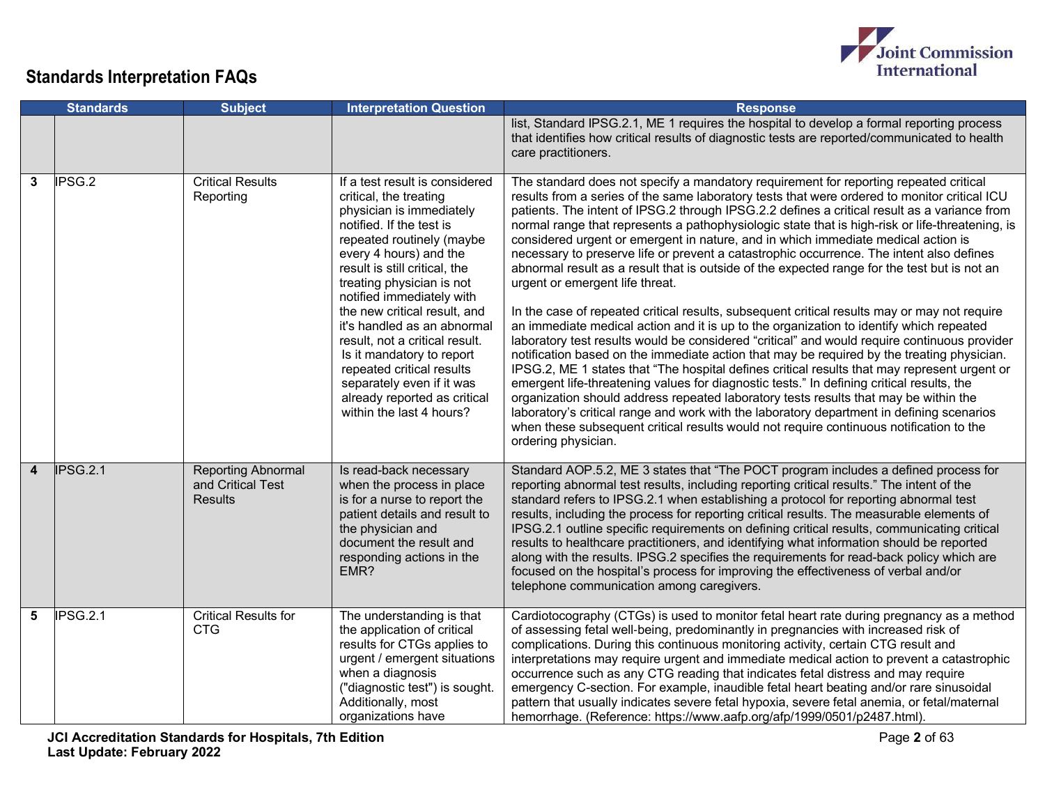

|                         | <b>Standards</b> | <b>Subject</b>                                                   | <b>Interpretation Question</b>                                                                                                                                                                                                                                                                                                                                                                                                                                                                                         | <b>Response</b>                                                                                                                                                                                                                                                                                                                                                                                                                                                                                                                                                                                                                                                                                                                                                                                                                                                                                                                                                                                                                                                                                                                                                                                                                                                                                                                                                                                                                                                                                                                                                                                           |
|-------------------------|------------------|------------------------------------------------------------------|------------------------------------------------------------------------------------------------------------------------------------------------------------------------------------------------------------------------------------------------------------------------------------------------------------------------------------------------------------------------------------------------------------------------------------------------------------------------------------------------------------------------|-----------------------------------------------------------------------------------------------------------------------------------------------------------------------------------------------------------------------------------------------------------------------------------------------------------------------------------------------------------------------------------------------------------------------------------------------------------------------------------------------------------------------------------------------------------------------------------------------------------------------------------------------------------------------------------------------------------------------------------------------------------------------------------------------------------------------------------------------------------------------------------------------------------------------------------------------------------------------------------------------------------------------------------------------------------------------------------------------------------------------------------------------------------------------------------------------------------------------------------------------------------------------------------------------------------------------------------------------------------------------------------------------------------------------------------------------------------------------------------------------------------------------------------------------------------------------------------------------------------|
|                         |                  |                                                                  |                                                                                                                                                                                                                                                                                                                                                                                                                                                                                                                        | list, Standard IPSG.2.1, ME 1 requires the hospital to develop a formal reporting process<br>that identifies how critical results of diagnostic tests are reported/communicated to health<br>care practitioners.                                                                                                                                                                                                                                                                                                                                                                                                                                                                                                                                                                                                                                                                                                                                                                                                                                                                                                                                                                                                                                                                                                                                                                                                                                                                                                                                                                                          |
| 3                       | IPSG.2           | <b>Critical Results</b><br>Reporting                             | If a test result is considered<br>critical, the treating<br>physician is immediately<br>notified. If the test is<br>repeated routinely (maybe<br>every 4 hours) and the<br>result is still critical, the<br>treating physician is not<br>notified immediately with<br>the new critical result, and<br>it's handled as an abnormal<br>result, not a critical result.<br>Is it mandatory to report<br>repeated critical results<br>separately even if it was<br>already reported as critical<br>within the last 4 hours? | The standard does not specify a mandatory requirement for reporting repeated critical<br>results from a series of the same laboratory tests that were ordered to monitor critical ICU<br>patients. The intent of IPSG.2 through IPSG.2.2 defines a critical result as a variance from<br>normal range that represents a pathophysiologic state that is high-risk or life-threatening, is<br>considered urgent or emergent in nature, and in which immediate medical action is<br>necessary to preserve life or prevent a catastrophic occurrence. The intent also defines<br>abnormal result as a result that is outside of the expected range for the test but is not an<br>urgent or emergent life threat.<br>In the case of repeated critical results, subsequent critical results may or may not require<br>an immediate medical action and it is up to the organization to identify which repeated<br>laboratory test results would be considered "critical" and would require continuous provider<br>notification based on the immediate action that may be required by the treating physician.<br>IPSG.2, ME 1 states that "The hospital defines critical results that may represent urgent or<br>emergent life-threatening values for diagnostic tests." In defining critical results, the<br>organization should address repeated laboratory tests results that may be within the<br>laboratory's critical range and work with the laboratory department in defining scenarios<br>when these subsequent critical results would not require continuous notification to the<br>ordering physician. |
| $\overline{\mathbf{4}}$ | IPSG.2.1         | <b>Reporting Abnormal</b><br>and Critical Test<br><b>Results</b> | Is read-back necessary<br>when the process in place<br>is for a nurse to report the<br>patient details and result to<br>the physician and<br>document the result and<br>responding actions in the<br>EMR?                                                                                                                                                                                                                                                                                                              | Standard AOP.5.2, ME 3 states that "The POCT program includes a defined process for<br>reporting abnormal test results, including reporting critical results." The intent of the<br>standard refers to IPSG.2.1 when establishing a protocol for reporting abnormal test<br>results, including the process for reporting critical results. The measurable elements of<br>IPSG.2.1 outline specific requirements on defining critical results, communicating critical<br>results to healthcare practitioners, and identifying what information should be reported<br>along with the results. IPSG.2 specifies the requirements for read-back policy which are<br>focused on the hospital's process for improving the effectiveness of verbal and/or<br>telephone communication among caregivers.                                                                                                                                                                                                                                                                                                                                                                                                                                                                                                                                                                                                                                                                                                                                                                                                           |
| 5                       | IPSG.2.1         | <b>Critical Results for</b><br><b>CTG</b>                        | The understanding is that<br>the application of critical<br>results for CTGs applies to<br>urgent / emergent situations<br>when a diagnosis<br>("diagnostic test") is sought.<br>Additionally, most<br>organizations have                                                                                                                                                                                                                                                                                              | Cardiotocography (CTGs) is used to monitor fetal heart rate during pregnancy as a method<br>of assessing fetal well-being, predominantly in pregnancies with increased risk of<br>complications. During this continuous monitoring activity, certain CTG result and<br>interpretations may require urgent and immediate medical action to prevent a catastrophic<br>occurrence such as any CTG reading that indicates fetal distress and may require<br>emergency C-section. For example, inaudible fetal heart beating and/or rare sinusoidal<br>pattern that usually indicates severe fetal hypoxia, severe fetal anemia, or fetal/maternal<br>hemorrhage. (Reference: https://www.aafp.org/afp/1999/0501/p2487.html).                                                                                                                                                                                                                                                                                                                                                                                                                                                                                                                                                                                                                                                                                                                                                                                                                                                                                  |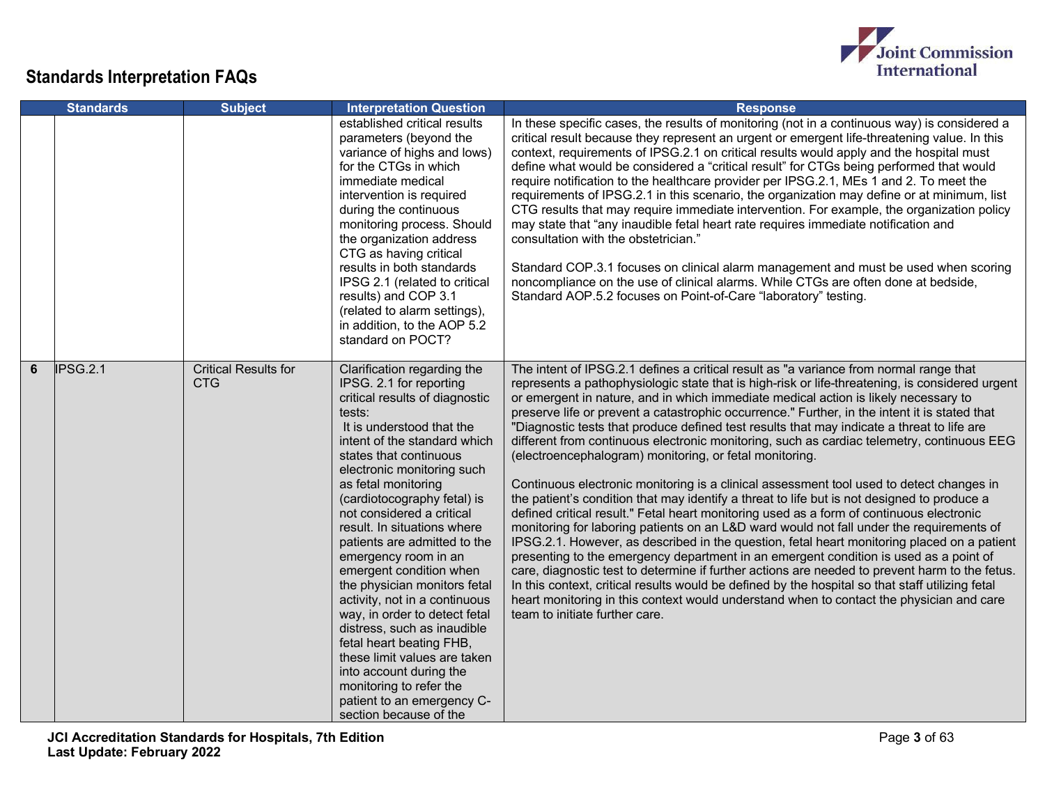

|   | <b>Standards</b> | <b>Subject</b>                            | <b>Interpretation Question</b>                                                                                                                                                                                                                                                                                                                                                                                                                                                                                                                                                                                                                                                                                                          | <b>Response</b>                                                                                                                                                                                                                                                                                                                                                                                                                                                                                                                                                                                                                                                                                                                                                                                                                                                                                                                                                                                                                                                                                                                                                                                                                                                                                                                                                                                                                                                                                                                                         |
|---|------------------|-------------------------------------------|-----------------------------------------------------------------------------------------------------------------------------------------------------------------------------------------------------------------------------------------------------------------------------------------------------------------------------------------------------------------------------------------------------------------------------------------------------------------------------------------------------------------------------------------------------------------------------------------------------------------------------------------------------------------------------------------------------------------------------------------|---------------------------------------------------------------------------------------------------------------------------------------------------------------------------------------------------------------------------------------------------------------------------------------------------------------------------------------------------------------------------------------------------------------------------------------------------------------------------------------------------------------------------------------------------------------------------------------------------------------------------------------------------------------------------------------------------------------------------------------------------------------------------------------------------------------------------------------------------------------------------------------------------------------------------------------------------------------------------------------------------------------------------------------------------------------------------------------------------------------------------------------------------------------------------------------------------------------------------------------------------------------------------------------------------------------------------------------------------------------------------------------------------------------------------------------------------------------------------------------------------------------------------------------------------------|
|   |                  |                                           | established critical results<br>parameters (beyond the<br>variance of highs and lows)<br>for the CTGs in which<br>immediate medical<br>intervention is required<br>during the continuous<br>monitoring process. Should<br>the organization address<br>CTG as having critical<br>results in both standards<br>IPSG 2.1 (related to critical<br>results) and COP 3.1<br>(related to alarm settings),<br>in addition, to the AOP 5.2<br>standard on POCT?                                                                                                                                                                                                                                                                                  | In these specific cases, the results of monitoring (not in a continuous way) is considered a<br>critical result because they represent an urgent or emergent life-threatening value. In this<br>context, requirements of IPSG.2.1 on critical results would apply and the hospital must<br>define what would be considered a "critical result" for CTGs being performed that would<br>require notification to the healthcare provider per IPSG.2.1, MEs 1 and 2. To meet the<br>requirements of IPSG.2.1 in this scenario, the organization may define or at minimum, list<br>CTG results that may require immediate intervention. For example, the organization policy<br>may state that "any inaudible fetal heart rate requires immediate notification and<br>consultation with the obstetrician."<br>Standard COP.3.1 focuses on clinical alarm management and must be used when scoring<br>noncompliance on the use of clinical alarms. While CTGs are often done at bedside,<br>Standard AOP.5.2 focuses on Point-of-Care "laboratory" testing.                                                                                                                                                                                                                                                                                                                                                                                                                                                                                                   |
| 6 | IPSG.2.1         | <b>Critical Results for</b><br><b>CTG</b> | Clarification regarding the<br>IPSG. 2.1 for reporting<br>critical results of diagnostic<br>tests:<br>It is understood that the<br>intent of the standard which<br>states that continuous<br>electronic monitoring such<br>as fetal monitoring<br>(cardiotocography fetal) is<br>not considered a critical<br>result. In situations where<br>patients are admitted to the<br>emergency room in an<br>emergent condition when<br>the physician monitors fetal<br>activity, not in a continuous<br>way, in order to detect fetal<br>distress, such as inaudible<br>fetal heart beating FHB,<br>these limit values are taken<br>into account during the<br>monitoring to refer the<br>patient to an emergency C-<br>section because of the | The intent of IPSG.2.1 defines a critical result as "a variance from normal range that<br>represents a pathophysiologic state that is high-risk or life-threatening, is considered urgent<br>or emergent in nature, and in which immediate medical action is likely necessary to<br>preserve life or prevent a catastrophic occurrence." Further, in the intent it is stated that<br>"Diagnostic tests that produce defined test results that may indicate a threat to life are<br>different from continuous electronic monitoring, such as cardiac telemetry, continuous EEG<br>(electroencephalogram) monitoring, or fetal monitoring.<br>Continuous electronic monitoring is a clinical assessment tool used to detect changes in<br>the patient's condition that may identify a threat to life but is not designed to produce a<br>defined critical result." Fetal heart monitoring used as a form of continuous electronic<br>monitoring for laboring patients on an L&D ward would not fall under the requirements of<br>IPSG.2.1. However, as described in the question, fetal heart monitoring placed on a patient<br>presenting to the emergency department in an emergent condition is used as a point of<br>care, diagnostic test to determine if further actions are needed to prevent harm to the fetus.<br>In this context, critical results would be defined by the hospital so that staff utilizing fetal<br>heart monitoring in this context would understand when to contact the physician and care<br>team to initiate further care. |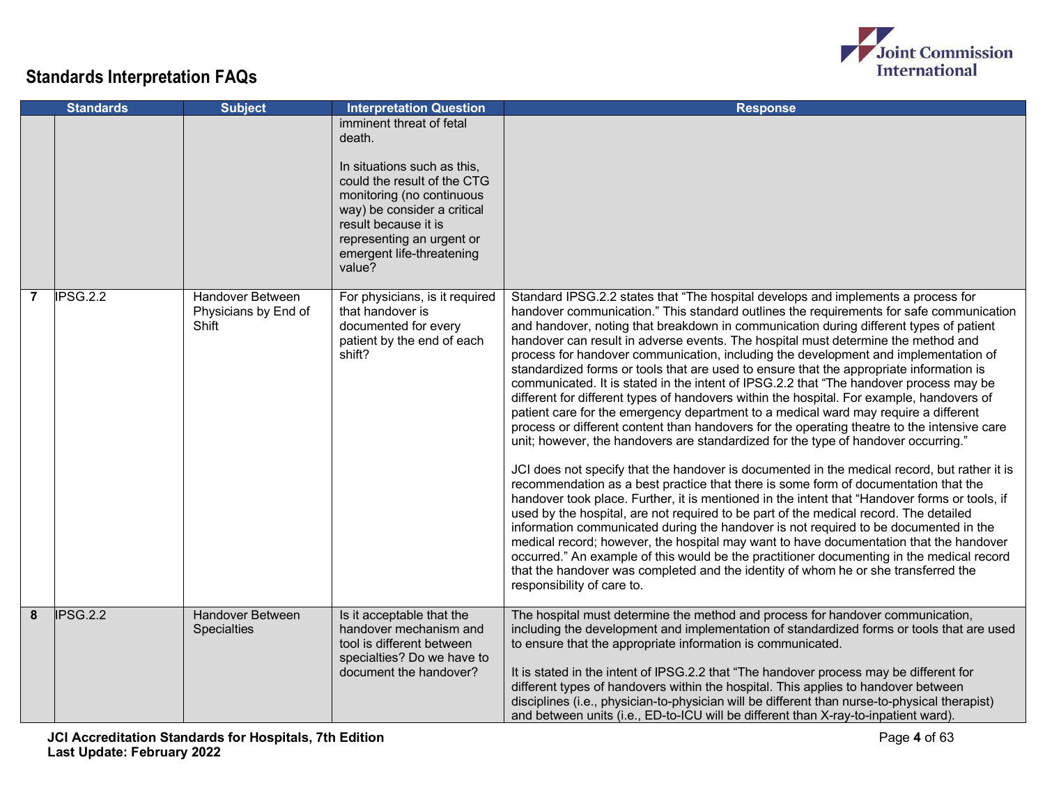

|                | <b>Standards</b> | <b>Subject</b>                                    | <b>Interpretation Question</b>                                                                                                                                                                                                                           | <b>Response</b>                                                                                                                                                                                                                                                                                                                                                                                                                                                                                                                                                                                                                                                                                                                                                                                                                                                                                                                                                                                                                                                                                                                                                                                                                                                                                                                                                                                                                                                                                                                                                                                                                                                                                                                                                                                      |
|----------------|------------------|---------------------------------------------------|----------------------------------------------------------------------------------------------------------------------------------------------------------------------------------------------------------------------------------------------------------|------------------------------------------------------------------------------------------------------------------------------------------------------------------------------------------------------------------------------------------------------------------------------------------------------------------------------------------------------------------------------------------------------------------------------------------------------------------------------------------------------------------------------------------------------------------------------------------------------------------------------------------------------------------------------------------------------------------------------------------------------------------------------------------------------------------------------------------------------------------------------------------------------------------------------------------------------------------------------------------------------------------------------------------------------------------------------------------------------------------------------------------------------------------------------------------------------------------------------------------------------------------------------------------------------------------------------------------------------------------------------------------------------------------------------------------------------------------------------------------------------------------------------------------------------------------------------------------------------------------------------------------------------------------------------------------------------------------------------------------------------------------------------------------------------|
|                |                  |                                                   | imminent threat of fetal<br>death.<br>In situations such as this,<br>could the result of the CTG<br>monitoring (no continuous<br>way) be consider a critical<br>result because it is<br>representing an urgent or<br>emergent life-threatening<br>value? |                                                                                                                                                                                                                                                                                                                                                                                                                                                                                                                                                                                                                                                                                                                                                                                                                                                                                                                                                                                                                                                                                                                                                                                                                                                                                                                                                                                                                                                                                                                                                                                                                                                                                                                                                                                                      |
| $\overline{7}$ | IPSG.2.2         | Handover Between<br>Physicians by End of<br>Shift | For physicians, is it required<br>that handover is<br>documented for every<br>patient by the end of each<br>shift?                                                                                                                                       | Standard IPSG.2.2 states that "The hospital develops and implements a process for<br>handover communication." This standard outlines the requirements for safe communication<br>and handover, noting that breakdown in communication during different types of patient<br>handover can result in adverse events. The hospital must determine the method and<br>process for handover communication, including the development and implementation of<br>standardized forms or tools that are used to ensure that the appropriate information is<br>communicated. It is stated in the intent of IPSG.2.2 that "The handover process may be<br>different for different types of handovers within the hospital. For example, handovers of<br>patient care for the emergency department to a medical ward may require a different<br>process or different content than handovers for the operating theatre to the intensive care<br>unit; however, the handovers are standardized for the type of handover occurring."<br>JCI does not specify that the handover is documented in the medical record, but rather it is<br>recommendation as a best practice that there is some form of documentation that the<br>handover took place. Further, it is mentioned in the intent that "Handover forms or tools, if<br>used by the hospital, are not required to be part of the medical record. The detailed<br>information communicated during the handover is not required to be documented in the<br>medical record; however, the hospital may want to have documentation that the handover<br>occurred." An example of this would be the practitioner documenting in the medical record<br>that the handover was completed and the identity of whom he or she transferred the<br>responsibility of care to. |
| 8              | IPSG.2.2         | <b>Handover Between</b><br>Specialties            | Is it acceptable that the<br>handover mechanism and<br>tool is different between<br>specialties? Do we have to<br>document the handover?                                                                                                                 | The hospital must determine the method and process for handover communication,<br>including the development and implementation of standardized forms or tools that are used<br>to ensure that the appropriate information is communicated.<br>It is stated in the intent of IPSG.2.2 that "The handover process may be different for<br>different types of handovers within the hospital. This applies to handover between<br>disciplines (i.e., physician-to-physician will be different than nurse-to-physical therapist)<br>and between units (i.e., ED-to-ICU will be different than X-ray-to-inpatient ward).                                                                                                                                                                                                                                                                                                                                                                                                                                                                                                                                                                                                                                                                                                                                                                                                                                                                                                                                                                                                                                                                                                                                                                                   |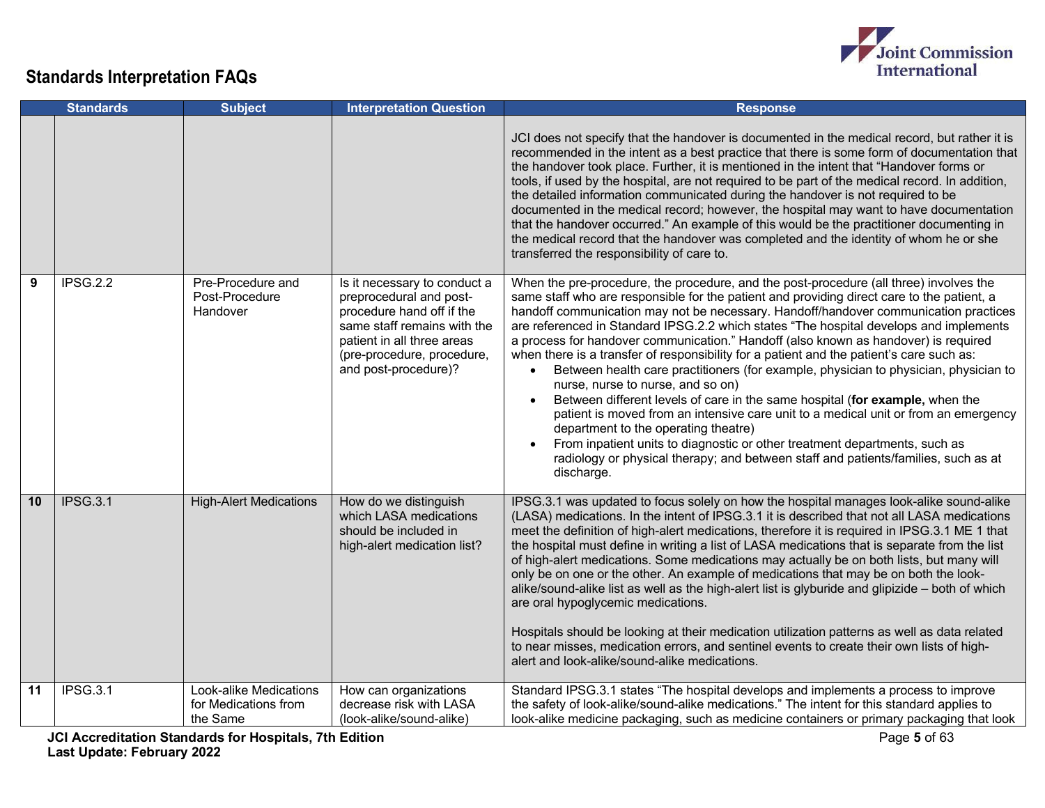

|    | <b>Standards</b> | <b>Subject</b>                                             | <b>Interpretation Question</b>                                                                                                                                                                          | <b>Response</b>                                                                                                                                                                                                                                                                                                                                                                                                                                                                                                                                                                                                                                                                                                                                                                                                                                                                                                                                                                                                                                                                                      |
|----|------------------|------------------------------------------------------------|---------------------------------------------------------------------------------------------------------------------------------------------------------------------------------------------------------|------------------------------------------------------------------------------------------------------------------------------------------------------------------------------------------------------------------------------------------------------------------------------------------------------------------------------------------------------------------------------------------------------------------------------------------------------------------------------------------------------------------------------------------------------------------------------------------------------------------------------------------------------------------------------------------------------------------------------------------------------------------------------------------------------------------------------------------------------------------------------------------------------------------------------------------------------------------------------------------------------------------------------------------------------------------------------------------------------|
|    |                  |                                                            |                                                                                                                                                                                                         | JCI does not specify that the handover is documented in the medical record, but rather it is<br>recommended in the intent as a best practice that there is some form of documentation that<br>the handover took place. Further, it is mentioned in the intent that "Handover forms or<br>tools, if used by the hospital, are not required to be part of the medical record. In addition,<br>the detailed information communicated during the handover is not required to be<br>documented in the medical record; however, the hospital may want to have documentation<br>that the handover occurred." An example of this would be the practitioner documenting in<br>the medical record that the handover was completed and the identity of whom he or she<br>transferred the responsibility of care to.                                                                                                                                                                                                                                                                                             |
| 9  | <b>IPSG.2.2</b>  | Pre-Procedure and<br>Post-Procedure<br>Handover            | Is it necessary to conduct a<br>preprocedural and post-<br>procedure hand off if the<br>same staff remains with the<br>patient in all three areas<br>(pre-procedure, procedure,<br>and post-procedure)? | When the pre-procedure, the procedure, and the post-procedure (all three) involves the<br>same staff who are responsible for the patient and providing direct care to the patient, a<br>handoff communication may not be necessary. Handoff/handover communication practices<br>are referenced in Standard IPSG.2.2 which states "The hospital develops and implements<br>a process for handover communication." Handoff (also known as handover) is required<br>when there is a transfer of responsibility for a patient and the patient's care such as:<br>Between health care practitioners (for example, physician to physician, physician to<br>nurse, nurse to nurse, and so on)<br>Between different levels of care in the same hospital (for example, when the<br>$\bullet$<br>patient is moved from an intensive care unit to a medical unit or from an emergency<br>department to the operating theatre)<br>From inpatient units to diagnostic or other treatment departments, such as<br>radiology or physical therapy; and between staff and patients/families, such as at<br>discharge. |
| 10 | <b>IPSG.3.1</b>  | <b>High-Alert Medications</b>                              | How do we distinguish<br>which LASA medications<br>should be included in<br>high-alert medication list?                                                                                                 | IPSG.3.1 was updated to focus solely on how the hospital manages look-alike sound-alike<br>(LASA) medications. In the intent of IPSG.3.1 it is described that not all LASA medications<br>meet the definition of high-alert medications, therefore it is required in IPSG.3.1 ME 1 that<br>the hospital must define in writing a list of LASA medications that is separate from the list<br>of high-alert medications. Some medications may actually be on both lists, but many will<br>only be on one or the other. An example of medications that may be on both the look-<br>alike/sound-alike list as well as the high-alert list is glyburide and glipizide - both of which<br>are oral hypoglycemic medications.<br>Hospitals should be looking at their medication utilization patterns as well as data related<br>to near misses, medication errors, and sentinel events to create their own lists of high-<br>alert and look-alike/sound-alike medications.                                                                                                                                 |
| 11 | IPSG.3.1         | Look-alike Medications<br>for Medications from<br>the Same | How can organizations<br>decrease risk with LASA<br>(look-alike/sound-alike)                                                                                                                            | Standard IPSG.3.1 states "The hospital develops and implements a process to improve<br>the safety of look-alike/sound-alike medications." The intent for this standard applies to<br>look-alike medicine packaging, such as medicine containers or primary packaging that look                                                                                                                                                                                                                                                                                                                                                                                                                                                                                                                                                                                                                                                                                                                                                                                                                       |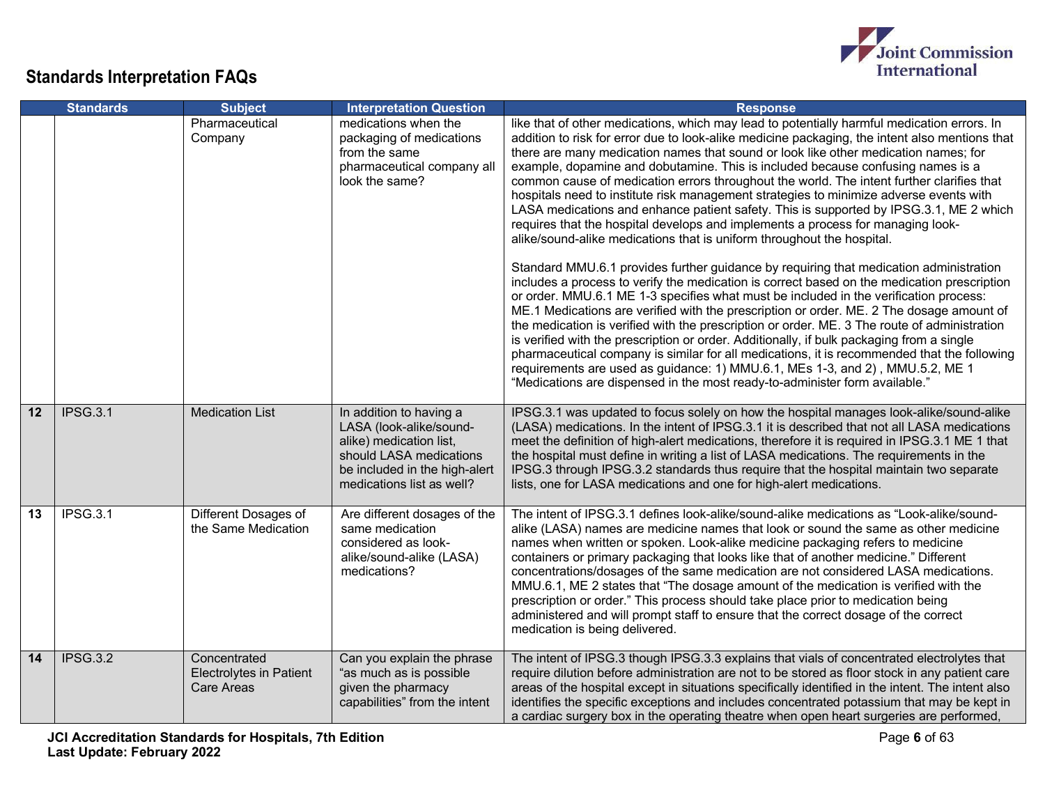

|    | <b>Standards</b> | <b>Subject</b>                                                      | <b>Interpretation Question</b>                                                                                                                                         | <b>Response</b>                                                                                                                                                                                                                                                                                                                                                                                                                                                                                                                                                                                                                                                                                                                                                                                                                                                                                                 |
|----|------------------|---------------------------------------------------------------------|------------------------------------------------------------------------------------------------------------------------------------------------------------------------|-----------------------------------------------------------------------------------------------------------------------------------------------------------------------------------------------------------------------------------------------------------------------------------------------------------------------------------------------------------------------------------------------------------------------------------------------------------------------------------------------------------------------------------------------------------------------------------------------------------------------------------------------------------------------------------------------------------------------------------------------------------------------------------------------------------------------------------------------------------------------------------------------------------------|
|    |                  | Pharmaceutical<br>Company                                           | medications when the<br>packaging of medications<br>from the same<br>pharmaceutical company all<br>look the same?                                                      | like that of other medications, which may lead to potentially harmful medication errors. In<br>addition to risk for error due to look-alike medicine packaging, the intent also mentions that<br>there are many medication names that sound or look like other medication names; for<br>example, dopamine and dobutamine. This is included because confusing names is a<br>common cause of medication errors throughout the world. The intent further clarifies that<br>hospitals need to institute risk management strategies to minimize adverse events with<br>LASA medications and enhance patient safety. This is supported by IPSG.3.1, ME 2 which<br>requires that the hospital develops and implements a process for managing look-<br>alike/sound-alike medications that is uniform throughout the hospital.<br>Standard MMU.6.1 provides further guidance by requiring that medication administration |
|    |                  |                                                                     |                                                                                                                                                                        | includes a process to verify the medication is correct based on the medication prescription<br>or order. MMU.6.1 ME 1-3 specifies what must be included in the verification process:<br>ME.1 Medications are verified with the prescription or order. ME. 2 The dosage amount of<br>the medication is verified with the prescription or order. ME. 3 The route of administration<br>is verified with the prescription or order. Additionally, if bulk packaging from a single<br>pharmaceutical company is similar for all medications, it is recommended that the following<br>requirements are used as guidance: 1) MMU.6.1, MEs 1-3, and 2), MMU.5.2, ME 1<br>"Medications are dispensed in the most ready-to-administer form available."                                                                                                                                                                    |
| 12 | <b>IPSG.3.1</b>  | <b>Medication List</b>                                              | In addition to having a<br>LASA (look-alike/sound-<br>alike) medication list,<br>should LASA medications<br>be included in the high-alert<br>medications list as well? | IPSG.3.1 was updated to focus solely on how the hospital manages look-alike/sound-alike<br>(LASA) medications. In the intent of IPSG.3.1 it is described that not all LASA medications<br>meet the definition of high-alert medications, therefore it is required in IPSG.3.1 ME 1 that<br>the hospital must define in writing a list of LASA medications. The requirements in the<br>IPSG.3 through IPSG.3.2 standards thus require that the hospital maintain two separate<br>lists, one for LASA medications and one for high-alert medications.                                                                                                                                                                                                                                                                                                                                                             |
| 13 | <b>IPSG.3.1</b>  | Different Dosages of<br>the Same Medication                         | Are different dosages of the<br>same medication<br>considered as look-<br>alike/sound-alike (LASA)<br>medications?                                                     | The intent of IPSG.3.1 defines look-alike/sound-alike medications as "Look-alike/sound-<br>alike (LASA) names are medicine names that look or sound the same as other medicine<br>names when written or spoken. Look-alike medicine packaging refers to medicine<br>containers or primary packaging that looks like that of another medicine." Different<br>concentrations/dosages of the same medication are not considered LASA medications.<br>MMU.6.1, ME 2 states that "The dosage amount of the medication is verified with the<br>prescription or order." This process should take place prior to medication being<br>administered and will prompt staff to ensure that the correct dosage of the correct<br>medication is being delivered.                                                                                                                                                              |
| 14 | <b>IPSG.3.2</b>  | Concentrated<br><b>Electrolytes in Patient</b><br><b>Care Areas</b> | Can you explain the phrase<br>"as much as is possible<br>given the pharmacy<br>capabilities" from the intent                                                           | The intent of IPSG.3 though IPSG.3.3 explains that vials of concentrated electrolytes that<br>require dilution before administration are not to be stored as floor stock in any patient care<br>areas of the hospital except in situations specifically identified in the intent. The intent also<br>identifies the specific exceptions and includes concentrated potassium that may be kept in<br>a cardiac surgery box in the operating theatre when open heart surgeries are performed,                                                                                                                                                                                                                                                                                                                                                                                                                      |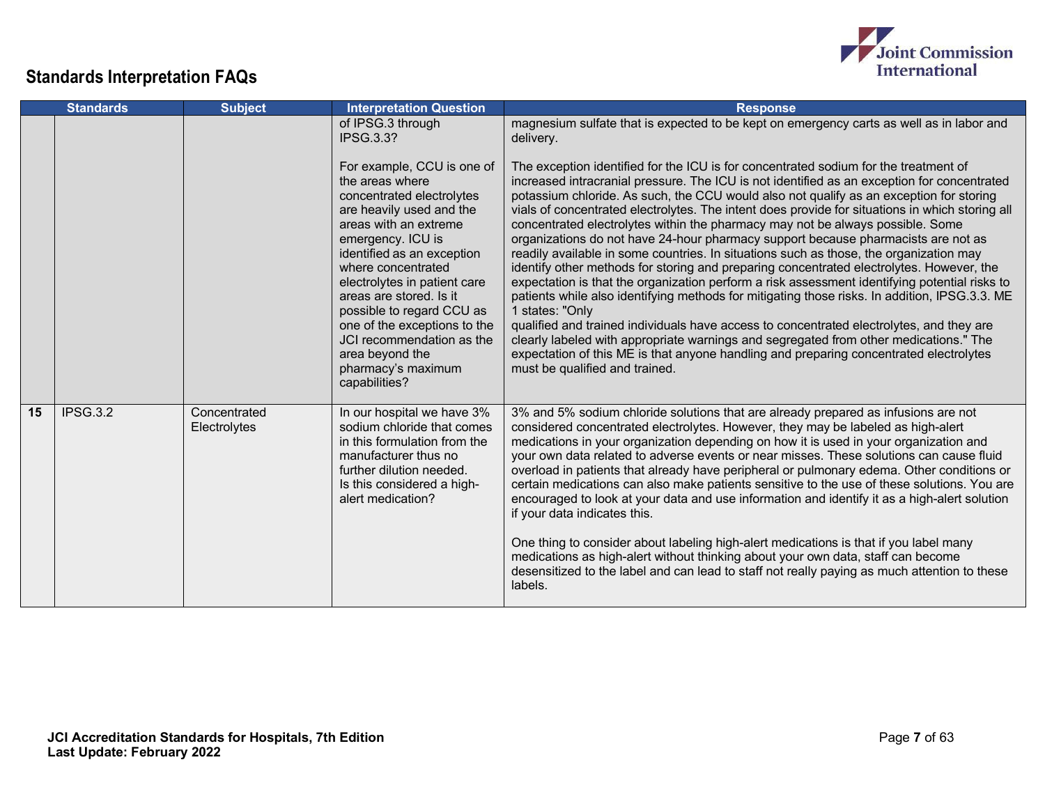

|    | <b>Standards</b> | <b>Subject</b>               | <b>Interpretation Question</b>                                                                                                                                                                                                                                                                                                                                                                                          | <b>Response</b>                                                                                                                                                                                                                                                                                                                                                                                                                                                                                                                                                                                                                                                                                                                                                                                                                                                                                                                                                                                                                                                                                                                                                                                                                                                                      |
|----|------------------|------------------------------|-------------------------------------------------------------------------------------------------------------------------------------------------------------------------------------------------------------------------------------------------------------------------------------------------------------------------------------------------------------------------------------------------------------------------|--------------------------------------------------------------------------------------------------------------------------------------------------------------------------------------------------------------------------------------------------------------------------------------------------------------------------------------------------------------------------------------------------------------------------------------------------------------------------------------------------------------------------------------------------------------------------------------------------------------------------------------------------------------------------------------------------------------------------------------------------------------------------------------------------------------------------------------------------------------------------------------------------------------------------------------------------------------------------------------------------------------------------------------------------------------------------------------------------------------------------------------------------------------------------------------------------------------------------------------------------------------------------------------|
|    |                  |                              | of IPSG.3 through<br><b>IPSG.3.3?</b>                                                                                                                                                                                                                                                                                                                                                                                   | magnesium sulfate that is expected to be kept on emergency carts as well as in labor and<br>delivery.                                                                                                                                                                                                                                                                                                                                                                                                                                                                                                                                                                                                                                                                                                                                                                                                                                                                                                                                                                                                                                                                                                                                                                                |
|    |                  |                              | For example, CCU is one of<br>the areas where<br>concentrated electrolytes<br>are heavily used and the<br>areas with an extreme<br>emergency. ICU is<br>identified as an exception<br>where concentrated<br>electrolytes in patient care<br>areas are stored. Is it<br>possible to regard CCU as<br>one of the exceptions to the<br>JCI recommendation as the<br>area beyond the<br>pharmacy's maximum<br>capabilities? | The exception identified for the ICU is for concentrated sodium for the treatment of<br>increased intracranial pressure. The ICU is not identified as an exception for concentrated<br>potassium chloride. As such, the CCU would also not qualify as an exception for storing<br>vials of concentrated electrolytes. The intent does provide for situations in which storing all<br>concentrated electrolytes within the pharmacy may not be always possible. Some<br>organizations do not have 24-hour pharmacy support because pharmacists are not as<br>readily available in some countries. In situations such as those, the organization may<br>identify other methods for storing and preparing concentrated electrolytes. However, the<br>expectation is that the organization perform a risk assessment identifying potential risks to<br>patients while also identifying methods for mitigating those risks. In addition, IPSG.3.3. ME<br>1 states: "Only<br>qualified and trained individuals have access to concentrated electrolytes, and they are<br>clearly labeled with appropriate warnings and segregated from other medications." The<br>expectation of this ME is that anyone handling and preparing concentrated electrolytes<br>must be qualified and trained. |
| 15 | <b>IPSG.3.2</b>  | Concentrated<br>Electrolytes | In our hospital we have 3%<br>sodium chloride that comes<br>in this formulation from the<br>manufacturer thus no<br>further dilution needed.<br>Is this considered a high-<br>alert medication?                                                                                                                                                                                                                         | 3% and 5% sodium chloride solutions that are already prepared as infusions are not<br>considered concentrated electrolytes. However, they may be labeled as high-alert<br>medications in your organization depending on how it is used in your organization and<br>your own data related to adverse events or near misses. These solutions can cause fluid<br>overload in patients that already have peripheral or pulmonary edema. Other conditions or<br>certain medications can also make patients sensitive to the use of these solutions. You are<br>encouraged to look at your data and use information and identify it as a high-alert solution<br>if your data indicates this.<br>One thing to consider about labeling high-alert medications is that if you label many<br>medications as high-alert without thinking about your own data, staff can become<br>desensitized to the label and can lead to staff not really paying as much attention to these<br>labels.                                                                                                                                                                                                                                                                                                       |

Joint Commission<br>International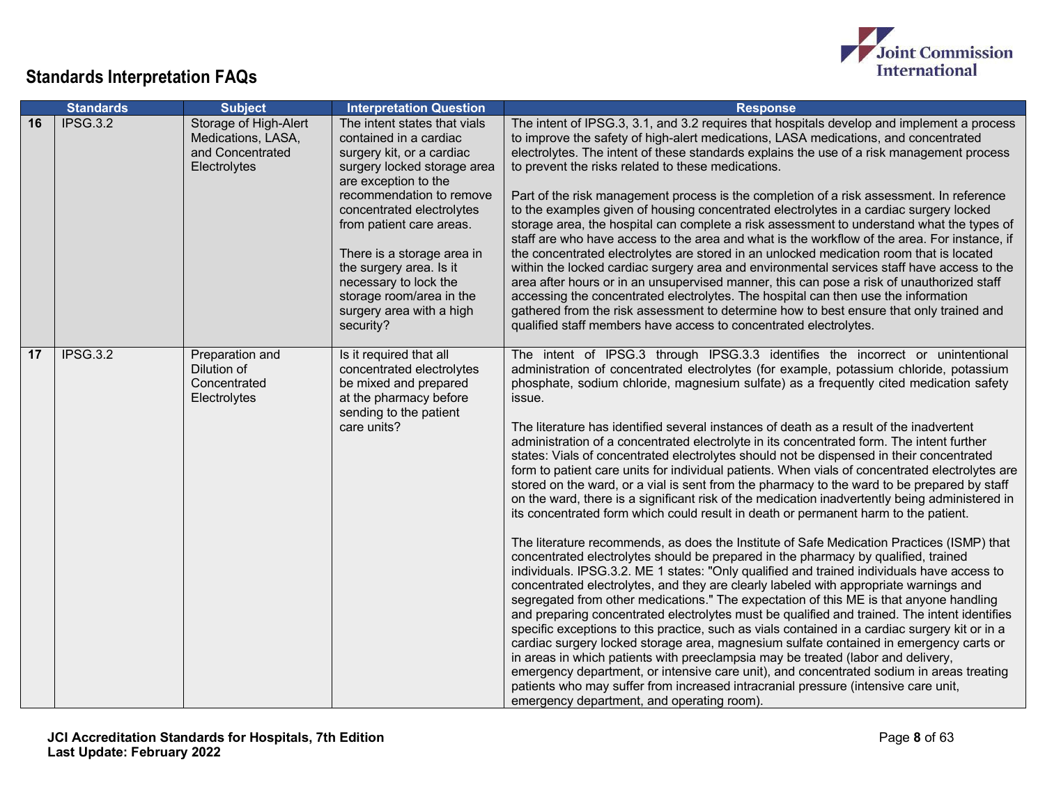

|    | <b>Standards</b> | <b>Subject</b>                                                                  | <b>Interpretation Question</b>                                                                                                                                                                                                                                                                                                                                                         | <b>Response</b>                                                                                                                                                                                                                                                                                                                                                                                                                                                                                                                                                                                                                                                                                                                                                                                                                                                                                                                                                                                                                                                                                                                                                                                                                                                                                                                                                                                                                                                                                                                                                                                                                                                                                                                                                                                                                                                                                                                                                                                                                                   |
|----|------------------|---------------------------------------------------------------------------------|----------------------------------------------------------------------------------------------------------------------------------------------------------------------------------------------------------------------------------------------------------------------------------------------------------------------------------------------------------------------------------------|---------------------------------------------------------------------------------------------------------------------------------------------------------------------------------------------------------------------------------------------------------------------------------------------------------------------------------------------------------------------------------------------------------------------------------------------------------------------------------------------------------------------------------------------------------------------------------------------------------------------------------------------------------------------------------------------------------------------------------------------------------------------------------------------------------------------------------------------------------------------------------------------------------------------------------------------------------------------------------------------------------------------------------------------------------------------------------------------------------------------------------------------------------------------------------------------------------------------------------------------------------------------------------------------------------------------------------------------------------------------------------------------------------------------------------------------------------------------------------------------------------------------------------------------------------------------------------------------------------------------------------------------------------------------------------------------------------------------------------------------------------------------------------------------------------------------------------------------------------------------------------------------------------------------------------------------------------------------------------------------------------------------------------------------------|
| 16 | IPSG.3.2         | Storage of High-Alert<br>Medications, LASA,<br>and Concentrated<br>Electrolytes | The intent states that vials<br>contained in a cardiac<br>surgery kit, or a cardiac<br>surgery locked storage area<br>are exception to the<br>recommendation to remove<br>concentrated electrolytes<br>from patient care areas.<br>There is a storage area in<br>the surgery area. Is it<br>necessary to lock the<br>storage room/area in the<br>surgery area with a high<br>security? | The intent of IPSG.3, 3.1, and 3.2 requires that hospitals develop and implement a process<br>to improve the safety of high-alert medications, LASA medications, and concentrated<br>electrolytes. The intent of these standards explains the use of a risk management process<br>to prevent the risks related to these medications.<br>Part of the risk management process is the completion of a risk assessment. In reference<br>to the examples given of housing concentrated electrolytes in a cardiac surgery locked<br>storage area, the hospital can complete a risk assessment to understand what the types of<br>staff are who have access to the area and what is the workflow of the area. For instance, if<br>the concentrated electrolytes are stored in an unlocked medication room that is located<br>within the locked cardiac surgery area and environmental services staff have access to the<br>area after hours or in an unsupervised manner, this can pose a risk of unauthorized staff<br>accessing the concentrated electrolytes. The hospital can then use the information<br>gathered from the risk assessment to determine how to best ensure that only trained and<br>qualified staff members have access to concentrated electrolytes.                                                                                                                                                                                                                                                                                                                                                                                                                                                                                                                                                                                                                                                                                                                                                                               |
| 17 | IPSG.3.2         | Preparation and<br>Dilution of<br>Concentrated<br>Electrolytes                  | Is it required that all<br>concentrated electrolytes<br>be mixed and prepared<br>at the pharmacy before<br>sending to the patient<br>care units?                                                                                                                                                                                                                                       | The intent of IPSG.3 through IPSG.3.3 identifies the incorrect or unintentional<br>administration of concentrated electrolytes (for example, potassium chloride, potassium<br>phosphate, sodium chloride, magnesium sulfate) as a frequently cited medication safety<br>issue.<br>The literature has identified several instances of death as a result of the inadvertent<br>administration of a concentrated electrolyte in its concentrated form. The intent further<br>states: Vials of concentrated electrolytes should not be dispensed in their concentrated<br>form to patient care units for individual patients. When vials of concentrated electrolytes are<br>stored on the ward, or a vial is sent from the pharmacy to the ward to be prepared by staff<br>on the ward, there is a significant risk of the medication inadvertently being administered in<br>its concentrated form which could result in death or permanent harm to the patient.<br>The literature recommends, as does the Institute of Safe Medication Practices (ISMP) that<br>concentrated electrolytes should be prepared in the pharmacy by qualified, trained<br>individuals. IPSG.3.2. ME 1 states: "Only qualified and trained individuals have access to<br>concentrated electrolytes, and they are clearly labeled with appropriate warnings and<br>segregated from other medications." The expectation of this ME is that anyone handling<br>and preparing concentrated electrolytes must be qualified and trained. The intent identifies<br>specific exceptions to this practice, such as vials contained in a cardiac surgery kit or in a<br>cardiac surgery locked storage area, magnesium sulfate contained in emergency carts or<br>in areas in which patients with preeclampsia may be treated (labor and delivery,<br>emergency department, or intensive care unit), and concentrated sodium in areas treating<br>patients who may suffer from increased intracranial pressure (intensive care unit,<br>emergency department, and operating room). |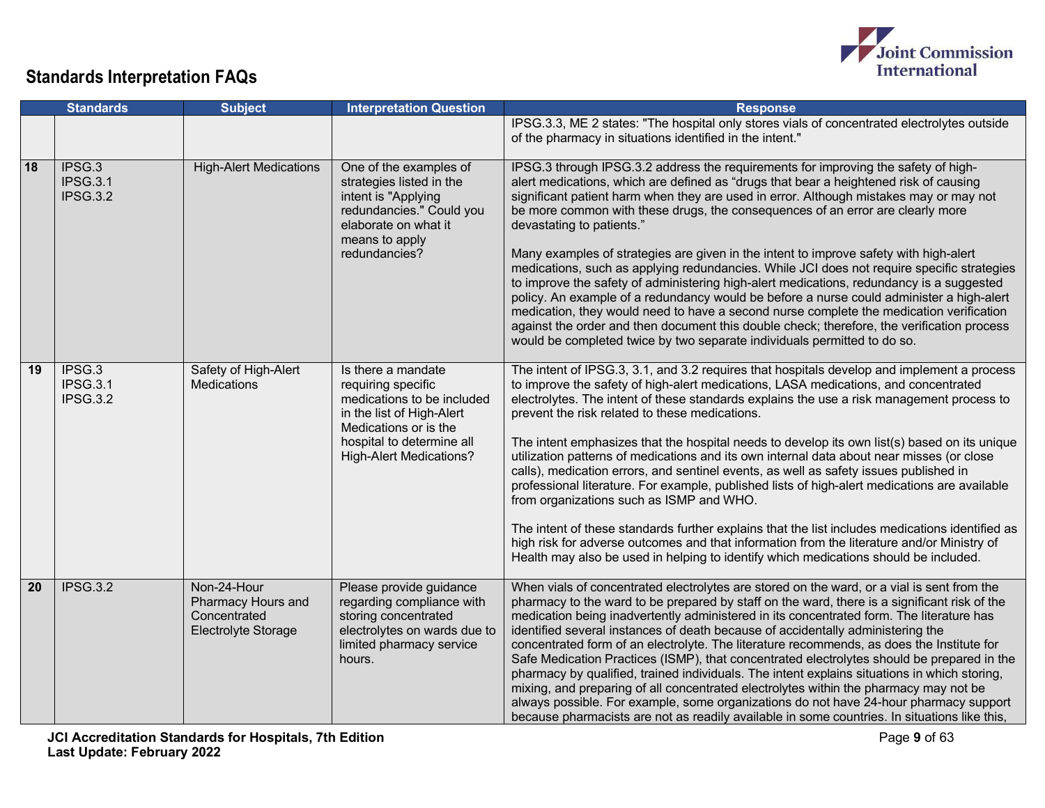

|    | <b>Standards</b>                      | <b>Subject</b>                                                           | <b>Interpretation Question</b>                                                                                                                                                              | <b>Response</b>                                                                                                                                                                                                                                                                                                                                                                                                                                                                                                                                                                                                                                                                                                                                                                                                                                                                                                                                                                                                                                              |
|----|---------------------------------------|--------------------------------------------------------------------------|---------------------------------------------------------------------------------------------------------------------------------------------------------------------------------------------|--------------------------------------------------------------------------------------------------------------------------------------------------------------------------------------------------------------------------------------------------------------------------------------------------------------------------------------------------------------------------------------------------------------------------------------------------------------------------------------------------------------------------------------------------------------------------------------------------------------------------------------------------------------------------------------------------------------------------------------------------------------------------------------------------------------------------------------------------------------------------------------------------------------------------------------------------------------------------------------------------------------------------------------------------------------|
|    |                                       |                                                                          |                                                                                                                                                                                             | IPSG.3.3, ME 2 states: "The hospital only stores vials of concentrated electrolytes outside<br>of the pharmacy in situations identified in the intent."                                                                                                                                                                                                                                                                                                                                                                                                                                                                                                                                                                                                                                                                                                                                                                                                                                                                                                      |
| 18 | IPSG.3<br><b>IPSG.3.1</b><br>IPSG.3.2 | <b>High-Alert Medications</b>                                            | One of the examples of<br>strategies listed in the<br>intent is "Applying<br>redundancies." Could you<br>elaborate on what it<br>means to apply<br>redundancies?                            | IPSG.3 through IPSG.3.2 address the requirements for improving the safety of high-<br>alert medications, which are defined as "drugs that bear a heightened risk of causing<br>significant patient harm when they are used in error. Although mistakes may or may not<br>be more common with these drugs, the consequences of an error are clearly more<br>devastating to patients."<br>Many examples of strategies are given in the intent to improve safety with high-alert<br>medications, such as applying redundancies. While JCI does not require specific strategies<br>to improve the safety of administering high-alert medications, redundancy is a suggested<br>policy. An example of a redundancy would be before a nurse could administer a high-alert<br>medication, they would need to have a second nurse complete the medication verification<br>against the order and then document this double check; therefore, the verification process<br>would be completed twice by two separate individuals permitted to do so.                     |
| 19 | IPSG.3<br>IPSG.3.1<br><b>IPSG.3.2</b> | Safety of High-Alert<br><b>Medications</b>                               | Is there a mandate<br>requiring specific<br>medications to be included<br>in the list of High-Alert<br>Medications or is the<br>hospital to determine all<br><b>High-Alert Medications?</b> | The intent of IPSG.3, 3.1, and 3.2 requires that hospitals develop and implement a process<br>to improve the safety of high-alert medications, LASA medications, and concentrated<br>electrolytes. The intent of these standards explains the use a risk management process to<br>prevent the risk related to these medications.<br>The intent emphasizes that the hospital needs to develop its own list(s) based on its unique<br>utilization patterns of medications and its own internal data about near misses (or close<br>calls), medication errors, and sentinel events, as well as safety issues published in<br>professional literature. For example, published lists of high-alert medications are available<br>from organizations such as ISMP and WHO.<br>The intent of these standards further explains that the list includes medications identified as<br>high risk for adverse outcomes and that information from the literature and/or Ministry of<br>Health may also be used in helping to identify which medications should be included. |
| 20 | IPSG.3.2                              | Non-24-Hour<br>Pharmacy Hours and<br>Concentrated<br>Electrolyte Storage | Please provide guidance<br>regarding compliance with<br>storing concentrated<br>electrolytes on wards due to<br>limited pharmacy service<br>hours.                                          | When vials of concentrated electrolytes are stored on the ward, or a vial is sent from the<br>pharmacy to the ward to be prepared by staff on the ward, there is a significant risk of the<br>medication being inadvertently administered in its concentrated form. The literature has<br>identified several instances of death because of accidentally administering the<br>concentrated form of an electrolyte. The literature recommends, as does the Institute for<br>Safe Medication Practices (ISMP), that concentrated electrolytes should be prepared in the<br>pharmacy by qualified, trained individuals. The intent explains situations in which storing,<br>mixing, and preparing of all concentrated electrolytes within the pharmacy may not be<br>always possible. For example, some organizations do not have 24-hour pharmacy support<br>because pharmacists are not as readily available in some countries. In situations like this,                                                                                                       |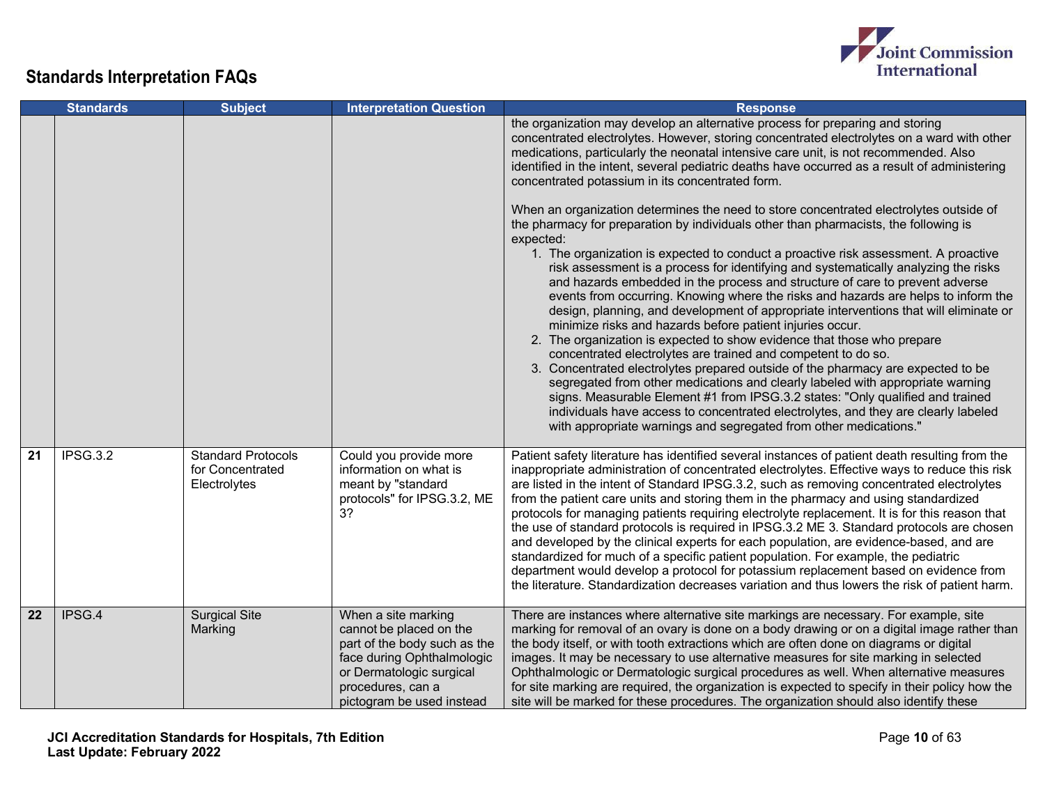

|    | <b>Standards</b> | <b>Subject</b>                                                | <b>Interpretation Question</b>                                                                                                                                                             | <b>Response</b>                                                                                                                                                                                                                                                                                                                                                                                                                                                                                                                                                                                                                                                                                                                                                                                                                                                                                                                                                                                                                                                                                                                                                                                                                                                                                                                                                                                                                                                                                                                                                                                                                                                                                  |
|----|------------------|---------------------------------------------------------------|--------------------------------------------------------------------------------------------------------------------------------------------------------------------------------------------|--------------------------------------------------------------------------------------------------------------------------------------------------------------------------------------------------------------------------------------------------------------------------------------------------------------------------------------------------------------------------------------------------------------------------------------------------------------------------------------------------------------------------------------------------------------------------------------------------------------------------------------------------------------------------------------------------------------------------------------------------------------------------------------------------------------------------------------------------------------------------------------------------------------------------------------------------------------------------------------------------------------------------------------------------------------------------------------------------------------------------------------------------------------------------------------------------------------------------------------------------------------------------------------------------------------------------------------------------------------------------------------------------------------------------------------------------------------------------------------------------------------------------------------------------------------------------------------------------------------------------------------------------------------------------------------------------|
|    |                  |                                                               |                                                                                                                                                                                            | the organization may develop an alternative process for preparing and storing<br>concentrated electrolytes. However, storing concentrated electrolytes on a ward with other<br>medications, particularly the neonatal intensive care unit, is not recommended. Also<br>identified in the intent, several pediatric deaths have occurred as a result of administering<br>concentrated potassium in its concentrated form.<br>When an organization determines the need to store concentrated electrolytes outside of<br>the pharmacy for preparation by individuals other than pharmacists, the following is<br>expected:<br>1. The organization is expected to conduct a proactive risk assessment. A proactive<br>risk assessment is a process for identifying and systematically analyzing the risks<br>and hazards embedded in the process and structure of care to prevent adverse<br>events from occurring. Knowing where the risks and hazards are helps to inform the<br>design, planning, and development of appropriate interventions that will eliminate or<br>minimize risks and hazards before patient injuries occur.<br>2. The organization is expected to show evidence that those who prepare<br>concentrated electrolytes are trained and competent to do so.<br>3. Concentrated electrolytes prepared outside of the pharmacy are expected to be<br>segregated from other medications and clearly labeled with appropriate warning<br>signs. Measurable Element #1 from IPSG.3.2 states: "Only qualified and trained<br>individuals have access to concentrated electrolytes, and they are clearly labeled<br>with appropriate warnings and segregated from other medications." |
| 21 | IPSG.3.2         | <b>Standard Protocols</b><br>for Concentrated<br>Electrolytes | Could you provide more<br>information on what is<br>meant by "standard<br>protocols" for IPSG.3.2, ME<br>3?                                                                                | Patient safety literature has identified several instances of patient death resulting from the<br>inappropriate administration of concentrated electrolytes. Effective ways to reduce this risk<br>are listed in the intent of Standard IPSG.3.2, such as removing concentrated electrolytes<br>from the patient care units and storing them in the pharmacy and using standardized<br>protocols for managing patients requiring electrolyte replacement. It is for this reason that<br>the use of standard protocols is required in IPSG.3.2 ME 3. Standard protocols are chosen<br>and developed by the clinical experts for each population, are evidence-based, and are<br>standardized for much of a specific patient population. For example, the pediatric<br>department would develop a protocol for potassium replacement based on evidence from<br>the literature. Standardization decreases variation and thus lowers the risk of patient harm.                                                                                                                                                                                                                                                                                                                                                                                                                                                                                                                                                                                                                                                                                                                                       |
| 22 | IPSG.4           | <b>Surgical Site</b><br>Marking                               | When a site marking<br>cannot be placed on the<br>part of the body such as the<br>face during Ophthalmologic<br>or Dermatologic surgical<br>procedures, can a<br>pictogram be used instead | There are instances where alternative site markings are necessary. For example, site<br>marking for removal of an ovary is done on a body drawing or on a digital image rather than<br>the body itself, or with tooth extractions which are often done on diagrams or digital<br>images. It may be necessary to use alternative measures for site marking in selected<br>Ophthalmologic or Dermatologic surgical procedures as well. When alternative measures<br>for site marking are required, the organization is expected to specify in their policy how the<br>site will be marked for these procedures. The organization should also identify these                                                                                                                                                                                                                                                                                                                                                                                                                                                                                                                                                                                                                                                                                                                                                                                                                                                                                                                                                                                                                                        |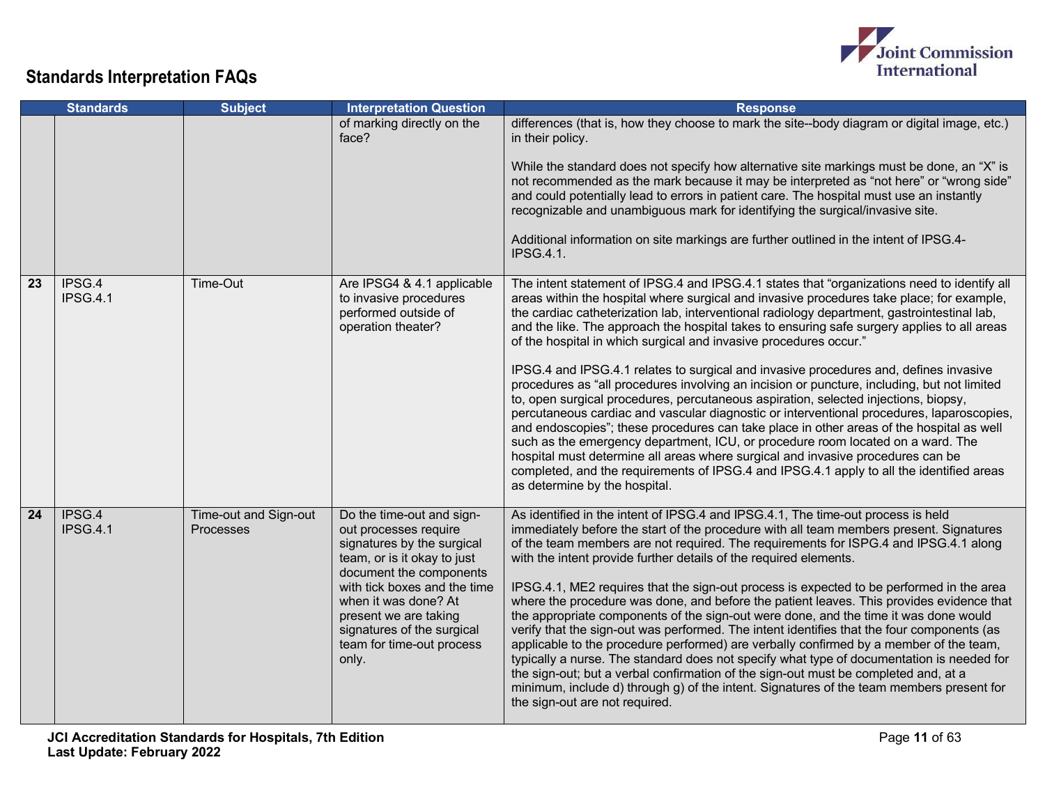

|    | <b>Standards</b>          | <b>Subject</b>                     | <b>Interpretation Question</b>                                                                                                                                                                                                                                                                  | <b>Response</b>                                                                                                                                                                                                                                                                                                                                                                                                                                                                                                                                                                                                                                                                                                                                                                                                                                                                                                                                                                                                                                                                                                                                                                                                                        |
|----|---------------------------|------------------------------------|-------------------------------------------------------------------------------------------------------------------------------------------------------------------------------------------------------------------------------------------------------------------------------------------------|----------------------------------------------------------------------------------------------------------------------------------------------------------------------------------------------------------------------------------------------------------------------------------------------------------------------------------------------------------------------------------------------------------------------------------------------------------------------------------------------------------------------------------------------------------------------------------------------------------------------------------------------------------------------------------------------------------------------------------------------------------------------------------------------------------------------------------------------------------------------------------------------------------------------------------------------------------------------------------------------------------------------------------------------------------------------------------------------------------------------------------------------------------------------------------------------------------------------------------------|
|    |                           |                                    | of marking directly on the<br>face?                                                                                                                                                                                                                                                             | differences (that is, how they choose to mark the site--body diagram or digital image, etc.)<br>in their policy.<br>While the standard does not specify how alternative site markings must be done, an "X" is<br>not recommended as the mark because it may be interpreted as "not here" or "wrong side"<br>and could potentially lead to errors in patient care. The hospital must use an instantly<br>recognizable and unambiguous mark for identifying the surgical/invasive site.<br>Additional information on site markings are further outlined in the intent of IPSG.4-<br><b>IPSG.4.1.</b>                                                                                                                                                                                                                                                                                                                                                                                                                                                                                                                                                                                                                                     |
| 23 | IPSG.4<br><b>IPSG.4.1</b> | Time-Out                           | Are IPSG4 & 4.1 applicable<br>to invasive procedures<br>performed outside of<br>operation theater?                                                                                                                                                                                              | The intent statement of IPSG.4 and IPSG.4.1 states that "organizations need to identify all<br>areas within the hospital where surgical and invasive procedures take place; for example,<br>the cardiac catheterization lab, interventional radiology department, gastrointestinal lab,<br>and the like. The approach the hospital takes to ensuring safe surgery applies to all areas<br>of the hospital in which surgical and invasive procedures occur."<br>IPSG.4 and IPSG.4.1 relates to surgical and invasive procedures and, defines invasive<br>procedures as "all procedures involving an incision or puncture, including, but not limited<br>to, open surgical procedures, percutaneous aspiration, selected injections, biopsy,<br>percutaneous cardiac and vascular diagnostic or interventional procedures, laparoscopies,<br>and endoscopies"; these procedures can take place in other areas of the hospital as well<br>such as the emergency department, ICU, or procedure room located on a ward. The<br>hospital must determine all areas where surgical and invasive procedures can be<br>completed, and the requirements of IPSG.4 and IPSG.4.1 apply to all the identified areas<br>as determine by the hospital. |
| 24 | IPSG.4<br>IPSG.4.1        | Time-out and Sign-out<br>Processes | Do the time-out and sign-<br>out processes require<br>signatures by the surgical<br>team, or is it okay to just<br>document the components<br>with tick boxes and the time<br>when it was done? At<br>present we are taking<br>signatures of the surgical<br>team for time-out process<br>only. | As identified in the intent of IPSG.4 and IPSG.4.1, The time-out process is held<br>immediately before the start of the procedure with all team members present. Signatures<br>of the team members are not required. The requirements for ISPG.4 and IPSG.4.1 along<br>with the intent provide further details of the required elements.<br>IPSG.4.1, ME2 requires that the sign-out process is expected to be performed in the area<br>where the procedure was done, and before the patient leaves. This provides evidence that<br>the appropriate components of the sign-out were done, and the time it was done would<br>verify that the sign-out was performed. The intent identifies that the four components (as<br>applicable to the procedure performed) are verbally confirmed by a member of the team,<br>typically a nurse. The standard does not specify what type of documentation is needed for<br>the sign-out; but a verbal confirmation of the sign-out must be completed and, at a<br>minimum, include d) through g) of the intent. Signatures of the team members present for<br>the sign-out are not required.                                                                                                     |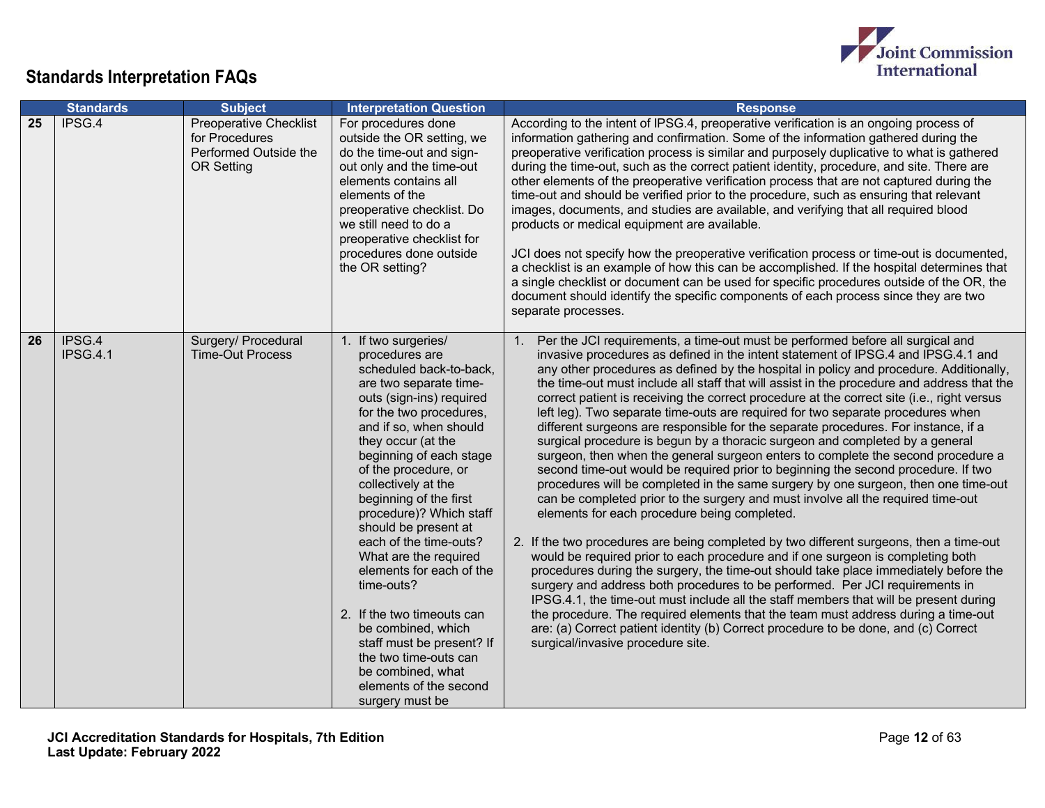

|    | <b>Standards</b>          | <b>Subject</b>                                                                                | <b>Interpretation Question</b>                                                                                                                                                                                                                                                                                                                                                                                                                                                                                                                                                                                                     | <b>Response</b>                                                                                                                                                                                                                                                                                                                                                                                                                                                                                                                                                                                                                                                                                                                                                                                                                                                                                                                                                                                                                                                                                                                                                                                                                                                                                                                                                                                                                                                                                                                                                                                                                                                                                                                                                                                         |
|----|---------------------------|-----------------------------------------------------------------------------------------------|------------------------------------------------------------------------------------------------------------------------------------------------------------------------------------------------------------------------------------------------------------------------------------------------------------------------------------------------------------------------------------------------------------------------------------------------------------------------------------------------------------------------------------------------------------------------------------------------------------------------------------|---------------------------------------------------------------------------------------------------------------------------------------------------------------------------------------------------------------------------------------------------------------------------------------------------------------------------------------------------------------------------------------------------------------------------------------------------------------------------------------------------------------------------------------------------------------------------------------------------------------------------------------------------------------------------------------------------------------------------------------------------------------------------------------------------------------------------------------------------------------------------------------------------------------------------------------------------------------------------------------------------------------------------------------------------------------------------------------------------------------------------------------------------------------------------------------------------------------------------------------------------------------------------------------------------------------------------------------------------------------------------------------------------------------------------------------------------------------------------------------------------------------------------------------------------------------------------------------------------------------------------------------------------------------------------------------------------------------------------------------------------------------------------------------------------------|
| 25 | IPSG.4                    | <b>Preoperative Checklist</b><br>for Procedures<br>Performed Outside the<br><b>OR Setting</b> | For procedures done<br>outside the OR setting, we<br>do the time-out and sign-<br>out only and the time-out<br>elements contains all<br>elements of the<br>preoperative checklist. Do<br>we still need to do a<br>preoperative checklist for<br>procedures done outside<br>the OR setting?                                                                                                                                                                                                                                                                                                                                         | According to the intent of IPSG.4, preoperative verification is an ongoing process of<br>information gathering and confirmation. Some of the information gathered during the<br>preoperative verification process is similar and purposely duplicative to what is gathered<br>during the time-out, such as the correct patient identity, procedure, and site. There are<br>other elements of the preoperative verification process that are not captured during the<br>time-out and should be verified prior to the procedure, such as ensuring that relevant<br>images, documents, and studies are available, and verifying that all required blood<br>products or medical equipment are available.<br>JCI does not specify how the preoperative verification process or time-out is documented,<br>a checklist is an example of how this can be accomplished. If the hospital determines that<br>a single checklist or document can be used for specific procedures outside of the OR, the<br>document should identify the specific components of each process since they are two<br>separate processes.                                                                                                                                                                                                                                                                                                                                                                                                                                                                                                                                                                                                                                                                                              |
| 26 | IPSG.4<br><b>IPSG.4.1</b> | Surgery/ Procedural<br><b>Time-Out Process</b>                                                | 1. If two surgeries/<br>procedures are<br>scheduled back-to-back,<br>are two separate time-<br>outs (sign-ins) required<br>for the two procedures,<br>and if so, when should<br>they occur (at the<br>beginning of each stage<br>of the procedure, or<br>collectively at the<br>beginning of the first<br>procedure)? Which staff<br>should be present at<br>each of the time-outs?<br>What are the required<br>elements for each of the<br>time-outs?<br>2. If the two timeouts can<br>be combined, which<br>staff must be present? If<br>the two time-outs can<br>be combined, what<br>elements of the second<br>surgery must be | Per the JCI requirements, a time-out must be performed before all surgical and<br>$\mathbf{1}$ .<br>invasive procedures as defined in the intent statement of IPSG.4 and IPSG.4.1 and<br>any other procedures as defined by the hospital in policy and procedure. Additionally,<br>the time-out must include all staff that will assist in the procedure and address that the<br>correct patient is receiving the correct procedure at the correct site (i.e., right versus<br>left leg). Two separate time-outs are required for two separate procedures when<br>different surgeons are responsible for the separate procedures. For instance, if a<br>surgical procedure is begun by a thoracic surgeon and completed by a general<br>surgeon, then when the general surgeon enters to complete the second procedure a<br>second time-out would be required prior to beginning the second procedure. If two<br>procedures will be completed in the same surgery by one surgeon, then one time-out<br>can be completed prior to the surgery and must involve all the required time-out<br>elements for each procedure being completed.<br>2. If the two procedures are being completed by two different surgeons, then a time-out<br>would be required prior to each procedure and if one surgeon is completing both<br>procedures during the surgery, the time-out should take place immediately before the<br>surgery and address both procedures to be performed. Per JCI requirements in<br>IPSG.4.1, the time-out must include all the staff members that will be present during<br>the procedure. The required elements that the team must address during a time-out<br>are: (a) Correct patient identity (b) Correct procedure to be done, and (c) Correct<br>surgical/invasive procedure site. |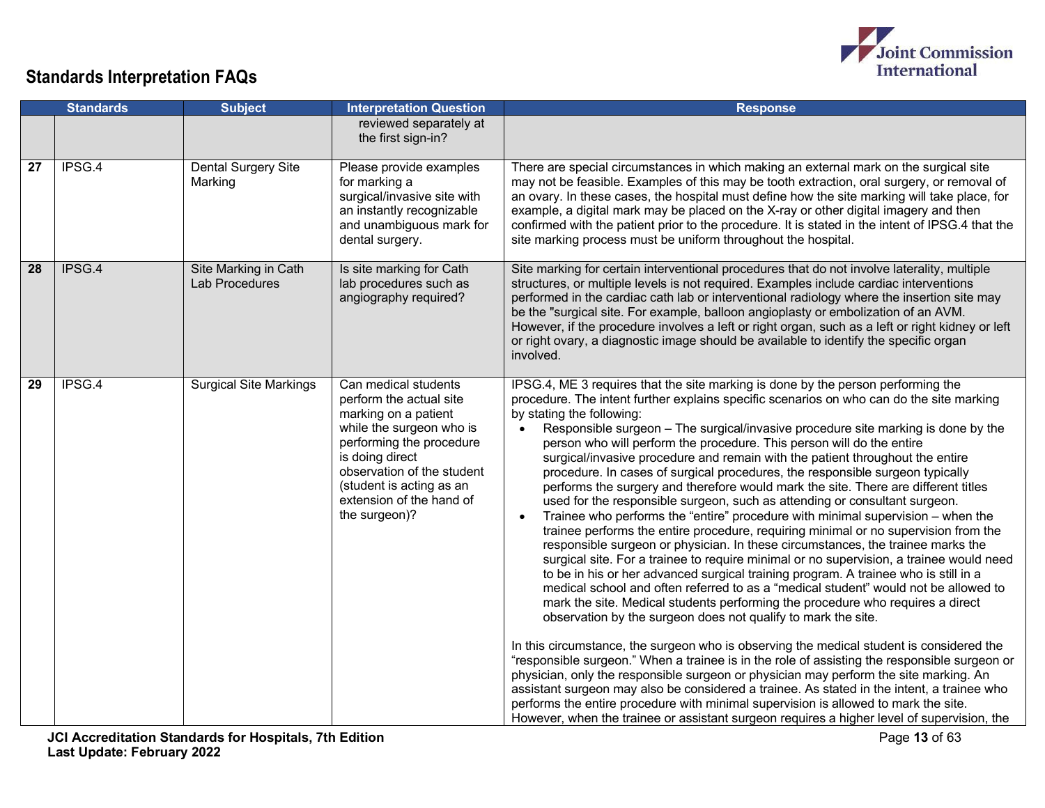

|    | <b>Standards</b> | <b>Subject</b>                                | <b>Interpretation Question</b>                                                                                                                                                                                                                            | <b>Response</b>                                                                                                                                                                                                                                                                                                                                                                                                                                                                                                                                                                                                                                                                                                                                                                                                                                                                                                                                                                                                                                                                                                                                                                                                                                                                                                                                                                                                                                                                                                                                                                                                                                                                                                                                                                                                                                                                                                                                                                  |
|----|------------------|-----------------------------------------------|-----------------------------------------------------------------------------------------------------------------------------------------------------------------------------------------------------------------------------------------------------------|----------------------------------------------------------------------------------------------------------------------------------------------------------------------------------------------------------------------------------------------------------------------------------------------------------------------------------------------------------------------------------------------------------------------------------------------------------------------------------------------------------------------------------------------------------------------------------------------------------------------------------------------------------------------------------------------------------------------------------------------------------------------------------------------------------------------------------------------------------------------------------------------------------------------------------------------------------------------------------------------------------------------------------------------------------------------------------------------------------------------------------------------------------------------------------------------------------------------------------------------------------------------------------------------------------------------------------------------------------------------------------------------------------------------------------------------------------------------------------------------------------------------------------------------------------------------------------------------------------------------------------------------------------------------------------------------------------------------------------------------------------------------------------------------------------------------------------------------------------------------------------------------------------------------------------------------------------------------------------|
|    |                  |                                               | reviewed separately at<br>the first sign-in?                                                                                                                                                                                                              |                                                                                                                                                                                                                                                                                                                                                                                                                                                                                                                                                                                                                                                                                                                                                                                                                                                                                                                                                                                                                                                                                                                                                                                                                                                                                                                                                                                                                                                                                                                                                                                                                                                                                                                                                                                                                                                                                                                                                                                  |
| 27 | IPSG.4           | Dental Surgery Site<br>Marking                | Please provide examples<br>for marking a<br>surgical/invasive site with<br>an instantly recognizable<br>and unambiguous mark for<br>dental surgery.                                                                                                       | There are special circumstances in which making an external mark on the surgical site<br>may not be feasible. Examples of this may be tooth extraction, oral surgery, or removal of<br>an ovary. In these cases, the hospital must define how the site marking will take place, for<br>example, a digital mark may be placed on the X-ray or other digital imagery and then<br>confirmed with the patient prior to the procedure. It is stated in the intent of IPSG.4 that the<br>site marking process must be uniform throughout the hospital.                                                                                                                                                                                                                                                                                                                                                                                                                                                                                                                                                                                                                                                                                                                                                                                                                                                                                                                                                                                                                                                                                                                                                                                                                                                                                                                                                                                                                                 |
| 28 | IPSG.4           | Site Marking in Cath<br><b>Lab Procedures</b> | Is site marking for Cath<br>lab procedures such as<br>angiography required?                                                                                                                                                                               | Site marking for certain interventional procedures that do not involve laterality, multiple<br>structures, or multiple levels is not required. Examples include cardiac interventions<br>performed in the cardiac cath lab or interventional radiology where the insertion site may<br>be the "surgical site. For example, balloon angioplasty or embolization of an AVM.<br>However, if the procedure involves a left or right organ, such as a left or right kidney or left<br>or right ovary, a diagnostic image should be available to identify the specific organ<br>involved.                                                                                                                                                                                                                                                                                                                                                                                                                                                                                                                                                                                                                                                                                                                                                                                                                                                                                                                                                                                                                                                                                                                                                                                                                                                                                                                                                                                              |
| 29 | IPSG.4           | <b>Surgical Site Markings</b>                 | Can medical students<br>perform the actual site<br>marking on a patient<br>while the surgeon who is<br>performing the procedure<br>is doing direct<br>observation of the student<br>(student is acting as an<br>extension of the hand of<br>the surgeon)? | IPSG.4, ME 3 requires that the site marking is done by the person performing the<br>procedure. The intent further explains specific scenarios on who can do the site marking<br>by stating the following:<br>• Responsible surgeon - The surgical/invasive procedure site marking is done by the<br>person who will perform the procedure. This person will do the entire<br>surgical/invasive procedure and remain with the patient throughout the entire<br>procedure. In cases of surgical procedures, the responsible surgeon typically<br>performs the surgery and therefore would mark the site. There are different titles<br>used for the responsible surgeon, such as attending or consultant surgeon.<br>Trainee who performs the "entire" procedure with minimal supervision – when the<br>trainee performs the entire procedure, requiring minimal or no supervision from the<br>responsible surgeon or physician. In these circumstances, the trainee marks the<br>surgical site. For a trainee to require minimal or no supervision, a trainee would need<br>to be in his or her advanced surgical training program. A trainee who is still in a<br>medical school and often referred to as a "medical student" would not be allowed to<br>mark the site. Medical students performing the procedure who requires a direct<br>observation by the surgeon does not qualify to mark the site.<br>In this circumstance, the surgeon who is observing the medical student is considered the<br>"responsible surgeon." When a trainee is in the role of assisting the responsible surgeon or<br>physician, only the responsible surgeon or physician may perform the site marking. An<br>assistant surgeon may also be considered a trainee. As stated in the intent, a trainee who<br>performs the entire procedure with minimal supervision is allowed to mark the site.<br>However, when the trainee or assistant surgeon requires a higher level of supervision, the |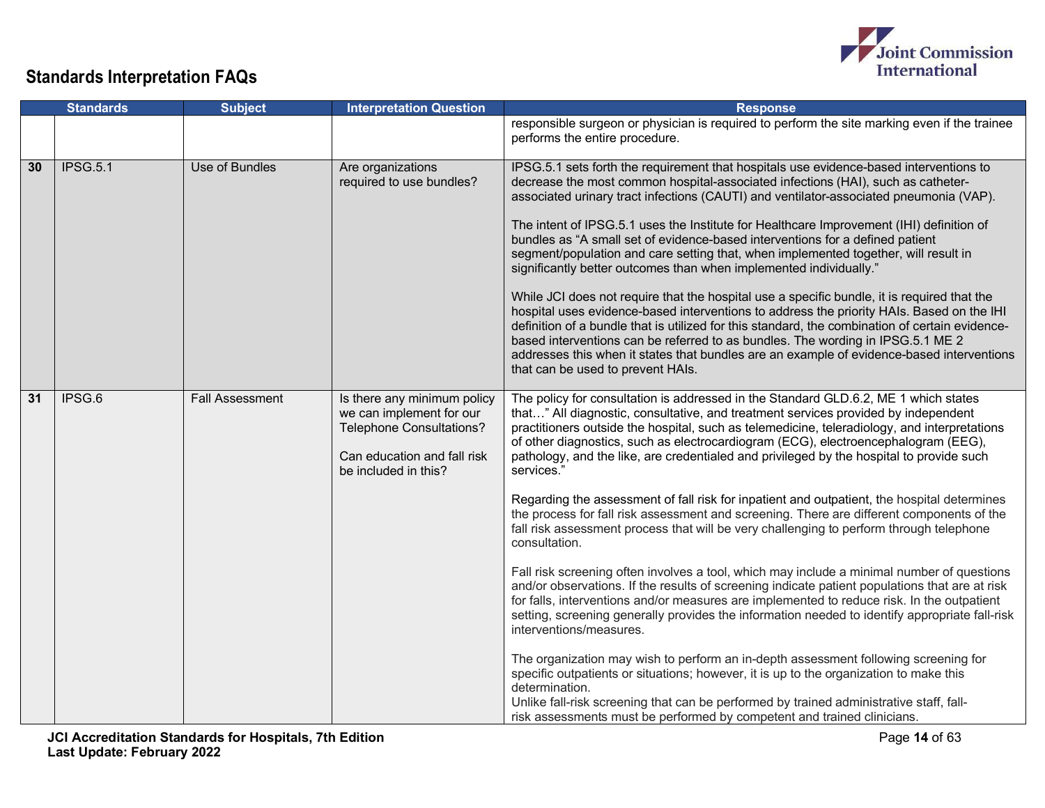

|                 | <b>Standards</b> | <b>Subject</b>         | <b>Interpretation Question</b>                                                                                                                    | <b>Response</b>                                                                                                                                                                                                                                                                                                                                                                                                                                                                                                                                                                                                                                                                                                                                                                                                                                                                                                                                                                                                                                                                                                                                                                                                                                                                                                                                                                                                                                                                                                                                                                       |
|-----------------|------------------|------------------------|---------------------------------------------------------------------------------------------------------------------------------------------------|---------------------------------------------------------------------------------------------------------------------------------------------------------------------------------------------------------------------------------------------------------------------------------------------------------------------------------------------------------------------------------------------------------------------------------------------------------------------------------------------------------------------------------------------------------------------------------------------------------------------------------------------------------------------------------------------------------------------------------------------------------------------------------------------------------------------------------------------------------------------------------------------------------------------------------------------------------------------------------------------------------------------------------------------------------------------------------------------------------------------------------------------------------------------------------------------------------------------------------------------------------------------------------------------------------------------------------------------------------------------------------------------------------------------------------------------------------------------------------------------------------------------------------------------------------------------------------------|
|                 |                  |                        |                                                                                                                                                   | responsible surgeon or physician is required to perform the site marking even if the trainee<br>performs the entire procedure.                                                                                                                                                                                                                                                                                                                                                                                                                                                                                                                                                                                                                                                                                                                                                                                                                                                                                                                                                                                                                                                                                                                                                                                                                                                                                                                                                                                                                                                        |
| 30              | <b>IPSG.5.1</b>  | Use of Bundles         | Are organizations<br>required to use bundles?                                                                                                     | IPSG.5.1 sets forth the requirement that hospitals use evidence-based interventions to<br>decrease the most common hospital-associated infections (HAI), such as catheter-<br>associated urinary tract infections (CAUTI) and ventilator-associated pneumonia (VAP).<br>The intent of IPSG.5.1 uses the Institute for Healthcare Improvement (IHI) definition of<br>bundles as "A small set of evidence-based interventions for a defined patient<br>segment/population and care setting that, when implemented together, will result in<br>significantly better outcomes than when implemented individually."<br>While JCI does not require that the hospital use a specific bundle, it is required that the<br>hospital uses evidence-based interventions to address the priority HAIs. Based on the IHI<br>definition of a bundle that is utilized for this standard, the combination of certain evidence-<br>based interventions can be referred to as bundles. The wording in IPSG.5.1 ME 2<br>addresses this when it states that bundles are an example of evidence-based interventions<br>that can be used to prevent HAIs.                                                                                                                                                                                                                                                                                                                                                                                                                                                    |
| $\overline{31}$ | IPSG.6           | <b>Fall Assessment</b> | Is there any minimum policy<br>we can implement for our<br><b>Telephone Consultations?</b><br>Can education and fall risk<br>be included in this? | The policy for consultation is addressed in the Standard GLD.6.2, ME 1 which states<br>that" All diagnostic, consultative, and treatment services provided by independent<br>practitioners outside the hospital, such as telemedicine, teleradiology, and interpretations<br>of other diagnostics, such as electrocardiogram (ECG), electroencephalogram (EEG),<br>pathology, and the like, are credentialed and privileged by the hospital to provide such<br>services."<br>Regarding the assessment of fall risk for inpatient and outpatient, the hospital determines<br>the process for fall risk assessment and screening. There are different components of the<br>fall risk assessment process that will be very challenging to perform through telephone<br>consultation.<br>Fall risk screening often involves a tool, which may include a minimal number of questions<br>and/or observations. If the results of screening indicate patient populations that are at risk<br>for falls, interventions and/or measures are implemented to reduce risk. In the outpatient<br>setting, screening generally provides the information needed to identify appropriate fall-risk<br>interventions/measures.<br>The organization may wish to perform an in-depth assessment following screening for<br>specific outpatients or situations; however, it is up to the organization to make this<br>determination.<br>Unlike fall-risk screening that can be performed by trained administrative staff, fall-<br>risk assessments must be performed by competent and trained clinicians. |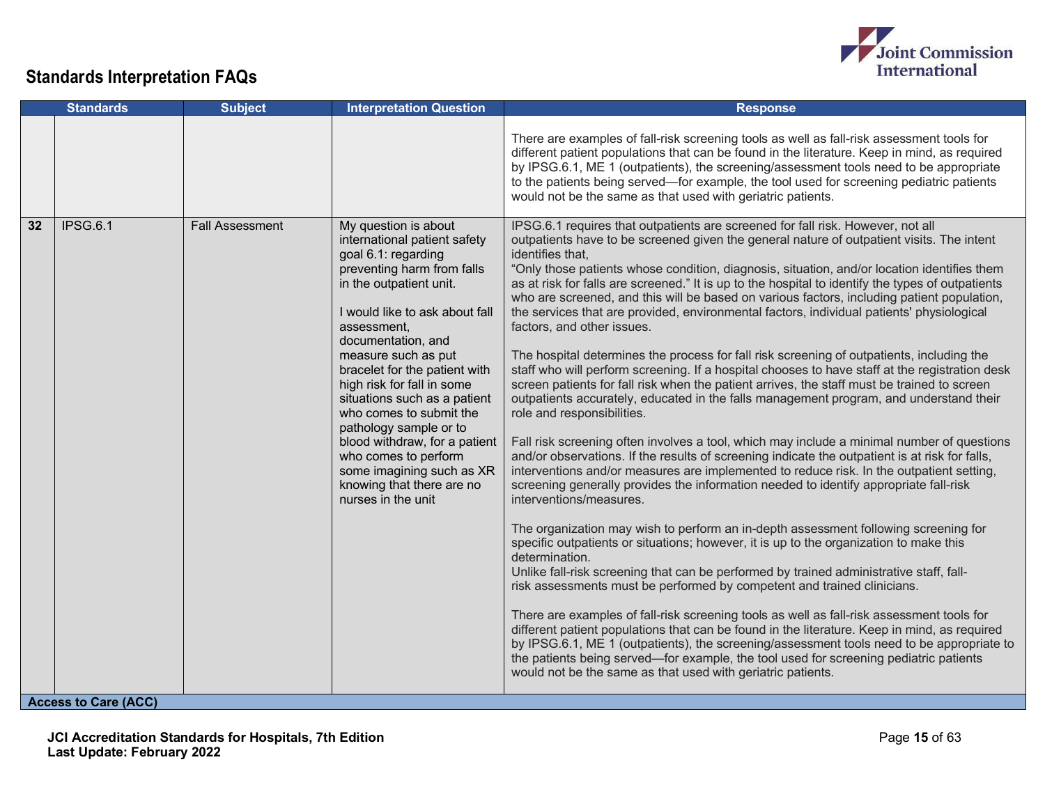

| There are examples of fall-risk screening tools as well as fall-risk assessment tools for<br>different patient populations that can be found in the literature. Keep in mind, as required<br>by IPSG.6.1, ME 1 (outpatients), the screening/assessment tools need to be appropriate<br>to the patients being served—for example, the tool used for screening pediatric patients<br>would not be the same as that used with geriatric patients.<br>IPSG.6.1<br><b>Fall Assessment</b><br>IPSG.6.1 requires that outpatients are screened for fall risk. However, not all<br>32<br>My question is about<br>outpatients have to be screened given the general nature of outpatient visits. The intent<br>international patient safety<br>identifies that,<br>goal 6.1: regarding<br>preventing harm from falls<br>"Only those patients whose condition, diagnosis, situation, and/or location identifies them<br>as at risk for falls are screened." It is up to the hospital to identify the types of outpatients<br>in the outpatient unit.<br>who are screened, and this will be based on various factors, including patient population,<br>I would like to ask about fall<br>the services that are provided, environmental factors, individual patients' physiological<br>factors, and other issues.<br>assessment,<br>documentation, and<br>measure such as put<br>The hospital determines the process for fall risk screening of outpatients, including the<br>bracelet for the patient with<br>staff who will perform screening. If a hospital chooses to have staff at the registration desk<br>high risk for fall in some<br>screen patients for fall risk when the patient arrives, the staff must be trained to screen<br>situations such as a patient<br>outpatients accurately, educated in the falls management program, and understand their<br>who comes to submit the<br>role and responsibilities.<br>pathology sample or to<br>Fall risk screening often involves a tool, which may include a minimal number of questions<br>blood withdraw, for a patient<br>and/or observations. If the results of screening indicate the outpatient is at risk for falls,<br>who comes to perform<br>interventions and/or measures are implemented to reduce risk. In the outpatient setting,<br>some imagining such as XR<br>knowing that there are no<br>screening generally provides the information needed to identify appropriate fall-risk<br>nurses in the unit<br>interventions/measures.<br>The organization may wish to perform an in-depth assessment following screening for<br>specific outpatients or situations; however, it is up to the organization to make this<br>determination.<br>Unlike fall-risk screening that can be performed by trained administrative staff, fall-<br>risk assessments must be performed by competent and trained clinicians.<br>There are examples of fall-risk screening tools as well as fall-risk assessment tools for<br>different patient populations that can be found in the literature. Keep in mind, as required<br>by IPSG.6.1, ME 1 (outpatients), the screening/assessment tools need to be appropriate to<br>the patients being served—for example, the tool used for screening pediatric patients<br>would not be the same as that used with geriatric patients. | <b>Standards</b>            | <b>Subject</b> | <b>Interpretation Question</b> | <b>Response</b> |
|---------------------------------------------------------------------------------------------------------------------------------------------------------------------------------------------------------------------------------------------------------------------------------------------------------------------------------------------------------------------------------------------------------------------------------------------------------------------------------------------------------------------------------------------------------------------------------------------------------------------------------------------------------------------------------------------------------------------------------------------------------------------------------------------------------------------------------------------------------------------------------------------------------------------------------------------------------------------------------------------------------------------------------------------------------------------------------------------------------------------------------------------------------------------------------------------------------------------------------------------------------------------------------------------------------------------------------------------------------------------------------------------------------------------------------------------------------------------------------------------------------------------------------------------------------------------------------------------------------------------------------------------------------------------------------------------------------------------------------------------------------------------------------------------------------------------------------------------------------------------------------------------------------------------------------------------------------------------------------------------------------------------------------------------------------------------------------------------------------------------------------------------------------------------------------------------------------------------------------------------------------------------------------------------------------------------------------------------------------------------------------------------------------------------------------------------------------------------------------------------------------------------------------------------------------------------------------------------------------------------------------------------------------------------------------------------------------------------------------------------------------------------------------------------------------------------------------------------------------------------------------------------------------------------------------------------------------------------------------------------------------------------------------------------------------------------------------------------------------------------------------------------------------------------------------------------------------------------------------------------------------------------------------------------------------------------------------|-----------------------------|----------------|--------------------------------|-----------------|
|                                                                                                                                                                                                                                                                                                                                                                                                                                                                                                                                                                                                                                                                                                                                                                                                                                                                                                                                                                                                                                                                                                                                                                                                                                                                                                                                                                                                                                                                                                                                                                                                                                                                                                                                                                                                                                                                                                                                                                                                                                                                                                                                                                                                                                                                                                                                                                                                                                                                                                                                                                                                                                                                                                                                                                                                                                                                                                                                                                                                                                                                                                                                                                                                                                                                                                                                 |                             |                |                                |                 |
|                                                                                                                                                                                                                                                                                                                                                                                                                                                                                                                                                                                                                                                                                                                                                                                                                                                                                                                                                                                                                                                                                                                                                                                                                                                                                                                                                                                                                                                                                                                                                                                                                                                                                                                                                                                                                                                                                                                                                                                                                                                                                                                                                                                                                                                                                                                                                                                                                                                                                                                                                                                                                                                                                                                                                                                                                                                                                                                                                                                                                                                                                                                                                                                                                                                                                                                                 | <b>Access to Care (ACC)</b> |                |                                |                 |

**JCI Accreditation Standards for Hospitals, 7th Edition Last Update: February 2022**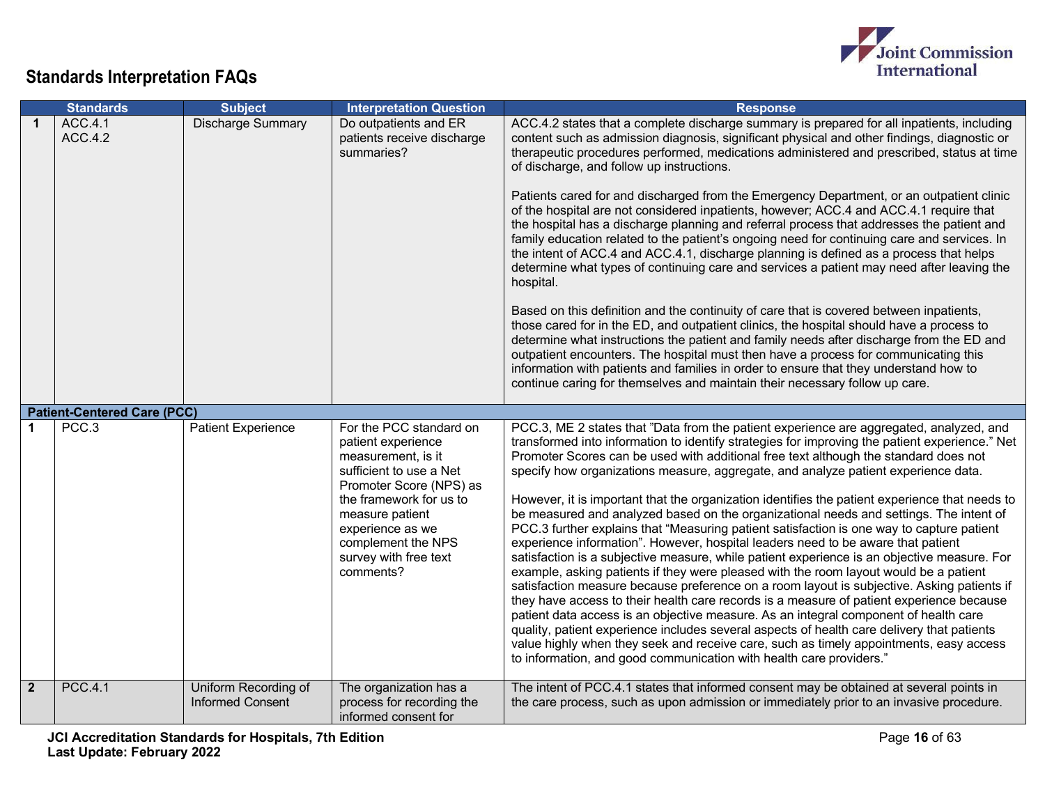

|                | <b>Standards</b>                   | <b>Subject</b>                                  | <b>Interpretation Question</b>                                                                                                                                                                                                                          | <b>Response</b>                                                                                                                                                                                                                                                                                                                                                                                                                                                                                                                                                                                                                                                                                                                                                                                                                                                                                                                                                                                                                                                                                                                                                                                                                                                                                                                                                                                                                                                                               |
|----------------|------------------------------------|-------------------------------------------------|---------------------------------------------------------------------------------------------------------------------------------------------------------------------------------------------------------------------------------------------------------|-----------------------------------------------------------------------------------------------------------------------------------------------------------------------------------------------------------------------------------------------------------------------------------------------------------------------------------------------------------------------------------------------------------------------------------------------------------------------------------------------------------------------------------------------------------------------------------------------------------------------------------------------------------------------------------------------------------------------------------------------------------------------------------------------------------------------------------------------------------------------------------------------------------------------------------------------------------------------------------------------------------------------------------------------------------------------------------------------------------------------------------------------------------------------------------------------------------------------------------------------------------------------------------------------------------------------------------------------------------------------------------------------------------------------------------------------------------------------------------------------|
| $\mathbf 1$    | ACC.4.1<br>ACC.4.2                 | Discharge Summary                               | Do outpatients and ER<br>patients receive discharge<br>summaries?                                                                                                                                                                                       | ACC.4.2 states that a complete discharge summary is prepared for all inpatients, including<br>content such as admission diagnosis, significant physical and other findings, diagnostic or<br>therapeutic procedures performed, medications administered and prescribed, status at time<br>of discharge, and follow up instructions.<br>Patients cared for and discharged from the Emergency Department, or an outpatient clinic<br>of the hospital are not considered inpatients, however; ACC.4 and ACC.4.1 require that<br>the hospital has a discharge planning and referral process that addresses the patient and<br>family education related to the patient's ongoing need for continuing care and services. In<br>the intent of ACC.4 and ACC.4.1, discharge planning is defined as a process that helps<br>determine what types of continuing care and services a patient may need after leaving the<br>hospital.<br>Based on this definition and the continuity of care that is covered between inpatients,<br>those cared for in the ED, and outpatient clinics, the hospital should have a process to<br>determine what instructions the patient and family needs after discharge from the ED and<br>outpatient encounters. The hospital must then have a process for communicating this<br>information with patients and families in order to ensure that they understand how to<br>continue caring for themselves and maintain their necessary follow up care.                   |
|                | <b>Patient-Centered Care (PCC)</b> |                                                 |                                                                                                                                                                                                                                                         |                                                                                                                                                                                                                                                                                                                                                                                                                                                                                                                                                                                                                                                                                                                                                                                                                                                                                                                                                                                                                                                                                                                                                                                                                                                                                                                                                                                                                                                                                               |
|                | PCC.3                              | <b>Patient Experience</b>                       | For the PCC standard on<br>patient experience<br>measurement, is it<br>sufficient to use a Net<br>Promoter Score (NPS) as<br>the framework for us to<br>measure patient<br>experience as we<br>complement the NPS<br>survey with free text<br>comments? | PCC.3, ME 2 states that "Data from the patient experience are aggregated, analyzed, and<br>transformed into information to identify strategies for improving the patient experience." Net<br>Promoter Scores can be used with additional free text although the standard does not<br>specify how organizations measure, aggregate, and analyze patient experience data.<br>However, it is important that the organization identifies the patient experience that needs to<br>be measured and analyzed based on the organizational needs and settings. The intent of<br>PCC.3 further explains that "Measuring patient satisfaction is one way to capture patient<br>experience information". However, hospital leaders need to be aware that patient<br>satisfaction is a subjective measure, while patient experience is an objective measure. For<br>example, asking patients if they were pleased with the room layout would be a patient<br>satisfaction measure because preference on a room layout is subjective. Asking patients if<br>they have access to their health care records is a measure of patient experience because<br>patient data access is an objective measure. As an integral component of health care<br>quality, patient experience includes several aspects of health care delivery that patients<br>value highly when they seek and receive care, such as timely appointments, easy access<br>to information, and good communication with health care providers." |
| 2 <sup>2</sup> | <b>PCC.4.1</b>                     | Uniform Recording of<br><b>Informed Consent</b> | The organization has a<br>process for recording the<br>informed consent for                                                                                                                                                                             | The intent of PCC.4.1 states that informed consent may be obtained at several points in<br>the care process, such as upon admission or immediately prior to an invasive procedure.                                                                                                                                                                                                                                                                                                                                                                                                                                                                                                                                                                                                                                                                                                                                                                                                                                                                                                                                                                                                                                                                                                                                                                                                                                                                                                            |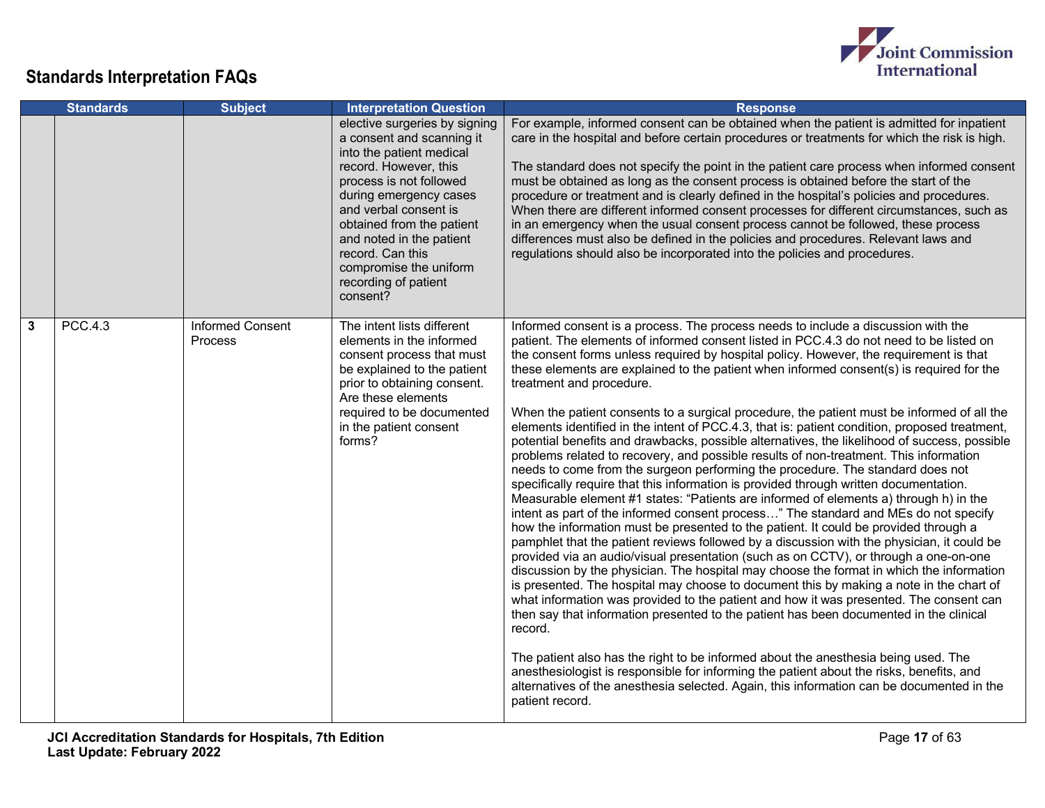

|   | <b>Standards</b> | <b>Subject</b>                     | <b>Interpretation Question</b>                                                                                                                                                                                                                                                                                                           | <b>Response</b>                                                                                                                                                                                                                                                                                                                                                                                                                                                                                                                                                                                                                                                                                                                                                                                                                                                                                                                                                                                                                                                                                                                                                                                                                                                                                                                                                                                                                                                                                                                                                                                                                                                                                                                                                                                                                                                                                                                                                                                                                                                                                                         |
|---|------------------|------------------------------------|------------------------------------------------------------------------------------------------------------------------------------------------------------------------------------------------------------------------------------------------------------------------------------------------------------------------------------------|-------------------------------------------------------------------------------------------------------------------------------------------------------------------------------------------------------------------------------------------------------------------------------------------------------------------------------------------------------------------------------------------------------------------------------------------------------------------------------------------------------------------------------------------------------------------------------------------------------------------------------------------------------------------------------------------------------------------------------------------------------------------------------------------------------------------------------------------------------------------------------------------------------------------------------------------------------------------------------------------------------------------------------------------------------------------------------------------------------------------------------------------------------------------------------------------------------------------------------------------------------------------------------------------------------------------------------------------------------------------------------------------------------------------------------------------------------------------------------------------------------------------------------------------------------------------------------------------------------------------------------------------------------------------------------------------------------------------------------------------------------------------------------------------------------------------------------------------------------------------------------------------------------------------------------------------------------------------------------------------------------------------------------------------------------------------------------------------------------------------------|
|   |                  |                                    | elective surgeries by signing<br>a consent and scanning it<br>into the patient medical<br>record. However, this<br>process is not followed<br>during emergency cases<br>and verbal consent is<br>obtained from the patient<br>and noted in the patient<br>record. Can this<br>compromise the uniform<br>recording of patient<br>consent? | For example, informed consent can be obtained when the patient is admitted for inpatient<br>care in the hospital and before certain procedures or treatments for which the risk is high.<br>The standard does not specify the point in the patient care process when informed consent<br>must be obtained as long as the consent process is obtained before the start of the<br>procedure or treatment and is clearly defined in the hospital's policies and procedures.<br>When there are different informed consent processes for different circumstances, such as<br>in an emergency when the usual consent process cannot be followed, these process<br>differences must also be defined in the policies and procedures. Relevant laws and<br>regulations should also be incorporated into the policies and procedures.                                                                                                                                                                                                                                                                                                                                                                                                                                                                                                                                                                                                                                                                                                                                                                                                                                                                                                                                                                                                                                                                                                                                                                                                                                                                                             |
| 3 | <b>PCC.4.3</b>   | <b>Informed Consent</b><br>Process | The intent lists different<br>elements in the informed<br>consent process that must<br>be explained to the patient<br>prior to obtaining consent.<br>Are these elements<br>required to be documented<br>in the patient consent<br>forms?                                                                                                 | Informed consent is a process. The process needs to include a discussion with the<br>patient. The elements of informed consent listed in PCC.4.3 do not need to be listed on<br>the consent forms unless required by hospital policy. However, the requirement is that<br>these elements are explained to the patient when informed consent(s) is required for the<br>treatment and procedure.<br>When the patient consents to a surgical procedure, the patient must be informed of all the<br>elements identified in the intent of PCC.4.3, that is: patient condition, proposed treatment,<br>potential benefits and drawbacks, possible alternatives, the likelihood of success, possible<br>problems related to recovery, and possible results of non-treatment. This information<br>needs to come from the surgeon performing the procedure. The standard does not<br>specifically require that this information is provided through written documentation.<br>Measurable element #1 states: "Patients are informed of elements a) through h) in the<br>intent as part of the informed consent process" The standard and MEs do not specify<br>how the information must be presented to the patient. It could be provided through a<br>pamphlet that the patient reviews followed by a discussion with the physician, it could be<br>provided via an audio/visual presentation (such as on CCTV), or through a one-on-one<br>discussion by the physician. The hospital may choose the format in which the information<br>is presented. The hospital may choose to document this by making a note in the chart of<br>what information was provided to the patient and how it was presented. The consent can<br>then say that information presented to the patient has been documented in the clinical<br>record.<br>The patient also has the right to be informed about the anesthesia being used. The<br>anesthesiologist is responsible for informing the patient about the risks, benefits, and<br>alternatives of the anesthesia selected. Again, this information can be documented in the<br>patient record. |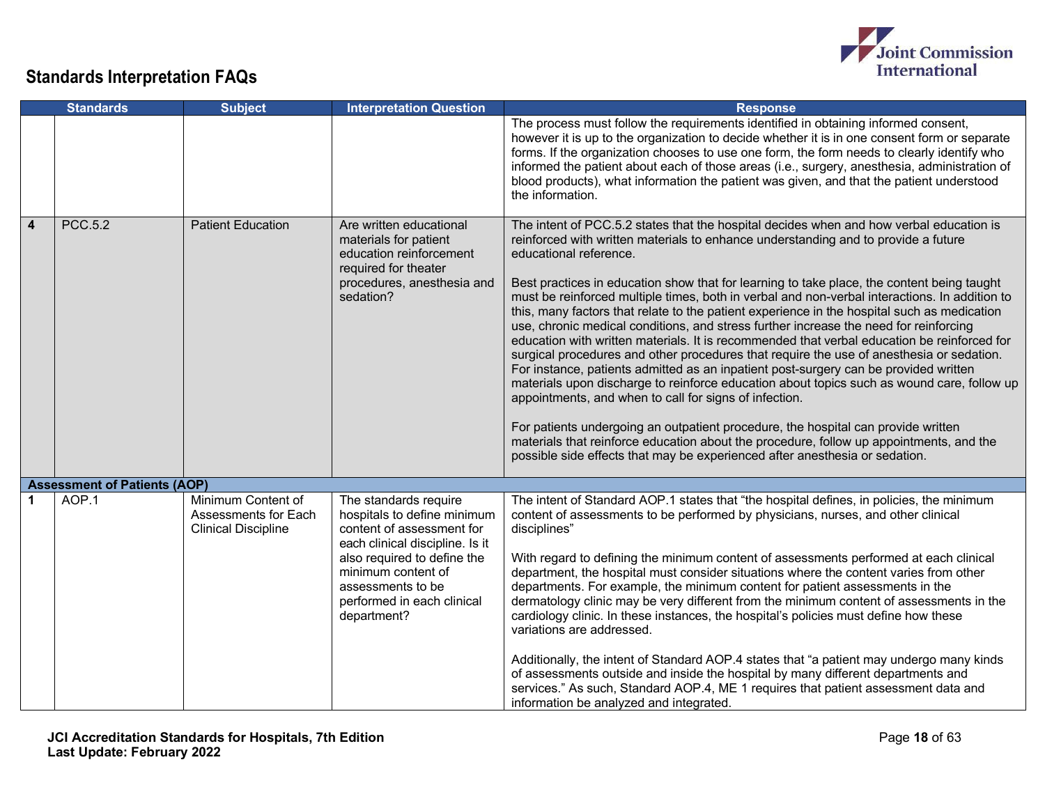

|                | <b>Standards</b>                    | <b>Subject</b>                                                           | <b>Interpretation Question</b>                                                                                                                                                                                                              | <b>Response</b>                                                                                                                                                                                                                                                                                                                                                                                                                                                                                                                                                                                                                                                                                                                                                                                                                                                                                                                                                                                                                                                                                                                                                                                                                                                                                          |
|----------------|-------------------------------------|--------------------------------------------------------------------------|---------------------------------------------------------------------------------------------------------------------------------------------------------------------------------------------------------------------------------------------|----------------------------------------------------------------------------------------------------------------------------------------------------------------------------------------------------------------------------------------------------------------------------------------------------------------------------------------------------------------------------------------------------------------------------------------------------------------------------------------------------------------------------------------------------------------------------------------------------------------------------------------------------------------------------------------------------------------------------------------------------------------------------------------------------------------------------------------------------------------------------------------------------------------------------------------------------------------------------------------------------------------------------------------------------------------------------------------------------------------------------------------------------------------------------------------------------------------------------------------------------------------------------------------------------------|
|                |                                     |                                                                          |                                                                                                                                                                                                                                             | The process must follow the requirements identified in obtaining informed consent,<br>however it is up to the organization to decide whether it is in one consent form or separate<br>forms. If the organization chooses to use one form, the form needs to clearly identify who<br>informed the patient about each of those areas (i.e., surgery, anesthesia, administration of<br>blood products), what information the patient was given, and that the patient understood<br>the information.                                                                                                                                                                                                                                                                                                                                                                                                                                                                                                                                                                                                                                                                                                                                                                                                         |
| $\overline{4}$ | <b>PCC.5.2</b>                      | <b>Patient Education</b>                                                 | Are written educational<br>materials for patient<br>education reinforcement<br>required for theater<br>procedures, anesthesia and<br>sedation?                                                                                              | The intent of PCC.5.2 states that the hospital decides when and how verbal education is<br>reinforced with written materials to enhance understanding and to provide a future<br>educational reference.<br>Best practices in education show that for learning to take place, the content being taught<br>must be reinforced multiple times, both in verbal and non-verbal interactions. In addition to<br>this, many factors that relate to the patient experience in the hospital such as medication<br>use, chronic medical conditions, and stress further increase the need for reinforcing<br>education with written materials. It is recommended that verbal education be reinforced for<br>surgical procedures and other procedures that require the use of anesthesia or sedation.<br>For instance, patients admitted as an inpatient post-surgery can be provided written<br>materials upon discharge to reinforce education about topics such as wound care, follow up<br>appointments, and when to call for signs of infection.<br>For patients undergoing an outpatient procedure, the hospital can provide written<br>materials that reinforce education about the procedure, follow up appointments, and the<br>possible side effects that may be experienced after anesthesia or sedation. |
|                | <b>Assessment of Patients (AOP)</b> |                                                                          |                                                                                                                                                                                                                                             |                                                                                                                                                                                                                                                                                                                                                                                                                                                                                                                                                                                                                                                                                                                                                                                                                                                                                                                                                                                                                                                                                                                                                                                                                                                                                                          |
|                | AOP.1                               | Minimum Content of<br>Assessments for Each<br><b>Clinical Discipline</b> | The standards require<br>hospitals to define minimum<br>content of assessment for<br>each clinical discipline. Is it<br>also required to define the<br>minimum content of<br>assessments to be<br>performed in each clinical<br>department? | The intent of Standard AOP.1 states that "the hospital defines, in policies, the minimum<br>content of assessments to be performed by physicians, nurses, and other clinical<br>disciplines"<br>With regard to defining the minimum content of assessments performed at each clinical<br>department, the hospital must consider situations where the content varies from other<br>departments. For example, the minimum content for patient assessments in the<br>dermatology clinic may be very different from the minimum content of assessments in the<br>cardiology clinic. In these instances, the hospital's policies must define how these<br>variations are addressed.<br>Additionally, the intent of Standard AOP.4 states that "a patient may undergo many kinds<br>of assessments outside and inside the hospital by many different departments and<br>services." As such, Standard AOP.4, ME 1 requires that patient assessment data and<br>information be analyzed and integrated.                                                                                                                                                                                                                                                                                                          |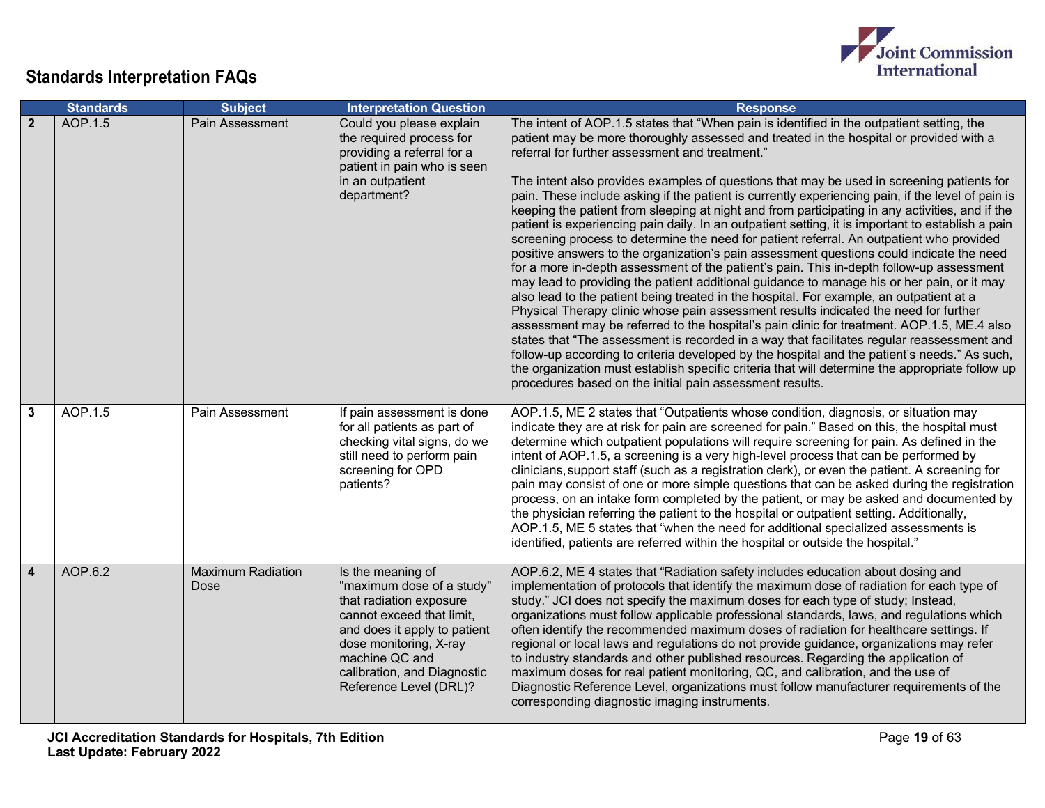

|                | <b>Standards</b> | <b>Subject</b>                   | <b>Interpretation Question</b>                                                                                                                                                                                                              | <b>Response</b>                                                                                                                                                                                                                                                                                                                                                                                                                                                                                                                                                                                                                                                                                                                                                                                                                                                                                                                                                                                                                                                                                                                                                                                                                                                                                                                                                                                                                                                                                                                                                                                                                                                                  |
|----------------|------------------|----------------------------------|---------------------------------------------------------------------------------------------------------------------------------------------------------------------------------------------------------------------------------------------|----------------------------------------------------------------------------------------------------------------------------------------------------------------------------------------------------------------------------------------------------------------------------------------------------------------------------------------------------------------------------------------------------------------------------------------------------------------------------------------------------------------------------------------------------------------------------------------------------------------------------------------------------------------------------------------------------------------------------------------------------------------------------------------------------------------------------------------------------------------------------------------------------------------------------------------------------------------------------------------------------------------------------------------------------------------------------------------------------------------------------------------------------------------------------------------------------------------------------------------------------------------------------------------------------------------------------------------------------------------------------------------------------------------------------------------------------------------------------------------------------------------------------------------------------------------------------------------------------------------------------------------------------------------------------------|
| $\overline{2}$ | AOP.1.5          | Pain Assessment                  | Could you please explain<br>the required process for<br>providing a referral for a<br>patient in pain who is seen<br>in an outpatient<br>department?                                                                                        | The intent of AOP.1.5 states that "When pain is identified in the outpatient setting, the<br>patient may be more thoroughly assessed and treated in the hospital or provided with a<br>referral for further assessment and treatment."<br>The intent also provides examples of questions that may be used in screening patients for<br>pain. These include asking if the patient is currently experiencing pain, if the level of pain is<br>keeping the patient from sleeping at night and from participating in any activities, and if the<br>patient is experiencing pain daily. In an outpatient setting, it is important to establish a pain<br>screening process to determine the need for patient referral. An outpatient who provided<br>positive answers to the organization's pain assessment questions could indicate the need<br>for a more in-depth assessment of the patient's pain. This in-depth follow-up assessment<br>may lead to providing the patient additional guidance to manage his or her pain, or it may<br>also lead to the patient being treated in the hospital. For example, an outpatient at a<br>Physical Therapy clinic whose pain assessment results indicated the need for further<br>assessment may be referred to the hospital's pain clinic for treatment. AOP.1.5, ME.4 also<br>states that "The assessment is recorded in a way that facilitates regular reassessment and<br>follow-up according to criteria developed by the hospital and the patient's needs." As such,<br>the organization must establish specific criteria that will determine the appropriate follow up<br>procedures based on the initial pain assessment results. |
| 3              | AOP.1.5          | Pain Assessment                  | If pain assessment is done<br>for all patients as part of<br>checking vital signs, do we<br>still need to perform pain<br>screening for OPD<br>patients?                                                                                    | AOP.1.5, ME 2 states that "Outpatients whose condition, diagnosis, or situation may<br>indicate they are at risk for pain are screened for pain." Based on this, the hospital must<br>determine which outpatient populations will require screening for pain. As defined in the<br>intent of AOP.1.5, a screening is a very high-level process that can be performed by<br>clinicians, support staff (such as a registration clerk), or even the patient. A screening for<br>pain may consist of one or more simple questions that can be asked during the registration<br>process, on an intake form completed by the patient, or may be asked and documented by<br>the physician referring the patient to the hospital or outpatient setting. Additionally,<br>AOP.1.5, ME 5 states that "when the need for additional specialized assessments is<br>identified, patients are referred within the hospital or outside the hospital."                                                                                                                                                                                                                                                                                                                                                                                                                                                                                                                                                                                                                                                                                                                                           |
| 4              | AOP.6.2          | <b>Maximum Radiation</b><br>Dose | Is the meaning of<br>"maximum dose of a study"<br>that radiation exposure<br>cannot exceed that limit,<br>and does it apply to patient<br>dose monitoring, X-ray<br>machine QC and<br>calibration, and Diagnostic<br>Reference Level (DRL)? | AOP.6.2, ME 4 states that "Radiation safety includes education about dosing and<br>implementation of protocols that identify the maximum dose of radiation for each type of<br>study." JCI does not specify the maximum doses for each type of study; Instead,<br>organizations must follow applicable professional standards, laws, and regulations which<br>often identify the recommended maximum doses of radiation for healthcare settings. If<br>regional or local laws and regulations do not provide guidance, organizations may refer<br>to industry standards and other published resources. Regarding the application of<br>maximum doses for real patient monitoring, QC, and calibration, and the use of<br>Diagnostic Reference Level, organizations must follow manufacturer requirements of the<br>corresponding diagnostic imaging instruments.                                                                                                                                                                                                                                                                                                                                                                                                                                                                                                                                                                                                                                                                                                                                                                                                                 |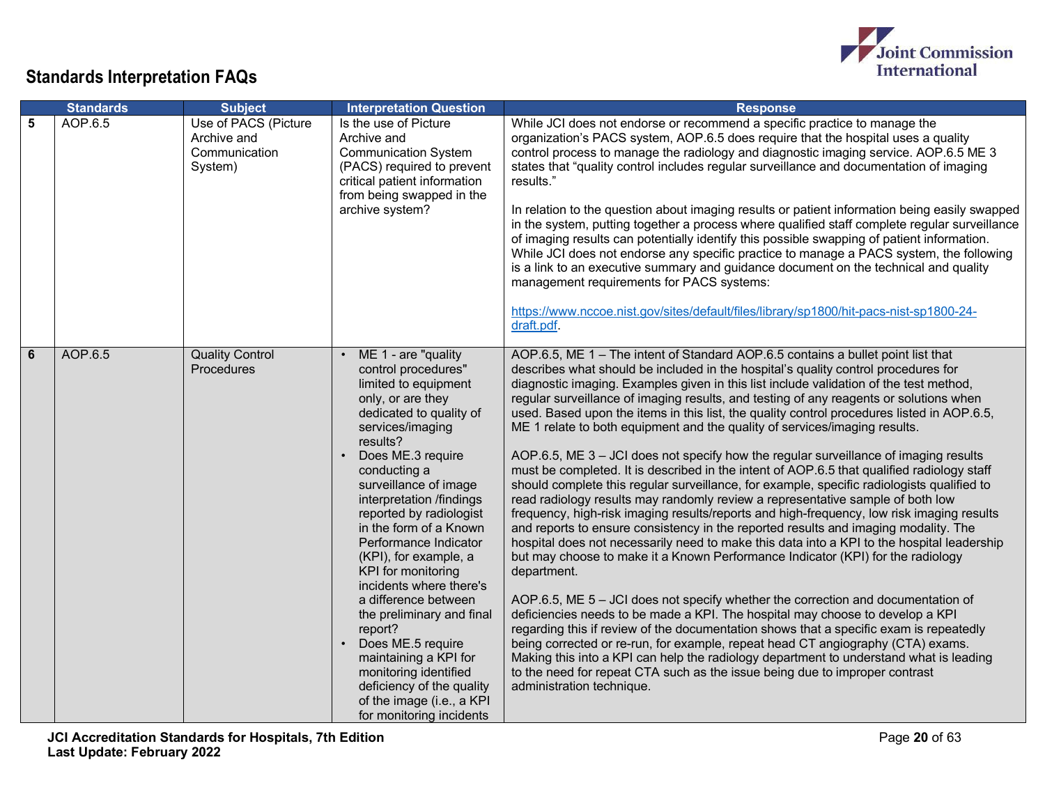

|   | <b>Standards</b> | <b>Subject</b>                                                  | <b>Interpretation Question</b>                                                                                                                                                                                                                                                                                                                                                                                                                                                                                                                                                                                                                              | <b>Response</b>                                                                                                                                                                                                                                                                                                                                                                                                                                                                                                                                                                                                                                                                                                                                                                                                                                                                                                                                                                                                                                                                                                                                                                                                                                                                                                                                                                                                                                                                                                                                                                                                                                                                                                                                                                                                                                              |
|---|------------------|-----------------------------------------------------------------|-------------------------------------------------------------------------------------------------------------------------------------------------------------------------------------------------------------------------------------------------------------------------------------------------------------------------------------------------------------------------------------------------------------------------------------------------------------------------------------------------------------------------------------------------------------------------------------------------------------------------------------------------------------|--------------------------------------------------------------------------------------------------------------------------------------------------------------------------------------------------------------------------------------------------------------------------------------------------------------------------------------------------------------------------------------------------------------------------------------------------------------------------------------------------------------------------------------------------------------------------------------------------------------------------------------------------------------------------------------------------------------------------------------------------------------------------------------------------------------------------------------------------------------------------------------------------------------------------------------------------------------------------------------------------------------------------------------------------------------------------------------------------------------------------------------------------------------------------------------------------------------------------------------------------------------------------------------------------------------------------------------------------------------------------------------------------------------------------------------------------------------------------------------------------------------------------------------------------------------------------------------------------------------------------------------------------------------------------------------------------------------------------------------------------------------------------------------------------------------------------------------------------------------|
| 5 | AOP.6.5          | Use of PACS (Picture<br>Archive and<br>Communication<br>System) | Is the use of Picture<br>Archive and<br><b>Communication System</b><br>(PACS) required to prevent<br>critical patient information<br>from being swapped in the<br>archive system?                                                                                                                                                                                                                                                                                                                                                                                                                                                                           | While JCI does not endorse or recommend a specific practice to manage the<br>organization's PACS system, AOP.6.5 does require that the hospital uses a quality<br>control process to manage the radiology and diagnostic imaging service. AOP.6.5 ME 3<br>states that "quality control includes regular surveillance and documentation of imaging<br>results."<br>In relation to the question about imaging results or patient information being easily swapped<br>in the system, putting together a process where qualified staff complete regular surveillance<br>of imaging results can potentially identify this possible swapping of patient information.<br>While JCI does not endorse any specific practice to manage a PACS system, the following<br>is a link to an executive summary and guidance document on the technical and quality<br>management requirements for PACS systems:<br>https://www.nccoe.nist.gov/sites/default/files/library/sp1800/hit-pacs-nist-sp1800-24-<br>draft.pdf.                                                                                                                                                                                                                                                                                                                                                                                                                                                                                                                                                                                                                                                                                                                                                                                                                                                       |
| 6 | AOP.6.5          | <b>Quality Control</b><br><b>Procedures</b>                     | ME 1 - are "quality<br>$\bullet$<br>control procedures"<br>limited to equipment<br>only, or are they<br>dedicated to quality of<br>services/imaging<br>results?<br>Does ME.3 require<br>conducting a<br>surveillance of image<br>interpretation /findings<br>reported by radiologist<br>in the form of a Known<br>Performance Indicator<br>(KPI), for example, a<br>KPI for monitoring<br>incidents where there's<br>a difference between<br>the preliminary and final<br>report?<br>Does ME.5 require<br>$\bullet$<br>maintaining a KPI for<br>monitoring identified<br>deficiency of the quality<br>of the image (i.e., a KPI<br>for monitoring incidents | AOP.6.5, ME 1 - The intent of Standard AOP.6.5 contains a bullet point list that<br>describes what should be included in the hospital's quality control procedures for<br>diagnostic imaging. Examples given in this list include validation of the test method,<br>regular surveillance of imaging results, and testing of any reagents or solutions when<br>used. Based upon the items in this list, the quality control procedures listed in AOP.6.5,<br>ME 1 relate to both equipment and the quality of services/imaging results.<br>AOP.6.5, ME $3 - JCI$ does not specify how the regular surveillance of imaging results<br>must be completed. It is described in the intent of AOP.6.5 that qualified radiology staff<br>should complete this regular surveillance, for example, specific radiologists qualified to<br>read radiology results may randomly review a representative sample of both low<br>frequency, high-risk imaging results/reports and high-frequency, low risk imaging results<br>and reports to ensure consistency in the reported results and imaging modality. The<br>hospital does not necessarily need to make this data into a KPI to the hospital leadership<br>but may choose to make it a Known Performance Indicator (KPI) for the radiology<br>department.<br>AOP.6.5, ME $5 -$ JCI does not specify whether the correction and documentation of<br>deficiencies needs to be made a KPI. The hospital may choose to develop a KPI<br>regarding this if review of the documentation shows that a specific exam is repeatedly<br>being corrected or re-run, for example, repeat head CT angiography (CTA) exams.<br>Making this into a KPI can help the radiology department to understand what is leading<br>to the need for repeat CTA such as the issue being due to improper contrast<br>administration technique. |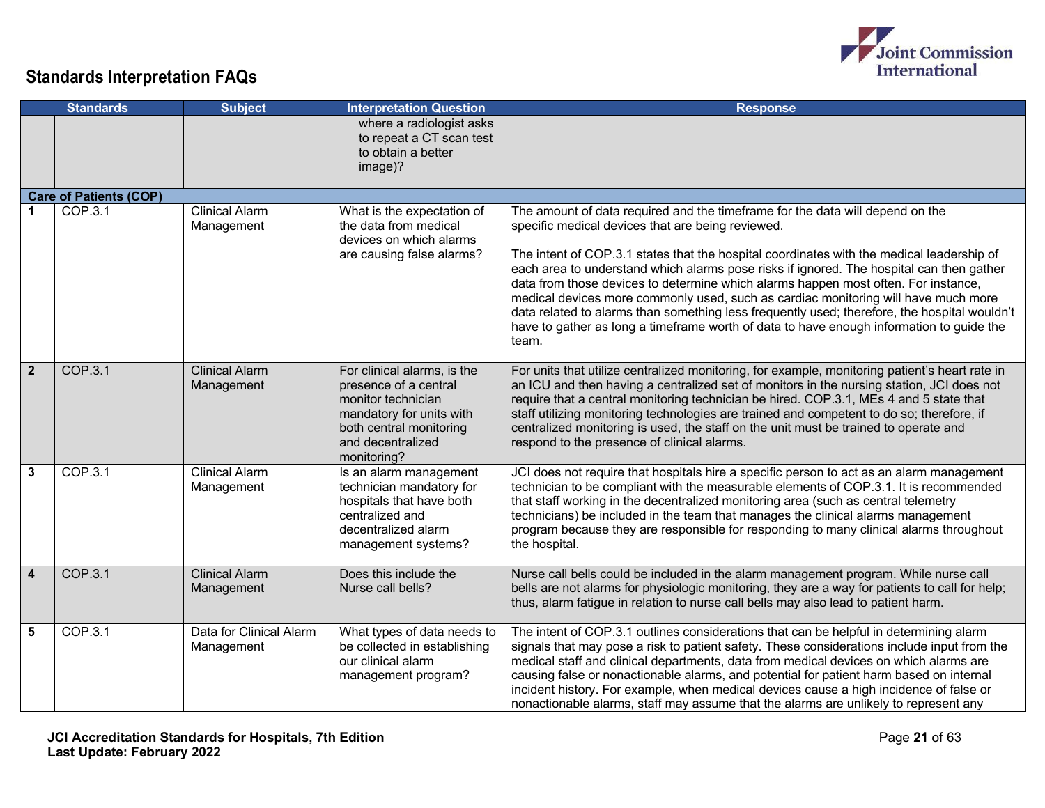

|                | <b>Subject</b><br><b>Standards</b> |                                       | <b>Interpretation Question</b>                                                                                                                                        | <b>Response</b>                                                                                                                                                                                                                                                                                                                                                                                                                                                                                                                                                                                                                                                                                              |  |
|----------------|------------------------------------|---------------------------------------|-----------------------------------------------------------------------------------------------------------------------------------------------------------------------|--------------------------------------------------------------------------------------------------------------------------------------------------------------------------------------------------------------------------------------------------------------------------------------------------------------------------------------------------------------------------------------------------------------------------------------------------------------------------------------------------------------------------------------------------------------------------------------------------------------------------------------------------------------------------------------------------------------|--|
|                |                                    |                                       | where a radiologist asks<br>to repeat a CT scan test<br>to obtain a better<br>image)?                                                                                 |                                                                                                                                                                                                                                                                                                                                                                                                                                                                                                                                                                                                                                                                                                              |  |
|                | <b>Care of Patients (COP)</b>      |                                       |                                                                                                                                                                       |                                                                                                                                                                                                                                                                                                                                                                                                                                                                                                                                                                                                                                                                                                              |  |
|                | COP.3.1                            | <b>Clinical Alarm</b><br>Management   | What is the expectation of<br>the data from medical<br>devices on which alarms<br>are causing false alarms?                                                           | The amount of data required and the timeframe for the data will depend on the<br>specific medical devices that are being reviewed.<br>The intent of COP.3.1 states that the hospital coordinates with the medical leadership of<br>each area to understand which alarms pose risks if ignored. The hospital can then gather<br>data from those devices to determine which alarms happen most often. For instance,<br>medical devices more commonly used, such as cardiac monitoring will have much more<br>data related to alarms than something less frequently used; therefore, the hospital wouldn't<br>have to gather as long a timeframe worth of data to have enough information to guide the<br>team. |  |
| $\overline{2}$ | COP.3.1                            | <b>Clinical Alarm</b><br>Management   | For clinical alarms, is the<br>presence of a central<br>monitor technician<br>mandatory for units with<br>both central monitoring<br>and decentralized<br>monitoring? | For units that utilize centralized monitoring, for example, monitoring patient's heart rate in<br>an ICU and then having a centralized set of monitors in the nursing station, JCI does not<br>require that a central monitoring technician be hired. COP.3.1, MEs 4 and 5 state that<br>staff utilizing monitoring technologies are trained and competent to do so; therefore, if<br>centralized monitoring is used, the staff on the unit must be trained to operate and<br>respond to the presence of clinical alarms.                                                                                                                                                                                    |  |
| 3              | COP.3.1                            | <b>Clinical Alarm</b><br>Management   | Is an alarm management<br>technician mandatory for<br>hospitals that have both<br>centralized and<br>decentralized alarm<br>management systems?                       | JCI does not require that hospitals hire a specific person to act as an alarm management<br>technician to be compliant with the measurable elements of COP.3.1. It is recommended<br>that staff working in the decentralized monitoring area (such as central telemetry<br>technicians) be included in the team that manages the clinical alarms management<br>program because they are responsible for responding to many clinical alarms throughout<br>the hospital.                                                                                                                                                                                                                                       |  |
| 4              | COP.3.1                            | <b>Clinical Alarm</b><br>Management   | Does this include the<br>Nurse call bells?                                                                                                                            | Nurse call bells could be included in the alarm management program. While nurse call<br>bells are not alarms for physiologic monitoring, they are a way for patients to call for help;<br>thus, alarm fatigue in relation to nurse call bells may also lead to patient harm.                                                                                                                                                                                                                                                                                                                                                                                                                                 |  |
| 5              | COP.3.1                            | Data for Clinical Alarm<br>Management | What types of data needs to<br>be collected in establishing<br>our clinical alarm<br>management program?                                                              | The intent of COP.3.1 outlines considerations that can be helpful in determining alarm<br>signals that may pose a risk to patient safety. These considerations include input from the<br>medical staff and clinical departments, data from medical devices on which alarms are<br>causing false or nonactionable alarms, and potential for patient harm based on internal<br>incident history. For example, when medical devices cause a high incidence of false or<br>nonactionable alarms, staff may assume that the alarms are unlikely to represent any                                                                                                                                                  |  |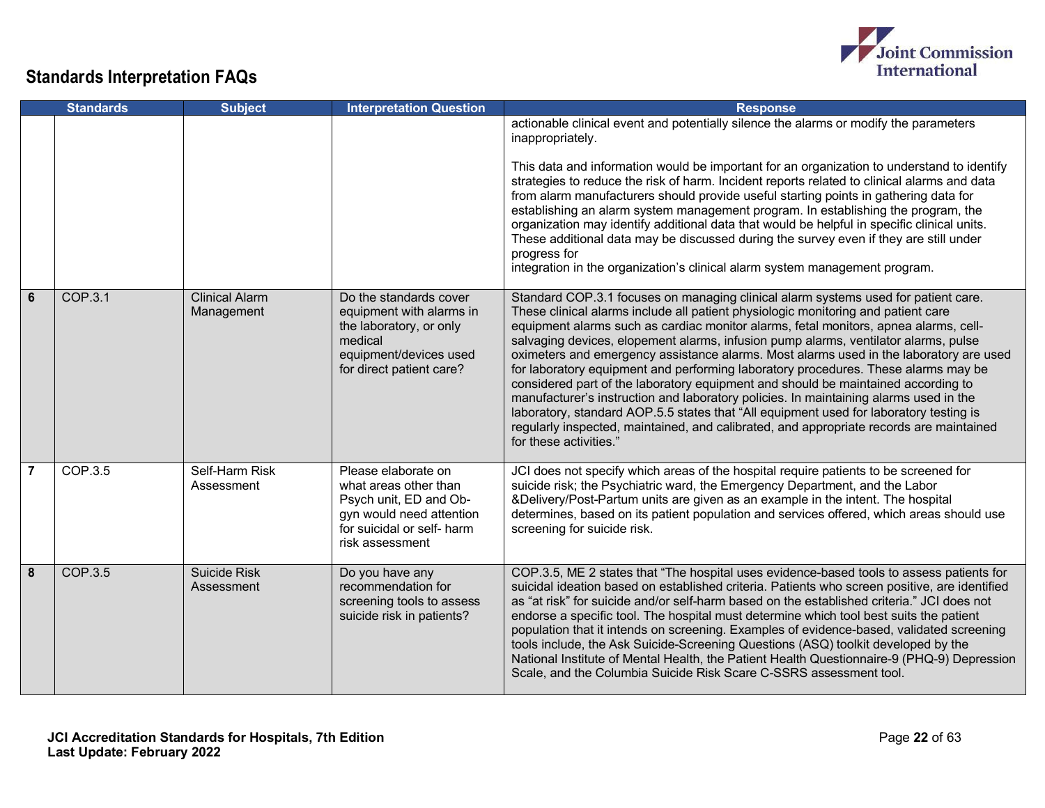

|                | <b>Standards</b> | <b>Subject</b>                      | <b>Interpretation Question</b>                                                                                                                      | <b>Response</b>                                                                                                                                                                                                                                                                                                                                                                                                                                                                                                                                                                                                                                                                                                                                                                                                                                                                                                                     |
|----------------|------------------|-------------------------------------|-----------------------------------------------------------------------------------------------------------------------------------------------------|-------------------------------------------------------------------------------------------------------------------------------------------------------------------------------------------------------------------------------------------------------------------------------------------------------------------------------------------------------------------------------------------------------------------------------------------------------------------------------------------------------------------------------------------------------------------------------------------------------------------------------------------------------------------------------------------------------------------------------------------------------------------------------------------------------------------------------------------------------------------------------------------------------------------------------------|
|                |                  |                                     |                                                                                                                                                     | actionable clinical event and potentially silence the alarms or modify the parameters<br>inappropriately.<br>This data and information would be important for an organization to understand to identify<br>strategies to reduce the risk of harm. Incident reports related to clinical alarms and data<br>from alarm manufacturers should provide useful starting points in gathering data for<br>establishing an alarm system management program. In establishing the program, the<br>organization may identify additional data that would be helpful in specific clinical units.<br>These additional data may be discussed during the survey even if they are still under<br>progress for<br>integration in the organization's clinical alarm system management program.                                                                                                                                                          |
| 6              | COP.3.1          | <b>Clinical Alarm</b><br>Management | Do the standards cover<br>equipment with alarms in<br>the laboratory, or only<br>medical<br>equipment/devices used<br>for direct patient care?      | Standard COP.3.1 focuses on managing clinical alarm systems used for patient care.<br>These clinical alarms include all patient physiologic monitoring and patient care<br>equipment alarms such as cardiac monitor alarms, fetal monitors, apnea alarms, cell-<br>salvaging devices, elopement alarms, infusion pump alarms, ventilator alarms, pulse<br>oximeters and emergency assistance alarms. Most alarms used in the laboratory are used<br>for laboratory equipment and performing laboratory procedures. These alarms may be<br>considered part of the laboratory equipment and should be maintained according to<br>manufacturer's instruction and laboratory policies. In maintaining alarms used in the<br>laboratory, standard AOP.5.5 states that "All equipment used for laboratory testing is<br>regularly inspected, maintained, and calibrated, and appropriate records are maintained<br>for these activities." |
| $\overline{7}$ | COP.3.5          | Self-Harm Risk<br>Assessment        | Please elaborate on<br>what areas other than<br>Psych unit, ED and Ob-<br>gyn would need attention<br>for suicidal or self- harm<br>risk assessment | JCI does not specify which areas of the hospital require patients to be screened for<br>suicide risk; the Psychiatric ward, the Emergency Department, and the Labor<br>&Delivery/Post-Partum units are given as an example in the intent. The hospital<br>determines, based on its patient population and services offered, which areas should use<br>screening for suicide risk.                                                                                                                                                                                                                                                                                                                                                                                                                                                                                                                                                   |
| 8              | COP.3.5          | Suicide Risk<br>Assessment          | Do you have any<br>recommendation for<br>screening tools to assess<br>suicide risk in patients?                                                     | COP.3.5, ME 2 states that "The hospital uses evidence-based tools to assess patients for<br>suicidal ideation based on established criteria. Patients who screen positive, are identified<br>as "at risk" for suicide and/or self-harm based on the established criteria." JCI does not<br>endorse a specific tool. The hospital must determine which tool best suits the patient<br>population that it intends on screening. Examples of evidence-based, validated screening<br>tools include, the Ask Suicide-Screening Questions (ASQ) toolkit developed by the<br>National Institute of Mental Health, the Patient Health Questionnaire-9 (PHQ-9) Depression<br>Scale, and the Columbia Suicide Risk Scare C-SSRS assessment tool.                                                                                                                                                                                              |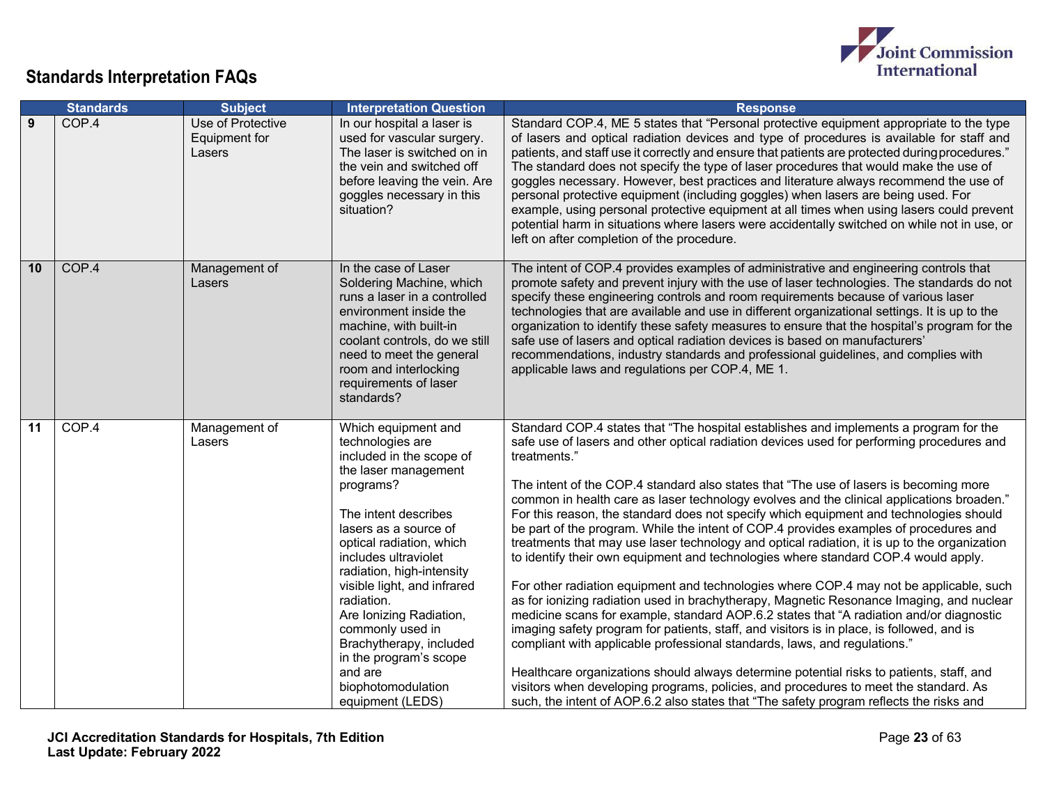

|    | <b>Standards</b> | <b>Subject</b>                               | <b>Interpretation Question</b>                                                                                                                                                                                                                                                                                                                                                                                                                   | <b>Response</b>                                                                                                                                                                                                                                                                                                                                                                                                                                                                                                                                                                                                                                                                                                                                                                                                                                                                                                                                                                                                                                                                                                                                                                                                                                                                                                                                                                                                                                                                                             |
|----|------------------|----------------------------------------------|--------------------------------------------------------------------------------------------------------------------------------------------------------------------------------------------------------------------------------------------------------------------------------------------------------------------------------------------------------------------------------------------------------------------------------------------------|-------------------------------------------------------------------------------------------------------------------------------------------------------------------------------------------------------------------------------------------------------------------------------------------------------------------------------------------------------------------------------------------------------------------------------------------------------------------------------------------------------------------------------------------------------------------------------------------------------------------------------------------------------------------------------------------------------------------------------------------------------------------------------------------------------------------------------------------------------------------------------------------------------------------------------------------------------------------------------------------------------------------------------------------------------------------------------------------------------------------------------------------------------------------------------------------------------------------------------------------------------------------------------------------------------------------------------------------------------------------------------------------------------------------------------------------------------------------------------------------------------------|
| 9  | COP.4            | Use of Protective<br>Equipment for<br>Lasers | In our hospital a laser is<br>used for vascular surgery.<br>The laser is switched on in<br>the vein and switched off<br>before leaving the vein. Are<br>goggles necessary in this<br>situation?                                                                                                                                                                                                                                                  | Standard COP.4, ME 5 states that "Personal protective equipment appropriate to the type<br>of lasers and optical radiation devices and type of procedures is available for staff and<br>patients, and staff use it correctly and ensure that patients are protected during procedures."<br>The standard does not specify the type of laser procedures that would make the use of<br>goggles necessary. However, best practices and literature always recommend the use of<br>personal protective equipment (including goggles) when lasers are being used. For<br>example, using personal protective equipment at all times when using lasers could prevent<br>potential harm in situations where lasers were accidentally switched on while not in use, or<br>left on after completion of the procedure.                                                                                                                                                                                                                                                                                                                                                                                                                                                                                                                                                                                                                                                                                                   |
| 10 | COP.4            | Management of<br>Lasers                      | In the case of Laser<br>Soldering Machine, which<br>runs a laser in a controlled<br>environment inside the<br>machine, with built-in<br>coolant controls, do we still<br>need to meet the general<br>room and interlocking<br>requirements of laser<br>standards?                                                                                                                                                                                | The intent of COP.4 provides examples of administrative and engineering controls that<br>promote safety and prevent injury with the use of laser technologies. The standards do not<br>specify these engineering controls and room requirements because of various laser<br>technologies that are available and use in different organizational settings. It is up to the<br>organization to identify these safety measures to ensure that the hospital's program for the<br>safe use of lasers and optical radiation devices is based on manufacturers'<br>recommendations, industry standards and professional guidelines, and complies with<br>applicable laws and regulations per COP.4, ME 1.                                                                                                                                                                                                                                                                                                                                                                                                                                                                                                                                                                                                                                                                                                                                                                                                          |
| 11 | COP.4            | Management of<br>Lasers                      | Which equipment and<br>technologies are<br>included in the scope of<br>the laser management<br>programs?<br>The intent describes<br>lasers as a source of<br>optical radiation, which<br>includes ultraviolet<br>radiation, high-intensity<br>visible light, and infrared<br>radiation.<br>Are Ionizing Radiation,<br>commonly used in<br>Brachytherapy, included<br>in the program's scope<br>and are<br>biophotomodulation<br>equipment (LEDS) | Standard COP.4 states that "The hospital establishes and implements a program for the<br>safe use of lasers and other optical radiation devices used for performing procedures and<br>treatments."<br>The intent of the COP.4 standard also states that "The use of lasers is becoming more<br>common in health care as laser technology evolves and the clinical applications broaden."<br>For this reason, the standard does not specify which equipment and technologies should<br>be part of the program. While the intent of COP.4 provides examples of procedures and<br>treatments that may use laser technology and optical radiation, it is up to the organization<br>to identify their own equipment and technologies where standard COP.4 would apply.<br>For other radiation equipment and technologies where COP.4 may not be applicable, such<br>as for ionizing radiation used in brachytherapy, Magnetic Resonance Imaging, and nuclear<br>medicine scans for example, standard AOP.6.2 states that "A radiation and/or diagnostic<br>imaging safety program for patients, staff, and visitors is in place, is followed, and is<br>compliant with applicable professional standards, laws, and regulations."<br>Healthcare organizations should always determine potential risks to patients, staff, and<br>visitors when developing programs, policies, and procedures to meet the standard. As<br>such, the intent of AOP.6.2 also states that "The safety program reflects the risks and |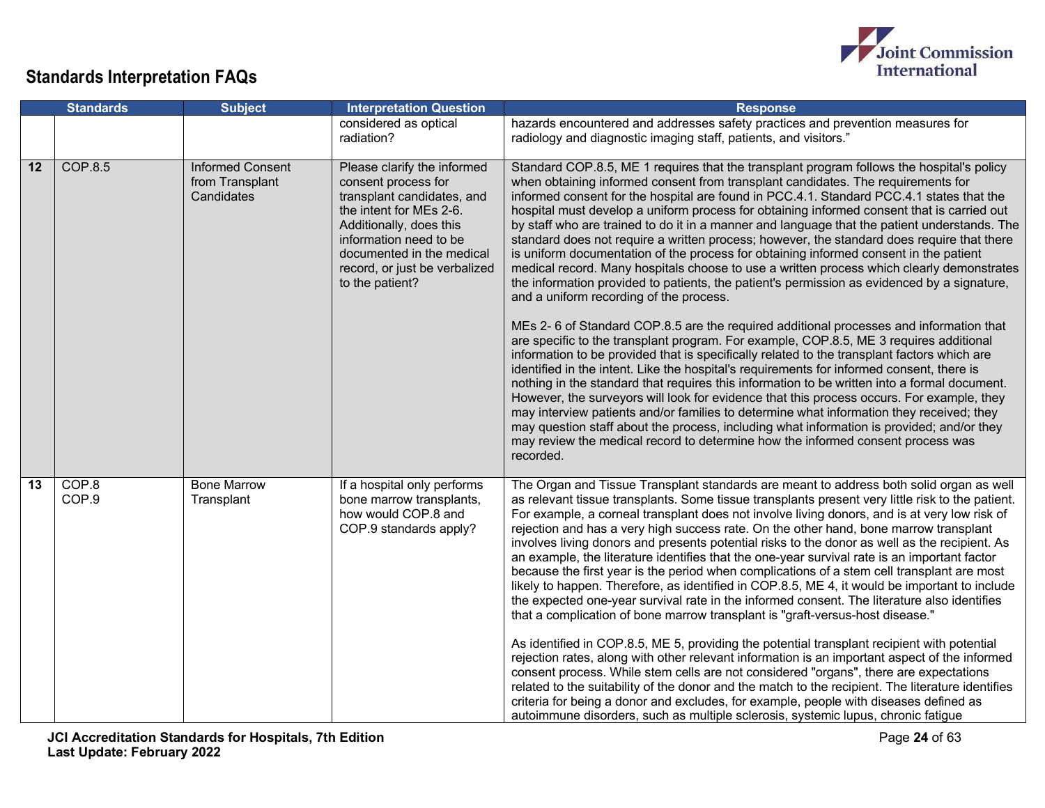

|    | <b>Standards</b> | <b>Subject</b>                                           | <b>Interpretation Question</b>                                                                                                                                                                                                                    | <b>Response</b>                                                                                                                                                                                                                                                                                                                                                                                                                                                                                                                                                                                                                                                                                                                                                                                                                                                                                                                                                                                                                                                                                                                                                                                                                                                                                                                                                                                                                                                                                                                                                                                                                                                                                                                                                              |
|----|------------------|----------------------------------------------------------|---------------------------------------------------------------------------------------------------------------------------------------------------------------------------------------------------------------------------------------------------|------------------------------------------------------------------------------------------------------------------------------------------------------------------------------------------------------------------------------------------------------------------------------------------------------------------------------------------------------------------------------------------------------------------------------------------------------------------------------------------------------------------------------------------------------------------------------------------------------------------------------------------------------------------------------------------------------------------------------------------------------------------------------------------------------------------------------------------------------------------------------------------------------------------------------------------------------------------------------------------------------------------------------------------------------------------------------------------------------------------------------------------------------------------------------------------------------------------------------------------------------------------------------------------------------------------------------------------------------------------------------------------------------------------------------------------------------------------------------------------------------------------------------------------------------------------------------------------------------------------------------------------------------------------------------------------------------------------------------------------------------------------------------|
|    |                  |                                                          | considered as optical<br>radiation?                                                                                                                                                                                                               | hazards encountered and addresses safety practices and prevention measures for<br>radiology and diagnostic imaging staff, patients, and visitors."                                                                                                                                                                                                                                                                                                                                                                                                                                                                                                                                                                                                                                                                                                                                                                                                                                                                                                                                                                                                                                                                                                                                                                                                                                                                                                                                                                                                                                                                                                                                                                                                                           |
| 12 | <b>COP.8.5</b>   | <b>Informed Consent</b><br>from Transplant<br>Candidates | Please clarify the informed<br>consent process for<br>transplant candidates, and<br>the intent for MEs 2-6.<br>Additionally, does this<br>information need to be<br>documented in the medical<br>record, or just be verbalized<br>to the patient? | Standard COP.8.5, ME 1 requires that the transplant program follows the hospital's policy<br>when obtaining informed consent from transplant candidates. The requirements for<br>informed consent for the hospital are found in PCC.4.1. Standard PCC.4.1 states that the<br>hospital must develop a uniform process for obtaining informed consent that is carried out<br>by staff who are trained to do it in a manner and language that the patient understands. The<br>standard does not require a written process; however, the standard does require that there<br>is uniform documentation of the process for obtaining informed consent in the patient<br>medical record. Many hospitals choose to use a written process which clearly demonstrates<br>the information provided to patients, the patient's permission as evidenced by a signature,<br>and a uniform recording of the process.<br>MEs 2- 6 of Standard COP.8.5 are the required additional processes and information that<br>are specific to the transplant program. For example, COP.8.5, ME 3 requires additional<br>information to be provided that is specifically related to the transplant factors which are<br>identified in the intent. Like the hospital's requirements for informed consent, there is<br>nothing in the standard that requires this information to be written into a formal document.<br>However, the surveyors will look for evidence that this process occurs. For example, they<br>may interview patients and/or families to determine what information they received; they<br>may question staff about the process, including what information is provided; and/or they<br>may review the medical record to determine how the informed consent process was<br>recorded. |
| 13 | COP.8<br>COP.9   | <b>Bone Marrow</b><br>Transplant                         | If a hospital only performs<br>bone marrow transplants,<br>how would COP.8 and<br>COP.9 standards apply?                                                                                                                                          | The Organ and Tissue Transplant standards are meant to address both solid organ as well<br>as relevant tissue transplants. Some tissue transplants present very little risk to the patient.<br>For example, a corneal transplant does not involve living donors, and is at very low risk of<br>rejection and has a very high success rate. On the other hand, bone marrow transplant<br>involves living donors and presents potential risks to the donor as well as the recipient. As<br>an example, the literature identifies that the one-year survival rate is an important factor<br>because the first year is the period when complications of a stem cell transplant are most<br>likely to happen. Therefore, as identified in COP.8.5, ME 4, it would be important to include<br>the expected one-year survival rate in the informed consent. The literature also identifies<br>that a complication of bone marrow transplant is "graft-versus-host disease."<br>As identified in COP.8.5, ME 5, providing the potential transplant recipient with potential<br>rejection rates, along with other relevant information is an important aspect of the informed<br>consent process. While stem cells are not considered "organs", there are expectations<br>related to the suitability of the donor and the match to the recipient. The literature identifies<br>criteria for being a donor and excludes, for example, people with diseases defined as<br>autoimmune disorders, such as multiple sclerosis, systemic lupus, chronic fatigue                                                                                                                                                                                                                             |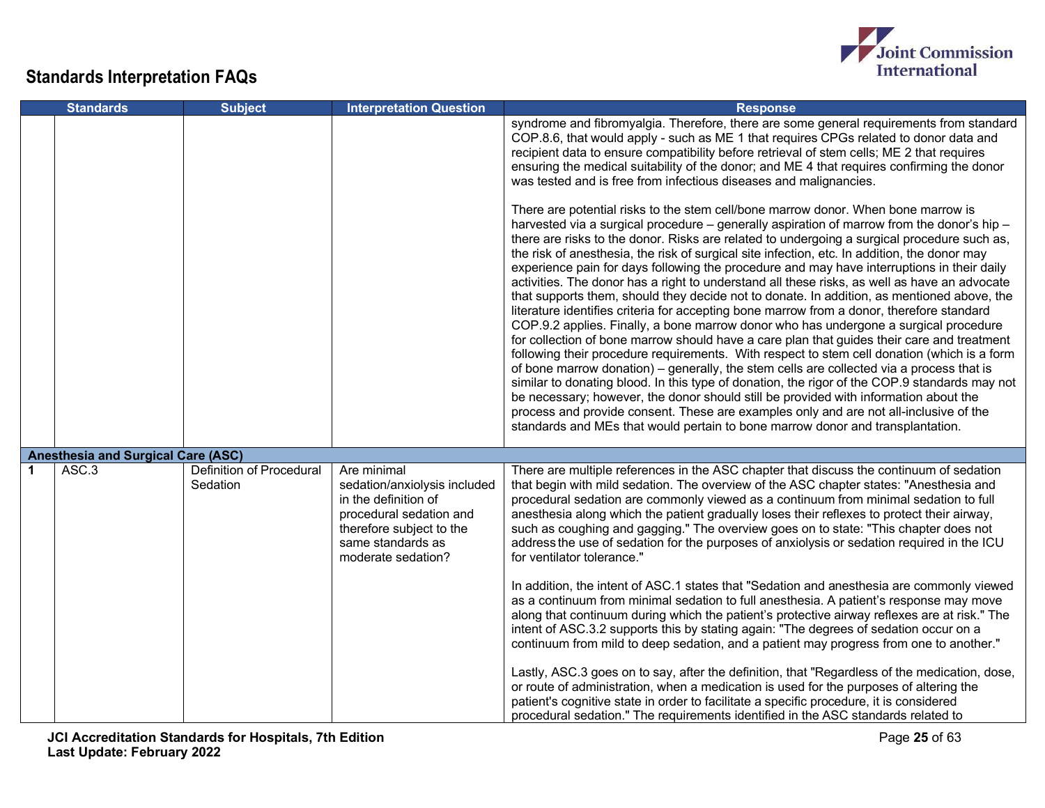

|   | <b>Standards</b>                          | <b>Subject</b>                              | <b>Interpretation Question</b>                                                                                                                                        | <b>Response</b>                                                                                                                                                                                                                                                                                                                                                                                                                                                                                                                                                                                                                                                                                                                                                                                                                                                                                                                                                                                                                                                                                                                                                                                                                                                                                                                                                                                                                                                                                                              |
|---|-------------------------------------------|---------------------------------------------|-----------------------------------------------------------------------------------------------------------------------------------------------------------------------|------------------------------------------------------------------------------------------------------------------------------------------------------------------------------------------------------------------------------------------------------------------------------------------------------------------------------------------------------------------------------------------------------------------------------------------------------------------------------------------------------------------------------------------------------------------------------------------------------------------------------------------------------------------------------------------------------------------------------------------------------------------------------------------------------------------------------------------------------------------------------------------------------------------------------------------------------------------------------------------------------------------------------------------------------------------------------------------------------------------------------------------------------------------------------------------------------------------------------------------------------------------------------------------------------------------------------------------------------------------------------------------------------------------------------------------------------------------------------------------------------------------------------|
|   |                                           |                                             |                                                                                                                                                                       | syndrome and fibromyalgia. Therefore, there are some general requirements from standard<br>COP.8.6, that would apply - such as ME 1 that requires CPGs related to donor data and<br>recipient data to ensure compatibility before retrieval of stem cells; ME 2 that requires<br>ensuring the medical suitability of the donor; and ME 4 that requires confirming the donor<br>was tested and is free from infectious diseases and malignancies.                                                                                                                                                                                                                                                                                                                                                                                                                                                                                                                                                                                                                                                                                                                                                                                                                                                                                                                                                                                                                                                                             |
|   |                                           |                                             |                                                                                                                                                                       | There are potential risks to the stem cell/bone marrow donor. When bone marrow is<br>harvested via a surgical procedure - generally aspiration of marrow from the donor's hip -<br>there are risks to the donor. Risks are related to undergoing a surgical procedure such as,<br>the risk of anesthesia, the risk of surgical site infection, etc. In addition, the donor may<br>experience pain for days following the procedure and may have interruptions in their daily<br>activities. The donor has a right to understand all these risks, as well as have an advocate<br>that supports them, should they decide not to donate. In addition, as mentioned above, the<br>literature identifies criteria for accepting bone marrow from a donor, therefore standard<br>COP.9.2 applies. Finally, a bone marrow donor who has undergone a surgical procedure<br>for collection of bone marrow should have a care plan that guides their care and treatment<br>following their procedure requirements. With respect to stem cell donation (which is a form<br>of bone marrow donation) – generally, the stem cells are collected via a process that is<br>similar to donating blood. In this type of donation, the rigor of the COP.9 standards may not<br>be necessary; however, the donor should still be provided with information about the<br>process and provide consent. These are examples only and are not all-inclusive of the<br>standards and MEs that would pertain to bone marrow donor and transplantation. |
|   | <b>Anesthesia and Surgical Care (ASC)</b> |                                             |                                                                                                                                                                       |                                                                                                                                                                                                                                                                                                                                                                                                                                                                                                                                                                                                                                                                                                                                                                                                                                                                                                                                                                                                                                                                                                                                                                                                                                                                                                                                                                                                                                                                                                                              |
| 1 | ASC.3                                     | <b>Definition of Procedural</b><br>Sedation | Are minimal<br>sedation/anxiolysis included<br>in the definition of<br>procedural sedation and<br>therefore subject to the<br>same standards as<br>moderate sedation? | There are multiple references in the ASC chapter that discuss the continuum of sedation<br>that begin with mild sedation. The overview of the ASC chapter states: "Anesthesia and<br>procedural sedation are commonly viewed as a continuum from minimal sedation to full<br>anesthesia along which the patient gradually loses their reflexes to protect their airway,<br>such as coughing and gagging." The overview goes on to state: "This chapter does not<br>address the use of sedation for the purposes of anxiolysis or sedation required in the ICU<br>for ventilator tolerance."                                                                                                                                                                                                                                                                                                                                                                                                                                                                                                                                                                                                                                                                                                                                                                                                                                                                                                                                  |
|   |                                           |                                             |                                                                                                                                                                       | In addition, the intent of ASC.1 states that "Sedation and anesthesia are commonly viewed<br>as a continuum from minimal sedation to full anesthesia. A patient's response may move<br>along that continuum during which the patient's protective airway reflexes are at risk." The<br>intent of ASC.3.2 supports this by stating again: "The degrees of sedation occur on a<br>continuum from mild to deep sedation, and a patient may progress from one to another."<br>Lastly, ASC.3 goes on to say, after the definition, that "Regardless of the medication, dose,                                                                                                                                                                                                                                                                                                                                                                                                                                                                                                                                                                                                                                                                                                                                                                                                                                                                                                                                                      |
|   |                                           |                                             |                                                                                                                                                                       | or route of administration, when a medication is used for the purposes of altering the<br>patient's cognitive state in order to facilitate a specific procedure, it is considered<br>procedural sedation." The requirements identified in the ASC standards related to                                                                                                                                                                                                                                                                                                                                                                                                                                                                                                                                                                                                                                                                                                                                                                                                                                                                                                                                                                                                                                                                                                                                                                                                                                                       |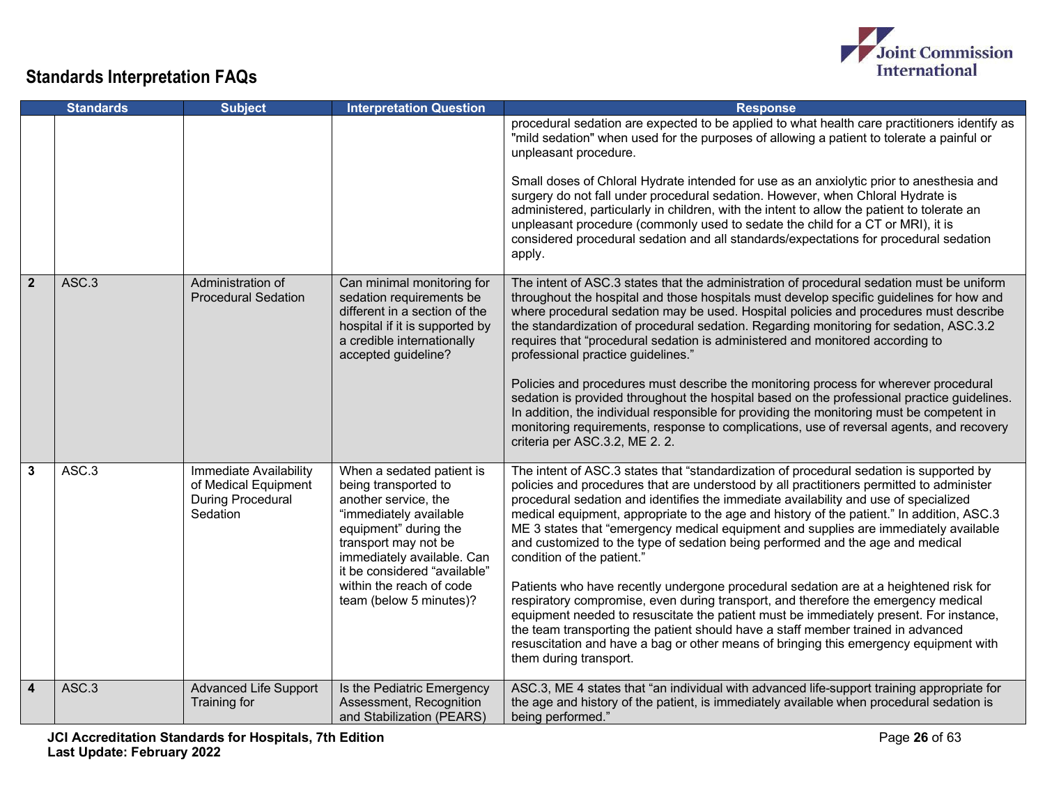

|                | <b>Standards</b>           | <b>Subject</b>                                                                         | <b>Interpretation Question</b>                                                                                                                                                                                                                                            | <b>Response</b>                                                                                                                                                                                                                                                                                                                                                                                                                                                                                                                                                                                                                                                                                                                                                                                                                                                                                                                                                                                                                                                  |
|----------------|----------------------------|----------------------------------------------------------------------------------------|---------------------------------------------------------------------------------------------------------------------------------------------------------------------------------------------------------------------------------------------------------------------------|------------------------------------------------------------------------------------------------------------------------------------------------------------------------------------------------------------------------------------------------------------------------------------------------------------------------------------------------------------------------------------------------------------------------------------------------------------------------------------------------------------------------------------------------------------------------------------------------------------------------------------------------------------------------------------------------------------------------------------------------------------------------------------------------------------------------------------------------------------------------------------------------------------------------------------------------------------------------------------------------------------------------------------------------------------------|
|                |                            |                                                                                        |                                                                                                                                                                                                                                                                           | procedural sedation are expected to be applied to what health care practitioners identify as<br>"mild sedation" when used for the purposes of allowing a patient to tolerate a painful or<br>unpleasant procedure.<br>Small doses of Chloral Hydrate intended for use as an anxiolytic prior to anesthesia and<br>surgery do not fall under procedural sedation. However, when Chloral Hydrate is<br>administered, particularly in children, with the intent to allow the patient to tolerate an<br>unpleasant procedure (commonly used to sedate the child for a CT or MRI), it is                                                                                                                                                                                                                                                                                                                                                                                                                                                                              |
|                |                            |                                                                                        |                                                                                                                                                                                                                                                                           | considered procedural sedation and all standards/expectations for procedural sedation<br>apply.                                                                                                                                                                                                                                                                                                                                                                                                                                                                                                                                                                                                                                                                                                                                                                                                                                                                                                                                                                  |
| $\overline{2}$ | ASC.3                      | Administration of<br><b>Procedural Sedation</b>                                        | Can minimal monitoring for<br>sedation requirements be<br>different in a section of the<br>hospital if it is supported by<br>a credible internationally<br>accepted guideline?                                                                                            | The intent of ASC.3 states that the administration of procedural sedation must be uniform<br>throughout the hospital and those hospitals must develop specific guidelines for how and<br>where procedural sedation may be used. Hospital policies and procedures must describe<br>the standardization of procedural sedation. Regarding monitoring for sedation, ASC.3.2<br>requires that "procedural sedation is administered and monitored according to<br>professional practice guidelines."<br>Policies and procedures must describe the monitoring process for wherever procedural<br>sedation is provided throughout the hospital based on the professional practice guidelines.<br>In addition, the individual responsible for providing the monitoring must be competent in<br>monitoring requirements, response to complications, use of reversal agents, and recovery<br>criteria per ASC.3.2, ME 2.2.                                                                                                                                                 |
| 3              | $\overline{\text{ASC}}$ .3 | Immediate Availability<br>of Medical Equipment<br><b>During Procedural</b><br>Sedation | When a sedated patient is<br>being transported to<br>another service, the<br>"immediately available<br>equipment" during the<br>transport may not be<br>immediately available. Can<br>it be considered "available"<br>within the reach of code<br>team (below 5 minutes)? | The intent of ASC.3 states that "standardization of procedural sedation is supported by<br>policies and procedures that are understood by all practitioners permitted to administer<br>procedural sedation and identifies the immediate availability and use of specialized<br>medical equipment, appropriate to the age and history of the patient." In addition, ASC.3<br>ME 3 states that "emergency medical equipment and supplies are immediately available<br>and customized to the type of sedation being performed and the age and medical<br>condition of the patient."<br>Patients who have recently undergone procedural sedation are at a heightened risk for<br>respiratory compromise, even during transport, and therefore the emergency medical<br>equipment needed to resuscitate the patient must be immediately present. For instance,<br>the team transporting the patient should have a staff member trained in advanced<br>resuscitation and have a bag or other means of bringing this emergency equipment with<br>them during transport. |
| $\overline{4}$ | ASC.3                      | <b>Advanced Life Support</b><br>Training for                                           | Is the Pediatric Emergency<br>Assessment, Recognition<br>and Stabilization (PEARS)                                                                                                                                                                                        | ASC.3, ME 4 states that "an individual with advanced life-support training appropriate for<br>the age and history of the patient, is immediately available when procedural sedation is<br>being performed."                                                                                                                                                                                                                                                                                                                                                                                                                                                                                                                                                                                                                                                                                                                                                                                                                                                      |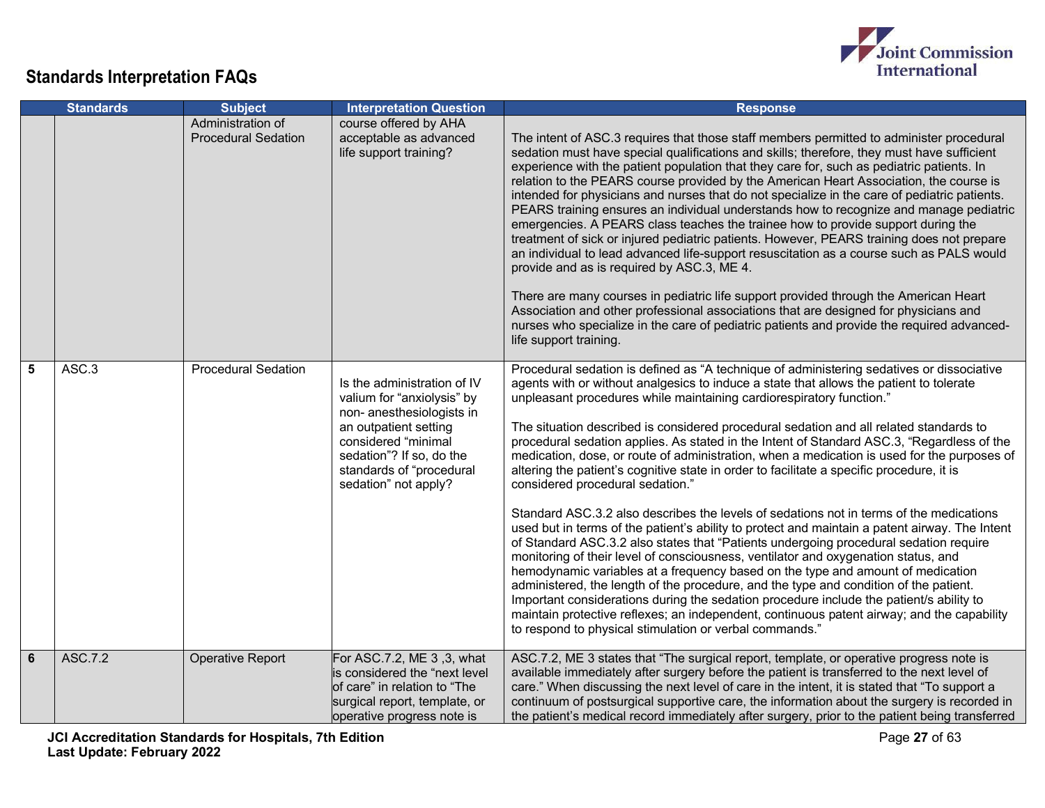

|   | <b>Standards</b> | <b>Subject</b>                                  | <b>Interpretation Question</b>                                                                                                                                                                                         | <b>Response</b>                                                                                                                                                                                                                                                                                                                                                                                                                                                                                                                                                                                                                                                                                                                                                                                                                                                                                                                                                                                                                                                                                                                                                                                                                                                                                                                                                                                                                                                                                  |
|---|------------------|-------------------------------------------------|------------------------------------------------------------------------------------------------------------------------------------------------------------------------------------------------------------------------|--------------------------------------------------------------------------------------------------------------------------------------------------------------------------------------------------------------------------------------------------------------------------------------------------------------------------------------------------------------------------------------------------------------------------------------------------------------------------------------------------------------------------------------------------------------------------------------------------------------------------------------------------------------------------------------------------------------------------------------------------------------------------------------------------------------------------------------------------------------------------------------------------------------------------------------------------------------------------------------------------------------------------------------------------------------------------------------------------------------------------------------------------------------------------------------------------------------------------------------------------------------------------------------------------------------------------------------------------------------------------------------------------------------------------------------------------------------------------------------------------|
|   |                  | Administration of<br><b>Procedural Sedation</b> | course offered by AHA<br>acceptable as advanced<br>life support training?                                                                                                                                              | The intent of ASC.3 requires that those staff members permitted to administer procedural<br>sedation must have special qualifications and skills; therefore, they must have sufficient<br>experience with the patient population that they care for, such as pediatric patients. In<br>relation to the PEARS course provided by the American Heart Association, the course is<br>intended for physicians and nurses that do not specialize in the care of pediatric patients.<br>PEARS training ensures an individual understands how to recognize and manage pediatric<br>emergencies. A PEARS class teaches the trainee how to provide support during the<br>treatment of sick or injured pediatric patients. However, PEARS training does not prepare<br>an individual to lead advanced life-support resuscitation as a course such as PALS would<br>provide and as is required by ASC.3, ME 4.<br>There are many courses in pediatric life support provided through the American Heart<br>Association and other professional associations that are designed for physicians and<br>nurses who specialize in the care of pediatric patients and provide the required advanced-<br>life support training.                                                                                                                                                                                                                                                                                       |
| 5 | ASC.3            | <b>Procedural Sedation</b>                      | Is the administration of IV<br>valium for "anxiolysis" by<br>non- anesthesiologists in<br>an outpatient setting<br>considered "minimal<br>sedation"? If so, do the<br>standards of "procedural<br>sedation" not apply? | Procedural sedation is defined as "A technique of administering sedatives or dissociative<br>agents with or without analgesics to induce a state that allows the patient to tolerate<br>unpleasant procedures while maintaining cardiorespiratory function."<br>The situation described is considered procedural sedation and all related standards to<br>procedural sedation applies. As stated in the Intent of Standard ASC.3, "Regardless of the<br>medication, dose, or route of administration, when a medication is used for the purposes of<br>altering the patient's cognitive state in order to facilitate a specific procedure, it is<br>considered procedural sedation."<br>Standard ASC.3.2 also describes the levels of sedations not in terms of the medications<br>used but in terms of the patient's ability to protect and maintain a patent airway. The Intent<br>of Standard ASC.3.2 also states that "Patients undergoing procedural sedation require<br>monitoring of their level of consciousness, ventilator and oxygenation status, and<br>hemodynamic variables at a frequency based on the type and amount of medication<br>administered, the length of the procedure, and the type and condition of the patient.<br>Important considerations during the sedation procedure include the patient/s ability to<br>maintain protective reflexes; an independent, continuous patent airway; and the capability<br>to respond to physical stimulation or verbal commands." |
| 6 | ASC.7.2          | Operative Report                                | For ASC.7.2, ME 3, 3, what<br>is considered the "next level<br>of care" in relation to "The<br>surgical report, template, or<br>operative progress note is                                                             | ASC.7.2, ME 3 states that "The surgical report, template, or operative progress note is<br>available immediately after surgery before the patient is transferred to the next level of<br>care." When discussing the next level of care in the intent, it is stated that "To support a<br>continuum of postsurgical supportive care, the information about the surgery is recorded in<br>the patient's medical record immediately after surgery, prior to the patient being transferred                                                                                                                                                                                                                                                                                                                                                                                                                                                                                                                                                                                                                                                                                                                                                                                                                                                                                                                                                                                                           |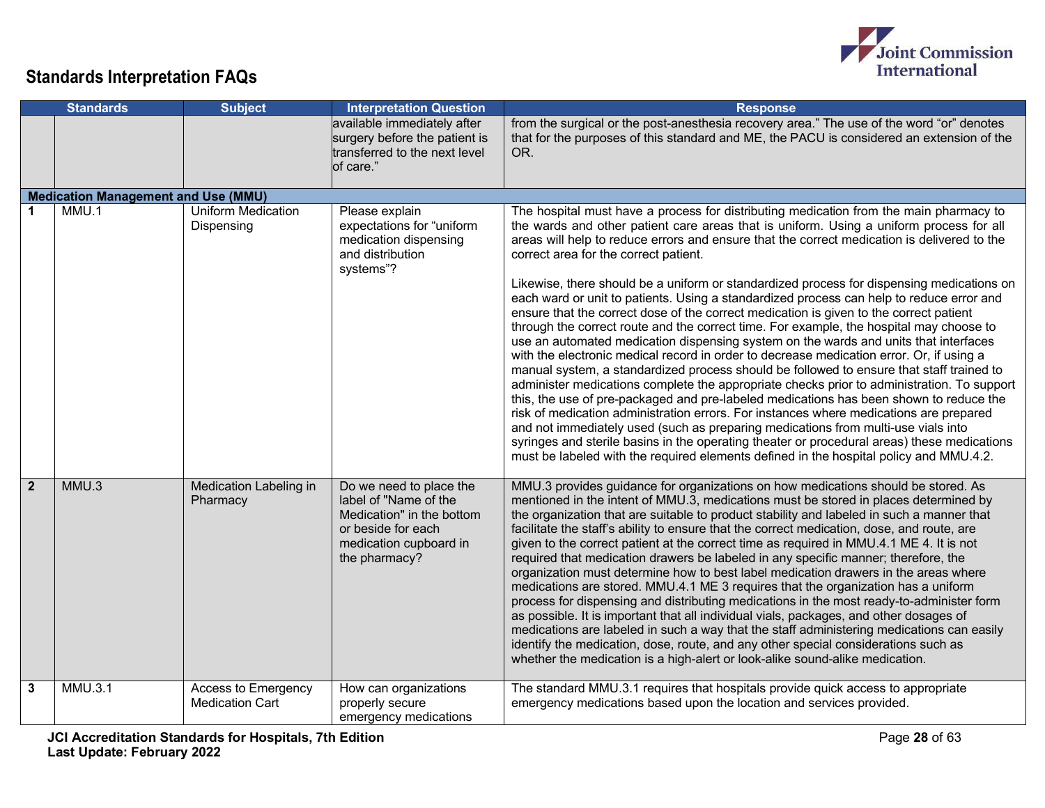

|                | <b>Standards</b>                           | <b>Subject</b>                                | <b>Interpretation Question</b>                                                                                                                 | <b>Response</b>                                                                                                                                                                                                                                                                                                                                                                                                                                                                                                                                                                                                                                                                                                                                                                                                                                                                                                                                                                                                                                                                                                                                                                                                                                                                                                                                                                                                                                                                                                                                         |
|----------------|--------------------------------------------|-----------------------------------------------|------------------------------------------------------------------------------------------------------------------------------------------------|---------------------------------------------------------------------------------------------------------------------------------------------------------------------------------------------------------------------------------------------------------------------------------------------------------------------------------------------------------------------------------------------------------------------------------------------------------------------------------------------------------------------------------------------------------------------------------------------------------------------------------------------------------------------------------------------------------------------------------------------------------------------------------------------------------------------------------------------------------------------------------------------------------------------------------------------------------------------------------------------------------------------------------------------------------------------------------------------------------------------------------------------------------------------------------------------------------------------------------------------------------------------------------------------------------------------------------------------------------------------------------------------------------------------------------------------------------------------------------------------------------------------------------------------------------|
|                |                                            |                                               | available immediately after<br>surgery before the patient is<br>transferred to the next level<br>of care."                                     | from the surgical or the post-anesthesia recovery area." The use of the word "or" denotes<br>that for the purposes of this standard and ME, the PACU is considered an extension of the<br>OR.                                                                                                                                                                                                                                                                                                                                                                                                                                                                                                                                                                                                                                                                                                                                                                                                                                                                                                                                                                                                                                                                                                                                                                                                                                                                                                                                                           |
|                | <b>Medication Management and Use (MMU)</b> |                                               |                                                                                                                                                |                                                                                                                                                                                                                                                                                                                                                                                                                                                                                                                                                                                                                                                                                                                                                                                                                                                                                                                                                                                                                                                                                                                                                                                                                                                                                                                                                                                                                                                                                                                                                         |
|                | MMU.1                                      | <b>Uniform Medication</b><br>Dispensing       | Please explain<br>expectations for "uniform<br>medication dispensing<br>and distribution<br>systems"?                                          | The hospital must have a process for distributing medication from the main pharmacy to<br>the wards and other patient care areas that is uniform. Using a uniform process for all<br>areas will help to reduce errors and ensure that the correct medication is delivered to the<br>correct area for the correct patient.<br>Likewise, there should be a uniform or standardized process for dispensing medications on<br>each ward or unit to patients. Using a standardized process can help to reduce error and<br>ensure that the correct dose of the correct medication is given to the correct patient<br>through the correct route and the correct time. For example, the hospital may choose to<br>use an automated medication dispensing system on the wards and units that interfaces<br>with the electronic medical record in order to decrease medication error. Or, if using a<br>manual system, a standardized process should be followed to ensure that staff trained to<br>administer medications complete the appropriate checks prior to administration. To support<br>this, the use of pre-packaged and pre-labeled medications has been shown to reduce the<br>risk of medication administration errors. For instances where medications are prepared<br>and not immediately used (such as preparing medications from multi-use vials into<br>syringes and sterile basins in the operating theater or procedural areas) these medications<br>must be labeled with the required elements defined in the hospital policy and MMU.4.2. |
| $\overline{2}$ | MMU.3                                      | Medication Labeling in<br>Pharmacy            | Do we need to place the<br>label of "Name of the<br>Medication" in the bottom<br>or beside for each<br>medication cupboard in<br>the pharmacy? | MMU.3 provides guidance for organizations on how medications should be stored. As<br>mentioned in the intent of MMU.3, medications must be stored in places determined by<br>the organization that are suitable to product stability and labeled in such a manner that<br>facilitate the staff's ability to ensure that the correct medication, dose, and route, are<br>given to the correct patient at the correct time as required in MMU.4.1 ME 4. It is not<br>required that medication drawers be labeled in any specific manner; therefore, the<br>organization must determine how to best label medication drawers in the areas where<br>medications are stored. MMU.4.1 ME 3 requires that the organization has a uniform<br>process for dispensing and distributing medications in the most ready-to-administer form<br>as possible. It is important that all individual vials, packages, and other dosages of<br>medications are labeled in such a way that the staff administering medications can easily<br>identify the medication, dose, route, and any other special considerations such as<br>whether the medication is a high-alert or look-alike sound-alike medication.                                                                                                                                                                                                                                                                                                                                                              |
| 3              | MMU.3.1                                    | Access to Emergency<br><b>Medication Cart</b> | How can organizations<br>properly secure<br>emergency medications                                                                              | The standard MMU.3.1 requires that hospitals provide quick access to appropriate<br>emergency medications based upon the location and services provided.                                                                                                                                                                                                                                                                                                                                                                                                                                                                                                                                                                                                                                                                                                                                                                                                                                                                                                                                                                                                                                                                                                                                                                                                                                                                                                                                                                                                |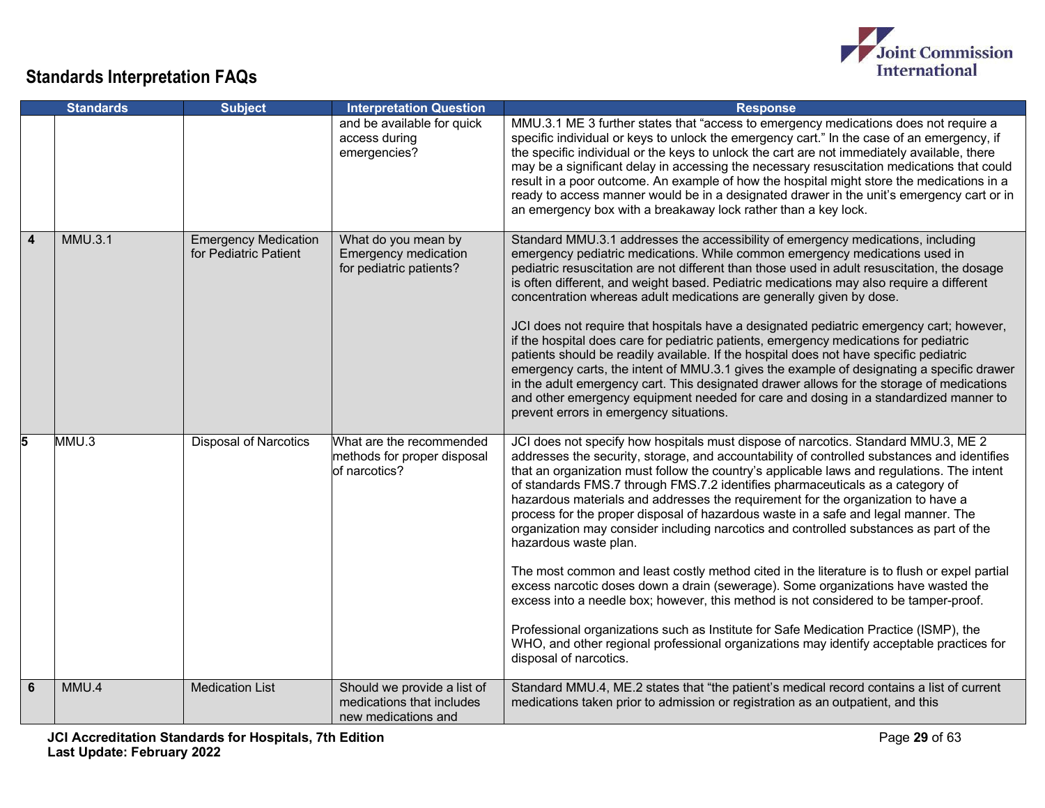

|                         | <b>Standards</b> | <b>Subject</b>                                       | <b>Interpretation Question</b>                                                  | <b>Response</b>                                                                                                                                                                                                                                                                                                                                                                                                                                                                                                                                                                                                                                                                                                                                                                                                                                                                                                                                                                                                                                                                                                                                            |
|-------------------------|------------------|------------------------------------------------------|---------------------------------------------------------------------------------|------------------------------------------------------------------------------------------------------------------------------------------------------------------------------------------------------------------------------------------------------------------------------------------------------------------------------------------------------------------------------------------------------------------------------------------------------------------------------------------------------------------------------------------------------------------------------------------------------------------------------------------------------------------------------------------------------------------------------------------------------------------------------------------------------------------------------------------------------------------------------------------------------------------------------------------------------------------------------------------------------------------------------------------------------------------------------------------------------------------------------------------------------------|
|                         |                  |                                                      | and be available for quick<br>access during<br>emergencies?                     | MMU.3.1 ME 3 further states that "access to emergency medications does not require a<br>specific individual or keys to unlock the emergency cart." In the case of an emergency, if<br>the specific individual or the keys to unlock the cart are not immediately available, there<br>may be a significant delay in accessing the necessary resuscitation medications that could<br>result in a poor outcome. An example of how the hospital might store the medications in a<br>ready to access manner would be in a designated drawer in the unit's emergency cart or in<br>an emergency box with a breakaway lock rather than a key lock.                                                                                                                                                                                                                                                                                                                                                                                                                                                                                                                |
| $\overline{\mathbf{4}}$ | <b>MMU.3.1</b>   | <b>Emergency Medication</b><br>for Pediatric Patient | What do you mean by<br><b>Emergency medication</b><br>for pediatric patients?   | Standard MMU.3.1 addresses the accessibility of emergency medications, including<br>emergency pediatric medications. While common emergency medications used in<br>pediatric resuscitation are not different than those used in adult resuscitation, the dosage<br>is often different, and weight based. Pediatric medications may also require a different<br>concentration whereas adult medications are generally given by dose.<br>JCI does not require that hospitals have a designated pediatric emergency cart; however,<br>if the hospital does care for pediatric patients, emergency medications for pediatric<br>patients should be readily available. If the hospital does not have specific pediatric<br>emergency carts, the intent of MMU.3.1 gives the example of designating a specific drawer<br>in the adult emergency cart. This designated drawer allows for the storage of medications<br>and other emergency equipment needed for care and dosing in a standardized manner to<br>prevent errors in emergency situations.                                                                                                            |
| 5                       | MMU.3            | <b>Disposal of Narcotics</b>                         | What are the recommended<br>methods for proper disposal<br>of narcotics?        | JCI does not specify how hospitals must dispose of narcotics. Standard MMU.3, ME 2<br>addresses the security, storage, and accountability of controlled substances and identifies<br>that an organization must follow the country's applicable laws and regulations. The intent<br>of standards FMS.7 through FMS.7.2 identifies pharmaceuticals as a category of<br>hazardous materials and addresses the requirement for the organization to have a<br>process for the proper disposal of hazardous waste in a safe and legal manner. The<br>organization may consider including narcotics and controlled substances as part of the<br>hazardous waste plan.<br>The most common and least costly method cited in the literature is to flush or expel partial<br>excess narcotic doses down a drain (sewerage). Some organizations have wasted the<br>excess into a needle box; however, this method is not considered to be tamper-proof.<br>Professional organizations such as Institute for Safe Medication Practice (ISMP), the<br>WHO, and other regional professional organizations may identify acceptable practices for<br>disposal of narcotics. |
| 6                       | MMU.4            | <b>Medication List</b>                               | Should we provide a list of<br>medications that includes<br>new medications and | Standard MMU.4, ME.2 states that "the patient's medical record contains a list of current<br>medications taken prior to admission or registration as an outpatient, and this                                                                                                                                                                                                                                                                                                                                                                                                                                                                                                                                                                                                                                                                                                                                                                                                                                                                                                                                                                               |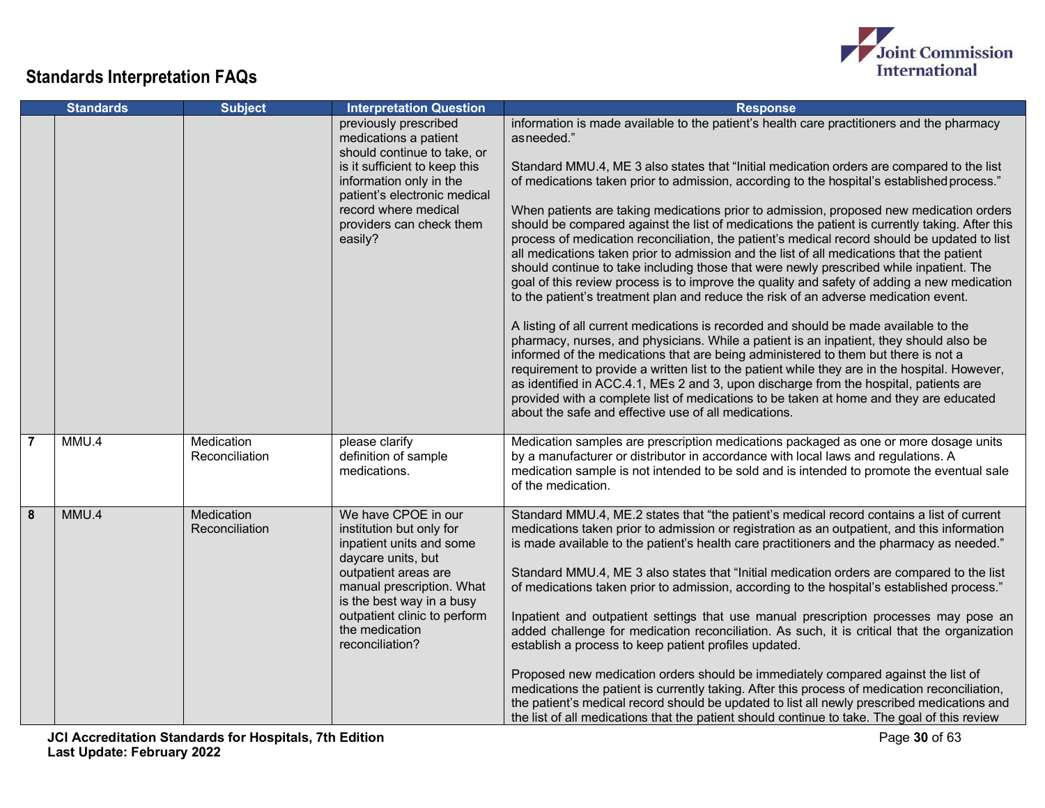

|                         | <b>Standards</b> | <b>Subject</b>               | <b>Interpretation Question</b>                                                                                                                                                                                                                           | <b>Response</b>                                                                                                                                                                                                                                                                                                                                                                                                                                                                                                                                                                                                                                                                                                                                                                                                                                                                                                                                                                                                                                                                                                                                                                                                                                                                                                                                                                                                                                                                                                                                                                                   |
|-------------------------|------------------|------------------------------|----------------------------------------------------------------------------------------------------------------------------------------------------------------------------------------------------------------------------------------------------------|---------------------------------------------------------------------------------------------------------------------------------------------------------------------------------------------------------------------------------------------------------------------------------------------------------------------------------------------------------------------------------------------------------------------------------------------------------------------------------------------------------------------------------------------------------------------------------------------------------------------------------------------------------------------------------------------------------------------------------------------------------------------------------------------------------------------------------------------------------------------------------------------------------------------------------------------------------------------------------------------------------------------------------------------------------------------------------------------------------------------------------------------------------------------------------------------------------------------------------------------------------------------------------------------------------------------------------------------------------------------------------------------------------------------------------------------------------------------------------------------------------------------------------------------------------------------------------------------------|
|                         |                  |                              | previously prescribed<br>medications a patient<br>should continue to take, or<br>is it sufficient to keep this<br>information only in the<br>patient's electronic medical<br>record where medical<br>providers can check them<br>easily?                 | information is made available to the patient's health care practitioners and the pharmacy<br>asneeded."<br>Standard MMU.4, ME 3 also states that "Initial medication orders are compared to the list<br>of medications taken prior to admission, according to the hospital's established process."<br>When patients are taking medications prior to admission, proposed new medication orders<br>should be compared against the list of medications the patient is currently taking. After this<br>process of medication reconciliation, the patient's medical record should be updated to list<br>all medications taken prior to admission and the list of all medications that the patient<br>should continue to take including those that were newly prescribed while inpatient. The<br>goal of this review process is to improve the quality and safety of adding a new medication<br>to the patient's treatment plan and reduce the risk of an adverse medication event.<br>A listing of all current medications is recorded and should be made available to the<br>pharmacy, nurses, and physicians. While a patient is an inpatient, they should also be<br>informed of the medications that are being administered to them but there is not a<br>requirement to provide a written list to the patient while they are in the hospital. However,<br>as identified in ACC.4.1, MEs 2 and 3, upon discharge from the hospital, patients are<br>provided with a complete list of medications to be taken at home and they are educated<br>about the safe and effective use of all medications. |
| $\overline{7}$          | MMU.4            | Medication<br>Reconciliation | please clarify<br>definition of sample<br>medications.                                                                                                                                                                                                   | Medication samples are prescription medications packaged as one or more dosage units<br>by a manufacturer or distributor in accordance with local laws and regulations. A<br>medication sample is not intended to be sold and is intended to promote the eventual sale<br>of the medication.                                                                                                                                                                                                                                                                                                                                                                                                                                                                                                                                                                                                                                                                                                                                                                                                                                                                                                                                                                                                                                                                                                                                                                                                                                                                                                      |
| $\overline{\mathbf{8}}$ | MMU.4            | Medication<br>Reconciliation | We have CPOE in our<br>institution but only for<br>inpatient units and some<br>daycare units, but<br>outpatient areas are<br>manual prescription. What<br>is the best way in a busy<br>outpatient clinic to perform<br>the medication<br>reconciliation? | Standard MMU.4, ME.2 states that "the patient's medical record contains a list of current<br>medications taken prior to admission or registration as an outpatient, and this information<br>is made available to the patient's health care practitioners and the pharmacy as needed."<br>Standard MMU.4, ME 3 also states that "Initial medication orders are compared to the list<br>of medications taken prior to admission, according to the hospital's established process."<br>Inpatient and outpatient settings that use manual prescription processes may pose an<br>added challenge for medication reconciliation. As such, it is critical that the organization<br>establish a process to keep patient profiles updated.<br>Proposed new medication orders should be immediately compared against the list of<br>medications the patient is currently taking. After this process of medication reconciliation,<br>the patient's medical record should be updated to list all newly prescribed medications and<br>the list of all medications that the patient should continue to take. The goal of this review                                                                                                                                                                                                                                                                                                                                                                                                                                                                           |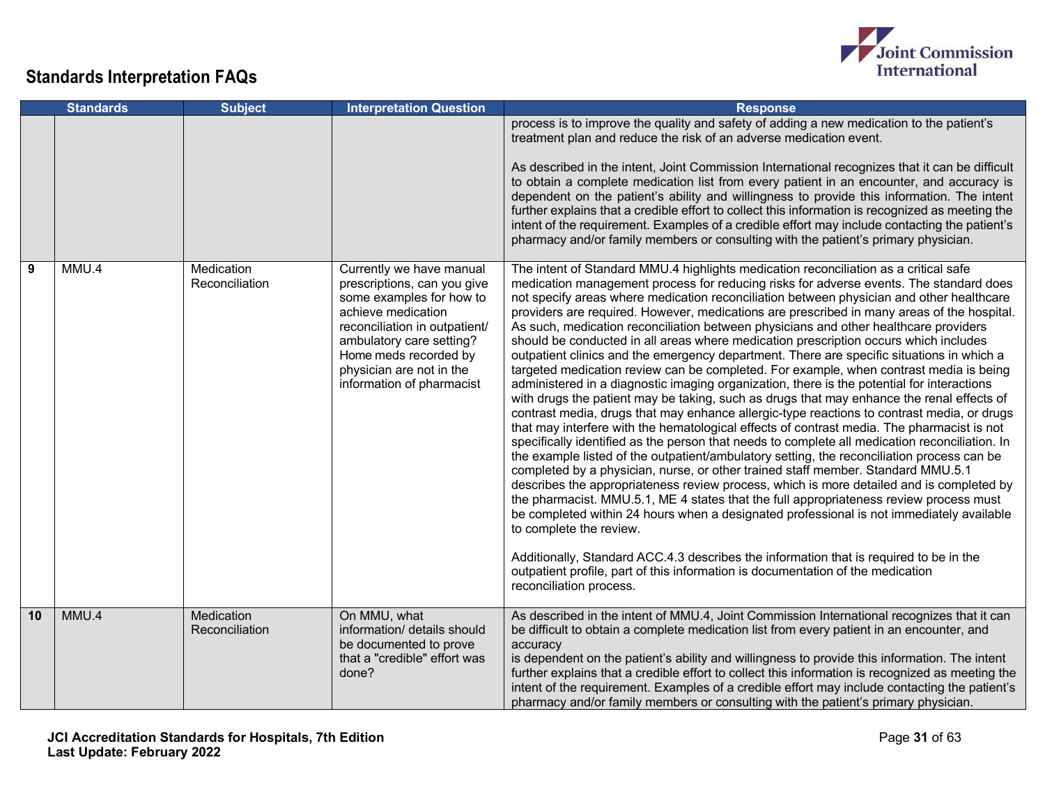

|    | <b>Standards</b> | <b>Subject</b>               | <b>Interpretation Question</b>                                                                                                                                                                                                                           | <b>Response</b>                                                                                                                                                                                                                                                                                                                                                                                                                                                                                                                                                                                                                                                                                                                                                                                                                                                                                                                                                                                                                                                                                                                                                                                                                                                                                                                                                                                                                                                                                                                                                                                                                                                                                                                                                                                                                                                                                                                                 |
|----|------------------|------------------------------|----------------------------------------------------------------------------------------------------------------------------------------------------------------------------------------------------------------------------------------------------------|-------------------------------------------------------------------------------------------------------------------------------------------------------------------------------------------------------------------------------------------------------------------------------------------------------------------------------------------------------------------------------------------------------------------------------------------------------------------------------------------------------------------------------------------------------------------------------------------------------------------------------------------------------------------------------------------------------------------------------------------------------------------------------------------------------------------------------------------------------------------------------------------------------------------------------------------------------------------------------------------------------------------------------------------------------------------------------------------------------------------------------------------------------------------------------------------------------------------------------------------------------------------------------------------------------------------------------------------------------------------------------------------------------------------------------------------------------------------------------------------------------------------------------------------------------------------------------------------------------------------------------------------------------------------------------------------------------------------------------------------------------------------------------------------------------------------------------------------------------------------------------------------------------------------------------------------------|
|    |                  |                              |                                                                                                                                                                                                                                                          | process is to improve the quality and safety of adding a new medication to the patient's<br>treatment plan and reduce the risk of an adverse medication event.<br>As described in the intent, Joint Commission International recognizes that it can be difficult<br>to obtain a complete medication list from every patient in an encounter, and accuracy is<br>dependent on the patient's ability and willingness to provide this information. The intent<br>further explains that a credible effort to collect this information is recognized as meeting the<br>intent of the requirement. Examples of a credible effort may include contacting the patient's<br>pharmacy and/or family members or consulting with the patient's primary physician.                                                                                                                                                                                                                                                                                                                                                                                                                                                                                                                                                                                                                                                                                                                                                                                                                                                                                                                                                                                                                                                                                                                                                                                           |
| 9  | MMU.4            | Medication<br>Reconciliation | Currently we have manual<br>prescriptions, can you give<br>some examples for how to<br>achieve medication<br>reconciliation in outpatient/<br>ambulatory care setting?<br>Home meds recorded by<br>physician are not in the<br>information of pharmacist | The intent of Standard MMU.4 highlights medication reconciliation as a critical safe<br>medication management process for reducing risks for adverse events. The standard does<br>not specify areas where medication reconciliation between physician and other healthcare<br>providers are required. However, medications are prescribed in many areas of the hospital.<br>As such, medication reconciliation between physicians and other healthcare providers<br>should be conducted in all areas where medication prescription occurs which includes<br>outpatient clinics and the emergency department. There are specific situations in which a<br>targeted medication review can be completed. For example, when contrast media is being<br>administered in a diagnostic imaging organization, there is the potential for interactions<br>with drugs the patient may be taking, such as drugs that may enhance the renal effects of<br>contrast media, drugs that may enhance allergic-type reactions to contrast media, or drugs<br>that may interfere with the hematological effects of contrast media. The pharmacist is not<br>specifically identified as the person that needs to complete all medication reconciliation. In<br>the example listed of the outpatient/ambulatory setting, the reconciliation process can be<br>completed by a physician, nurse, or other trained staff member. Standard MMU.5.1<br>describes the appropriateness review process, which is more detailed and is completed by<br>the pharmacist. MMU.5.1, ME 4 states that the full appropriateness review process must<br>be completed within 24 hours when a designated professional is not immediately available<br>to complete the review.<br>Additionally, Standard ACC.4.3 describes the information that is required to be in the<br>outpatient profile, part of this information is documentation of the medication<br>reconciliation process. |
| 10 | MMU.4            | Medication<br>Reconciliation | On MMU, what<br>information/ details should<br>be documented to prove<br>that a "credible" effort was<br>done?                                                                                                                                           | As described in the intent of MMU.4, Joint Commission International recognizes that it can<br>be difficult to obtain a complete medication list from every patient in an encounter, and<br>accuracy<br>is dependent on the patient's ability and willingness to provide this information. The intent<br>further explains that a credible effort to collect this information is recognized as meeting the<br>intent of the requirement. Examples of a credible effort may include contacting the patient's<br>pharmacy and/or family members or consulting with the patient's primary physician.                                                                                                                                                                                                                                                                                                                                                                                                                                                                                                                                                                                                                                                                                                                                                                                                                                                                                                                                                                                                                                                                                                                                                                                                                                                                                                                                                 |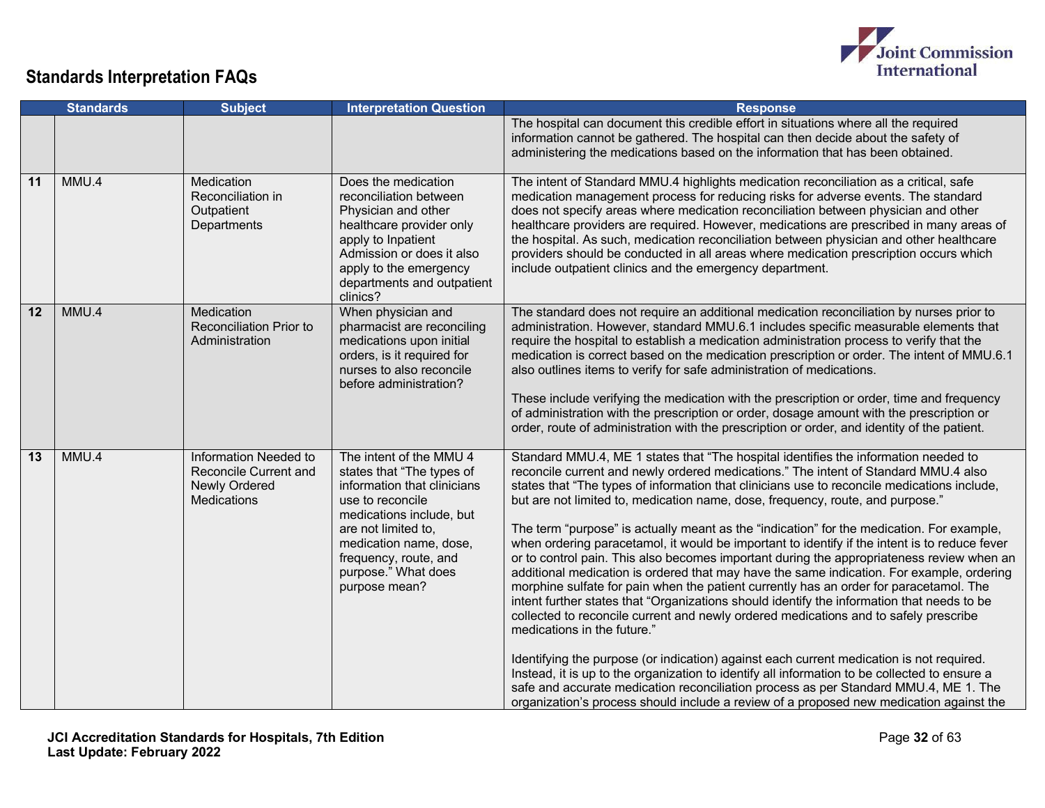

|                 | <b>Standards</b> | <b>Subject</b>                                                                        | <b>Interpretation Question</b>                                                                                                                                                                                                                        | <b>Response</b>                                                                                                                                                                                                                                                                                                                                                                                                                                                                                                                                                                                                                                                                                                                                                                                                                                                                                                                                                                                                                                                                                                                                                                                                                                                                                                                                                                                                                                    |
|-----------------|------------------|---------------------------------------------------------------------------------------|-------------------------------------------------------------------------------------------------------------------------------------------------------------------------------------------------------------------------------------------------------|----------------------------------------------------------------------------------------------------------------------------------------------------------------------------------------------------------------------------------------------------------------------------------------------------------------------------------------------------------------------------------------------------------------------------------------------------------------------------------------------------------------------------------------------------------------------------------------------------------------------------------------------------------------------------------------------------------------------------------------------------------------------------------------------------------------------------------------------------------------------------------------------------------------------------------------------------------------------------------------------------------------------------------------------------------------------------------------------------------------------------------------------------------------------------------------------------------------------------------------------------------------------------------------------------------------------------------------------------------------------------------------------------------------------------------------------------|
|                 |                  |                                                                                       |                                                                                                                                                                                                                                                       | The hospital can document this credible effort in situations where all the required<br>information cannot be gathered. The hospital can then decide about the safety of<br>administering the medications based on the information that has been obtained.                                                                                                                                                                                                                                                                                                                                                                                                                                                                                                                                                                                                                                                                                                                                                                                                                                                                                                                                                                                                                                                                                                                                                                                          |
| 11              | MMU.4            | Medication<br>Reconciliation in<br>Outpatient<br>Departments                          | Does the medication<br>reconciliation between<br>Physician and other<br>healthcare provider only<br>apply to Inpatient<br>Admission or does it also<br>apply to the emergency<br>departments and outpatient<br>clinics?                               | The intent of Standard MMU.4 highlights medication reconciliation as a critical, safe<br>medication management process for reducing risks for adverse events. The standard<br>does not specify areas where medication reconciliation between physician and other<br>healthcare providers are required. However, medications are prescribed in many areas of<br>the hospital. As such, medication reconciliation between physician and other healthcare<br>providers should be conducted in all areas where medication prescription occurs which<br>include outpatient clinics and the emergency department.                                                                                                                                                                                                                                                                                                                                                                                                                                                                                                                                                                                                                                                                                                                                                                                                                                        |
| 12              | MMU.4            | Medication<br><b>Reconciliation Prior to</b><br>Administration                        | When physician and<br>pharmacist are reconciling<br>medications upon initial<br>orders, is it required for<br>nurses to also reconcile<br>before administration?                                                                                      | The standard does not require an additional medication reconciliation by nurses prior to<br>administration. However, standard MMU.6.1 includes specific measurable elements that<br>require the hospital to establish a medication administration process to verify that the<br>medication is correct based on the medication prescription or order. The intent of MMU.6.1<br>also outlines items to verify for safe administration of medications.<br>These include verifying the medication with the prescription or order, time and frequency<br>of administration with the prescription or order, dosage amount with the prescription or<br>order, route of administration with the prescription or order, and identity of the patient.                                                                                                                                                                                                                                                                                                                                                                                                                                                                                                                                                                                                                                                                                                        |
| $\overline{13}$ | MMU.4            | Information Needed to<br>Reconcile Current and<br>Newly Ordered<br><b>Medications</b> | The intent of the MMU 4<br>states that "The types of<br>information that clinicians<br>use to reconcile<br>medications include, but<br>are not limited to,<br>medication name, dose,<br>frequency, route, and<br>purpose." What does<br>purpose mean? | Standard MMU.4, ME 1 states that "The hospital identifies the information needed to<br>reconcile current and newly ordered medications." The intent of Standard MMU.4 also<br>states that "The types of information that clinicians use to reconcile medications include,<br>but are not limited to, medication name, dose, frequency, route, and purpose."<br>The term "purpose" is actually meant as the "indication" for the medication. For example,<br>when ordering paracetamol, it would be important to identify if the intent is to reduce fever<br>or to control pain. This also becomes important during the appropriateness review when an<br>additional medication is ordered that may have the same indication. For example, ordering<br>morphine sulfate for pain when the patient currently has an order for paracetamol. The<br>intent further states that "Organizations should identify the information that needs to be<br>collected to reconcile current and newly ordered medications and to safely prescribe<br>medications in the future."<br>Identifying the purpose (or indication) against each current medication is not required.<br>Instead, it is up to the organization to identify all information to be collected to ensure a<br>safe and accurate medication reconciliation process as per Standard MMU.4, ME 1. The<br>organization's process should include a review of a proposed new medication against the |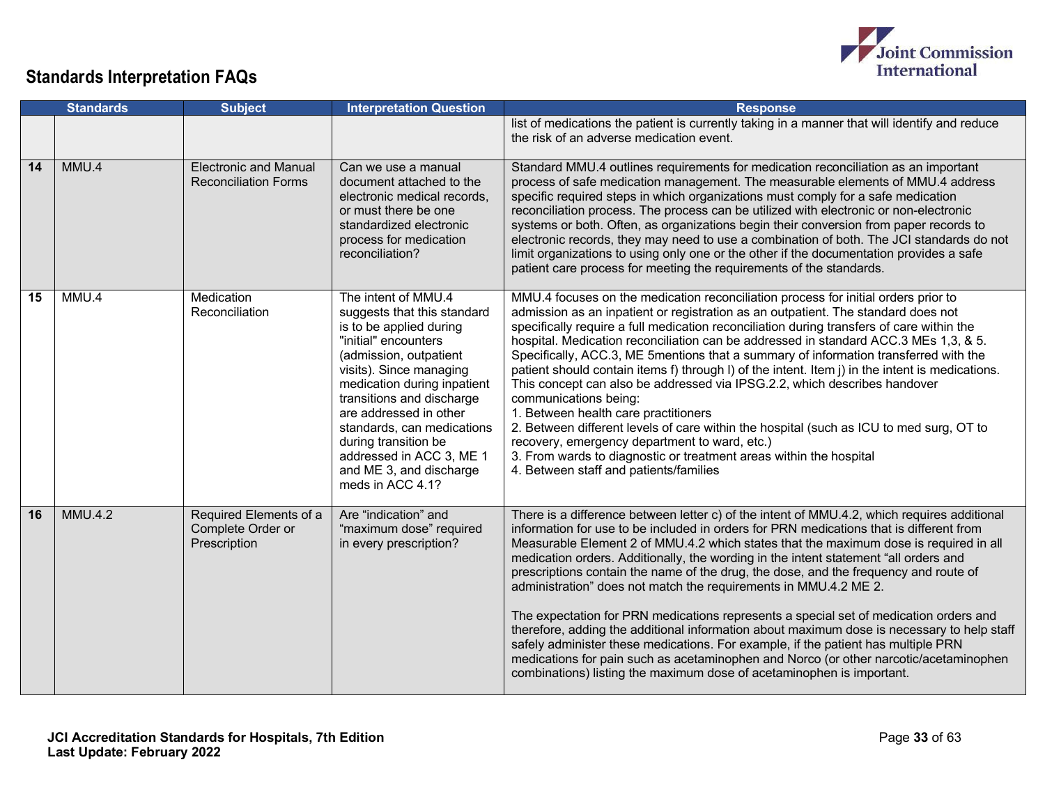

|    | <b>Standards</b> | <b>Subject</b>                                              | <b>Interpretation Question</b>                                                                                                                                                                                                                                                                                                                                                    | <b>Response</b>                                                                                                                                                                                                                                                                                                                                                                                                                                                                                                                                                                                                                                                                                                                                                                                                                                                                                                                                                                   |
|----|------------------|-------------------------------------------------------------|-----------------------------------------------------------------------------------------------------------------------------------------------------------------------------------------------------------------------------------------------------------------------------------------------------------------------------------------------------------------------------------|-----------------------------------------------------------------------------------------------------------------------------------------------------------------------------------------------------------------------------------------------------------------------------------------------------------------------------------------------------------------------------------------------------------------------------------------------------------------------------------------------------------------------------------------------------------------------------------------------------------------------------------------------------------------------------------------------------------------------------------------------------------------------------------------------------------------------------------------------------------------------------------------------------------------------------------------------------------------------------------|
|    |                  |                                                             |                                                                                                                                                                                                                                                                                                                                                                                   | list of medications the patient is currently taking in a manner that will identify and reduce<br>the risk of an adverse medication event.                                                                                                                                                                                                                                                                                                                                                                                                                                                                                                                                                                                                                                                                                                                                                                                                                                         |
| 14 | MMU.4            | <b>Electronic and Manual</b><br><b>Reconciliation Forms</b> | Can we use a manual<br>document attached to the<br>electronic medical records,<br>or must there be one<br>standardized electronic<br>process for medication<br>reconciliation?                                                                                                                                                                                                    | Standard MMU.4 outlines requirements for medication reconciliation as an important<br>process of safe medication management. The measurable elements of MMU.4 address<br>specific required steps in which organizations must comply for a safe medication<br>reconciliation process. The process can be utilized with electronic or non-electronic<br>systems or both. Often, as organizations begin their conversion from paper records to<br>electronic records, they may need to use a combination of both. The JCI standards do not<br>limit organizations to using only one or the other if the documentation provides a safe<br>patient care process for meeting the requirements of the standards.                                                                                                                                                                                                                                                                         |
| 15 | MMU.4            | Medication<br>Reconciliation                                | The intent of MMU.4<br>suggests that this standard<br>is to be applied during<br>"initial" encounters<br>(admission, outpatient<br>visits). Since managing<br>medication during inpatient<br>transitions and discharge<br>are addressed in other<br>standards, can medications<br>during transition be<br>addressed in ACC 3, ME 1<br>and ME 3, and discharge<br>meds in ACC 4.1? | MMU.4 focuses on the medication reconciliation process for initial orders prior to<br>admission as an inpatient or registration as an outpatient. The standard does not<br>specifically require a full medication reconciliation during transfers of care within the<br>hospital. Medication reconciliation can be addressed in standard ACC.3 MEs 1,3, & 5.<br>Specifically, ACC.3, ME 5mentions that a summary of information transferred with the<br>patient should contain items f) through I) of the intent. Item j) in the intent is medications.<br>This concept can also be addressed via IPSG.2.2, which describes handover<br>communications being:<br>1. Between health care practitioners<br>2. Between different levels of care within the hospital (such as ICU to med surg, OT to<br>recovery, emergency department to ward, etc.)<br>3. From wards to diagnostic or treatment areas within the hospital<br>4. Between staff and patients/families                 |
| 16 | <b>MMU.4.2</b>   | Required Elements of a<br>Complete Order or<br>Prescription | Are "indication" and<br>"maximum dose" required<br>in every prescription?                                                                                                                                                                                                                                                                                                         | There is a difference between letter c) of the intent of MMU.4.2, which requires additional<br>information for use to be included in orders for PRN medications that is different from<br>Measurable Element 2 of MMU.4.2 which states that the maximum dose is required in all<br>medication orders. Additionally, the wording in the intent statement "all orders and<br>prescriptions contain the name of the drug, the dose, and the frequency and route of<br>administration" does not match the requirements in MMU.4.2 ME 2.<br>The expectation for PRN medications represents a special set of medication orders and<br>therefore, adding the additional information about maximum dose is necessary to help staff<br>safely administer these medications. For example, if the patient has multiple PRN<br>medications for pain such as acetaminophen and Norco (or other narcotic/acetaminophen<br>combinations) listing the maximum dose of acetaminophen is important. |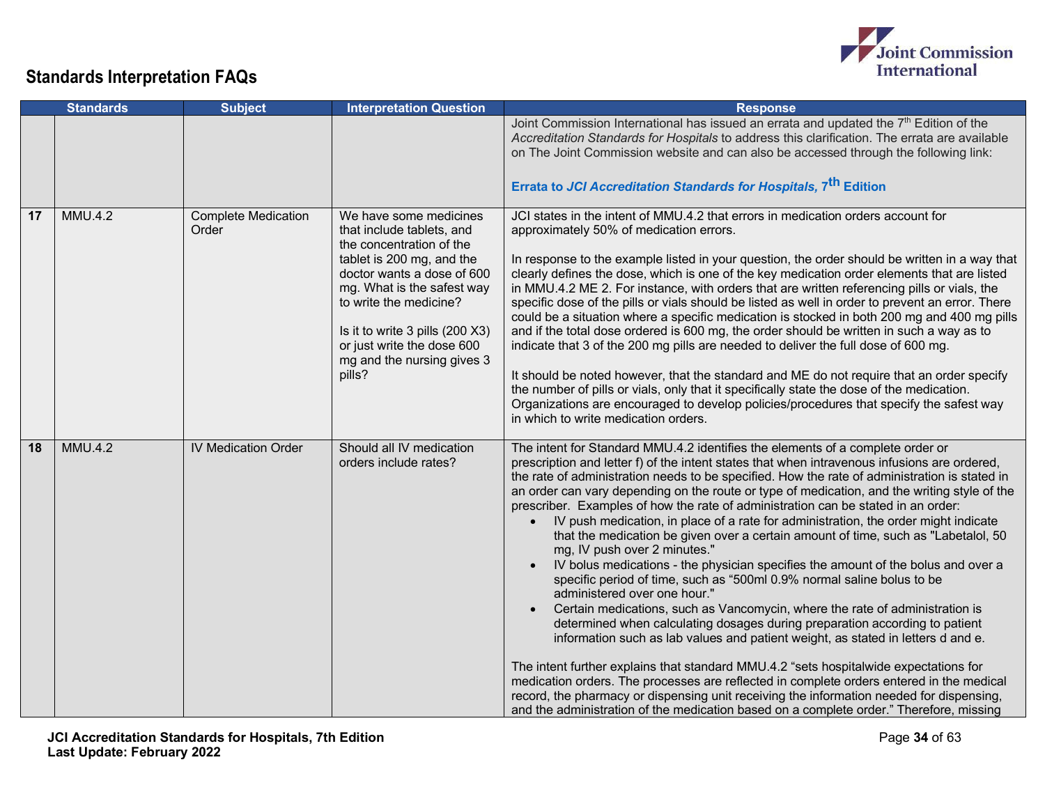

|    | <b>Standards</b> | <b>Subject</b>                      | <b>Interpretation Question</b>                                                                                                                                                                                                                                                                              | <b>Response</b>                                                                                                                                                                                                                                                                                                                                                                                                                                                                                                                                                                                                                                                                                                                                                                                                                                                                                                                                                                                                                                                                                                                                                                                                                                                                                                                                                                                                                                                                                                                           |
|----|------------------|-------------------------------------|-------------------------------------------------------------------------------------------------------------------------------------------------------------------------------------------------------------------------------------------------------------------------------------------------------------|-------------------------------------------------------------------------------------------------------------------------------------------------------------------------------------------------------------------------------------------------------------------------------------------------------------------------------------------------------------------------------------------------------------------------------------------------------------------------------------------------------------------------------------------------------------------------------------------------------------------------------------------------------------------------------------------------------------------------------------------------------------------------------------------------------------------------------------------------------------------------------------------------------------------------------------------------------------------------------------------------------------------------------------------------------------------------------------------------------------------------------------------------------------------------------------------------------------------------------------------------------------------------------------------------------------------------------------------------------------------------------------------------------------------------------------------------------------------------------------------------------------------------------------------|
|    |                  |                                     |                                                                                                                                                                                                                                                                                                             | Joint Commission International has issued an errata and updated the 7 <sup>th</sup> Edition of the<br>Accreditation Standards for Hospitals to address this clarification. The errata are available<br>on The Joint Commission website and can also be accessed through the following link:<br>Errata to JCI Accreditation Standards for Hospitals, 7 <sup>th</sup> Edition                                                                                                                                                                                                                                                                                                                                                                                                                                                                                                                                                                                                                                                                                                                                                                                                                                                                                                                                                                                                                                                                                                                                                               |
| 17 | <b>MMU.4.2</b>   | <b>Complete Medication</b><br>Order | We have some medicines<br>that include tablets, and<br>the concentration of the<br>tablet is 200 mg, and the<br>doctor wants a dose of 600<br>mg. What is the safest way<br>to write the medicine?<br>Is it to write 3 pills (200 X3)<br>or just write the dose 600<br>mg and the nursing gives 3<br>pills? | JCI states in the intent of MMU.4.2 that errors in medication orders account for<br>approximately 50% of medication errors.<br>In response to the example listed in your question, the order should be written in a way that<br>clearly defines the dose, which is one of the key medication order elements that are listed<br>in MMU.4.2 ME 2. For instance, with orders that are written referencing pills or vials, the<br>specific dose of the pills or vials should be listed as well in order to prevent an error. There<br>could be a situation where a specific medication is stocked in both 200 mg and 400 mg pills<br>and if the total dose ordered is 600 mg, the order should be written in such a way as to<br>indicate that 3 of the 200 mg pills are needed to deliver the full dose of 600 mg.<br>It should be noted however, that the standard and ME do not require that an order specify<br>the number of pills or vials, only that it specifically state the dose of the medication.<br>Organizations are encouraged to develop policies/procedures that specify the safest way<br>in which to write medication orders.                                                                                                                                                                                                                                                                                                                                                                                              |
| 18 | <b>MMU.4.2</b>   | <b>IV Medication Order</b>          | Should all IV medication<br>orders include rates?                                                                                                                                                                                                                                                           | The intent for Standard MMU.4.2 identifies the elements of a complete order or<br>prescription and letter f) of the intent states that when intravenous infusions are ordered,<br>the rate of administration needs to be specified. How the rate of administration is stated in<br>an order can vary depending on the route or type of medication, and the writing style of the<br>prescriber. Examples of how the rate of administration can be stated in an order:<br>IV push medication, in place of a rate for administration, the order might indicate<br>that the medication be given over a certain amount of time, such as "Labetalol, 50<br>mg, IV push over 2 minutes."<br>IV bolus medications - the physician specifies the amount of the bolus and over a<br>$\bullet$<br>specific period of time, such as "500ml 0.9% normal saline bolus to be<br>administered over one hour."<br>Certain medications, such as Vancomycin, where the rate of administration is<br>$\bullet$<br>determined when calculating dosages during preparation according to patient<br>information such as lab values and patient weight, as stated in letters d and e.<br>The intent further explains that standard MMU.4.2 "sets hospitalwide expectations for<br>medication orders. The processes are reflected in complete orders entered in the medical<br>record, the pharmacy or dispensing unit receiving the information needed for dispensing,<br>and the administration of the medication based on a complete order." Therefore, missing |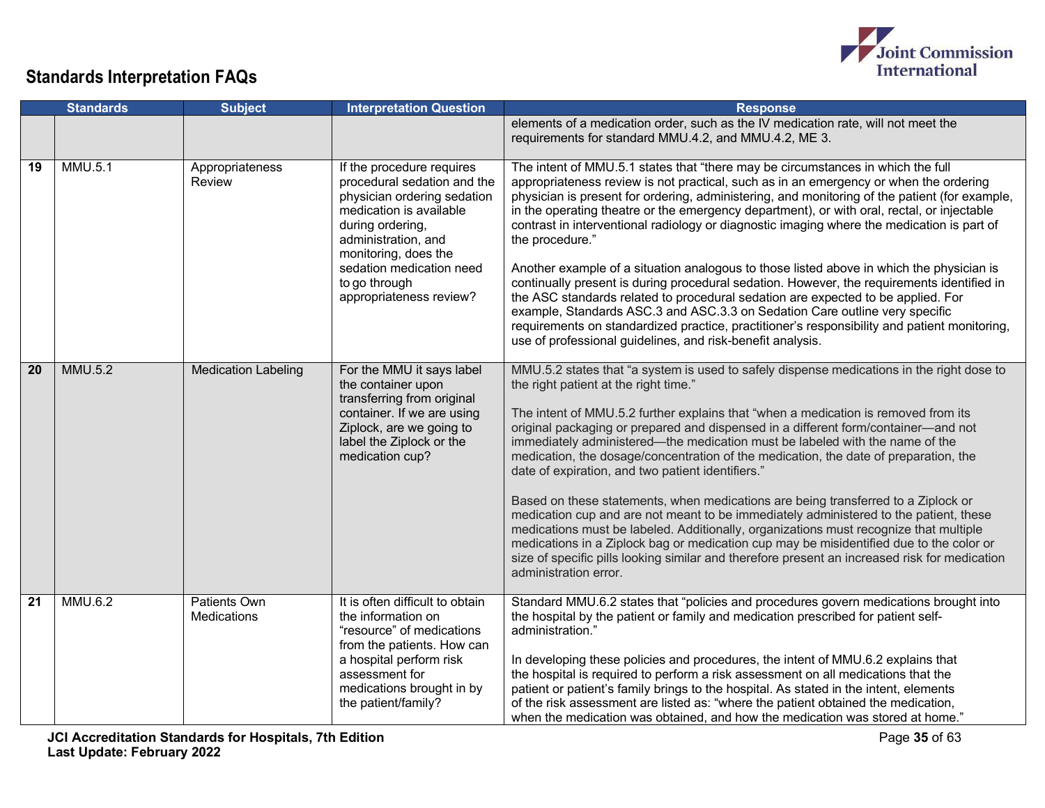

|    | <b>Standards</b> | <b>Subject</b>                     | <b>Interpretation Question</b>                                                                                                                                                                                                                                | <b>Response</b>                                                                                                                                                                                                                                                                                                                                                                                                                                                                                                                                                                                                                                                                                                                                                                                                                                                                                                                                                                                                                         |
|----|------------------|------------------------------------|---------------------------------------------------------------------------------------------------------------------------------------------------------------------------------------------------------------------------------------------------------------|-----------------------------------------------------------------------------------------------------------------------------------------------------------------------------------------------------------------------------------------------------------------------------------------------------------------------------------------------------------------------------------------------------------------------------------------------------------------------------------------------------------------------------------------------------------------------------------------------------------------------------------------------------------------------------------------------------------------------------------------------------------------------------------------------------------------------------------------------------------------------------------------------------------------------------------------------------------------------------------------------------------------------------------------|
|    |                  |                                    |                                                                                                                                                                                                                                                               | elements of a medication order, such as the IV medication rate, will not meet the<br>requirements for standard MMU.4.2, and MMU.4.2, ME 3.                                                                                                                                                                                                                                                                                                                                                                                                                                                                                                                                                                                                                                                                                                                                                                                                                                                                                              |
| 19 | MMU.5.1          | Appropriateness<br>Review          | If the procedure requires<br>procedural sedation and the<br>physician ordering sedation<br>medication is available<br>during ordering,<br>administration, and<br>monitoring, does the<br>sedation medication need<br>to go through<br>appropriateness review? | The intent of MMU.5.1 states that "there may be circumstances in which the full<br>appropriateness review is not practical, such as in an emergency or when the ordering<br>physician is present for ordering, administering, and monitoring of the patient (for example,<br>in the operating theatre or the emergency department), or with oral, rectal, or injectable<br>contrast in interventional radiology or diagnostic imaging where the medication is part of<br>the procedure."<br>Another example of a situation analogous to those listed above in which the physician is<br>continually present is during procedural sedation. However, the requirements identified in<br>the ASC standards related to procedural sedation are expected to be applied. For<br>example, Standards ASC.3 and ASC.3.3 on Sedation Care outline very specific<br>requirements on standardized practice, practitioner's responsibility and patient monitoring,<br>use of professional guidelines, and risk-benefit analysis.                     |
| 20 | <b>MMU.5.2</b>   | <b>Medication Labeling</b>         | For the MMU it says label<br>the container upon<br>transferring from original<br>container. If we are using<br>Ziplock, are we going to<br>label the Ziplock or the<br>medication cup?                                                                        | MMU.5.2 states that "a system is used to safely dispense medications in the right dose to<br>the right patient at the right time."<br>The intent of MMU.5.2 further explains that "when a medication is removed from its<br>original packaging or prepared and dispensed in a different form/container-and not<br>immediately administered—the medication must be labeled with the name of the<br>medication, the dosage/concentration of the medication, the date of preparation, the<br>date of expiration, and two patient identifiers."<br>Based on these statements, when medications are being transferred to a Ziplock or<br>medication cup and are not meant to be immediately administered to the patient, these<br>medications must be labeled. Additionally, organizations must recognize that multiple<br>medications in a Ziplock bag or medication cup may be misidentified due to the color or<br>size of specific pills looking similar and therefore present an increased risk for medication<br>administration error. |
| 21 | MMU.6.2          | Patients Own<br><b>Medications</b> | It is often difficult to obtain<br>the information on<br>"resource" of medications<br>from the patients. How can<br>a hospital perform risk<br>assessment for<br>medications brought in by<br>the patient/family?                                             | Standard MMU.6.2 states that "policies and procedures govern medications brought into<br>the hospital by the patient or family and medication prescribed for patient self-<br>administration."<br>In developing these policies and procedures, the intent of MMU.6.2 explains that<br>the hospital is required to perform a risk assessment on all medications that the<br>patient or patient's family brings to the hospital. As stated in the intent, elements<br>of the risk assessment are listed as: "where the patient obtained the medication,<br>when the medication was obtained, and how the medication was stored at home."                                                                                                                                                                                                                                                                                                                                                                                                  |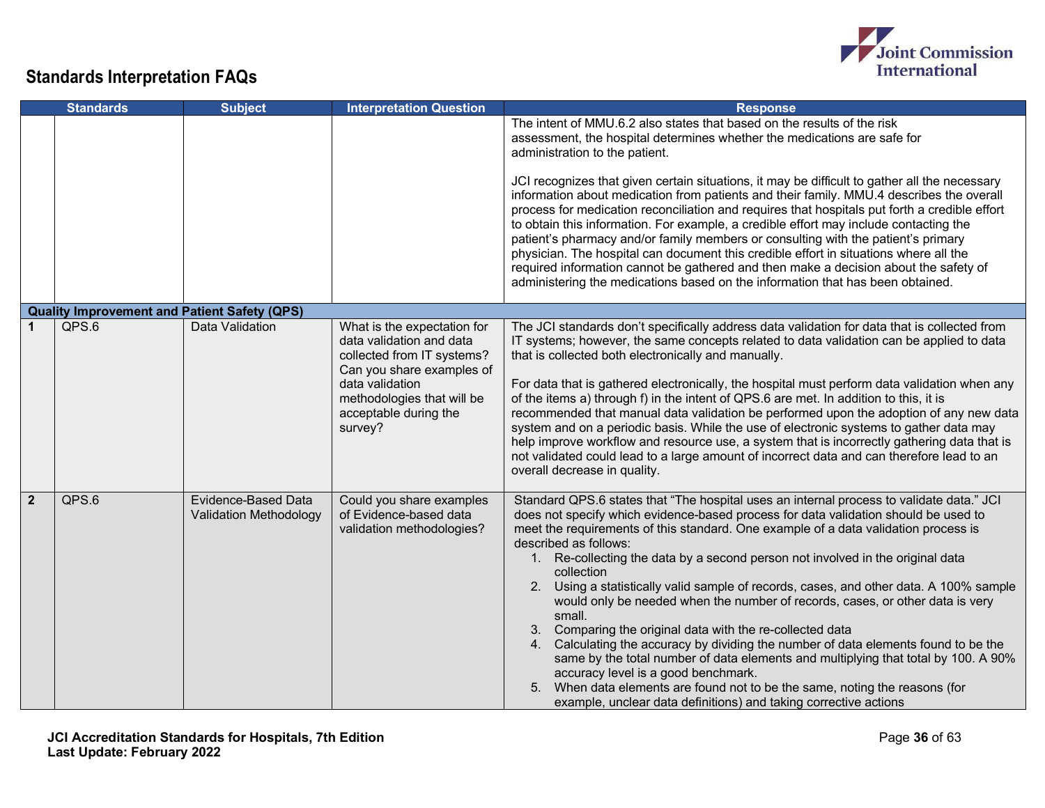

|                | <b>Standards</b>                                    | <b>Subject</b>                                       | <b>Interpretation Question</b>                                                                                                                                                                          | <b>Response</b>                                                                                                                                                                                                                                                                                                                                                                                                                                                                                                                                                                                                                                                                                                                                                                                                                                                                                                                                                                                                          |
|----------------|-----------------------------------------------------|------------------------------------------------------|---------------------------------------------------------------------------------------------------------------------------------------------------------------------------------------------------------|--------------------------------------------------------------------------------------------------------------------------------------------------------------------------------------------------------------------------------------------------------------------------------------------------------------------------------------------------------------------------------------------------------------------------------------------------------------------------------------------------------------------------------------------------------------------------------------------------------------------------------------------------------------------------------------------------------------------------------------------------------------------------------------------------------------------------------------------------------------------------------------------------------------------------------------------------------------------------------------------------------------------------|
|                |                                                     |                                                      |                                                                                                                                                                                                         | The intent of MMU.6.2 also states that based on the results of the risk<br>assessment, the hospital determines whether the medications are safe for<br>administration to the patient.<br>JCI recognizes that given certain situations, it may be difficult to gather all the necessary<br>information about medication from patients and their family. MMU.4 describes the overall<br>process for medication reconciliation and requires that hospitals put forth a credible effort<br>to obtain this information. For example, a credible effort may include contacting the<br>patient's pharmacy and/or family members or consulting with the patient's primary<br>physician. The hospital can document this credible effort in situations where all the<br>required information cannot be gathered and then make a decision about the safety of<br>administering the medications based on the information that has been obtained.                                                                                     |
|                | <b>Quality Improvement and Patient Safety (QPS)</b> |                                                      |                                                                                                                                                                                                         |                                                                                                                                                                                                                                                                                                                                                                                                                                                                                                                                                                                                                                                                                                                                                                                                                                                                                                                                                                                                                          |
|                | QPS.6                                               | Data Validation                                      | What is the expectation for<br>data validation and data<br>collected from IT systems?<br>Can you share examples of<br>data validation<br>methodologies that will be<br>acceptable during the<br>survey? | The JCI standards don't specifically address data validation for data that is collected from<br>IT systems; however, the same concepts related to data validation can be applied to data<br>that is collected both electronically and manually.<br>For data that is gathered electronically, the hospital must perform data validation when any<br>of the items a) through f) in the intent of QPS.6 are met. In addition to this, it is<br>recommended that manual data validation be performed upon the adoption of any new data<br>system and on a periodic basis. While the use of electronic systems to gather data may<br>help improve workflow and resource use, a system that is incorrectly gathering data that is<br>not validated could lead to a large amount of incorrect data and can therefore lead to an<br>overall decrease in quality.                                                                                                                                                                 |
| $\overline{2}$ | QPS.6                                               | Evidence-Based Data<br><b>Validation Methodology</b> | Could you share examples<br>of Evidence-based data<br>validation methodologies?                                                                                                                         | Standard QPS.6 states that "The hospital uses an internal process to validate data." JCI<br>does not specify which evidence-based process for data validation should be used to<br>meet the requirements of this standard. One example of a data validation process is<br>described as follows:<br>1. Re-collecting the data by a second person not involved in the original data<br>collection<br>2. Using a statistically valid sample of records, cases, and other data. A 100% sample<br>would only be needed when the number of records, cases, or other data is very<br>small.<br>3. Comparing the original data with the re-collected data<br>4. Calculating the accuracy by dividing the number of data elements found to be the<br>same by the total number of data elements and multiplying that total by 100. A 90%<br>accuracy level is a good benchmark.<br>5. When data elements are found not to be the same, noting the reasons (for<br>example, unclear data definitions) and taking corrective actions |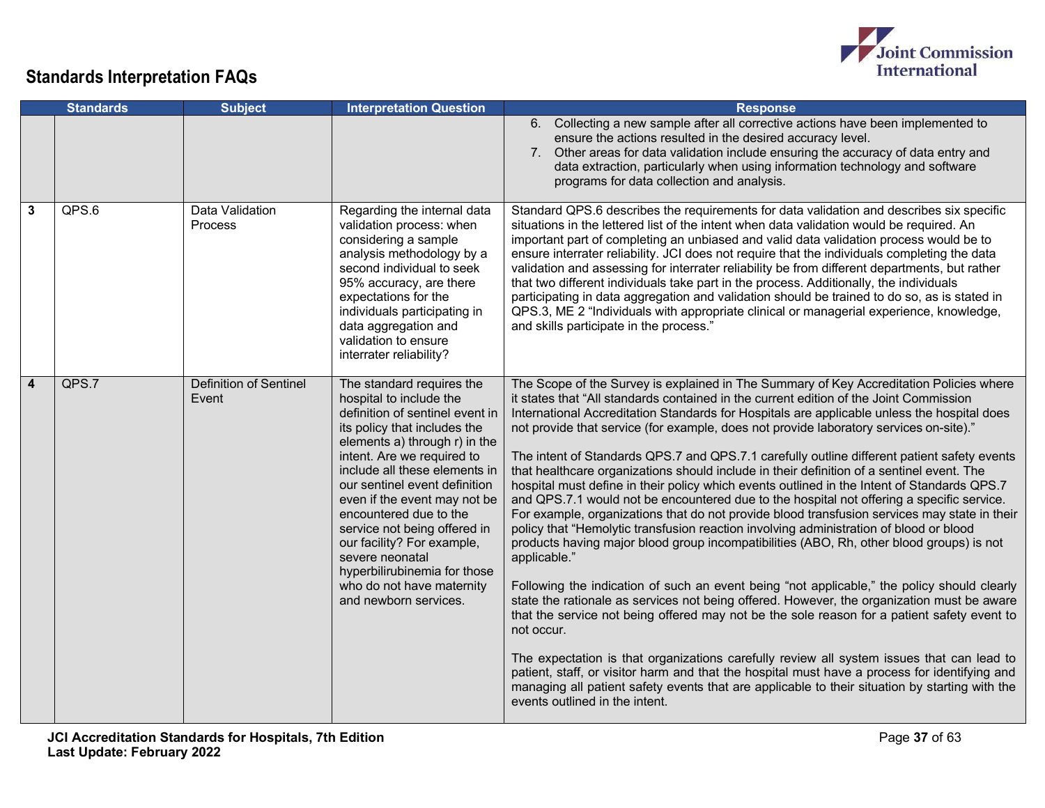

|                         | <b>Standards</b> | <b>Subject</b>                         | <b>Interpretation Question</b>                                                                                                                                                                                                                                                                                                                                                                                                                                                            | <b>Response</b>                                                                                                                                                                                                                                                                                                                                                                                                                                                                                                                                                                                                                                                                                                                                                                                                                                                                                                                                                                                                                                                                                                                                                                                                                                                                                                                                                                                                                                                                                                                                                                                                                                                                                                      |
|-------------------------|------------------|----------------------------------------|-------------------------------------------------------------------------------------------------------------------------------------------------------------------------------------------------------------------------------------------------------------------------------------------------------------------------------------------------------------------------------------------------------------------------------------------------------------------------------------------|----------------------------------------------------------------------------------------------------------------------------------------------------------------------------------------------------------------------------------------------------------------------------------------------------------------------------------------------------------------------------------------------------------------------------------------------------------------------------------------------------------------------------------------------------------------------------------------------------------------------------------------------------------------------------------------------------------------------------------------------------------------------------------------------------------------------------------------------------------------------------------------------------------------------------------------------------------------------------------------------------------------------------------------------------------------------------------------------------------------------------------------------------------------------------------------------------------------------------------------------------------------------------------------------------------------------------------------------------------------------------------------------------------------------------------------------------------------------------------------------------------------------------------------------------------------------------------------------------------------------------------------------------------------------------------------------------------------------|
|                         |                  |                                        |                                                                                                                                                                                                                                                                                                                                                                                                                                                                                           | 6. Collecting a new sample after all corrective actions have been implemented to<br>ensure the actions resulted in the desired accuracy level.<br>7. Other areas for data validation include ensuring the accuracy of data entry and<br>data extraction, particularly when using information technology and software<br>programs for data collection and analysis.                                                                                                                                                                                                                                                                                                                                                                                                                                                                                                                                                                                                                                                                                                                                                                                                                                                                                                                                                                                                                                                                                                                                                                                                                                                                                                                                                   |
| $\overline{\mathbf{3}}$ | QPS.6            | Data Validation<br>Process             | Regarding the internal data<br>validation process: when<br>considering a sample<br>analysis methodology by a<br>second individual to seek<br>95% accuracy, are there<br>expectations for the<br>individuals participating in<br>data aggregation and<br>validation to ensure<br>interrater reliability?                                                                                                                                                                                   | Standard QPS.6 describes the requirements for data validation and describes six specific<br>situations in the lettered list of the intent when data validation would be required. An<br>important part of completing an unbiased and valid data validation process would be to<br>ensure interrater reliability. JCI does not require that the individuals completing the data<br>validation and assessing for interrater reliability be from different departments, but rather<br>that two different individuals take part in the process. Additionally, the individuals<br>participating in data aggregation and validation should be trained to do so, as is stated in<br>QPS.3, ME 2 "Individuals with appropriate clinical or managerial experience, knowledge,<br>and skills participate in the process."                                                                                                                                                                                                                                                                                                                                                                                                                                                                                                                                                                                                                                                                                                                                                                                                                                                                                                      |
| 4                       | QPS.7            | <b>Definition of Sentinel</b><br>Event | The standard requires the<br>hospital to include the<br>definition of sentinel event in<br>its policy that includes the<br>elements a) through r) in the<br>intent. Are we required to<br>include all these elements in<br>our sentinel event definition<br>even if the event may not be<br>encountered due to the<br>service not being offered in<br>our facility? For example,<br>severe neonatal<br>hyperbilirubinemia for those<br>who do not have maternity<br>and newborn services. | The Scope of the Survey is explained in The Summary of Key Accreditation Policies where<br>it states that "All standards contained in the current edition of the Joint Commission<br>International Accreditation Standards for Hospitals are applicable unless the hospital does<br>not provide that service (for example, does not provide laboratory services on-site)."<br>The intent of Standards QPS.7 and QPS.7.1 carefully outline different patient safety events<br>that healthcare organizations should include in their definition of a sentinel event. The<br>hospital must define in their policy which events outlined in the Intent of Standards QPS.7<br>and QPS.7.1 would not be encountered due to the hospital not offering a specific service.<br>For example, organizations that do not provide blood transfusion services may state in their<br>policy that "Hemolytic transfusion reaction involving administration of blood or blood<br>products having major blood group incompatibilities (ABO, Rh, other blood groups) is not<br>applicable."<br>Following the indication of such an event being "not applicable," the policy should clearly<br>state the rationale as services not being offered. However, the organization must be aware<br>that the service not being offered may not be the sole reason for a patient safety event to<br>not occur.<br>The expectation is that organizations carefully review all system issues that can lead to<br>patient, staff, or visitor harm and that the hospital must have a process for identifying and<br>managing all patient safety events that are applicable to their situation by starting with the<br>events outlined in the intent. |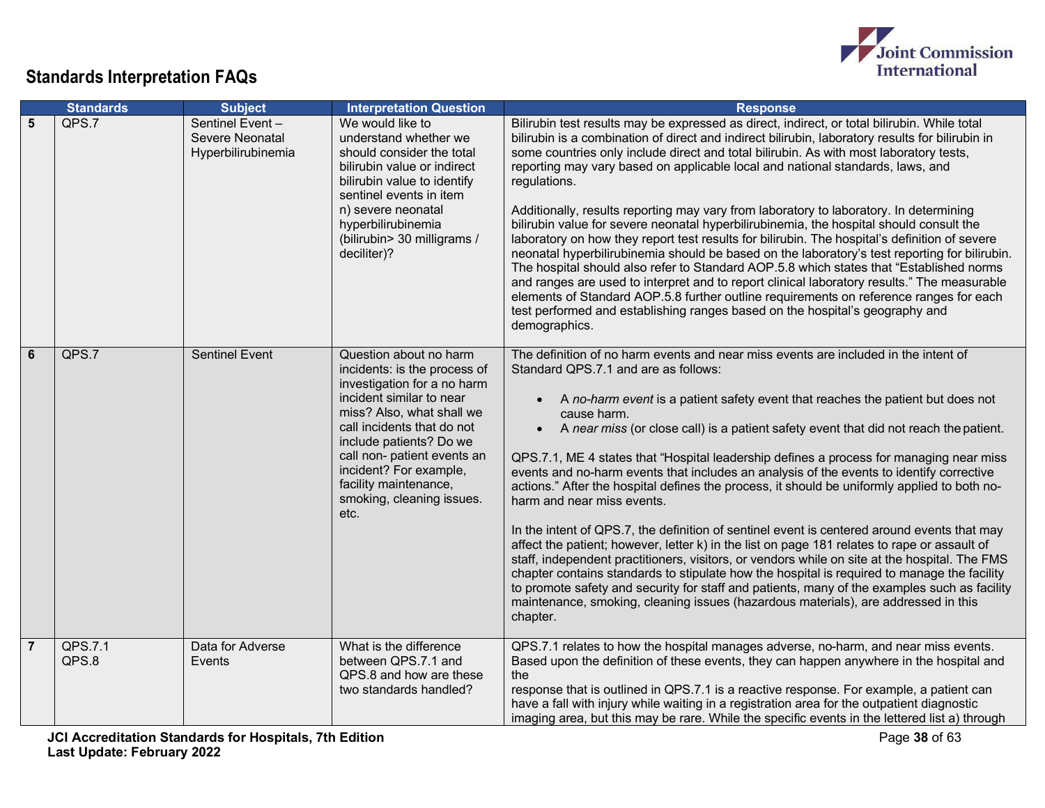

|                | <b>Standards</b> | <b>Subject</b>                                           | <b>Interpretation Question</b>                                                                                                                                                                                                                                                                                                 | <b>Response</b>                                                                                                                                                                                                                                                                                                                                                                                                                                                                                                                                                                                                                                                                                                                                                                                                                                                                                                                                                                                                                                                                                                                                                                                                                                           |
|----------------|------------------|----------------------------------------------------------|--------------------------------------------------------------------------------------------------------------------------------------------------------------------------------------------------------------------------------------------------------------------------------------------------------------------------------|-----------------------------------------------------------------------------------------------------------------------------------------------------------------------------------------------------------------------------------------------------------------------------------------------------------------------------------------------------------------------------------------------------------------------------------------------------------------------------------------------------------------------------------------------------------------------------------------------------------------------------------------------------------------------------------------------------------------------------------------------------------------------------------------------------------------------------------------------------------------------------------------------------------------------------------------------------------------------------------------------------------------------------------------------------------------------------------------------------------------------------------------------------------------------------------------------------------------------------------------------------------|
| 5              | QPS.7            | Sentinel Event-<br>Severe Neonatal<br>Hyperbilirubinemia | We would like to<br>understand whether we<br>should consider the total<br>bilirubin value or indirect<br>bilirubin value to identify<br>sentinel events in item<br>n) severe neonatal<br>hyperbilirubinemia<br>(bilirubin> 30 milligrams /<br>deciliter)?                                                                      | Bilirubin test results may be expressed as direct, indirect, or total bilirubin. While total<br>bilirubin is a combination of direct and indirect bilirubin, laboratory results for bilirubin in<br>some countries only include direct and total bilirubin. As with most laboratory tests,<br>reporting may vary based on applicable local and national standards, laws, and<br>regulations.<br>Additionally, results reporting may vary from laboratory to laboratory. In determining<br>bilirubin value for severe neonatal hyperbilirubinemia, the hospital should consult the<br>laboratory on how they report test results for bilirubin. The hospital's definition of severe<br>neonatal hyperbilirubinemia should be based on the laboratory's test reporting for bilirubin.<br>The hospital should also refer to Standard AOP.5.8 which states that "Established norms<br>and ranges are used to interpret and to report clinical laboratory results." The measurable<br>elements of Standard AOP.5.8 further outline requirements on reference ranges for each<br>test performed and establishing ranges based on the hospital's geography and<br>demographics.                                                                                  |
| $6\phantom{a}$ | QPS.7            | <b>Sentinel Event</b>                                    | Question about no harm<br>incidents: is the process of<br>investigation for a no harm<br>incident similar to near<br>miss? Also, what shall we<br>call incidents that do not<br>include patients? Do we<br>call non- patient events an<br>incident? For example,<br>facility maintenance,<br>smoking, cleaning issues.<br>etc. | The definition of no harm events and near miss events are included in the intent of<br>Standard QPS.7.1 and are as follows:<br>A no-harm event is a patient safety event that reaches the patient but does not<br>cause harm.<br>A near miss (or close call) is a patient safety event that did not reach the patient.<br>$\bullet$<br>QPS.7.1, ME 4 states that "Hospital leadership defines a process for managing near miss<br>events and no-harm events that includes an analysis of the events to identify corrective<br>actions." After the hospital defines the process, it should be uniformly applied to both no-<br>harm and near miss events.<br>In the intent of QPS.7, the definition of sentinel event is centered around events that may<br>affect the patient; however, letter k) in the list on page 181 relates to rape or assault of<br>staff, independent practitioners, visitors, or vendors while on site at the hospital. The FMS<br>chapter contains standards to stipulate how the hospital is required to manage the facility<br>to promote safety and security for staff and patients, many of the examples such as facility<br>maintenance, smoking, cleaning issues (hazardous materials), are addressed in this<br>chapter. |
| $\overline{7}$ | QPS.7.1<br>QPS.8 | Data for Adverse<br>Events                               | What is the difference<br>between QPS.7.1 and<br>QPS.8 and how are these<br>two standards handled?                                                                                                                                                                                                                             | QPS.7.1 relates to how the hospital manages adverse, no-harm, and near miss events.<br>Based upon the definition of these events, they can happen anywhere in the hospital and<br>the<br>response that is outlined in QPS.7.1 is a reactive response. For example, a patient can<br>have a fall with injury while waiting in a registration area for the outpatient diagnostic<br>imaging area, but this may be rare. While the specific events in the lettered list a) through                                                                                                                                                                                                                                                                                                                                                                                                                                                                                                                                                                                                                                                                                                                                                                           |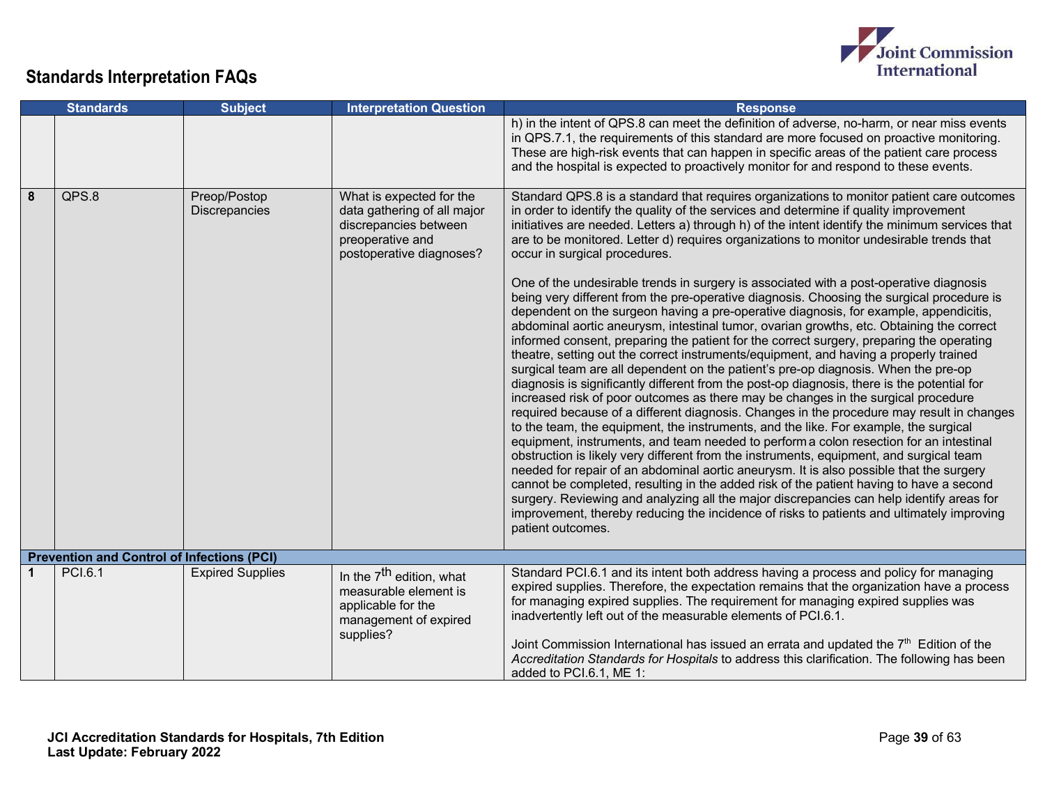

|             | <b>Standards</b>                                  | <b>Subject</b>                       | <b>Interpretation Question</b>                                                                                                   | <b>Response</b>                                                                                                                                                                                                                                                                                                                                                                                                                                                                                                                                                                                                                                                                                                                                                                                                                                                                                                                                                                                                                                                                                                                                                                                                                                                                                                                                                                                                                                                                                                                                                                                                                                                                                                                                                                                                                                                                                                                                                                                                                            |
|-------------|---------------------------------------------------|--------------------------------------|----------------------------------------------------------------------------------------------------------------------------------|--------------------------------------------------------------------------------------------------------------------------------------------------------------------------------------------------------------------------------------------------------------------------------------------------------------------------------------------------------------------------------------------------------------------------------------------------------------------------------------------------------------------------------------------------------------------------------------------------------------------------------------------------------------------------------------------------------------------------------------------------------------------------------------------------------------------------------------------------------------------------------------------------------------------------------------------------------------------------------------------------------------------------------------------------------------------------------------------------------------------------------------------------------------------------------------------------------------------------------------------------------------------------------------------------------------------------------------------------------------------------------------------------------------------------------------------------------------------------------------------------------------------------------------------------------------------------------------------------------------------------------------------------------------------------------------------------------------------------------------------------------------------------------------------------------------------------------------------------------------------------------------------------------------------------------------------------------------------------------------------------------------------------------------------|
|             |                                                   |                                      |                                                                                                                                  | h) in the intent of QPS.8 can meet the definition of adverse, no-harm, or near miss events<br>in QPS.7.1, the requirements of this standard are more focused on proactive monitoring.<br>These are high-risk events that can happen in specific areas of the patient care process<br>and the hospital is expected to proactively monitor for and respond to these events.                                                                                                                                                                                                                                                                                                                                                                                                                                                                                                                                                                                                                                                                                                                                                                                                                                                                                                                                                                                                                                                                                                                                                                                                                                                                                                                                                                                                                                                                                                                                                                                                                                                                  |
| 8           | QPS.8                                             | Preop/Postop<br><b>Discrepancies</b> | What is expected for the<br>data gathering of all major<br>discrepancies between<br>preoperative and<br>postoperative diagnoses? | Standard QPS.8 is a standard that requires organizations to monitor patient care outcomes<br>in order to identify the quality of the services and determine if quality improvement<br>initiatives are needed. Letters a) through h) of the intent identify the minimum services that<br>are to be monitored. Letter d) requires organizations to monitor undesirable trends that<br>occur in surgical procedures.<br>One of the undesirable trends in surgery is associated with a post-operative diagnosis<br>being very different from the pre-operative diagnosis. Choosing the surgical procedure is<br>dependent on the surgeon having a pre-operative diagnosis, for example, appendicitis,<br>abdominal aortic aneurysm, intestinal tumor, ovarian growths, etc. Obtaining the correct<br>informed consent, preparing the patient for the correct surgery, preparing the operating<br>theatre, setting out the correct instruments/equipment, and having a properly trained<br>surgical team are all dependent on the patient's pre-op diagnosis. When the pre-op<br>diagnosis is significantly different from the post-op diagnosis, there is the potential for<br>increased risk of poor outcomes as there may be changes in the surgical procedure<br>required because of a different diagnosis. Changes in the procedure may result in changes<br>to the team, the equipment, the instruments, and the like. For example, the surgical<br>equipment, instruments, and team needed to perform a colon resection for an intestinal<br>obstruction is likely very different from the instruments, equipment, and surgical team<br>needed for repair of an abdominal aortic aneurysm. It is also possible that the surgery<br>cannot be completed, resulting in the added risk of the patient having to have a second<br>surgery. Reviewing and analyzing all the major discrepancies can help identify areas for<br>improvement, thereby reducing the incidence of risks to patients and ultimately improving<br>patient outcomes. |
|             | <b>Prevention and Control of Infections (PCI)</b> |                                      |                                                                                                                                  |                                                                                                                                                                                                                                                                                                                                                                                                                                                                                                                                                                                                                                                                                                                                                                                                                                                                                                                                                                                                                                                                                                                                                                                                                                                                                                                                                                                                                                                                                                                                                                                                                                                                                                                                                                                                                                                                                                                                                                                                                                            |
| $\mathbf 1$ | <b>PCI.6.1</b>                                    | <b>Expired Supplies</b>              | In the 7 <sup>th</sup> edition, what<br>measurable element is<br>applicable for the<br>management of expired<br>supplies?        | Standard PCI.6.1 and its intent both address having a process and policy for managing<br>expired supplies. Therefore, the expectation remains that the organization have a process<br>for managing expired supplies. The requirement for managing expired supplies was<br>inadvertently left out of the measurable elements of PCI.6.1.<br>Joint Commission International has issued an errata and updated the $7th$ Edition of the<br>Accreditation Standards for Hospitals to address this clarification. The following has been<br>added to PCI.6.1, ME 1:                                                                                                                                                                                                                                                                                                                                                                                                                                                                                                                                                                                                                                                                                                                                                                                                                                                                                                                                                                                                                                                                                                                                                                                                                                                                                                                                                                                                                                                                              |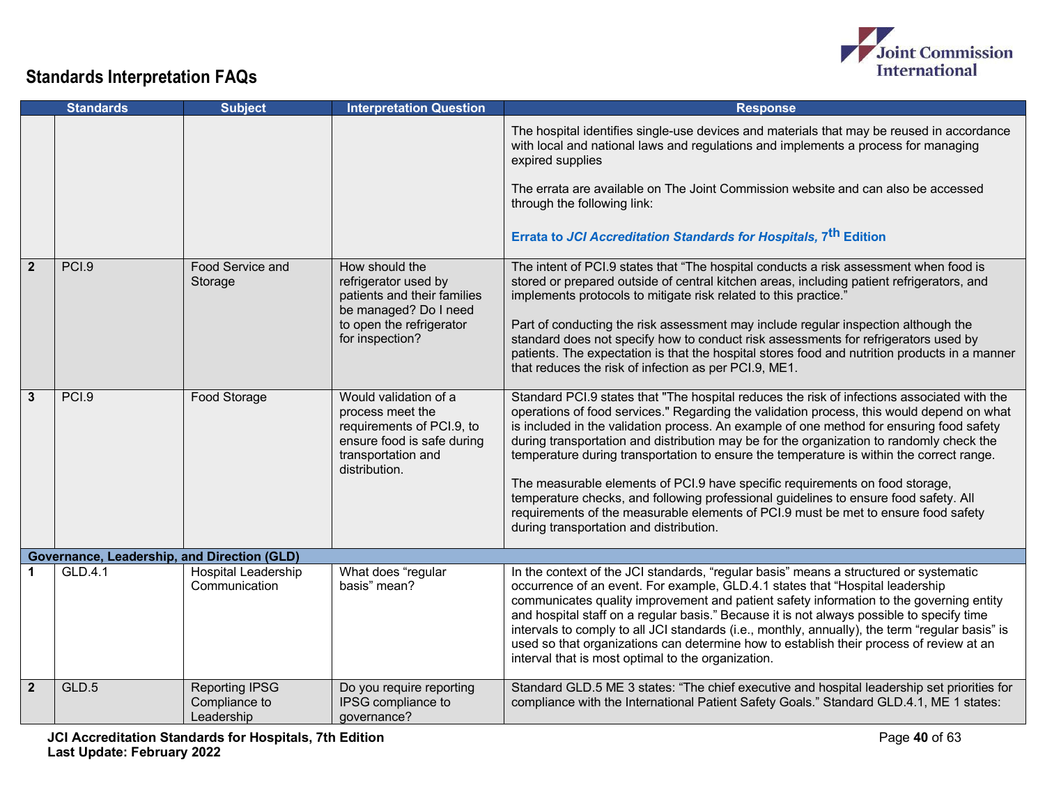

|                | <b>Standards</b>                            | <b>Subject</b>                                       | <b>Interpretation Question</b>                                                                                                                | <b>Response</b>                                                                                                                                                                                                                                                                                                                                                                                                                                                                                                                                                                                                                                                                                                                                                                       |
|----------------|---------------------------------------------|------------------------------------------------------|-----------------------------------------------------------------------------------------------------------------------------------------------|---------------------------------------------------------------------------------------------------------------------------------------------------------------------------------------------------------------------------------------------------------------------------------------------------------------------------------------------------------------------------------------------------------------------------------------------------------------------------------------------------------------------------------------------------------------------------------------------------------------------------------------------------------------------------------------------------------------------------------------------------------------------------------------|
|                |                                             |                                                      |                                                                                                                                               | The hospital identifies single-use devices and materials that may be reused in accordance<br>with local and national laws and regulations and implements a process for managing<br>expired supplies<br>The errata are available on The Joint Commission website and can also be accessed<br>through the following link:<br>Errata to JCI Accreditation Standards for Hospitals, 7 <sup>th</sup> Edition                                                                                                                                                                                                                                                                                                                                                                               |
|                |                                             |                                                      |                                                                                                                                               |                                                                                                                                                                                                                                                                                                                                                                                                                                                                                                                                                                                                                                                                                                                                                                                       |
| $\overline{2}$ | PCI.9                                       | Food Service and<br>Storage                          | How should the<br>refrigerator used by<br>patients and their families<br>be managed? Do I need<br>to open the refrigerator<br>for inspection? | The intent of PCI.9 states that "The hospital conducts a risk assessment when food is<br>stored or prepared outside of central kitchen areas, including patient refrigerators, and<br>implements protocols to mitigate risk related to this practice."<br>Part of conducting the risk assessment may include regular inspection although the<br>standard does not specify how to conduct risk assessments for refrigerators used by<br>patients. The expectation is that the hospital stores food and nutrition products in a manner<br>that reduces the risk of infection as per PCI.9, ME1.                                                                                                                                                                                         |
| $\mathbf{3}$   | PCI.9                                       | Food Storage                                         | Would validation of a<br>process meet the<br>requirements of PCI.9, to<br>ensure food is safe during<br>transportation and<br>distribution.   | Standard PCI.9 states that "The hospital reduces the risk of infections associated with the<br>operations of food services." Regarding the validation process, this would depend on what<br>is included in the validation process. An example of one method for ensuring food safety<br>during transportation and distribution may be for the organization to randomly check the<br>temperature during transportation to ensure the temperature is within the correct range.<br>The measurable elements of PCI.9 have specific requirements on food storage,<br>temperature checks, and following professional guidelines to ensure food safety. All<br>requirements of the measurable elements of PCI.9 must be met to ensure food safety<br>during transportation and distribution. |
|                | Governance, Leadership, and Direction (GLD) |                                                      |                                                                                                                                               |                                                                                                                                                                                                                                                                                                                                                                                                                                                                                                                                                                                                                                                                                                                                                                                       |
| 1              | GLD.4.1                                     | <b>Hospital Leadership</b><br>Communication          | What does "regular<br>basis" mean?                                                                                                            | In the context of the JCI standards, "regular basis" means a structured or systematic<br>occurrence of an event. For example, GLD.4.1 states that "Hospital leadership<br>communicates quality improvement and patient safety information to the governing entity<br>and hospital staff on a regular basis." Because it is not always possible to specify time<br>intervals to comply to all JCI standards (i.e., monthly, annually), the term "regular basis" is<br>used so that organizations can determine how to establish their process of review at an<br>interval that is most optimal to the organization.                                                                                                                                                                    |
| $\overline{2}$ | GLD.5                                       | <b>Reporting IPSG</b><br>Compliance to<br>Leadership | Do you require reporting<br>IPSG compliance to<br>governance?                                                                                 | Standard GLD.5 ME 3 states: "The chief executive and hospital leadership set priorities for<br>compliance with the International Patient Safety Goals." Standard GLD.4.1, ME 1 states:                                                                                                                                                                                                                                                                                                                                                                                                                                                                                                                                                                                                |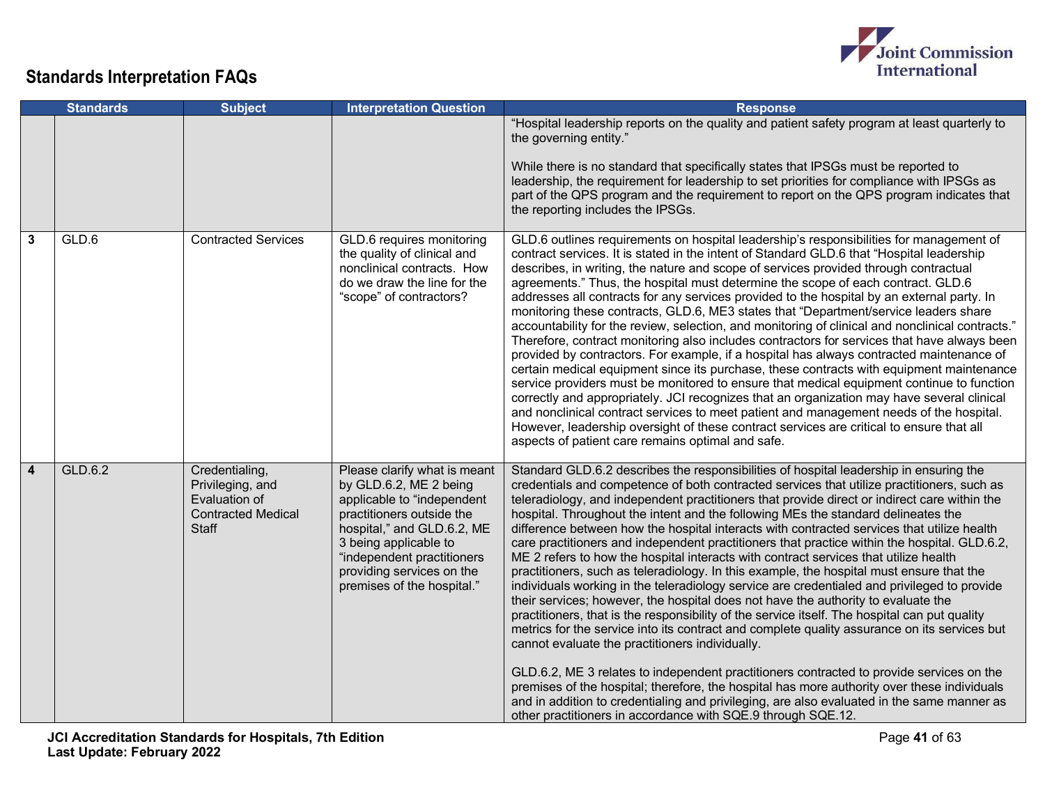

|                         | <b>Standards</b> | <b>Subject</b>                                                                            | <b>Interpretation Question</b>                                                                                                                                                                                                                                    | <b>Response</b>                                                                                                                                                                                                                                                                                                                                                                                                                                                                                                                                                                                                                                                                                                                                                                                                                                                                                                                                                                                                                                                                                                                                                                                                                                                                                                                                                                                                                                                                                                                                              |
|-------------------------|------------------|-------------------------------------------------------------------------------------------|-------------------------------------------------------------------------------------------------------------------------------------------------------------------------------------------------------------------------------------------------------------------|--------------------------------------------------------------------------------------------------------------------------------------------------------------------------------------------------------------------------------------------------------------------------------------------------------------------------------------------------------------------------------------------------------------------------------------------------------------------------------------------------------------------------------------------------------------------------------------------------------------------------------------------------------------------------------------------------------------------------------------------------------------------------------------------------------------------------------------------------------------------------------------------------------------------------------------------------------------------------------------------------------------------------------------------------------------------------------------------------------------------------------------------------------------------------------------------------------------------------------------------------------------------------------------------------------------------------------------------------------------------------------------------------------------------------------------------------------------------------------------------------------------------------------------------------------------|
|                         |                  |                                                                                           |                                                                                                                                                                                                                                                                   | "Hospital leadership reports on the quality and patient safety program at least quarterly to<br>the governing entity."<br>While there is no standard that specifically states that IPSGs must be reported to<br>leadership, the requirement for leadership to set priorities for compliance with IPSGs as<br>part of the QPS program and the requirement to report on the QPS program indicates that<br>the reporting includes the IPSGs.                                                                                                                                                                                                                                                                                                                                                                                                                                                                                                                                                                                                                                                                                                                                                                                                                                                                                                                                                                                                                                                                                                                    |
| $\mathbf{3}$            | GLD.6            | <b>Contracted Services</b>                                                                | GLD.6 requires monitoring<br>the quality of clinical and<br>nonclinical contracts. How<br>do we draw the line for the<br>"scope" of contractors?                                                                                                                  | GLD.6 outlines requirements on hospital leadership's responsibilities for management of<br>contract services. It is stated in the intent of Standard GLD.6 that "Hospital leadership<br>describes, in writing, the nature and scope of services provided through contractual<br>agreements." Thus, the hospital must determine the scope of each contract. GLD.6<br>addresses all contracts for any services provided to the hospital by an external party. In<br>monitoring these contracts, GLD.6, ME3 states that "Department/service leaders share<br>accountability for the review, selection, and monitoring of clinical and nonclinical contracts."<br>Therefore, contract monitoring also includes contractors for services that have always been<br>provided by contractors. For example, if a hospital has always contracted maintenance of<br>certain medical equipment since its purchase, these contracts with equipment maintenance<br>service providers must be monitored to ensure that medical equipment continue to function<br>correctly and appropriately. JCI recognizes that an organization may have several clinical<br>and nonclinical contract services to meet patient and management needs of the hospital.<br>However, leadership oversight of these contract services are critical to ensure that all<br>aspects of patient care remains optimal and safe.                                                                                                                                                                     |
| $\overline{\mathbf{4}}$ | GLD.6.2          | Credentialing,<br>Privileging, and<br>Evaluation of<br><b>Contracted Medical</b><br>Staff | Please clarify what is meant<br>by GLD.6.2, ME 2 being<br>applicable to "independent<br>practitioners outside the<br>hospital," and GLD.6.2, ME<br>3 being applicable to<br>"independent practitioners<br>providing services on the<br>premises of the hospital." | Standard GLD.6.2 describes the responsibilities of hospital leadership in ensuring the<br>credentials and competence of both contracted services that utilize practitioners, such as<br>teleradiology, and independent practitioners that provide direct or indirect care within the<br>hospital. Throughout the intent and the following MEs the standard delineates the<br>difference between how the hospital interacts with contracted services that utilize health<br>care practitioners and independent practitioners that practice within the hospital. GLD.6.2,<br>ME 2 refers to how the hospital interacts with contract services that utilize health<br>practitioners, such as teleradiology. In this example, the hospital must ensure that the<br>individuals working in the teleradiology service are credentialed and privileged to provide<br>their services; however, the hospital does not have the authority to evaluate the<br>practitioners, that is the responsibility of the service itself. The hospital can put quality<br>metrics for the service into its contract and complete quality assurance on its services but<br>cannot evaluate the practitioners individually.<br>GLD.6.2, ME 3 relates to independent practitioners contracted to provide services on the<br>premises of the hospital; therefore, the hospital has more authority over these individuals<br>and in addition to credentialing and privileging, are also evaluated in the same manner as<br>other practitioners in accordance with SQE.9 through SQE.12. |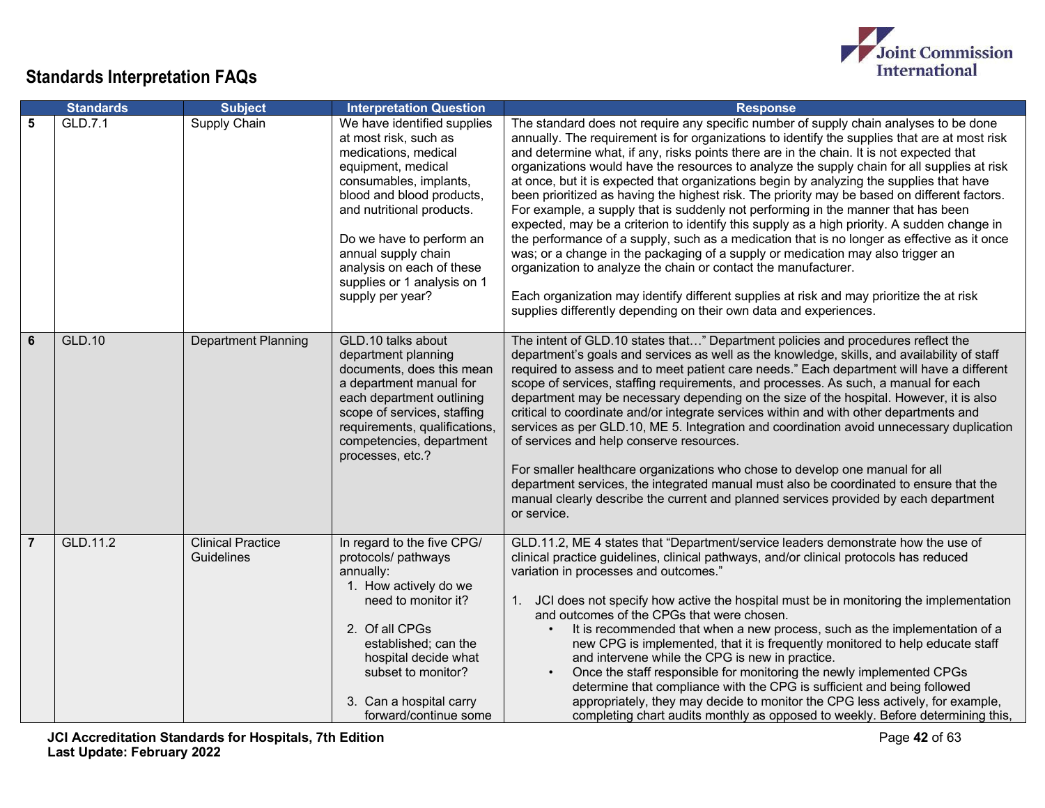

|   | <b>Standards</b> | <b>Subject</b>                                | <b>Interpretation Question</b>                                                                                                                                                                                                                                                                                            | <b>Response</b>                                                                                                                                                                                                                                                                                                                                                                                                                                                                                                                                                                                                                                                                                                                                                                                                                                                                                                                                                                                                                                                                                                                                                                        |
|---|------------------|-----------------------------------------------|---------------------------------------------------------------------------------------------------------------------------------------------------------------------------------------------------------------------------------------------------------------------------------------------------------------------------|----------------------------------------------------------------------------------------------------------------------------------------------------------------------------------------------------------------------------------------------------------------------------------------------------------------------------------------------------------------------------------------------------------------------------------------------------------------------------------------------------------------------------------------------------------------------------------------------------------------------------------------------------------------------------------------------------------------------------------------------------------------------------------------------------------------------------------------------------------------------------------------------------------------------------------------------------------------------------------------------------------------------------------------------------------------------------------------------------------------------------------------------------------------------------------------|
| 5 | GLD.7.1          | Supply Chain                                  | We have identified supplies<br>at most risk, such as<br>medications, medical<br>equipment, medical<br>consumables, implants,<br>blood and blood products,<br>and nutritional products.<br>Do we have to perform an<br>annual supply chain<br>analysis on each of these<br>supplies or 1 analysis on 1<br>supply per year? | The standard does not require any specific number of supply chain analyses to be done<br>annually. The requirement is for organizations to identify the supplies that are at most risk<br>and determine what, if any, risks points there are in the chain. It is not expected that<br>organizations would have the resources to analyze the supply chain for all supplies at risk<br>at once, but it is expected that organizations begin by analyzing the supplies that have<br>been prioritized as having the highest risk. The priority may be based on different factors.<br>For example, a supply that is suddenly not performing in the manner that has been<br>expected, may be a criterion to identify this supply as a high priority. A sudden change in<br>the performance of a supply, such as a medication that is no longer as effective as it once<br>was; or a change in the packaging of a supply or medication may also trigger an<br>organization to analyze the chain or contact the manufacturer.<br>Each organization may identify different supplies at risk and may prioritize the at risk<br>supplies differently depending on their own data and experiences. |
| 6 | <b>GLD.10</b>    | <b>Department Planning</b>                    | GLD.10 talks about<br>department planning<br>documents, does this mean<br>a department manual for<br>each department outlining<br>scope of services, staffing<br>requirements, qualifications,<br>competencies, department<br>processes, etc.?                                                                            | The intent of GLD.10 states that" Department policies and procedures reflect the<br>department's goals and services as well as the knowledge, skills, and availability of staff<br>required to assess and to meet patient care needs." Each department will have a different<br>scope of services, staffing requirements, and processes. As such, a manual for each<br>department may be necessary depending on the size of the hospital. However, it is also<br>critical to coordinate and/or integrate services within and with other departments and<br>services as per GLD.10, ME 5. Integration and coordination avoid unnecessary duplication<br>of services and help conserve resources.<br>For smaller healthcare organizations who chose to develop one manual for all<br>department services, the integrated manual must also be coordinated to ensure that the<br>manual clearly describe the current and planned services provided by each department<br>or service.                                                                                                                                                                                                       |
| 7 | GLD.11.2         | <b>Clinical Practice</b><br><b>Guidelines</b> | In regard to the five CPG/<br>protocols/ pathways<br>annually:<br>1. How actively do we<br>need to monitor it?<br>2. Of all CPGs<br>established; can the<br>hospital decide what<br>subset to monitor?<br>3. Can a hospital carry<br>forward/continue some                                                                | GLD.11.2, ME 4 states that "Department/service leaders demonstrate how the use of<br>clinical practice guidelines, clinical pathways, and/or clinical protocols has reduced<br>variation in processes and outcomes."<br>1. JCI does not specify how active the hospital must be in monitoring the implementation<br>and outcomes of the CPGs that were chosen.<br>It is recommended that when a new process, such as the implementation of a<br>new CPG is implemented, that it is frequently monitored to help educate staff<br>and intervene while the CPG is new in practice.<br>Once the staff responsible for monitoring the newly implemented CPGs<br>determine that compliance with the CPG is sufficient and being followed<br>appropriately, they may decide to monitor the CPG less actively, for example,<br>completing chart audits monthly as opposed to weekly. Before determining this,                                                                                                                                                                                                                                                                                 |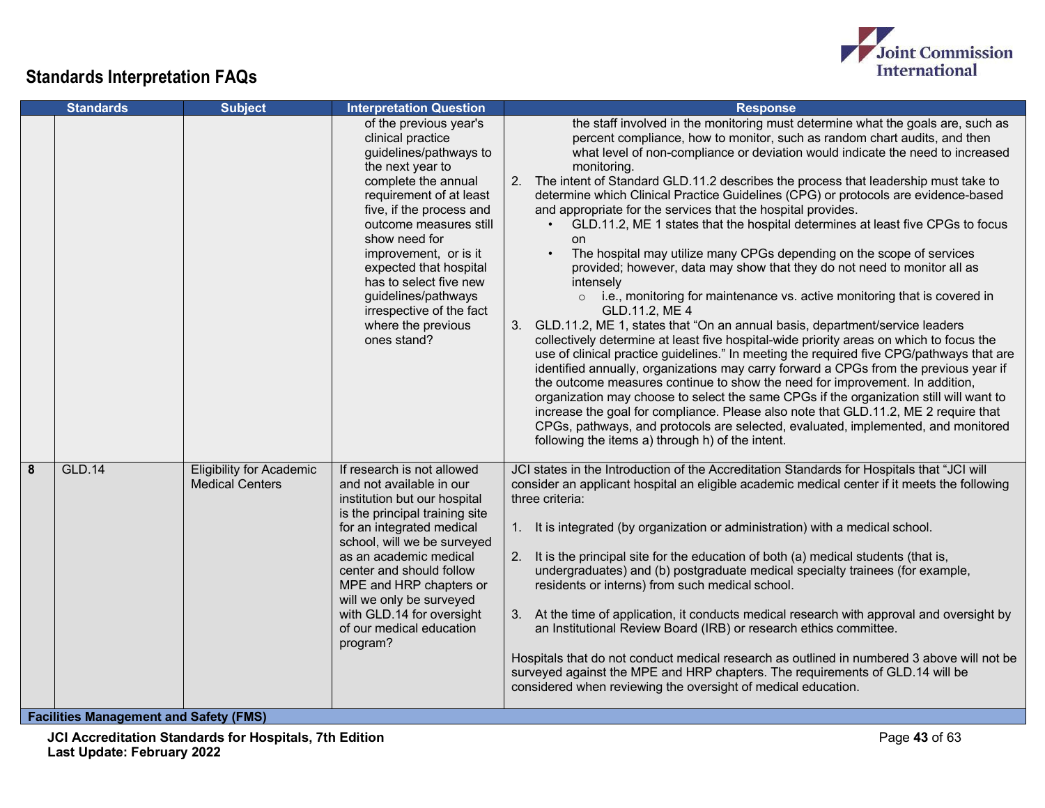



|   | <b>Standards</b>                     | <b>Subject</b>                                                                             | <b>Interpretation Question</b>                                                                                                                                                                                                                                                                                                                                                          | <b>Response</b>                                                                                                                                                                                                                                                                                                                                                                                                                                                                                                                                                                                                                                                                                                                                                                                                                                                                                                                                                                                                                                                                                                                                                                                                                                                                                                                                                                                                                                                                                                                                                                                                                                                     |
|---|--------------------------------------|--------------------------------------------------------------------------------------------|-----------------------------------------------------------------------------------------------------------------------------------------------------------------------------------------------------------------------------------------------------------------------------------------------------------------------------------------------------------------------------------------|---------------------------------------------------------------------------------------------------------------------------------------------------------------------------------------------------------------------------------------------------------------------------------------------------------------------------------------------------------------------------------------------------------------------------------------------------------------------------------------------------------------------------------------------------------------------------------------------------------------------------------------------------------------------------------------------------------------------------------------------------------------------------------------------------------------------------------------------------------------------------------------------------------------------------------------------------------------------------------------------------------------------------------------------------------------------------------------------------------------------------------------------------------------------------------------------------------------------------------------------------------------------------------------------------------------------------------------------------------------------------------------------------------------------------------------------------------------------------------------------------------------------------------------------------------------------------------------------------------------------------------------------------------------------|
|   |                                      |                                                                                            | of the previous year's<br>clinical practice<br>guidelines/pathways to<br>the next year to<br>complete the annual<br>requirement of at least<br>five, if the process and<br>outcome measures still<br>show need for<br>improvement, or is it<br>expected that hospital<br>has to select five new<br>guidelines/pathways<br>irrespective of the fact<br>where the previous<br>ones stand? | the staff involved in the monitoring must determine what the goals are, such as<br>percent compliance, how to monitor, such as random chart audits, and then<br>what level of non-compliance or deviation would indicate the need to increased<br>monitoring.<br>2. The intent of Standard GLD.11.2 describes the process that leadership must take to<br>determine which Clinical Practice Guidelines (CPG) or protocols are evidence-based<br>and appropriate for the services that the hospital provides.<br>GLD.11.2, ME 1 states that the hospital determines at least five CPGs to focus<br>on<br>The hospital may utilize many CPGs depending on the scope of services<br>$\bullet$<br>provided; however, data may show that they do not need to monitor all as<br>intenselv<br>o i.e., monitoring for maintenance vs. active monitoring that is covered in<br>GLD.11.2, ME 4<br>GLD.11.2, ME 1, states that "On an annual basis, department/service leaders<br>3.<br>collectively determine at least five hospital-wide priority areas on which to focus the<br>use of clinical practice guidelines." In meeting the required five CPG/pathways that are<br>identified annually, organizations may carry forward a CPGs from the previous year if<br>the outcome measures continue to show the need for improvement. In addition,<br>organization may choose to select the same CPGs if the organization still will want to<br>increase the goal for compliance. Please also note that GLD.11.2, ME 2 require that<br>CPGs, pathways, and protocols are selected, evaluated, implemented, and monitored<br>following the items a) through h) of the intent. |
| 8 | <b>GLD.14</b><br><b>PARTICLE MAR</b> | <b>Eligibility for Academic</b><br><b>Medical Centers</b><br>$J$ $O$ - <i>f-4.</i> $H$ $H$ | If research is not allowed<br>and not available in our<br>institution but our hospital<br>is the principal training site<br>for an integrated medical<br>school, will we be surveyed<br>as an academic medical<br>center and should follow<br>MPE and HRP chapters or<br>will we only be surveyed<br>with GLD.14 for oversight<br>of our medical education<br>program?                  | JCI states in the Introduction of the Accreditation Standards for Hospitals that "JCI will<br>consider an applicant hospital an eligible academic medical center if it meets the following<br>three criteria:<br>It is integrated (by organization or administration) with a medical school.<br>1.<br>2.<br>It is the principal site for the education of both (a) medical students (that is,<br>undergraduates) and (b) postgraduate medical specialty trainees (for example,<br>residents or interns) from such medical school.<br>3. At the time of application, it conducts medical research with approval and oversight by<br>an Institutional Review Board (IRB) or research ethics committee.<br>Hospitals that do not conduct medical research as outlined in numbered 3 above will not be<br>surveyed against the MPE and HRP chapters. The requirements of GLD.14 will be<br>considered when reviewing the oversight of medical education.                                                                                                                                                                                                                                                                                                                                                                                                                                                                                                                                                                                                                                                                                                                |

**Facilities Management and Safety (FMS)**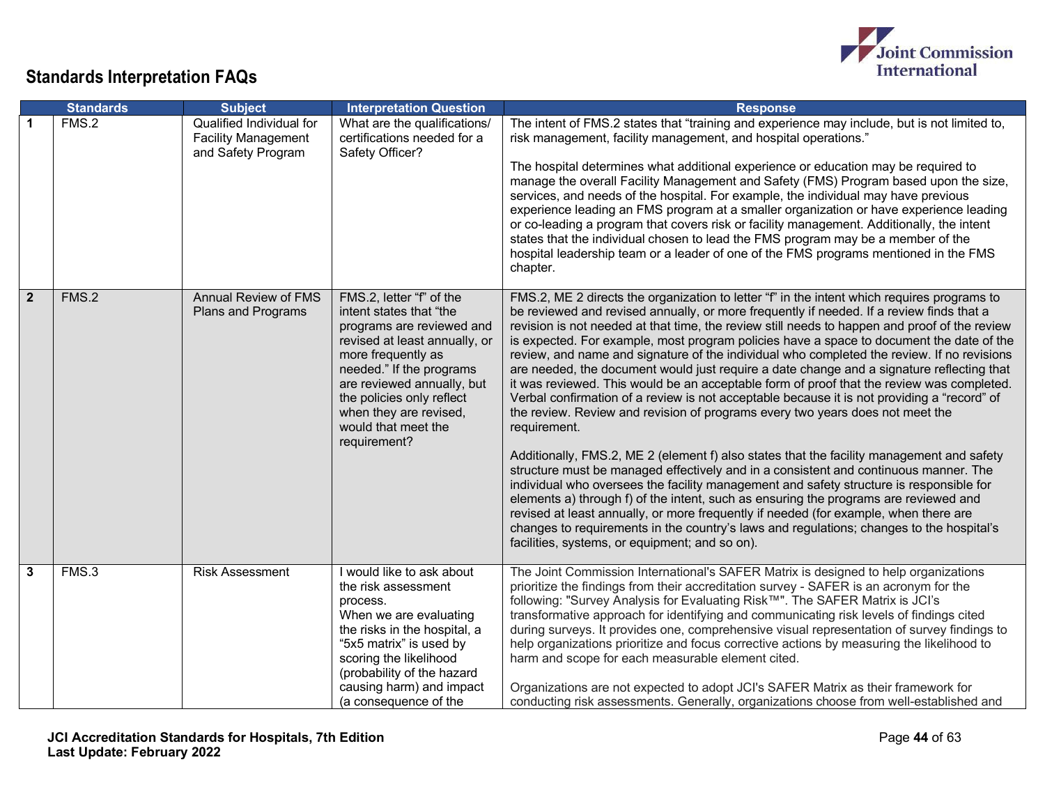

|                      | <b>Standards</b> | <b>Subject</b>                                                               | <b>Interpretation Question</b>                                                                                                                                                                                                                                                                  | <b>Response</b>                                                                                                                                                                                                                                                                                                                                                                                                                                                                                                                                                                                                                                                                                                                                                                                                                                                                                                                                                                                                                                                                                                                                                                                                                                                                                                                                                                                                                                                                            |
|----------------------|------------------|------------------------------------------------------------------------------|-------------------------------------------------------------------------------------------------------------------------------------------------------------------------------------------------------------------------------------------------------------------------------------------------|--------------------------------------------------------------------------------------------------------------------------------------------------------------------------------------------------------------------------------------------------------------------------------------------------------------------------------------------------------------------------------------------------------------------------------------------------------------------------------------------------------------------------------------------------------------------------------------------------------------------------------------------------------------------------------------------------------------------------------------------------------------------------------------------------------------------------------------------------------------------------------------------------------------------------------------------------------------------------------------------------------------------------------------------------------------------------------------------------------------------------------------------------------------------------------------------------------------------------------------------------------------------------------------------------------------------------------------------------------------------------------------------------------------------------------------------------------------------------------------------|
| $\blacktriangleleft$ | FMS.2            | Qualified Individual for<br><b>Facility Management</b><br>and Safety Program | What are the qualifications/<br>certifications needed for a<br>Safety Officer?                                                                                                                                                                                                                  | The intent of FMS.2 states that "training and experience may include, but is not limited to,<br>risk management, facility management, and hospital operations."<br>The hospital determines what additional experience or education may be required to<br>manage the overall Facility Management and Safety (FMS) Program based upon the size,<br>services, and needs of the hospital. For example, the individual may have previous<br>experience leading an FMS program at a smaller organization or have experience leading<br>or co-leading a program that covers risk or facility management. Additionally, the intent<br>states that the individual chosen to lead the FMS program may be a member of the<br>hospital leadership team or a leader of one of the FMS programs mentioned in the FMS<br>chapter.                                                                                                                                                                                                                                                                                                                                                                                                                                                                                                                                                                                                                                                                         |
| $\overline{2}$       | FMS.2            | <b>Annual Review of FMS</b><br>Plans and Programs                            | FMS.2, letter "f" of the<br>intent states that "the<br>programs are reviewed and<br>revised at least annually, or<br>more frequently as<br>needed." If the programs<br>are reviewed annually, but<br>the policies only reflect<br>when they are revised,<br>would that meet the<br>requirement? | FMS.2, ME 2 directs the organization to letter "f" in the intent which requires programs to<br>be reviewed and revised annually, or more frequently if needed. If a review finds that a<br>revision is not needed at that time, the review still needs to happen and proof of the review<br>is expected. For example, most program policies have a space to document the date of the<br>review, and name and signature of the individual who completed the review. If no revisions<br>are needed, the document would just require a date change and a signature reflecting that<br>it was reviewed. This would be an acceptable form of proof that the review was completed.<br>Verbal confirmation of a review is not acceptable because it is not providing a "record" of<br>the review. Review and revision of programs every two years does not meet the<br>requirement.<br>Additionally, FMS.2, ME 2 (element f) also states that the facility management and safety<br>structure must be managed effectively and in a consistent and continuous manner. The<br>individual who oversees the facility management and safety structure is responsible for<br>elements a) through f) of the intent, such as ensuring the programs are reviewed and<br>revised at least annually, or more frequently if needed (for example, when there are<br>changes to requirements in the country's laws and regulations; changes to the hospital's<br>facilities, systems, or equipment; and so on). |
| $\mathbf{3}$         | FMS.3            | <b>Risk Assessment</b>                                                       | I would like to ask about<br>the risk assessment<br>process.<br>When we are evaluating<br>the risks in the hospital, a<br>"5x5 matrix" is used by<br>scoring the likelihood<br>(probability of the hazard<br>causing harm) and impact<br>(a consequence of the                                  | The Joint Commission International's SAFER Matrix is designed to help organizations<br>prioritize the findings from their accreditation survey - SAFER is an acronym for the<br>following: "Survey Analysis for Evaluating Risk™". The SAFER Matrix is JCI's<br>transformative approach for identifying and communicating risk levels of findings cited<br>during surveys. It provides one, comprehensive visual representation of survey findings to<br>help organizations prioritize and focus corrective actions by measuring the likelihood to<br>harm and scope for each measurable element cited.<br>Organizations are not expected to adopt JCI's SAFER Matrix as their framework for<br>conducting risk assessments. Generally, organizations choose from well-established and                                                                                                                                                                                                                                                                                                                                                                                                                                                                                                                                                                                                                                                                                                     |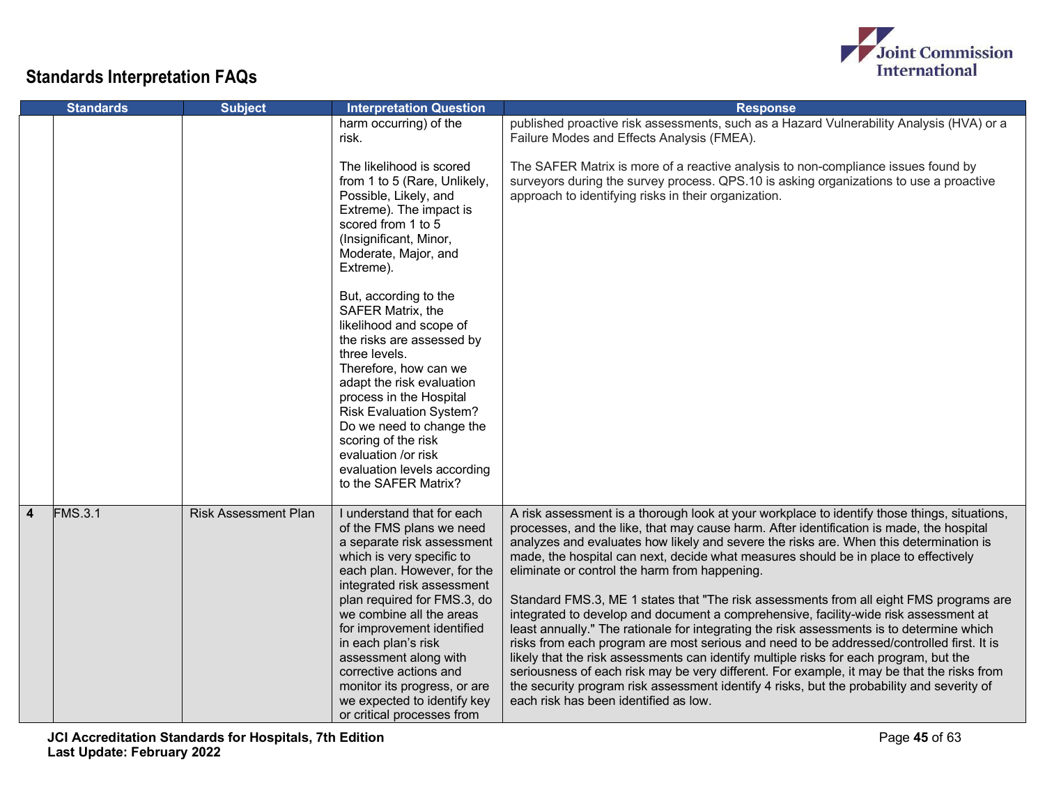

|                | <b>Standards</b> | <b>Subject</b>              | <b>Interpretation Question</b>                                                                                                                                                                                                                                                                                                                                                                                                                                                                                                                                               | <b>Response</b>                                                                                                                                                                                                                                                                                                                                                                                                                                                                                                                                                                                                                                                                                                                                                                                                                                                                                                                                                                                                                                                                                                                       |
|----------------|------------------|-----------------------------|------------------------------------------------------------------------------------------------------------------------------------------------------------------------------------------------------------------------------------------------------------------------------------------------------------------------------------------------------------------------------------------------------------------------------------------------------------------------------------------------------------------------------------------------------------------------------|---------------------------------------------------------------------------------------------------------------------------------------------------------------------------------------------------------------------------------------------------------------------------------------------------------------------------------------------------------------------------------------------------------------------------------------------------------------------------------------------------------------------------------------------------------------------------------------------------------------------------------------------------------------------------------------------------------------------------------------------------------------------------------------------------------------------------------------------------------------------------------------------------------------------------------------------------------------------------------------------------------------------------------------------------------------------------------------------------------------------------------------|
|                |                  |                             | harm occurring) of the<br>risk.                                                                                                                                                                                                                                                                                                                                                                                                                                                                                                                                              | published proactive risk assessments, such as a Hazard Vulnerability Analysis (HVA) or a<br>Failure Modes and Effects Analysis (FMEA).                                                                                                                                                                                                                                                                                                                                                                                                                                                                                                                                                                                                                                                                                                                                                                                                                                                                                                                                                                                                |
|                |                  |                             | The likelihood is scored<br>from 1 to 5 (Rare, Unlikely,<br>Possible, Likely, and<br>Extreme). The impact is<br>scored from 1 to 5<br>(Insignificant, Minor,<br>Moderate, Major, and<br>Extreme).<br>But, according to the<br>SAFER Matrix, the<br>likelihood and scope of<br>the risks are assessed by<br>three levels.<br>Therefore, how can we<br>adapt the risk evaluation<br>process in the Hospital<br><b>Risk Evaluation System?</b><br>Do we need to change the<br>scoring of the risk<br>evaluation /or risk<br>evaluation levels according<br>to the SAFER Matrix? | The SAFER Matrix is more of a reactive analysis to non-compliance issues found by<br>surveyors during the survey process. QPS.10 is asking organizations to use a proactive<br>approach to identifying risks in their organization.                                                                                                                                                                                                                                                                                                                                                                                                                                                                                                                                                                                                                                                                                                                                                                                                                                                                                                   |
| $\overline{4}$ | <b>FMS.3.1</b>   | <b>Risk Assessment Plan</b> | I understand that for each<br>of the FMS plans we need<br>a separate risk assessment<br>which is very specific to<br>each plan. However, for the<br>integrated risk assessment<br>plan required for FMS.3, do<br>we combine all the areas<br>for improvement identified<br>in each plan's risk<br>assessment along with<br>corrective actions and<br>monitor its progress, or are<br>we expected to identify key<br>or critical processes from                                                                                                                               | A risk assessment is a thorough look at your workplace to identify those things, situations,<br>processes, and the like, that may cause harm. After identification is made, the hospital<br>analyzes and evaluates how likely and severe the risks are. When this determination is<br>made, the hospital can next, decide what measures should be in place to effectively<br>eliminate or control the harm from happening.<br>Standard FMS.3, ME 1 states that "The risk assessments from all eight FMS programs are<br>integrated to develop and document a comprehensive, facility-wide risk assessment at<br>least annually." The rationale for integrating the risk assessments is to determine which<br>risks from each program are most serious and need to be addressed/controlled first. It is<br>likely that the risk assessments can identify multiple risks for each program, but the<br>seriousness of each risk may be very different. For example, it may be that the risks from<br>the security program risk assessment identify 4 risks, but the probability and severity of<br>each risk has been identified as low. |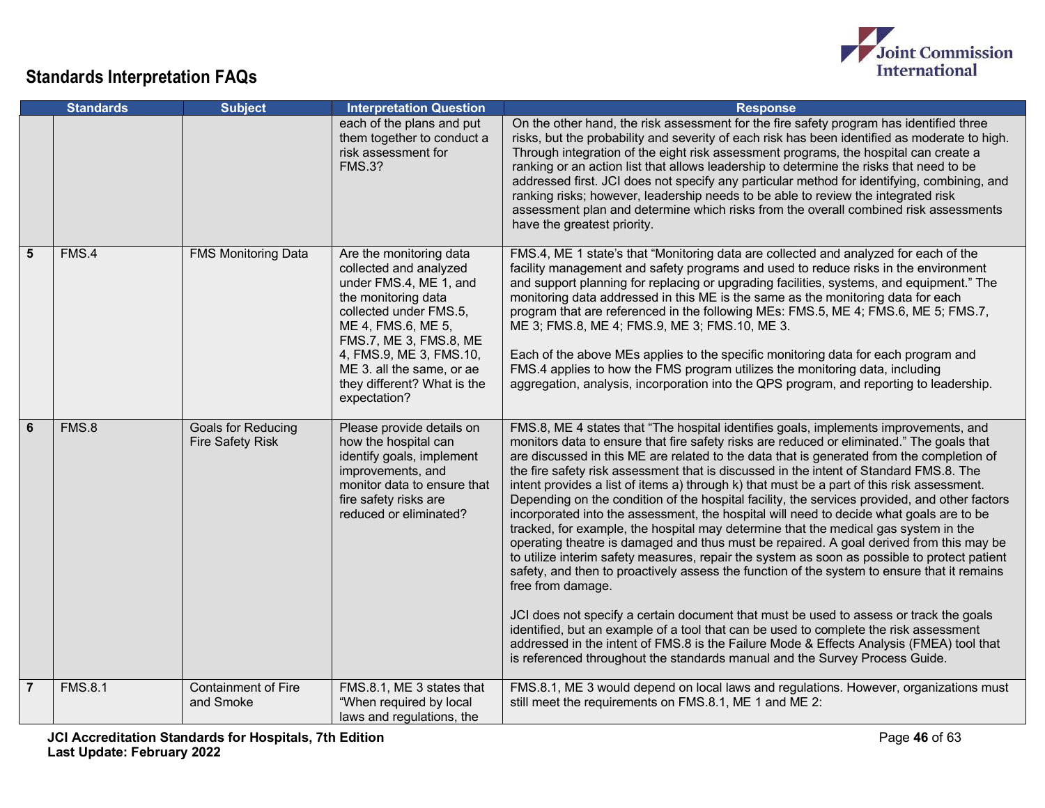

|                | <b>Standards</b> | <b>Subject</b>                                       | <b>Interpretation Question</b>                                                                                                                                                                                                                                                      | <b>Response</b>                                                                                                                                                                                                                                                                                                                                                                                                                                                                                                                                                                                                                                                                                                                                                                                                                                                                                                                                                                                                                                                                                                                                                                                                                                                                                                                                                                                                                        |
|----------------|------------------|------------------------------------------------------|-------------------------------------------------------------------------------------------------------------------------------------------------------------------------------------------------------------------------------------------------------------------------------------|----------------------------------------------------------------------------------------------------------------------------------------------------------------------------------------------------------------------------------------------------------------------------------------------------------------------------------------------------------------------------------------------------------------------------------------------------------------------------------------------------------------------------------------------------------------------------------------------------------------------------------------------------------------------------------------------------------------------------------------------------------------------------------------------------------------------------------------------------------------------------------------------------------------------------------------------------------------------------------------------------------------------------------------------------------------------------------------------------------------------------------------------------------------------------------------------------------------------------------------------------------------------------------------------------------------------------------------------------------------------------------------------------------------------------------------|
|                |                  |                                                      | each of the plans and put<br>them together to conduct a<br>risk assessment for<br><b>FMS.3?</b>                                                                                                                                                                                     | On the other hand, the risk assessment for the fire safety program has identified three<br>risks, but the probability and severity of each risk has been identified as moderate to high.<br>Through integration of the eight risk assessment programs, the hospital can create a<br>ranking or an action list that allows leadership to determine the risks that need to be<br>addressed first. JCI does not specify any particular method for identifying, combining, and<br>ranking risks; however, leadership needs to be able to review the integrated risk<br>assessment plan and determine which risks from the overall combined risk assessments<br>have the greatest priority.                                                                                                                                                                                                                                                                                                                                                                                                                                                                                                                                                                                                                                                                                                                                                 |
| 5              | FMS.4            | <b>FMS Monitoring Data</b>                           | Are the monitoring data<br>collected and analyzed<br>under FMS.4, ME 1, and<br>the monitoring data<br>collected under FMS.5,<br>ME 4, FMS.6, ME 5,<br>FMS.7, ME 3, FMS.8, ME<br>4, FMS.9, ME 3, FMS.10,<br>ME 3. all the same, or ae<br>they different? What is the<br>expectation? | FMS.4, ME 1 state's that "Monitoring data are collected and analyzed for each of the<br>facility management and safety programs and used to reduce risks in the environment<br>and support planning for replacing or upgrading facilities, systems, and equipment." The<br>monitoring data addressed in this ME is the same as the monitoring data for each<br>program that are referenced in the following MEs: FMS.5, ME 4; FMS.6, ME 5; FMS.7,<br>ME 3; FMS.8, ME 4; FMS.9, ME 3; FMS.10, ME 3.<br>Each of the above MEs applies to the specific monitoring data for each program and<br>FMS.4 applies to how the FMS program utilizes the monitoring data, including<br>aggregation, analysis, incorporation into the QPS program, and reporting to leadership.                                                                                                                                                                                                                                                                                                                                                                                                                                                                                                                                                                                                                                                                    |
| 6              | FMS.8            | <b>Goals for Reducing</b><br><b>Fire Safety Risk</b> | Please provide details on<br>how the hospital can<br>identify goals, implement<br>improvements, and<br>monitor data to ensure that<br>fire safety risks are<br>reduced or eliminated?                                                                                               | FMS.8, ME 4 states that "The hospital identifies goals, implements improvements, and<br>monitors data to ensure that fire safety risks are reduced or eliminated." The goals that<br>are discussed in this ME are related to the data that is generated from the completion of<br>the fire safety risk assessment that is discussed in the intent of Standard FMS.8. The<br>intent provides a list of items a) through k) that must be a part of this risk assessment.<br>Depending on the condition of the hospital facility, the services provided, and other factors<br>incorporated into the assessment, the hospital will need to decide what goals are to be<br>tracked, for example, the hospital may determine that the medical gas system in the<br>operating theatre is damaged and thus must be repaired. A goal derived from this may be<br>to utilize interim safety measures, repair the system as soon as possible to protect patient<br>safety, and then to proactively assess the function of the system to ensure that it remains<br>free from damage.<br>JCI does not specify a certain document that must be used to assess or track the goals<br>identified, but an example of a tool that can be used to complete the risk assessment<br>addressed in the intent of FMS.8 is the Failure Mode & Effects Analysis (FMEA) tool that<br>is referenced throughout the standards manual and the Survey Process Guide. |
| $\overline{7}$ | <b>FMS.8.1</b>   | <b>Containment of Fire</b><br>and Smoke              | FMS.8.1, ME 3 states that<br>"When required by local<br>laws and regulations, the                                                                                                                                                                                                   | FMS.8.1, ME 3 would depend on local laws and regulations. However, organizations must<br>still meet the requirements on FMS.8.1, ME 1 and ME 2:                                                                                                                                                                                                                                                                                                                                                                                                                                                                                                                                                                                                                                                                                                                                                                                                                                                                                                                                                                                                                                                                                                                                                                                                                                                                                        |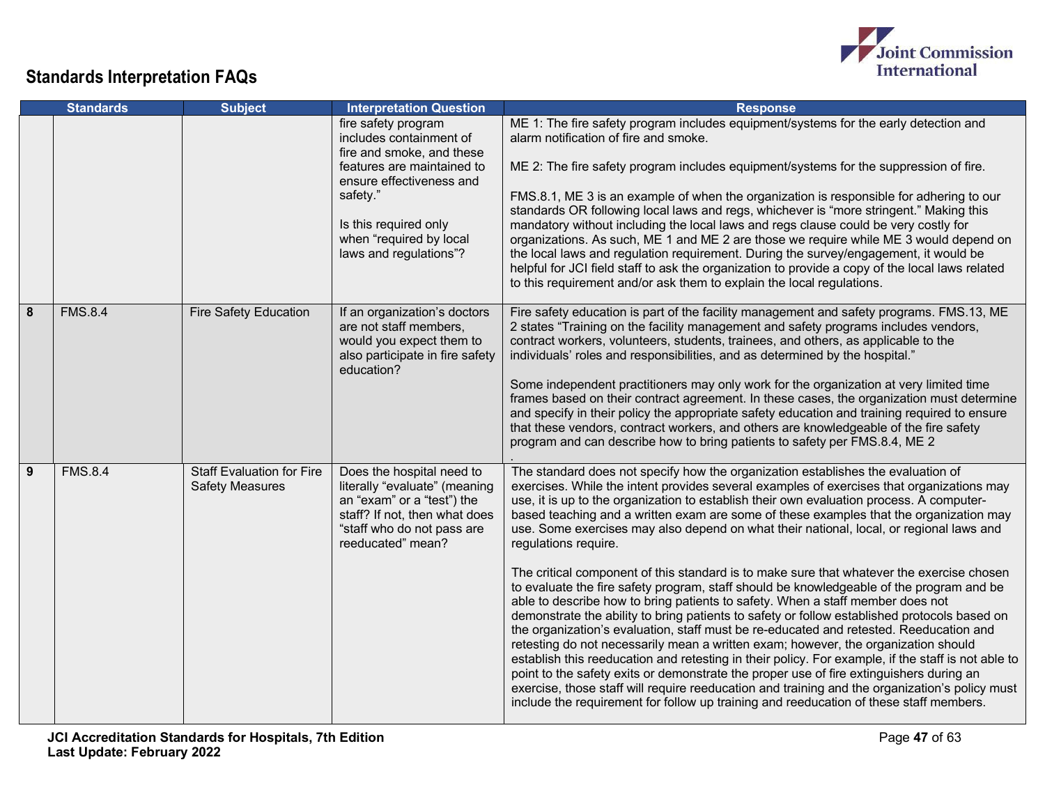

|   | <b>Standards</b> | <b>Subject</b>                                             | <b>Interpretation Question</b>                                                                                                                                                                                                  | <b>Response</b>                                                                                                                                                                                                                                                                                                                                                                                                                                                                                                                                                                                                                                                                                                                                                                                                                                                                                                                                                                                                                                                                                                                                                                                                                                                                                                                                                                                                                                |
|---|------------------|------------------------------------------------------------|---------------------------------------------------------------------------------------------------------------------------------------------------------------------------------------------------------------------------------|------------------------------------------------------------------------------------------------------------------------------------------------------------------------------------------------------------------------------------------------------------------------------------------------------------------------------------------------------------------------------------------------------------------------------------------------------------------------------------------------------------------------------------------------------------------------------------------------------------------------------------------------------------------------------------------------------------------------------------------------------------------------------------------------------------------------------------------------------------------------------------------------------------------------------------------------------------------------------------------------------------------------------------------------------------------------------------------------------------------------------------------------------------------------------------------------------------------------------------------------------------------------------------------------------------------------------------------------------------------------------------------------------------------------------------------------|
|   |                  |                                                            | fire safety program<br>includes containment of<br>fire and smoke, and these<br>features are maintained to<br>ensure effectiveness and<br>safety."<br>Is this required only<br>when "required by local<br>laws and regulations"? | ME 1: The fire safety program includes equipment/systems for the early detection and<br>alarm notification of fire and smoke.<br>ME 2: The fire safety program includes equipment/systems for the suppression of fire.<br>FMS.8.1, ME 3 is an example of when the organization is responsible for adhering to our<br>standards OR following local laws and regs, whichever is "more stringent." Making this<br>mandatory without including the local laws and regs clause could be very costly for<br>organizations. As such, ME 1 and ME 2 are those we require while ME 3 would depend on<br>the local laws and regulation requirement. During the survey/engagement, it would be<br>helpful for JCI field staff to ask the organization to provide a copy of the local laws related<br>to this requirement and/or ask them to explain the local regulations.                                                                                                                                                                                                                                                                                                                                                                                                                                                                                                                                                                                |
| 8 | <b>FMS.8.4</b>   | <b>Fire Safety Education</b>                               | If an organization's doctors<br>are not staff members,<br>would you expect them to<br>also participate in fire safety<br>education?                                                                                             | Fire safety education is part of the facility management and safety programs. FMS.13, ME<br>2 states "Training on the facility management and safety programs includes vendors,<br>contract workers, volunteers, students, trainees, and others, as applicable to the<br>individuals' roles and responsibilities, and as determined by the hospital."<br>Some independent practitioners may only work for the organization at very limited time<br>frames based on their contract agreement. In these cases, the organization must determine<br>and specify in their policy the appropriate safety education and training required to ensure<br>that these vendors, contract workers, and others are knowledgeable of the fire safety<br>program and can describe how to bring patients to safety per FMS.8.4, ME 2                                                                                                                                                                                                                                                                                                                                                                                                                                                                                                                                                                                                                            |
| 9 | <b>FMS.8.4</b>   | <b>Staff Evaluation for Fire</b><br><b>Safety Measures</b> | Does the hospital need to<br>literally "evaluate" (meaning<br>an "exam" or a "test") the<br>staff? If not, then what does<br>"staff who do not pass are<br>reeducated" mean?                                                    | The standard does not specify how the organization establishes the evaluation of<br>exercises. While the intent provides several examples of exercises that organizations may<br>use, it is up to the organization to establish their own evaluation process. A computer-<br>based teaching and a written exam are some of these examples that the organization may<br>use. Some exercises may also depend on what their national, local, or regional laws and<br>regulations require.<br>The critical component of this standard is to make sure that whatever the exercise chosen<br>to evaluate the fire safety program, staff should be knowledgeable of the program and be<br>able to describe how to bring patients to safety. When a staff member does not<br>demonstrate the ability to bring patients to safety or follow established protocols based on<br>the organization's evaluation, staff must be re-educated and retested. Reeducation and<br>retesting do not necessarily mean a written exam; however, the organization should<br>establish this reeducation and retesting in their policy. For example, if the staff is not able to<br>point to the safety exits or demonstrate the proper use of fire extinguishers during an<br>exercise, those staff will require reeducation and training and the organization's policy must<br>include the requirement for follow up training and reeducation of these staff members. |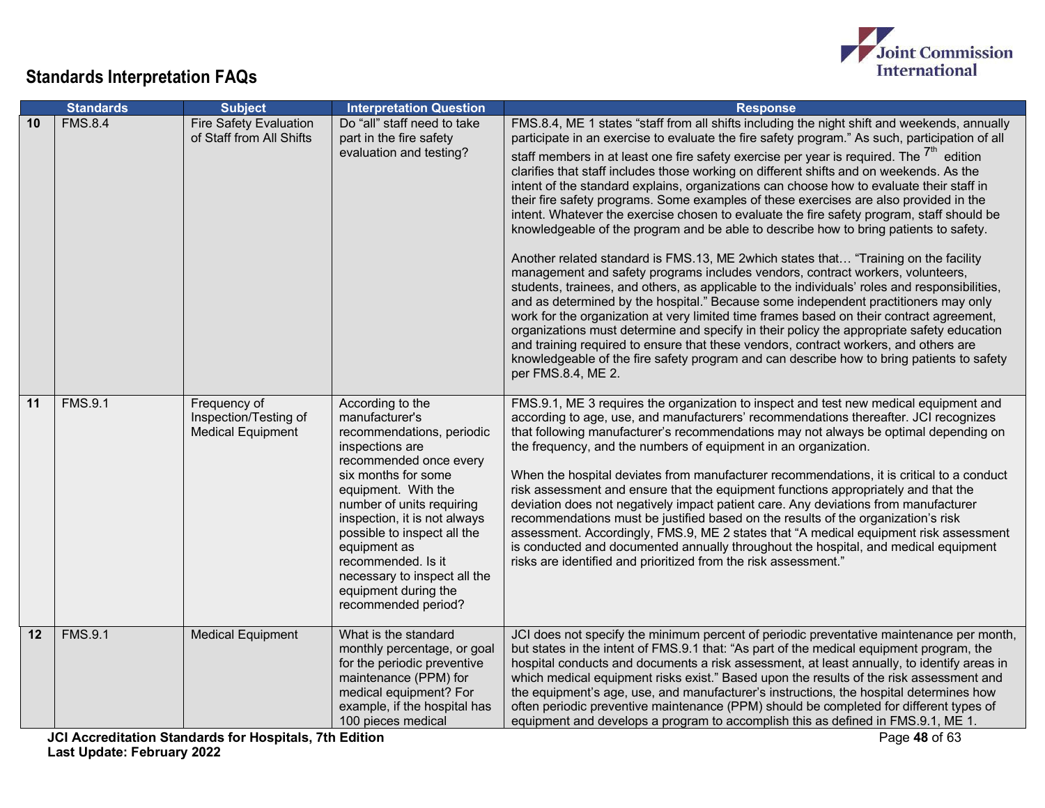

|    | <b>Standards</b> | <b>Subject</b>                                                    | <b>Interpretation Question</b>                                                                                                                                                                                                                                                                                                                                              | <b>Response</b>                                                                                                                                                                                                                                                                                                                                                                                                                                                                                                                                                                                                                                                                                                                                                                                                                                                                                                                                                                                                                                                                                                                                                                                                                                                                                                                                                                                                                                                                                                                        |
|----|------------------|-------------------------------------------------------------------|-----------------------------------------------------------------------------------------------------------------------------------------------------------------------------------------------------------------------------------------------------------------------------------------------------------------------------------------------------------------------------|----------------------------------------------------------------------------------------------------------------------------------------------------------------------------------------------------------------------------------------------------------------------------------------------------------------------------------------------------------------------------------------------------------------------------------------------------------------------------------------------------------------------------------------------------------------------------------------------------------------------------------------------------------------------------------------------------------------------------------------------------------------------------------------------------------------------------------------------------------------------------------------------------------------------------------------------------------------------------------------------------------------------------------------------------------------------------------------------------------------------------------------------------------------------------------------------------------------------------------------------------------------------------------------------------------------------------------------------------------------------------------------------------------------------------------------------------------------------------------------------------------------------------------------|
| 10 | <b>FMS.8.4</b>   | <b>Fire Safety Evaluation</b><br>of Staff from All Shifts         | Do "all" staff need to take<br>part in the fire safety<br>evaluation and testing?                                                                                                                                                                                                                                                                                           | FMS.8.4, ME 1 states "staff from all shifts including the night shift and weekends, annually<br>participate in an exercise to evaluate the fire safety program." As such, participation of all<br>staff members in at least one fire safety exercise per year is required. The $7m$ edition<br>clarifies that staff includes those working on different shifts and on weekends. As the<br>intent of the standard explains, organizations can choose how to evaluate their staff in<br>their fire safety programs. Some examples of these exercises are also provided in the<br>intent. Whatever the exercise chosen to evaluate the fire safety program, staff should be<br>knowledgeable of the program and be able to describe how to bring patients to safety.<br>Another related standard is FMS.13, ME 2which states that "Training on the facility<br>management and safety programs includes vendors, contract workers, volunteers,<br>students, trainees, and others, as applicable to the individuals' roles and responsibilities,<br>and as determined by the hospital." Because some independent practitioners may only<br>work for the organization at very limited time frames based on their contract agreement,<br>organizations must determine and specify in their policy the appropriate safety education<br>and training required to ensure that these vendors, contract workers, and others are<br>knowledgeable of the fire safety program and can describe how to bring patients to safety<br>per FMS.8.4, ME 2. |
| 11 | <b>FMS.9.1</b>   | Frequency of<br>Inspection/Testing of<br><b>Medical Equipment</b> | According to the<br>manufacturer's<br>recommendations, periodic<br>inspections are<br>recommended once every<br>six months for some<br>equipment. With the<br>number of units requiring<br>inspection, it is not always<br>possible to inspect all the<br>equipment as<br>recommended. Is it<br>necessary to inspect all the<br>equipment during the<br>recommended period? | FMS.9.1, ME 3 requires the organization to inspect and test new medical equipment and<br>according to age, use, and manufacturers' recommendations thereafter. JCI recognizes<br>that following manufacturer's recommendations may not always be optimal depending on<br>the frequency, and the numbers of equipment in an organization.<br>When the hospital deviates from manufacturer recommendations, it is critical to a conduct<br>risk assessment and ensure that the equipment functions appropriately and that the<br>deviation does not negatively impact patient care. Any deviations from manufacturer<br>recommendations must be justified based on the results of the organization's risk<br>assessment. Accordingly, FMS.9, ME 2 states that "A medical equipment risk assessment<br>is conducted and documented annually throughout the hospital, and medical equipment<br>risks are identified and prioritized from the risk assessment."                                                                                                                                                                                                                                                                                                                                                                                                                                                                                                                                                                             |
| 12 | <b>FMS.9.1</b>   | <b>Medical Equipment</b>                                          | What is the standard<br>monthly percentage, or goal<br>for the periodic preventive<br>maintenance (PPM) for<br>medical equipment? For<br>example, if the hospital has<br>100 pieces medical                                                                                                                                                                                 | JCI does not specify the minimum percent of periodic preventative maintenance per month,<br>but states in the intent of FMS.9.1 that: "As part of the medical equipment program, the<br>hospital conducts and documents a risk assessment, at least annually, to identify areas in<br>which medical equipment risks exist." Based upon the results of the risk assessment and<br>the equipment's age, use, and manufacturer's instructions, the hospital determines how<br>often periodic preventive maintenance (PPM) should be completed for different types of<br>equipment and develops a program to accomplish this as defined in FMS.9.1, ME 1.                                                                                                                                                                                                                                                                                                                                                                                                                                                                                                                                                                                                                                                                                                                                                                                                                                                                                  |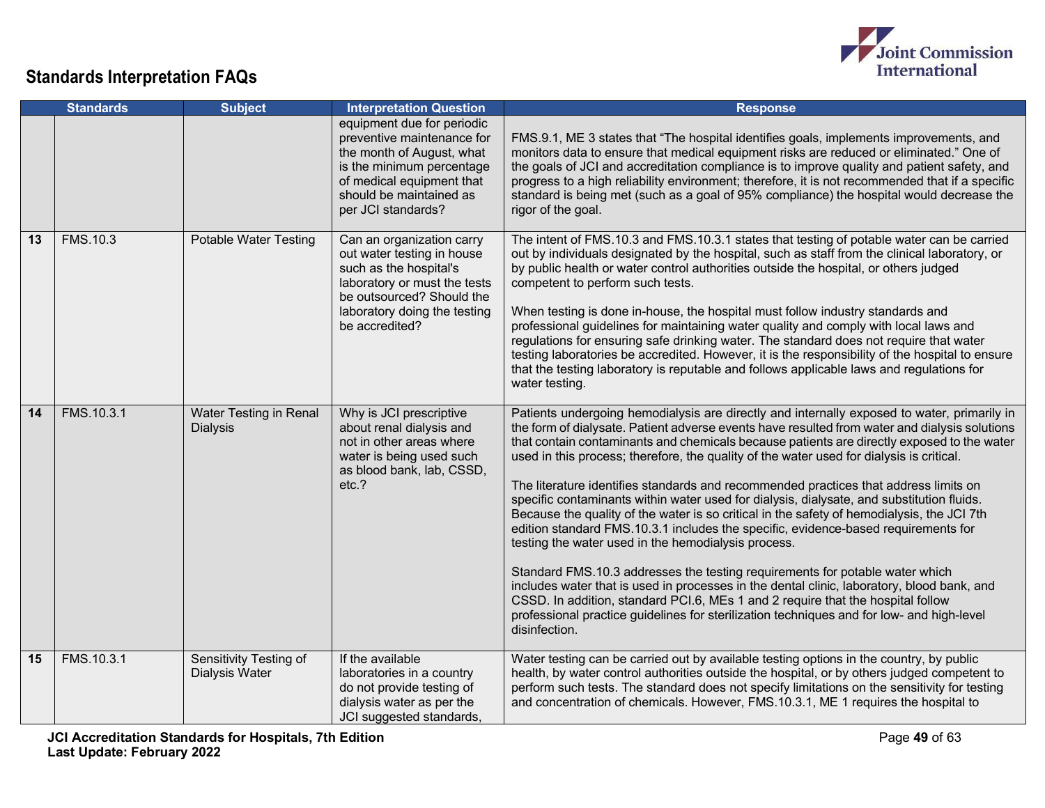

|    | <b>Standards</b> | <b>Subject</b>                            | <b>Interpretation Question</b>                                                                                                                                                                   | <b>Response</b>                                                                                                                                                                                                                                                                                                                                                                                                                                                                                                                                                                                                                                                                                                                                                                                                                                                                                                                                                                                                                                                                                                                                                                                       |
|----|------------------|-------------------------------------------|--------------------------------------------------------------------------------------------------------------------------------------------------------------------------------------------------|-------------------------------------------------------------------------------------------------------------------------------------------------------------------------------------------------------------------------------------------------------------------------------------------------------------------------------------------------------------------------------------------------------------------------------------------------------------------------------------------------------------------------------------------------------------------------------------------------------------------------------------------------------------------------------------------------------------------------------------------------------------------------------------------------------------------------------------------------------------------------------------------------------------------------------------------------------------------------------------------------------------------------------------------------------------------------------------------------------------------------------------------------------------------------------------------------------|
|    |                  |                                           | equipment due for periodic<br>preventive maintenance for<br>the month of August, what<br>is the minimum percentage<br>of medical equipment that<br>should be maintained as<br>per JCI standards? | FMS.9.1, ME 3 states that "The hospital identifies goals, implements improvements, and<br>monitors data to ensure that medical equipment risks are reduced or eliminated." One of<br>the goals of JCI and accreditation compliance is to improve quality and patient safety, and<br>progress to a high reliability environment; therefore, it is not recommended that if a specific<br>standard is being met (such as a goal of 95% compliance) the hospital would decrease the<br>rigor of the goal.                                                                                                                                                                                                                                                                                                                                                                                                                                                                                                                                                                                                                                                                                                 |
| 13 | <b>FMS.10.3</b>  | <b>Potable Water Testing</b>              | Can an organization carry<br>out water testing in house<br>such as the hospital's<br>laboratory or must the tests<br>be outsourced? Should the<br>laboratory doing the testing<br>be accredited? | The intent of FMS.10.3 and FMS.10.3.1 states that testing of potable water can be carried<br>out by individuals designated by the hospital, such as staff from the clinical laboratory, or<br>by public health or water control authorities outside the hospital, or others judged<br>competent to perform such tests.<br>When testing is done in-house, the hospital must follow industry standards and<br>professional guidelines for maintaining water quality and comply with local laws and<br>regulations for ensuring safe drinking water. The standard does not require that water<br>testing laboratories be accredited. However, it is the responsibility of the hospital to ensure<br>that the testing laboratory is reputable and follows applicable laws and regulations for<br>water testing.                                                                                                                                                                                                                                                                                                                                                                                           |
| 14 | FMS.10.3.1       | Water Testing in Renal<br><b>Dialysis</b> | Why is JCI prescriptive<br>about renal dialysis and<br>not in other areas where<br>water is being used such<br>as blood bank, lab, CSSD,<br>etc.?                                                | Patients undergoing hemodialysis are directly and internally exposed to water, primarily in<br>the form of dialysate. Patient adverse events have resulted from water and dialysis solutions<br>that contain contaminants and chemicals because patients are directly exposed to the water<br>used in this process; therefore, the quality of the water used for dialysis is critical.<br>The literature identifies standards and recommended practices that address limits on<br>specific contaminants within water used for dialysis, dialysate, and substitution fluids.<br>Because the quality of the water is so critical in the safety of hemodialysis, the JCI 7th<br>edition standard FMS.10.3.1 includes the specific, evidence-based requirements for<br>testing the water used in the hemodialysis process.<br>Standard FMS.10.3 addresses the testing requirements for potable water which<br>includes water that is used in processes in the dental clinic, laboratory, blood bank, and<br>CSSD. In addition, standard PCI.6, MEs 1 and 2 require that the hospital follow<br>professional practice quidelines for sterilization techniques and for low- and high-level<br>disinfection. |
| 15 | FMS.10.3.1       | Sensitivity Testing of<br>Dialysis Water  | If the available<br>laboratories in a country<br>do not provide testing of<br>dialysis water as per the<br>JCI suggested standards,                                                              | Water testing can be carried out by available testing options in the country, by public<br>health, by water control authorities outside the hospital, or by others judged competent to<br>perform such tests. The standard does not specify limitations on the sensitivity for testing<br>and concentration of chemicals. However, FMS.10.3.1, ME 1 requires the hospital to                                                                                                                                                                                                                                                                                                                                                                                                                                                                                                                                                                                                                                                                                                                                                                                                                          |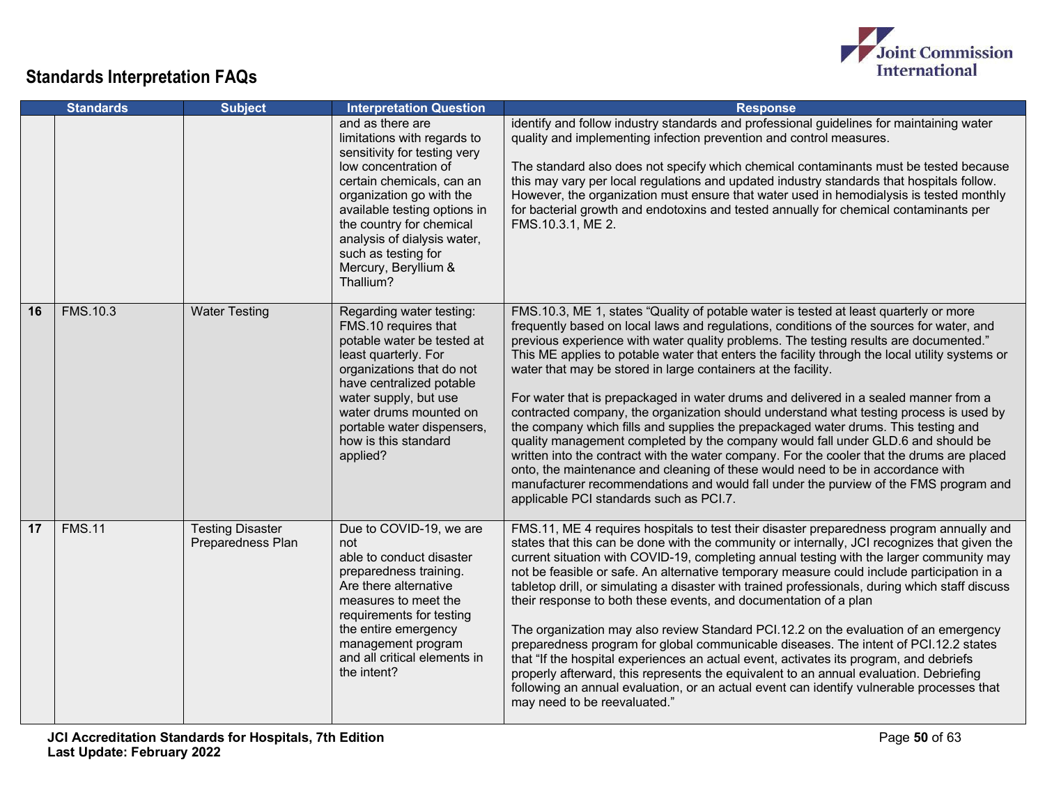

|    | <b>Standards</b> | <b>Subject</b>                               | <b>Interpretation Question</b>                                                                                                                                                                                                                                                                                          | <b>Response</b>                                                                                                                                                                                                                                                                                                                                                                                                                                                                                                                                                                                                                                                                                                                                                                                                                                                                                                                                                                                                                                                                                                               |
|----|------------------|----------------------------------------------|-------------------------------------------------------------------------------------------------------------------------------------------------------------------------------------------------------------------------------------------------------------------------------------------------------------------------|-------------------------------------------------------------------------------------------------------------------------------------------------------------------------------------------------------------------------------------------------------------------------------------------------------------------------------------------------------------------------------------------------------------------------------------------------------------------------------------------------------------------------------------------------------------------------------------------------------------------------------------------------------------------------------------------------------------------------------------------------------------------------------------------------------------------------------------------------------------------------------------------------------------------------------------------------------------------------------------------------------------------------------------------------------------------------------------------------------------------------------|
|    |                  |                                              | and as there are<br>limitations with regards to<br>sensitivity for testing very<br>low concentration of<br>certain chemicals, can an<br>organization go with the<br>available testing options in<br>the country for chemical<br>analysis of dialysis water,<br>such as testing for<br>Mercury, Beryllium &<br>Thallium? | identify and follow industry standards and professional guidelines for maintaining water<br>quality and implementing infection prevention and control measures.<br>The standard also does not specify which chemical contaminants must be tested because<br>this may vary per local regulations and updated industry standards that hospitals follow.<br>However, the organization must ensure that water used in hemodialysis is tested monthly<br>for bacterial growth and endotoxins and tested annually for chemical contaminants per<br>FMS.10.3.1, ME 2.                                                                                                                                                                                                                                                                                                                                                                                                                                                                                                                                                                |
| 16 | <b>FMS.10.3</b>  | <b>Water Testing</b>                         | Regarding water testing:<br>FMS.10 requires that<br>potable water be tested at<br>least quarterly. For<br>organizations that do not<br>have centralized potable<br>water supply, but use<br>water drums mounted on<br>portable water dispensers,<br>how is this standard<br>applied?                                    | FMS.10.3, ME 1, states "Quality of potable water is tested at least quarterly or more<br>frequently based on local laws and regulations, conditions of the sources for water, and<br>previous experience with water quality problems. The testing results are documented."<br>This ME applies to potable water that enters the facility through the local utility systems or<br>water that may be stored in large containers at the facility.<br>For water that is prepackaged in water drums and delivered in a sealed manner from a<br>contracted company, the organization should understand what testing process is used by<br>the company which fills and supplies the prepackaged water drums. This testing and<br>quality management completed by the company would fall under GLD.6 and should be<br>written into the contract with the water company. For the cooler that the drums are placed<br>onto, the maintenance and cleaning of these would need to be in accordance with<br>manufacturer recommendations and would fall under the purview of the FMS program and<br>applicable PCI standards such as PCI.7. |
| 17 | <b>FMS.11</b>    | <b>Testing Disaster</b><br>Preparedness Plan | Due to COVID-19, we are<br>not<br>able to conduct disaster<br>preparedness training.<br>Are there alternative<br>measures to meet the<br>requirements for testing<br>the entire emergency<br>management program<br>and all critical elements in<br>the intent?                                                          | FMS.11, ME 4 requires hospitals to test their disaster preparedness program annually and<br>states that this can be done with the community or internally, JCI recognizes that given the<br>current situation with COVID-19, completing annual testing with the larger community may<br>not be feasible or safe. An alternative temporary measure could include participation in a<br>tabletop drill, or simulating a disaster with trained professionals, during which staff discuss<br>their response to both these events, and documentation of a plan<br>The organization may also review Standard PCI.12.2 on the evaluation of an emergency<br>preparedness program for global communicable diseases. The intent of PCI.12.2 states<br>that "If the hospital experiences an actual event, activates its program, and debriefs<br>properly afterward, this represents the equivalent to an annual evaluation. Debriefing<br>following an annual evaluation, or an actual event can identify vulnerable processes that<br>may need to be reevaluated."                                                                    |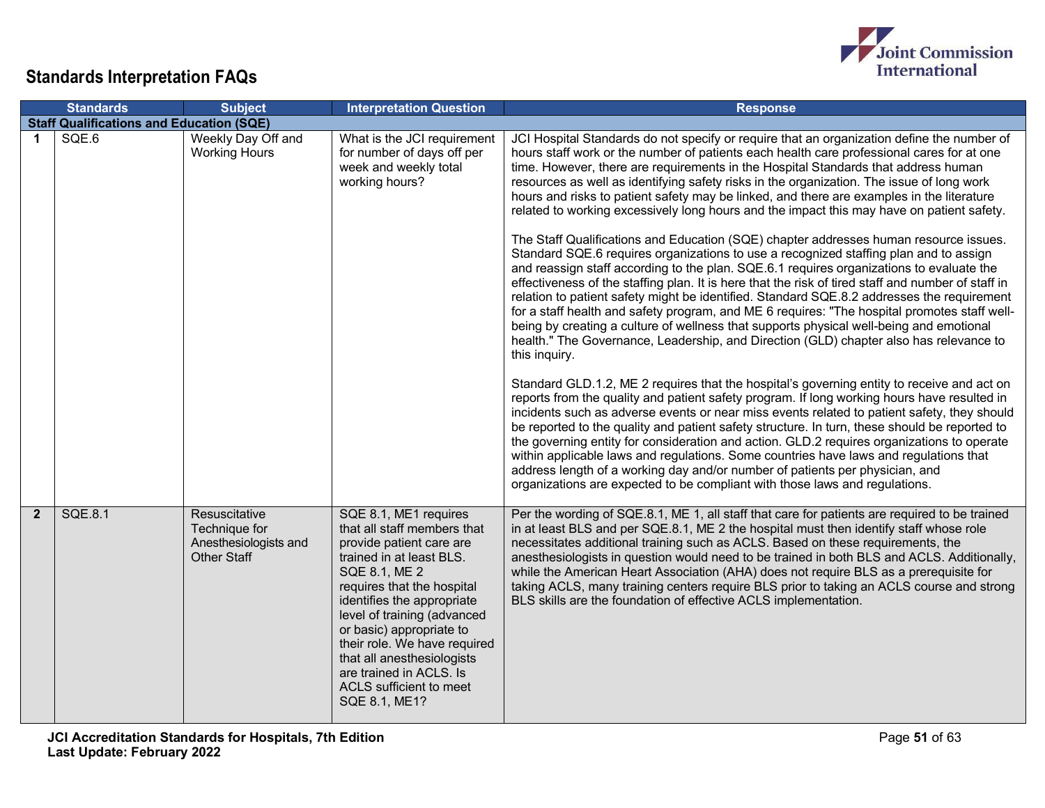

|                | <b>Standards</b>                                | <b>Subject</b>                                                                | <b>Interpretation Question</b>                                                                                                                                                                                                                                                                                                                                                            | <b>Response</b>                                                                                                                                                                                                                                                                                                                                                                                                                                                                                                                                                                                                                                                                                                                                                                                                                                                                                                                                                                                                                                                                                                                                                                                                                                                                                                                                                                                                                                                                                                                                                                                                                                                                                                                                                                                                                                                                                                                                                                                                                                                                                                 |
|----------------|-------------------------------------------------|-------------------------------------------------------------------------------|-------------------------------------------------------------------------------------------------------------------------------------------------------------------------------------------------------------------------------------------------------------------------------------------------------------------------------------------------------------------------------------------|-----------------------------------------------------------------------------------------------------------------------------------------------------------------------------------------------------------------------------------------------------------------------------------------------------------------------------------------------------------------------------------------------------------------------------------------------------------------------------------------------------------------------------------------------------------------------------------------------------------------------------------------------------------------------------------------------------------------------------------------------------------------------------------------------------------------------------------------------------------------------------------------------------------------------------------------------------------------------------------------------------------------------------------------------------------------------------------------------------------------------------------------------------------------------------------------------------------------------------------------------------------------------------------------------------------------------------------------------------------------------------------------------------------------------------------------------------------------------------------------------------------------------------------------------------------------------------------------------------------------------------------------------------------------------------------------------------------------------------------------------------------------------------------------------------------------------------------------------------------------------------------------------------------------------------------------------------------------------------------------------------------------------------------------------------------------------------------------------------------------|
|                | <b>Staff Qualifications and Education (SQE)</b> |                                                                               |                                                                                                                                                                                                                                                                                                                                                                                           |                                                                                                                                                                                                                                                                                                                                                                                                                                                                                                                                                                                                                                                                                                                                                                                                                                                                                                                                                                                                                                                                                                                                                                                                                                                                                                                                                                                                                                                                                                                                                                                                                                                                                                                                                                                                                                                                                                                                                                                                                                                                                                                 |
| $\mathbf 1$    | SQE.6                                           | Weekly Day Off and<br><b>Working Hours</b>                                    | What is the JCI requirement<br>for number of days off per<br>week and weekly total<br>working hours?                                                                                                                                                                                                                                                                                      | JCI Hospital Standards do not specify or require that an organization define the number of<br>hours staff work or the number of patients each health care professional cares for at one<br>time. However, there are requirements in the Hospital Standards that address human<br>resources as well as identifying safety risks in the organization. The issue of long work<br>hours and risks to patient safety may be linked, and there are examples in the literature<br>related to working excessively long hours and the impact this may have on patient safety.<br>The Staff Qualifications and Education (SQE) chapter addresses human resource issues.<br>Standard SQE.6 requires organizations to use a recognized staffing plan and to assign<br>and reassign staff according to the plan. SQE.6.1 requires organizations to evaluate the<br>effectiveness of the staffing plan. It is here that the risk of tired staff and number of staff in<br>relation to patient safety might be identified. Standard SQE.8.2 addresses the requirement<br>for a staff health and safety program, and ME 6 requires: "The hospital promotes staff well-<br>being by creating a culture of wellness that supports physical well-being and emotional<br>health." The Governance, Leadership, and Direction (GLD) chapter also has relevance to<br>this inquiry.<br>Standard GLD.1.2, ME 2 requires that the hospital's governing entity to receive and act on<br>reports from the quality and patient safety program. If long working hours have resulted in<br>incidents such as adverse events or near miss events related to patient safety, they should<br>be reported to the quality and patient safety structure. In turn, these should be reported to<br>the governing entity for consideration and action. GLD.2 requires organizations to operate<br>within applicable laws and regulations. Some countries have laws and regulations that<br>address length of a working day and/or number of patients per physician, and<br>organizations are expected to be compliant with those laws and regulations. |
| $\overline{2}$ | <b>SQE.8.1</b>                                  | Resuscitative<br>Technique for<br>Anesthesiologists and<br><b>Other Staff</b> | SQE 8.1, ME1 requires<br>that all staff members that<br>provide patient care are<br>trained in at least BLS.<br>SQE 8.1, ME 2<br>requires that the hospital<br>identifies the appropriate<br>level of training (advanced<br>or basic) appropriate to<br>their role. We have required<br>that all anesthesiologists<br>are trained in ACLS. Is<br>ACLS sufficient to meet<br>SQE 8.1, ME1? | Per the wording of SQE.8.1, ME 1, all staff that care for patients are required to be trained<br>in at least BLS and per SQE.8.1, ME 2 the hospital must then identify staff whose role<br>necessitates additional training such as ACLS. Based on these requirements, the<br>anesthesiologists in question would need to be trained in both BLS and ACLS. Additionally,<br>while the American Heart Association (AHA) does not require BLS as a prerequisite for<br>taking ACLS, many training centers require BLS prior to taking an ACLS course and strong<br>BLS skills are the foundation of effective ACLS implementation.                                                                                                                                                                                                                                                                                                                                                                                                                                                                                                                                                                                                                                                                                                                                                                                                                                                                                                                                                                                                                                                                                                                                                                                                                                                                                                                                                                                                                                                                                |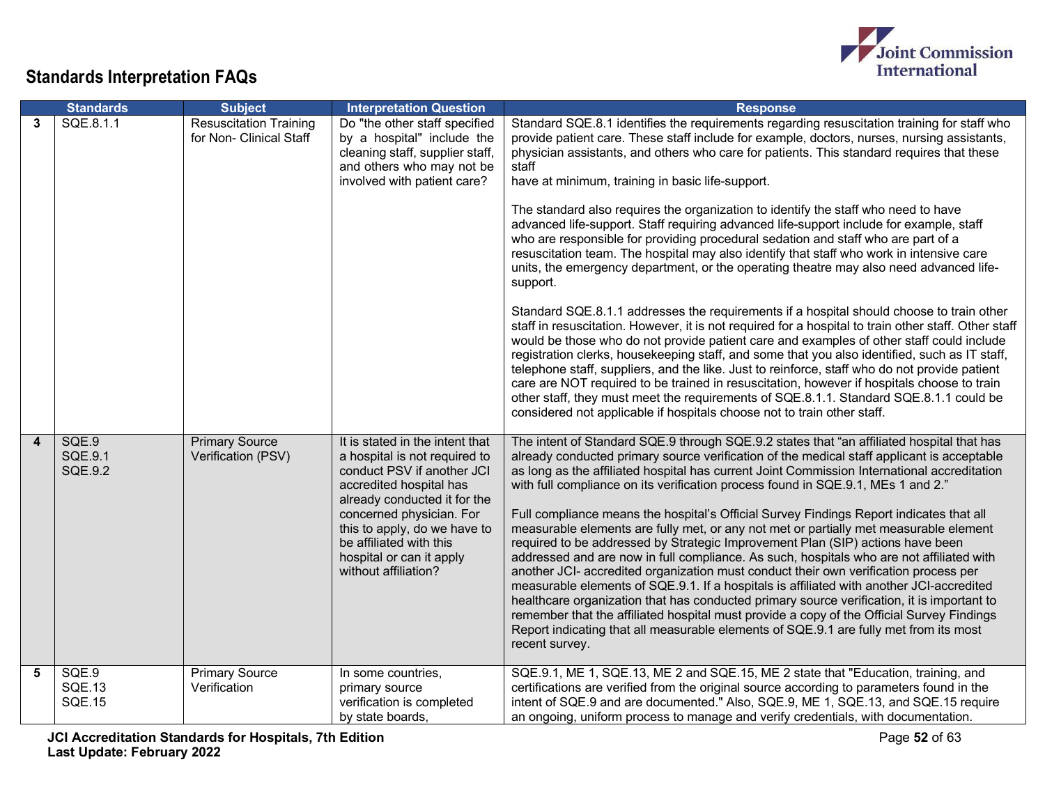

|                         | <b>Standards</b>                        | <b>Subject</b>                                           | <b>Interpretation Question</b>                                                                                                                                                                                                                                                                       | <b>Response</b>                                                                                                                                                                                                                                                                                                                                                                                                                                                                                                                                                                                                                                                                                                                                                                                                                                                                                                                                                                                                                                                                                                                                                                                                                                                                                                                                                                                                                                                                                                                                                                                   |
|-------------------------|-----------------------------------------|----------------------------------------------------------|------------------------------------------------------------------------------------------------------------------------------------------------------------------------------------------------------------------------------------------------------------------------------------------------------|---------------------------------------------------------------------------------------------------------------------------------------------------------------------------------------------------------------------------------------------------------------------------------------------------------------------------------------------------------------------------------------------------------------------------------------------------------------------------------------------------------------------------------------------------------------------------------------------------------------------------------------------------------------------------------------------------------------------------------------------------------------------------------------------------------------------------------------------------------------------------------------------------------------------------------------------------------------------------------------------------------------------------------------------------------------------------------------------------------------------------------------------------------------------------------------------------------------------------------------------------------------------------------------------------------------------------------------------------------------------------------------------------------------------------------------------------------------------------------------------------------------------------------------------------------------------------------------------------|
| 3                       | SQE.8.1.1                               | <b>Resuscitation Training</b><br>for Non- Clinical Staff | Do "the other staff specified<br>by a hospital" include the<br>cleaning staff, supplier staff,<br>and others who may not be<br>involved with patient care?                                                                                                                                           | Standard SQE.8.1 identifies the requirements regarding resuscitation training for staff who<br>provide patient care. These staff include for example, doctors, nurses, nursing assistants,<br>physician assistants, and others who care for patients. This standard requires that these<br>staff<br>have at minimum, training in basic life-support.<br>The standard also requires the organization to identify the staff who need to have<br>advanced life-support. Staff requiring advanced life-support include for example, staff<br>who are responsible for providing procedural sedation and staff who are part of a<br>resuscitation team. The hospital may also identify that staff who work in intensive care<br>units, the emergency department, or the operating theatre may also need advanced life-<br>support.<br>Standard SQE.8.1.1 addresses the requirements if a hospital should choose to train other<br>staff in resuscitation. However, it is not required for a hospital to train other staff. Other staff<br>would be those who do not provide patient care and examples of other staff could include<br>registration clerks, housekeeping staff, and some that you also identified, such as IT staff,<br>telephone staff, suppliers, and the like. Just to reinforce, staff who do not provide patient<br>care are NOT required to be trained in resuscitation, however if hospitals choose to train<br>other staff, they must meet the requirements of SQE.8.1.1. Standard SQE.8.1.1 could be<br>considered not applicable if hospitals choose not to train other staff. |
| $\overline{\mathbf{4}}$ | SQE.9<br>SQE.9.1<br><b>SQE.9.2</b>      | <b>Primary Source</b><br>Verification (PSV)              | It is stated in the intent that<br>a hospital is not required to<br>conduct PSV if another JCI<br>accredited hospital has<br>already conducted it for the<br>concerned physician. For<br>this to apply, do we have to<br>be affiliated with this<br>hospital or can it apply<br>without affiliation? | The intent of Standard SQE.9 through SQE.9.2 states that "an affiliated hospital that has<br>already conducted primary source verification of the medical staff applicant is acceptable<br>as long as the affiliated hospital has current Joint Commission International accreditation<br>with full compliance on its verification process found in SQE.9.1, MEs 1 and 2."<br>Full compliance means the hospital's Official Survey Findings Report indicates that all<br>measurable elements are fully met, or any not met or partially met measurable element<br>required to be addressed by Strategic Improvement Plan (SIP) actions have been<br>addressed and are now in full compliance. As such, hospitals who are not affiliated with<br>another JCI- accredited organization must conduct their own verification process per<br>measurable elements of SQE.9.1. If a hospitals is affiliated with another JCI-accredited<br>healthcare organization that has conducted primary source verification, it is important to<br>remember that the affiliated hospital must provide a copy of the Official Survey Findings<br>Report indicating that all measurable elements of SQE.9.1 are fully met from its most<br>recent survey.                                                                                                                                                                                                                                                                                                                                                            |
| 5                       | SQE.9<br><b>SQE.13</b><br><b>SQE.15</b> | <b>Primary Source</b><br>Verification                    | In some countries,<br>primary source<br>verification is completed<br>by state boards,                                                                                                                                                                                                                | SQE.9.1, ME 1, SQE.13, ME 2 and SQE.15, ME 2 state that "Education, training, and<br>certifications are verified from the original source according to parameters found in the<br>intent of SQE.9 and are documented." Also, SQE.9, ME 1, SQE.13, and SQE.15 require<br>an ongoing, uniform process to manage and verify credentials, with documentation.                                                                                                                                                                                                                                                                                                                                                                                                                                                                                                                                                                                                                                                                                                                                                                                                                                                                                                                                                                                                                                                                                                                                                                                                                                         |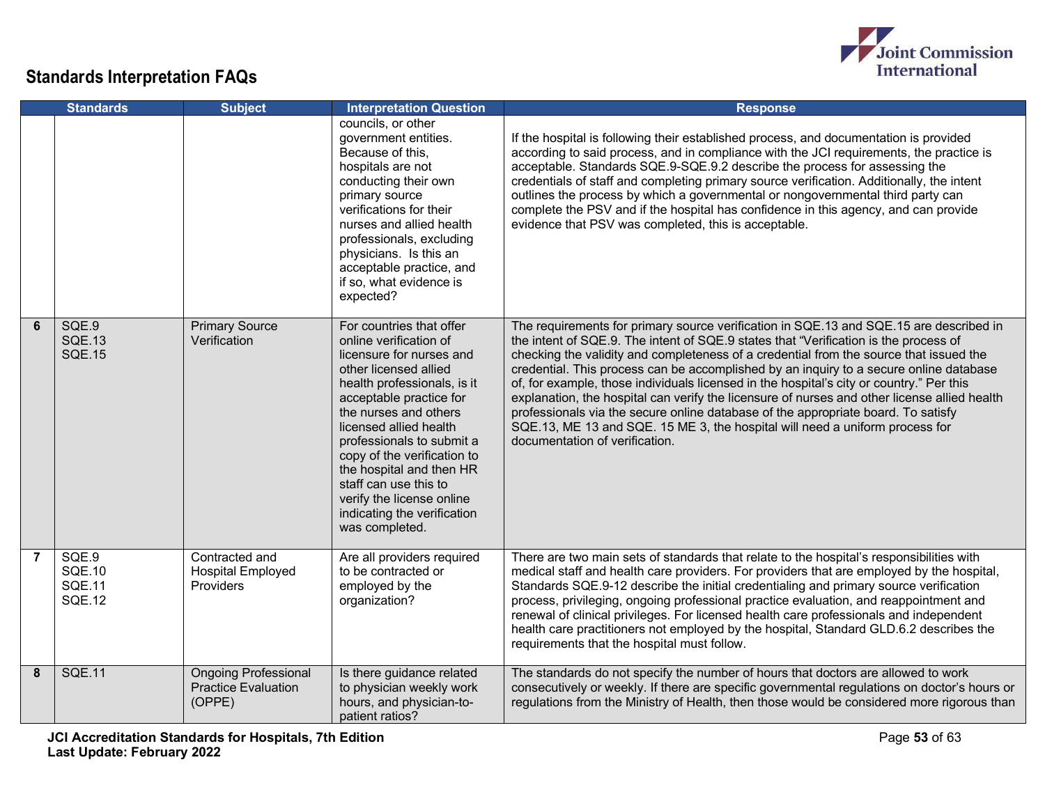

|                | <b>Standards</b>                                         | <b>Subject</b>                                                      | <b>Interpretation Question</b>                                                                                                                                                                                                                                                                                                                                                                                      | <b>Response</b>                                                                                                                                                                                                                                                                                                                                                                                                                                                                                                                                                                                                                                                                                                                                                       |
|----------------|----------------------------------------------------------|---------------------------------------------------------------------|---------------------------------------------------------------------------------------------------------------------------------------------------------------------------------------------------------------------------------------------------------------------------------------------------------------------------------------------------------------------------------------------------------------------|-----------------------------------------------------------------------------------------------------------------------------------------------------------------------------------------------------------------------------------------------------------------------------------------------------------------------------------------------------------------------------------------------------------------------------------------------------------------------------------------------------------------------------------------------------------------------------------------------------------------------------------------------------------------------------------------------------------------------------------------------------------------------|
|                |                                                          |                                                                     | councils, or other<br>government entities.<br>Because of this,<br>hospitals are not<br>conducting their own<br>primary source<br>verifications for their<br>nurses and allied health<br>professionals, excluding<br>physicians. Is this an<br>acceptable practice, and<br>if so, what evidence is<br>expected?                                                                                                      | If the hospital is following their established process, and documentation is provided<br>according to said process, and in compliance with the JCI requirements, the practice is<br>acceptable. Standards SQE.9-SQE.9.2 describe the process for assessing the<br>credentials of staff and completing primary source verification. Additionally, the intent<br>outlines the process by which a governmental or nongovernmental third party can<br>complete the PSV and if the hospital has confidence in this agency, and can provide<br>evidence that PSV was completed, this is acceptable.                                                                                                                                                                         |
| 6              | SQE.9<br><b>SQE.13</b><br><b>SQE.15</b>                  | <b>Primary Source</b><br>Verification                               | For countries that offer<br>online verification of<br>licensure for nurses and<br>other licensed allied<br>health professionals, is it<br>acceptable practice for<br>the nurses and others<br>licensed allied health<br>professionals to submit a<br>copy of the verification to<br>the hospital and then HR<br>staff can use this to<br>verify the license online<br>indicating the verification<br>was completed. | The requirements for primary source verification in SQE.13 and SQE.15 are described in<br>the intent of SQE.9. The intent of SQE.9 states that "Verification is the process of<br>checking the validity and completeness of a credential from the source that issued the<br>credential. This process can be accomplished by an inquiry to a secure online database<br>of, for example, those individuals licensed in the hospital's city or country." Per this<br>explanation, the hospital can verify the licensure of nurses and other license allied health<br>professionals via the secure online database of the appropriate board. To satisfy<br>SQE.13, ME 13 and SQE. 15 ME 3, the hospital will need a uniform process for<br>documentation of verification. |
| $\overline{7}$ | SQE.9<br><b>SQE.10</b><br><b>SQE.11</b><br><b>SQE.12</b> | Contracted and<br><b>Hospital Employed</b><br>Providers             | Are all providers required<br>to be contracted or<br>employed by the<br>organization?                                                                                                                                                                                                                                                                                                                               | There are two main sets of standards that relate to the hospital's responsibilities with<br>medical staff and health care providers. For providers that are employed by the hospital,<br>Standards SQE.9-12 describe the initial credentialing and primary source verification<br>process, privileging, ongoing professional practice evaluation, and reappointment and<br>renewal of clinical privileges. For licensed health care professionals and independent<br>health care practitioners not employed by the hospital, Standard GLD.6.2 describes the<br>requirements that the hospital must follow.                                                                                                                                                            |
| 8              | <b>SQE.11</b>                                            | <b>Ongoing Professional</b><br><b>Practice Evaluation</b><br>(OPPE) | Is there guidance related<br>to physician weekly work<br>hours, and physician-to-<br>patient ratios?                                                                                                                                                                                                                                                                                                                | The standards do not specify the number of hours that doctors are allowed to work<br>consecutively or weekly. If there are specific governmental regulations on doctor's hours or<br>regulations from the Ministry of Health, then those would be considered more rigorous than                                                                                                                                                                                                                                                                                                                                                                                                                                                                                       |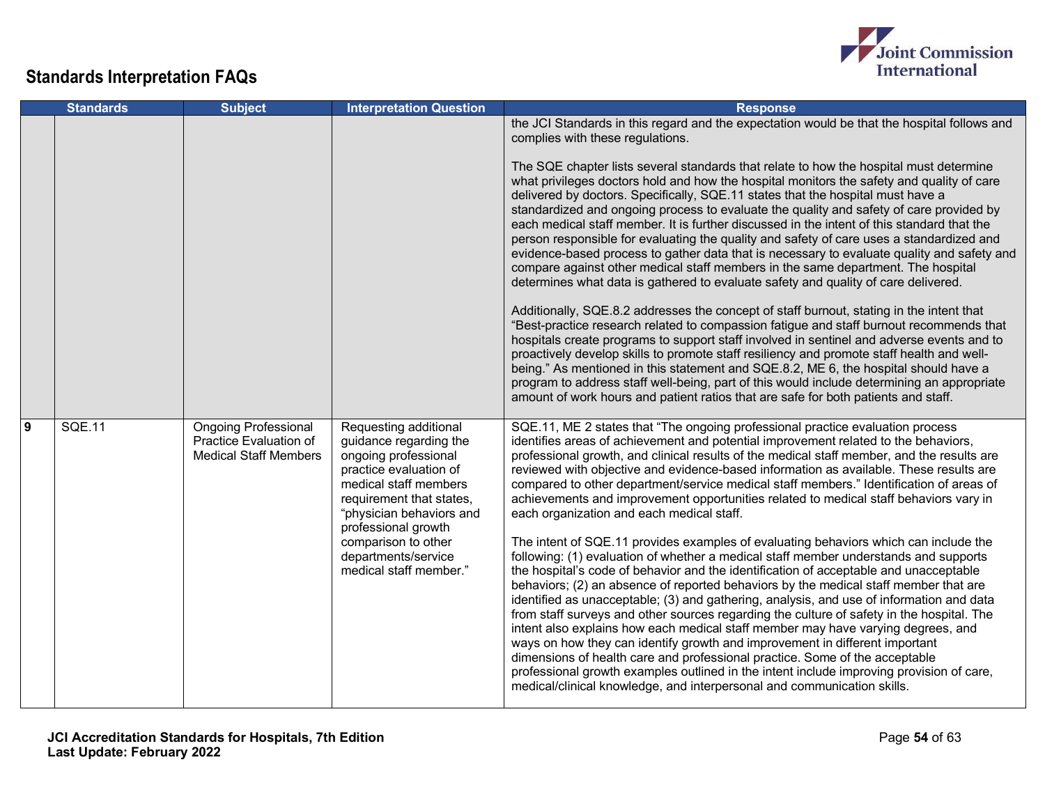

|   | <b>Standards</b> | <b>Subject</b>                                                                        | <b>Interpretation Question</b>                                                                                                                                                                                                                                                    | <b>Response</b>                                                                                                                                                                                                                                                                                                                                                                                                                                                                                                                                                                                                                                                                                                                                                                                                                                                                                                                                                                                                                                                                                                                                                                                                                                                                                                                                                                                                                                                                                                                                                                   |
|---|------------------|---------------------------------------------------------------------------------------|-----------------------------------------------------------------------------------------------------------------------------------------------------------------------------------------------------------------------------------------------------------------------------------|-----------------------------------------------------------------------------------------------------------------------------------------------------------------------------------------------------------------------------------------------------------------------------------------------------------------------------------------------------------------------------------------------------------------------------------------------------------------------------------------------------------------------------------------------------------------------------------------------------------------------------------------------------------------------------------------------------------------------------------------------------------------------------------------------------------------------------------------------------------------------------------------------------------------------------------------------------------------------------------------------------------------------------------------------------------------------------------------------------------------------------------------------------------------------------------------------------------------------------------------------------------------------------------------------------------------------------------------------------------------------------------------------------------------------------------------------------------------------------------------------------------------------------------------------------------------------------------|
|   |                  |                                                                                       |                                                                                                                                                                                                                                                                                   | the JCI Standards in this regard and the expectation would be that the hospital follows and<br>complies with these regulations.<br>The SQE chapter lists several standards that relate to how the hospital must determine<br>what privileges doctors hold and how the hospital monitors the safety and quality of care<br>delivered by doctors. Specifically, SQE.11 states that the hospital must have a<br>standardized and ongoing process to evaluate the quality and safety of care provided by<br>each medical staff member. It is further discussed in the intent of this standard that the<br>person responsible for evaluating the quality and safety of care uses a standardized and<br>evidence-based process to gather data that is necessary to evaluate quality and safety and                                                                                                                                                                                                                                                                                                                                                                                                                                                                                                                                                                                                                                                                                                                                                                                      |
|   |                  |                                                                                       |                                                                                                                                                                                                                                                                                   | compare against other medical staff members in the same department. The hospital<br>determines what data is gathered to evaluate safety and quality of care delivered.<br>Additionally, SQE.8.2 addresses the concept of staff burnout, stating in the intent that<br>"Best-practice research related to compassion fatigue and staff burnout recommends that<br>hospitals create programs to support staff involved in sentinel and adverse events and to<br>proactively develop skills to promote staff resiliency and promote staff health and well-<br>being." As mentioned in this statement and SQE.8.2, ME 6, the hospital should have a<br>program to address staff well-being, part of this would include determining an appropriate<br>amount of work hours and patient ratios that are safe for both patients and staff.                                                                                                                                                                                                                                                                                                                                                                                                                                                                                                                                                                                                                                                                                                                                               |
| 9 | <b>SQE.11</b>    | <b>Ongoing Professional</b><br>Practice Evaluation of<br><b>Medical Staff Members</b> | Requesting additional<br>guidance regarding the<br>ongoing professional<br>practice evaluation of<br>medical staff members<br>requirement that states,<br>"physician behaviors and<br>professional growth<br>comparison to other<br>departments/service<br>medical staff member." | SQE.11, ME 2 states that "The ongoing professional practice evaluation process<br>identifies areas of achievement and potential improvement related to the behaviors,<br>professional growth, and clinical results of the medical staff member, and the results are<br>reviewed with objective and evidence-based information as available. These results are<br>compared to other department/service medical staff members." Identification of areas of<br>achievements and improvement opportunities related to medical staff behaviors vary in<br>each organization and each medical staff.<br>The intent of SQE.11 provides examples of evaluating behaviors which can include the<br>following: (1) evaluation of whether a medical staff member understands and supports<br>the hospital's code of behavior and the identification of acceptable and unacceptable<br>behaviors; (2) an absence of reported behaviors by the medical staff member that are<br>identified as unacceptable; (3) and gathering, analysis, and use of information and data<br>from staff surveys and other sources regarding the culture of safety in the hospital. The<br>intent also explains how each medical staff member may have varying degrees, and<br>ways on how they can identify growth and improvement in different important<br>dimensions of health care and professional practice. Some of the acceptable<br>professional growth examples outlined in the intent include improving provision of care,<br>medical/clinical knowledge, and interpersonal and communication skills. |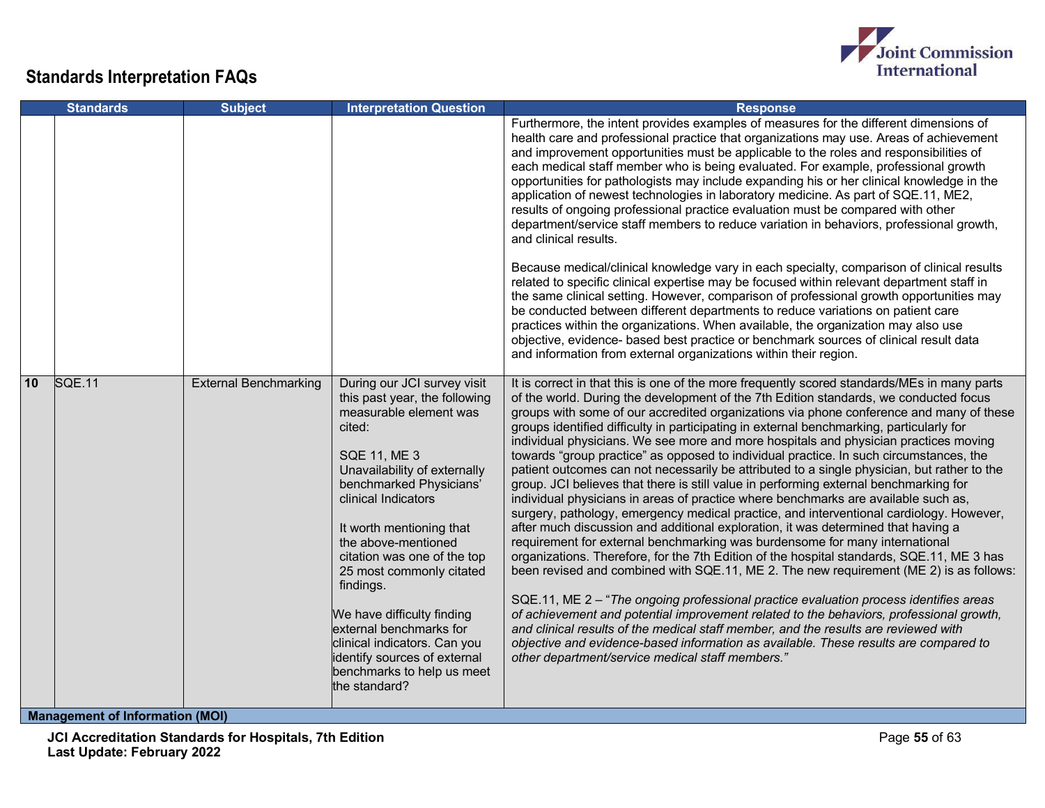

|    | <b>Standards</b> | <b>Subject</b>               | <b>Interpretation Question</b>                                                                                                                                                                                                                                                                                                                                                                                                                                                                               | <b>Response</b>                                                                                                                                                                                                                                                                                                                                                                                                                                                                                                                                                                                                                                                                                                                                                                                                                                                                                                                                                                                                                                                                                                                                                                                                                                                                                                                                                                                                                                                                                                                                                                                                                                                                                                          |
|----|------------------|------------------------------|--------------------------------------------------------------------------------------------------------------------------------------------------------------------------------------------------------------------------------------------------------------------------------------------------------------------------------------------------------------------------------------------------------------------------------------------------------------------------------------------------------------|--------------------------------------------------------------------------------------------------------------------------------------------------------------------------------------------------------------------------------------------------------------------------------------------------------------------------------------------------------------------------------------------------------------------------------------------------------------------------------------------------------------------------------------------------------------------------------------------------------------------------------------------------------------------------------------------------------------------------------------------------------------------------------------------------------------------------------------------------------------------------------------------------------------------------------------------------------------------------------------------------------------------------------------------------------------------------------------------------------------------------------------------------------------------------------------------------------------------------------------------------------------------------------------------------------------------------------------------------------------------------------------------------------------------------------------------------------------------------------------------------------------------------------------------------------------------------------------------------------------------------------------------------------------------------------------------------------------------------|
|    |                  |                              |                                                                                                                                                                                                                                                                                                                                                                                                                                                                                                              | Furthermore, the intent provides examples of measures for the different dimensions of<br>health care and professional practice that organizations may use. Areas of achievement<br>and improvement opportunities must be applicable to the roles and responsibilities of<br>each medical staff member who is being evaluated. For example, professional growth<br>opportunities for pathologists may include expanding his or her clinical knowledge in the<br>application of newest technologies in laboratory medicine. As part of SQE.11, ME2,<br>results of ongoing professional practice evaluation must be compared with other<br>department/service staff members to reduce variation in behaviors, professional growth,<br>and clinical results.                                                                                                                                                                                                                                                                                                                                                                                                                                                                                                                                                                                                                                                                                                                                                                                                                                                                                                                                                                 |
|    |                  |                              |                                                                                                                                                                                                                                                                                                                                                                                                                                                                                                              | Because medical/clinical knowledge vary in each specialty, comparison of clinical results<br>related to specific clinical expertise may be focused within relevant department staff in<br>the same clinical setting. However, comparison of professional growth opportunities may<br>be conducted between different departments to reduce variations on patient care<br>practices within the organizations. When available, the organization may also use<br>objective, evidence- based best practice or benchmark sources of clinical result data<br>and information from external organizations within their region.                                                                                                                                                                                                                                                                                                                                                                                                                                                                                                                                                                                                                                                                                                                                                                                                                                                                                                                                                                                                                                                                                                   |
| 10 | SQE.11           | <b>External Benchmarking</b> | During our JCI survey visit<br>this past year, the following<br>measurable element was<br>cited:<br><b>SQE 11, ME 3</b><br>Unavailability of externally<br>benchmarked Physicians'<br>clinical Indicators<br>It worth mentioning that<br>the above-mentioned<br>citation was one of the top<br>25 most commonly citated<br>findings.<br>We have difficulty finding<br>external benchmarks for<br>clinical indicators. Can you<br>identify sources of external<br>benchmarks to help us meet<br>the standard? | It is correct in that this is one of the more frequently scored standards/MEs in many parts<br>of the world. During the development of the 7th Edition standards, we conducted focus<br>groups with some of our accredited organizations via phone conference and many of these<br>groups identified difficulty in participating in external benchmarking, particularly for<br>individual physicians. We see more and more hospitals and physician practices moving<br>towards "group practice" as opposed to individual practice. In such circumstances, the<br>patient outcomes can not necessarily be attributed to a single physician, but rather to the<br>group. JCI believes that there is still value in performing external benchmarking for<br>individual physicians in areas of practice where benchmarks are available such as,<br>surgery, pathology, emergency medical practice, and interventional cardiology. However,<br>after much discussion and additional exploration, it was determined that having a<br>requirement for external benchmarking was burdensome for many international<br>organizations. Therefore, for the 7th Edition of the hospital standards, SQE.11, ME 3 has<br>been revised and combined with SQE.11, ME 2. The new requirement (ME 2) is as follows:<br>SQE.11, ME 2 - "The ongoing professional practice evaluation process identifies areas<br>of achievement and potential improvement related to the behaviors, professional growth,<br>and clinical results of the medical staff member, and the results are reviewed with<br>objective and evidence-based information as available. These results are compared to<br>other department/service medical staff members." |

**Management of Information (MOI)**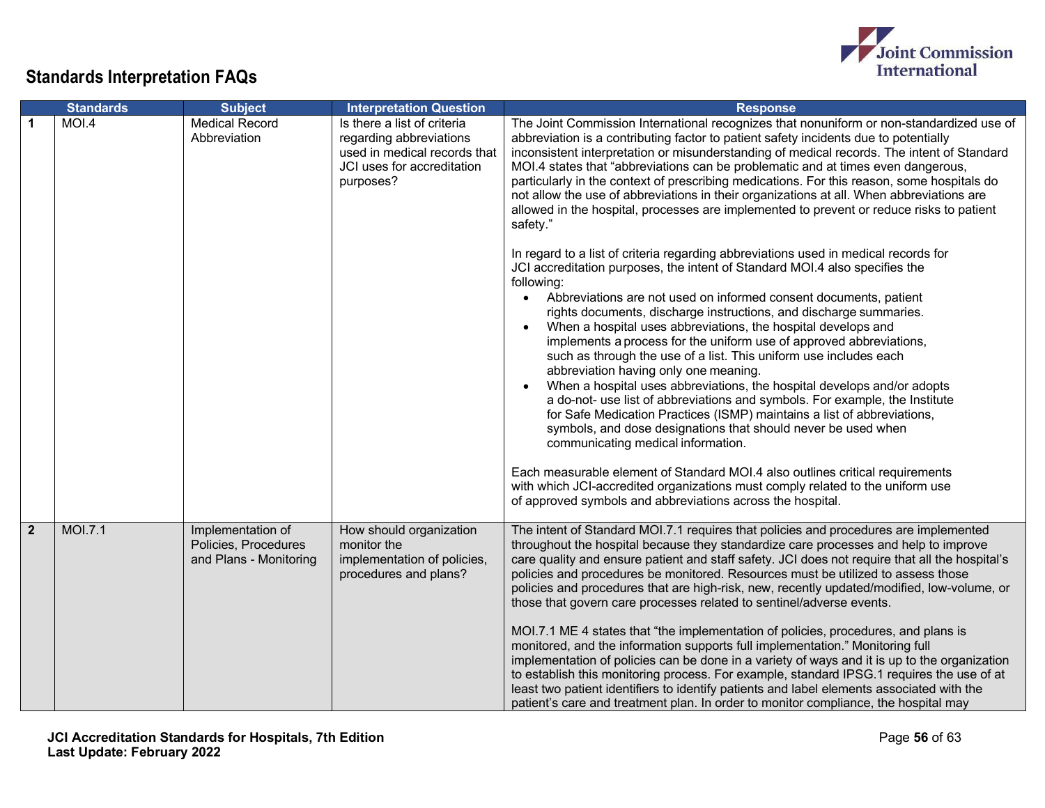

|                | <b>Standards</b> | <b>Subject</b>                                                      | <b>Interpretation Question</b>                                                                                                    | <b>Response</b>                                                                                                                                                                                                                                                                                                                                                                                                                                                                                                                                                                                                                                                                                                                                                                                                                                                                                                                                                                                                                                                                                                                                                                                                                                                                                                                                                                                                                                                                                                                                                                                                                                                                                                                                                                                                                                     |
|----------------|------------------|---------------------------------------------------------------------|-----------------------------------------------------------------------------------------------------------------------------------|-----------------------------------------------------------------------------------------------------------------------------------------------------------------------------------------------------------------------------------------------------------------------------------------------------------------------------------------------------------------------------------------------------------------------------------------------------------------------------------------------------------------------------------------------------------------------------------------------------------------------------------------------------------------------------------------------------------------------------------------------------------------------------------------------------------------------------------------------------------------------------------------------------------------------------------------------------------------------------------------------------------------------------------------------------------------------------------------------------------------------------------------------------------------------------------------------------------------------------------------------------------------------------------------------------------------------------------------------------------------------------------------------------------------------------------------------------------------------------------------------------------------------------------------------------------------------------------------------------------------------------------------------------------------------------------------------------------------------------------------------------------------------------------------------------------------------------------------------------|
|                | MOI.4            | <b>Medical Record</b><br>Abbreviation                               | Is there a list of criteria<br>regarding abbreviations<br>used in medical records that<br>JCI uses for accreditation<br>purposes? | The Joint Commission International recognizes that nonuniform or non-standardized use of<br>abbreviation is a contributing factor to patient safety incidents due to potentially<br>inconsistent interpretation or misunderstanding of medical records. The intent of Standard<br>MOI.4 states that "abbreviations can be problematic and at times even dangerous,<br>particularly in the context of prescribing medications. For this reason, some hospitals do<br>not allow the use of abbreviations in their organizations at all. When abbreviations are<br>allowed in the hospital, processes are implemented to prevent or reduce risks to patient<br>safety."<br>In regard to a list of criteria regarding abbreviations used in medical records for<br>JCI accreditation purposes, the intent of Standard MOI.4 also specifies the<br>following:<br>Abbreviations are not used on informed consent documents, patient<br>$\bullet$<br>rights documents, discharge instructions, and discharge summaries.<br>When a hospital uses abbreviations, the hospital develops and<br>implements a process for the uniform use of approved abbreviations,<br>such as through the use of a list. This uniform use includes each<br>abbreviation having only one meaning.<br>When a hospital uses abbreviations, the hospital develops and/or adopts<br>a do-not- use list of abbreviations and symbols. For example, the Institute<br>for Safe Medication Practices (ISMP) maintains a list of abbreviations,<br>symbols, and dose designations that should never be used when<br>communicating medical information.<br>Each measurable element of Standard MOI.4 also outlines critical requirements<br>with which JCI-accredited organizations must comply related to the uniform use<br>of approved symbols and abbreviations across the hospital. |
| $\overline{2}$ | <b>MOI.7.1</b>   | Implementation of<br>Policies, Procedures<br>and Plans - Monitoring | How should organization<br>monitor the<br>implementation of policies,<br>procedures and plans?                                    | The intent of Standard MOI.7.1 requires that policies and procedures are implemented<br>throughout the hospital because they standardize care processes and help to improve<br>care quality and ensure patient and staff safety. JCI does not require that all the hospital's<br>policies and procedures be monitored. Resources must be utilized to assess those<br>policies and procedures that are high-risk, new, recently updated/modified, low-volume, or<br>those that govern care processes related to sentinel/adverse events.<br>MOI.7.1 ME 4 states that "the implementation of policies, procedures, and plans is<br>monitored, and the information supports full implementation." Monitoring full<br>implementation of policies can be done in a variety of ways and it is up to the organization<br>to establish this monitoring process. For example, standard IPSG.1 requires the use of at<br>least two patient identifiers to identify patients and label elements associated with the<br>patient's care and treatment plan. In order to monitor compliance, the hospital may                                                                                                                                                                                                                                                                                                                                                                                                                                                                                                                                                                                                                                                                                                                                                     |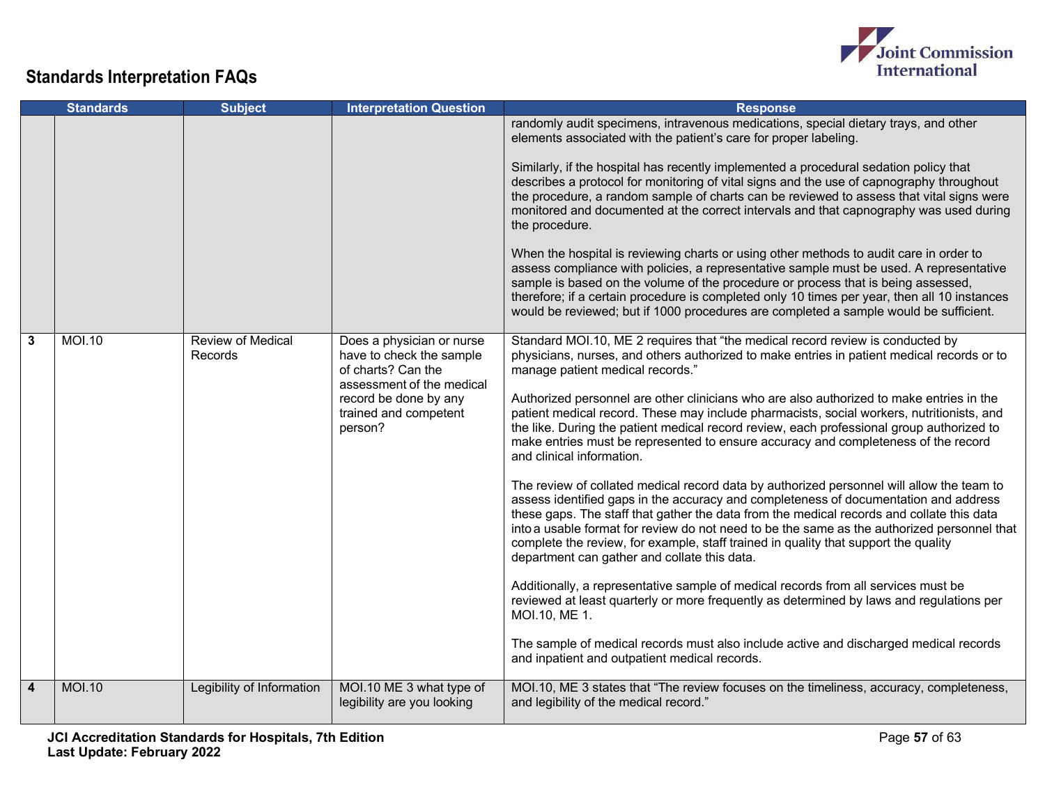

|                | <b>Standards</b> | <b>Subject</b>               | <b>Interpretation Question</b>                                                                                                                                        | <b>Response</b>                                                                                                                                                                                                                                                                                                                                                                                                                                                                                                                                                                                                                                                                                                                                                                                                                                                                                                                                                                                                                                                                                                                                                                                                                                                                                                                                                                                                                                                                                |
|----------------|------------------|------------------------------|-----------------------------------------------------------------------------------------------------------------------------------------------------------------------|------------------------------------------------------------------------------------------------------------------------------------------------------------------------------------------------------------------------------------------------------------------------------------------------------------------------------------------------------------------------------------------------------------------------------------------------------------------------------------------------------------------------------------------------------------------------------------------------------------------------------------------------------------------------------------------------------------------------------------------------------------------------------------------------------------------------------------------------------------------------------------------------------------------------------------------------------------------------------------------------------------------------------------------------------------------------------------------------------------------------------------------------------------------------------------------------------------------------------------------------------------------------------------------------------------------------------------------------------------------------------------------------------------------------------------------------------------------------------------------------|
|                |                  |                              |                                                                                                                                                                       | randomly audit specimens, intravenous medications, special dietary trays, and other<br>elements associated with the patient's care for proper labeling.<br>Similarly, if the hospital has recently implemented a procedural sedation policy that<br>describes a protocol for monitoring of vital signs and the use of capnography throughout<br>the procedure, a random sample of charts can be reviewed to assess that vital signs were<br>monitored and documented at the correct intervals and that capnography was used during<br>the procedure.<br>When the hospital is reviewing charts or using other methods to audit care in order to<br>assess compliance with policies, a representative sample must be used. A representative<br>sample is based on the volume of the procedure or process that is being assessed,<br>therefore; if a certain procedure is completed only 10 times per year, then all 10 instances<br>would be reviewed; but if 1000 procedures are completed a sample would be sufficient.                                                                                                                                                                                                                                                                                                                                                                                                                                                                        |
| $\mathbf{3}$   | <b>MOI.10</b>    | Review of Medical<br>Records | Does a physician or nurse<br>have to check the sample<br>of charts? Can the<br>assessment of the medical<br>record be done by any<br>trained and competent<br>person? | Standard MOI.10, ME 2 requires that "the medical record review is conducted by<br>physicians, nurses, and others authorized to make entries in patient medical records or to<br>manage patient medical records."<br>Authorized personnel are other clinicians who are also authorized to make entries in the<br>patient medical record. These may include pharmacists, social workers, nutritionists, and<br>the like. During the patient medical record review, each professional group authorized to<br>make entries must be represented to ensure accuracy and completeness of the record<br>and clinical information.<br>The review of collated medical record data by authorized personnel will allow the team to<br>assess identified gaps in the accuracy and completeness of documentation and address<br>these gaps. The staff that gather the data from the medical records and collate this data<br>into a usable format for review do not need to be the same as the authorized personnel that<br>complete the review, for example, staff trained in quality that support the quality<br>department can gather and collate this data.<br>Additionally, a representative sample of medical records from all services must be<br>reviewed at least quarterly or more frequently as determined by laws and regulations per<br>MOI.10, ME 1.<br>The sample of medical records must also include active and discharged medical records<br>and inpatient and outpatient medical records. |
| $\overline{4}$ | <b>MOI.10</b>    | Legibility of Information    | MOI.10 ME 3 what type of<br>legibility are you looking                                                                                                                | MOI.10, ME 3 states that "The review focuses on the timeliness, accuracy, completeness,<br>and legibility of the medical record."                                                                                                                                                                                                                                                                                                                                                                                                                                                                                                                                                                                                                                                                                                                                                                                                                                                                                                                                                                                                                                                                                                                                                                                                                                                                                                                                                              |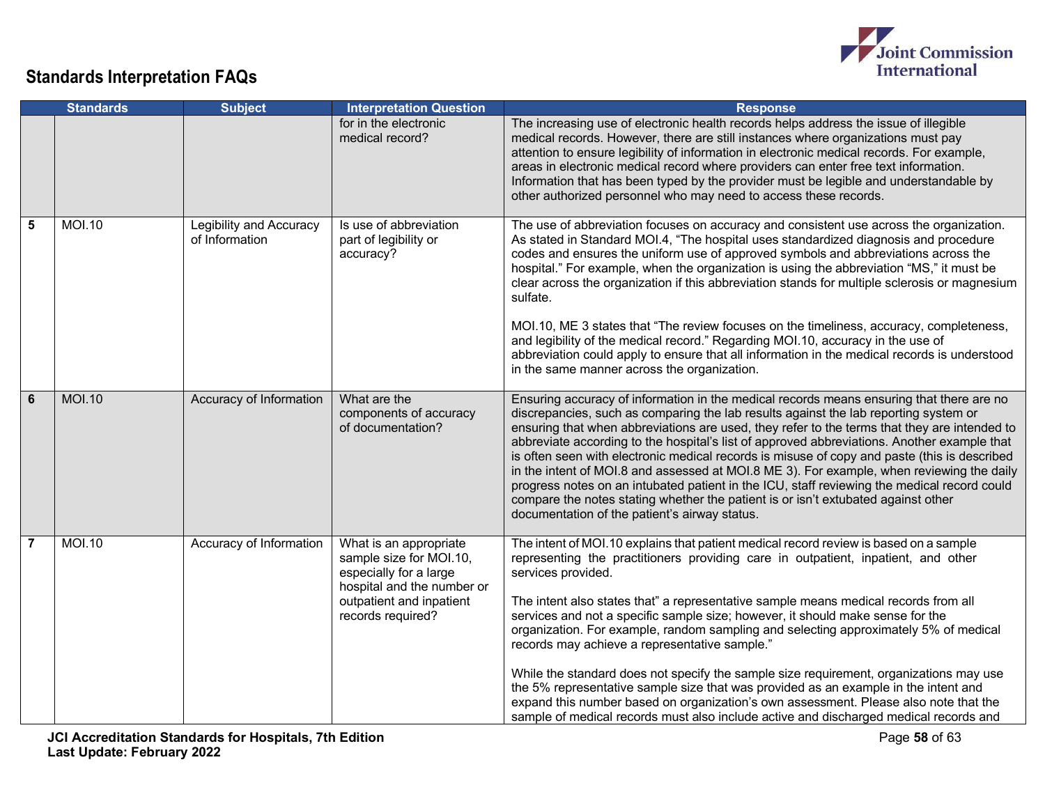

|                | <b>Standards</b> | <b>Subject</b>                            | <b>Interpretation Question</b>                                                                                                                             | <b>Response</b>                                                                                                                                                                                                                                                                                                                                                                                                                                                                                                                                                                                                                                                                                                                                                                                                                                                                      |
|----------------|------------------|-------------------------------------------|------------------------------------------------------------------------------------------------------------------------------------------------------------|--------------------------------------------------------------------------------------------------------------------------------------------------------------------------------------------------------------------------------------------------------------------------------------------------------------------------------------------------------------------------------------------------------------------------------------------------------------------------------------------------------------------------------------------------------------------------------------------------------------------------------------------------------------------------------------------------------------------------------------------------------------------------------------------------------------------------------------------------------------------------------------|
|                |                  |                                           | for in the electronic<br>medical record?                                                                                                                   | The increasing use of electronic health records helps address the issue of illegible<br>medical records. However, there are still instances where organizations must pay<br>attention to ensure legibility of information in electronic medical records. For example,<br>areas in electronic medical record where providers can enter free text information.<br>Information that has been typed by the provider must be legible and understandable by<br>other authorized personnel who may need to access these records.                                                                                                                                                                                                                                                                                                                                                            |
| 5              | <b>MOI.10</b>    | Legibility and Accuracy<br>of Information | Is use of abbreviation<br>part of legibility or<br>accuracy?                                                                                               | The use of abbreviation focuses on accuracy and consistent use across the organization.<br>As stated in Standard MOI.4, "The hospital uses standardized diagnosis and procedure<br>codes and ensures the uniform use of approved symbols and abbreviations across the<br>hospital." For example, when the organization is using the abbreviation "MS," it must be<br>clear across the organization if this abbreviation stands for multiple sclerosis or magnesium<br>sulfate.<br>MOI.10, ME 3 states that "The review focuses on the timeliness, accuracy, completeness,<br>and legibility of the medical record." Regarding MOI.10, accuracy in the use of<br>abbreviation could apply to ensure that all information in the medical records is understood<br>in the same manner across the organization.                                                                          |
| $6\phantom{1}$ | <b>MOI.10</b>    | Accuracy of Information                   | What are the<br>components of accuracy<br>of documentation?                                                                                                | Ensuring accuracy of information in the medical records means ensuring that there are no<br>discrepancies, such as comparing the lab results against the lab reporting system or<br>ensuring that when abbreviations are used, they refer to the terms that they are intended to<br>abbreviate according to the hospital's list of approved abbreviations. Another example that<br>is often seen with electronic medical records is misuse of copy and paste (this is described<br>in the intent of MOI.8 and assessed at MOI.8 ME 3). For example, when reviewing the daily<br>progress notes on an intubated patient in the ICU, staff reviewing the medical record could<br>compare the notes stating whether the patient is or isn't extubated against other<br>documentation of the patient's airway status.                                                                    |
| $\overline{7}$ | <b>MOI.10</b>    | Accuracy of Information                   | What is an appropriate<br>sample size for MOI.10,<br>especially for a large<br>hospital and the number or<br>outpatient and inpatient<br>records required? | The intent of MOI.10 explains that patient medical record review is based on a sample<br>representing the practitioners providing care in outpatient, inpatient, and other<br>services provided.<br>The intent also states that" a representative sample means medical records from all<br>services and not a specific sample size; however, it should make sense for the<br>organization. For example, random sampling and selecting approximately 5% of medical<br>records may achieve a representative sample."<br>While the standard does not specify the sample size requirement, organizations may use<br>the 5% representative sample size that was provided as an example in the intent and<br>expand this number based on organization's own assessment. Please also note that the<br>sample of medical records must also include active and discharged medical records and |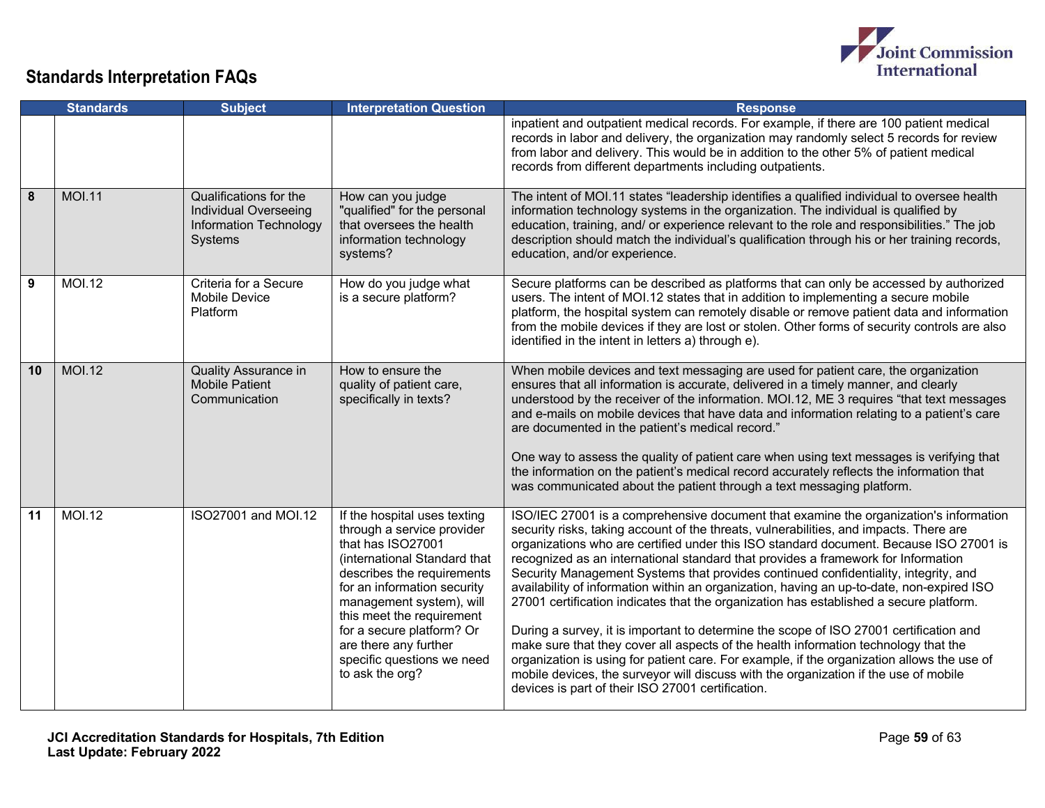

|    | <b>Standards</b> | <b>Subject</b>                                                                                     | <b>Interpretation Question</b>                                                                                                                                                                                                                                                                                                               | <b>Response</b>                                                                                                                                                                                                                                                                                                                                                                                                                                                                                                                                                                                                                                                                                                                                                                                                                                                                                                                                                                                                                                                          |
|----|------------------|----------------------------------------------------------------------------------------------------|----------------------------------------------------------------------------------------------------------------------------------------------------------------------------------------------------------------------------------------------------------------------------------------------------------------------------------------------|--------------------------------------------------------------------------------------------------------------------------------------------------------------------------------------------------------------------------------------------------------------------------------------------------------------------------------------------------------------------------------------------------------------------------------------------------------------------------------------------------------------------------------------------------------------------------------------------------------------------------------------------------------------------------------------------------------------------------------------------------------------------------------------------------------------------------------------------------------------------------------------------------------------------------------------------------------------------------------------------------------------------------------------------------------------------------|
|    |                  |                                                                                                    |                                                                                                                                                                                                                                                                                                                                              | inpatient and outpatient medical records. For example, if there are 100 patient medical<br>records in labor and delivery, the organization may randomly select 5 records for review<br>from labor and delivery. This would be in addition to the other 5% of patient medical<br>records from different departments including outpatients.                                                                                                                                                                                                                                                                                                                                                                                                                                                                                                                                                                                                                                                                                                                                |
| 8  | <b>MOI.11</b>    | Qualifications for the<br><b>Individual Overseeing</b><br><b>Information Technology</b><br>Systems | How can you judge<br>"qualified" for the personal<br>that oversees the health<br>information technology<br>systems?                                                                                                                                                                                                                          | The intent of MOI.11 states "leadership identifies a qualified individual to oversee health<br>information technology systems in the organization. The individual is qualified by<br>education, training, and/ or experience relevant to the role and responsibilities." The job<br>description should match the individual's qualification through his or her training records,<br>education, and/or experience.                                                                                                                                                                                                                                                                                                                                                                                                                                                                                                                                                                                                                                                        |
| 9  | <b>MOI.12</b>    | Criteria for a Secure<br>Mobile Device<br>Platform                                                 | How do you judge what<br>is a secure platform?                                                                                                                                                                                                                                                                                               | Secure platforms can be described as platforms that can only be accessed by authorized<br>users. The intent of MOI.12 states that in addition to implementing a secure mobile<br>platform, the hospital system can remotely disable or remove patient data and information<br>from the mobile devices if they are lost or stolen. Other forms of security controls are also<br>identified in the intent in letters a) through e).                                                                                                                                                                                                                                                                                                                                                                                                                                                                                                                                                                                                                                        |
| 10 | <b>MOI.12</b>    | <b>Quality Assurance in</b><br><b>Mobile Patient</b><br>Communication                              | How to ensure the<br>quality of patient care,<br>specifically in texts?                                                                                                                                                                                                                                                                      | When mobile devices and text messaging are used for patient care, the organization<br>ensures that all information is accurate, delivered in a timely manner, and clearly<br>understood by the receiver of the information. MOI.12, ME 3 requires "that text messages<br>and e-mails on mobile devices that have data and information relating to a patient's care<br>are documented in the patient's medical record."<br>One way to assess the quality of patient care when using text messages is verifying that<br>the information on the patient's medical record accurately reflects the information that<br>was communicated about the patient through a text messaging platform.                                                                                                                                                                                                                                                                                                                                                                                  |
| 11 | <b>MOI.12</b>    | ISO27001 and MOI.12                                                                                | If the hospital uses texting<br>through a service provider<br>that has ISO27001<br>(international Standard that<br>describes the requirements<br>for an information security<br>management system), will<br>this meet the requirement<br>for a secure platform? Or<br>are there any further<br>specific questions we need<br>to ask the org? | ISO/IEC 27001 is a comprehensive document that examine the organization's information<br>security risks, taking account of the threats, vulnerabilities, and impacts. There are<br>organizations who are certified under this ISO standard document. Because ISO 27001 is<br>recognized as an international standard that provides a framework for Information<br>Security Management Systems that provides continued confidentiality, integrity, and<br>availability of information within an organization, having an up-to-date, non-expired ISO<br>27001 certification indicates that the organization has established a secure platform.<br>During a survey, it is important to determine the scope of ISO 27001 certification and<br>make sure that they cover all aspects of the health information technology that the<br>organization is using for patient care. For example, if the organization allows the use of<br>mobile devices, the surveyor will discuss with the organization if the use of mobile<br>devices is part of their ISO 27001 certification. |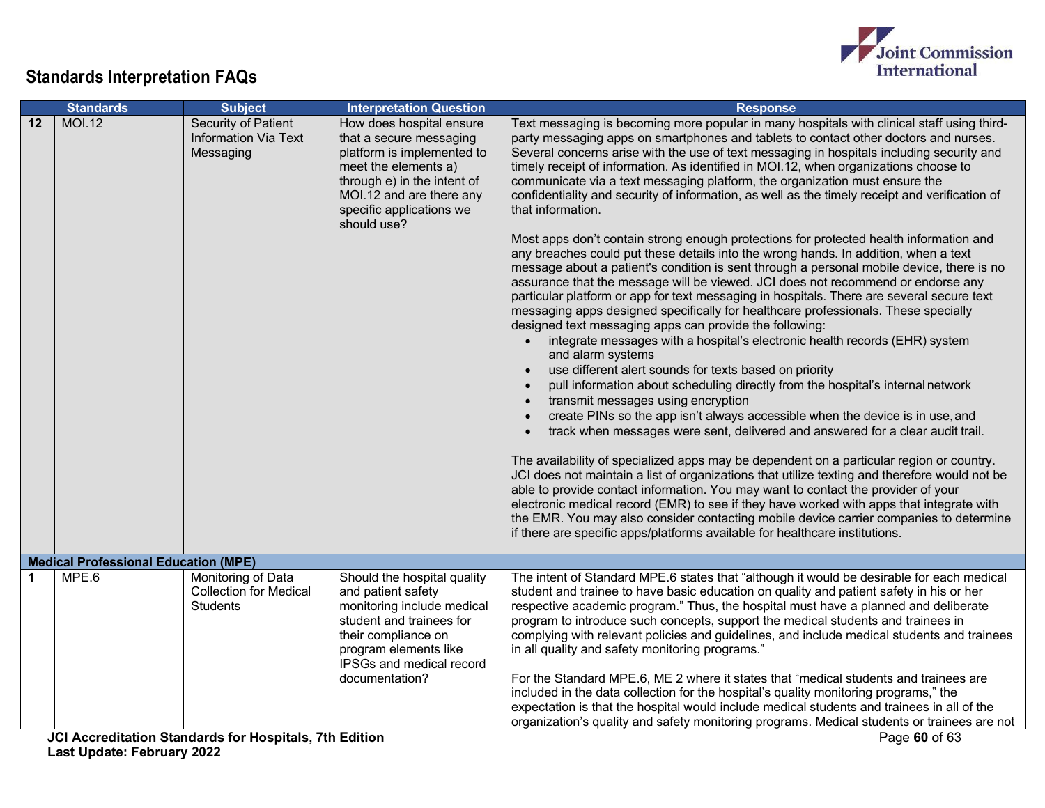

|    | <b>Standards</b>                            | <b>Subject</b>                                                         | <b>Interpretation Question</b>                                                                                                                                                                                  | <b>Response</b>                                                                                                                                                                                                                                                                                                                                                                                                                                                                                                                                                                                                                                                                                                                                                                                                                                                                                                                                                                                                                                                                                                                                                                                                                                                                                                                                                                                                                                                                                                                                                                                                                                                                                                                                                                                                                                                                                                                                                                                                                                                                                                                                                                                                |
|----|---------------------------------------------|------------------------------------------------------------------------|-----------------------------------------------------------------------------------------------------------------------------------------------------------------------------------------------------------------|----------------------------------------------------------------------------------------------------------------------------------------------------------------------------------------------------------------------------------------------------------------------------------------------------------------------------------------------------------------------------------------------------------------------------------------------------------------------------------------------------------------------------------------------------------------------------------------------------------------------------------------------------------------------------------------------------------------------------------------------------------------------------------------------------------------------------------------------------------------------------------------------------------------------------------------------------------------------------------------------------------------------------------------------------------------------------------------------------------------------------------------------------------------------------------------------------------------------------------------------------------------------------------------------------------------------------------------------------------------------------------------------------------------------------------------------------------------------------------------------------------------------------------------------------------------------------------------------------------------------------------------------------------------------------------------------------------------------------------------------------------------------------------------------------------------------------------------------------------------------------------------------------------------------------------------------------------------------------------------------------------------------------------------------------------------------------------------------------------------------------------------------------------------------------------------------------------------|
| 12 | <b>MOI.12</b>                               | Security of Patient<br><b>Information Via Text</b><br>Messaging        | How does hospital ensure<br>that a secure messaging<br>platform is implemented to<br>meet the elements a)<br>through e) in the intent of<br>MOI.12 and are there any<br>specific applications we<br>should use? | Text messaging is becoming more popular in many hospitals with clinical staff using third-<br>party messaging apps on smartphones and tablets to contact other doctors and nurses.<br>Several concerns arise with the use of text messaging in hospitals including security and<br>timely receipt of information. As identified in MOI.12, when organizations choose to<br>communicate via a text messaging platform, the organization must ensure the<br>confidentiality and security of information, as well as the timely receipt and verification of<br>that information.<br>Most apps don't contain strong enough protections for protected health information and<br>any breaches could put these details into the wrong hands. In addition, when a text<br>message about a patient's condition is sent through a personal mobile device, there is no<br>assurance that the message will be viewed. JCI does not recommend or endorse any<br>particular platform or app for text messaging in hospitals. There are several secure text<br>messaging apps designed specifically for healthcare professionals. These specially<br>designed text messaging apps can provide the following:<br>integrate messages with a hospital's electronic health records (EHR) system<br>and alarm systems<br>use different alert sounds for texts based on priority<br>pull information about scheduling directly from the hospital's internal network<br>transmit messages using encryption<br>create PINs so the app isn't always accessible when the device is in use, and<br>track when messages were sent, delivered and answered for a clear audit trail.<br>The availability of specialized apps may be dependent on a particular region or country.<br>JCI does not maintain a list of organizations that utilize texting and therefore would not be<br>able to provide contact information. You may want to contact the provider of your<br>electronic medical record (EMR) to see if they have worked with apps that integrate with<br>the EMR. You may also consider contacting mobile device carrier companies to determine<br>if there are specific apps/platforms available for healthcare institutions. |
|    | <b>Medical Professional Education (MPE)</b> |                                                                        |                                                                                                                                                                                                                 |                                                                                                                                                                                                                                                                                                                                                                                                                                                                                                                                                                                                                                                                                                                                                                                                                                                                                                                                                                                                                                                                                                                                                                                                                                                                                                                                                                                                                                                                                                                                                                                                                                                                                                                                                                                                                                                                                                                                                                                                                                                                                                                                                                                                                |
| 1  | MPE.6                                       | Monitoring of Data<br><b>Collection for Medical</b><br><b>Students</b> | Should the hospital quality<br>and patient safety<br>monitoring include medical<br>student and trainees for<br>their compliance on<br>program elements like<br>IPSGs and medical record<br>documentation?       | The intent of Standard MPE.6 states that "although it would be desirable for each medical<br>student and trainee to have basic education on quality and patient safety in his or her<br>respective academic program." Thus, the hospital must have a planned and deliberate<br>program to introduce such concepts, support the medical students and trainees in<br>complying with relevant policies and guidelines, and include medical students and trainees<br>in all quality and safety monitoring programs."<br>For the Standard MPE.6, ME 2 where it states that "medical students and trainees are<br>included in the data collection for the hospital's quality monitoring programs," the<br>expectation is that the hospital would include medical students and trainees in all of the<br>organization's quality and safety monitoring programs. Medical students or trainees are not                                                                                                                                                                                                                                                                                                                                                                                                                                                                                                                                                                                                                                                                                                                                                                                                                                                                                                                                                                                                                                                                                                                                                                                                                                                                                                                  |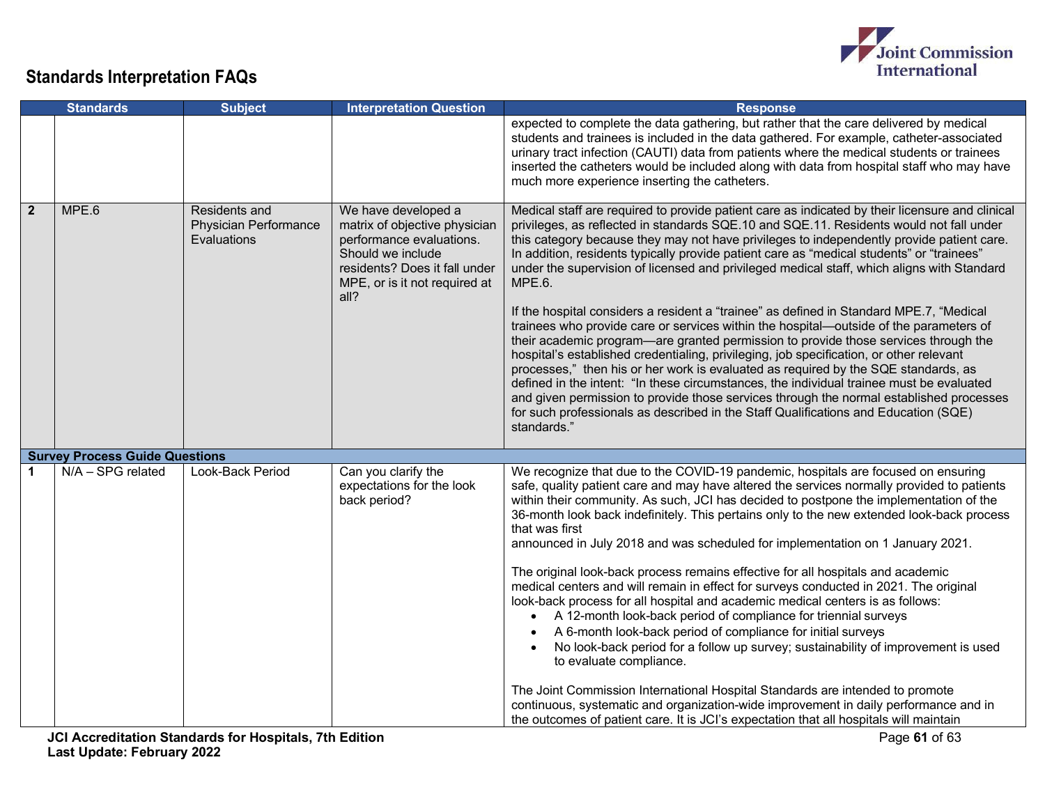

|                | <b>Standards</b>                      | <b>Subject</b>                                                      | <b>Interpretation Question</b>                                                                                                                                                  | <b>Response</b>                                                                                                                                                                                                                                                                                                                                                                                                                                                                                                                                                                                                                                                                                                                                                                                                                                                                                                                                                                                                                                                                                                                                                                                                                                                  |
|----------------|---------------------------------------|---------------------------------------------------------------------|---------------------------------------------------------------------------------------------------------------------------------------------------------------------------------|------------------------------------------------------------------------------------------------------------------------------------------------------------------------------------------------------------------------------------------------------------------------------------------------------------------------------------------------------------------------------------------------------------------------------------------------------------------------------------------------------------------------------------------------------------------------------------------------------------------------------------------------------------------------------------------------------------------------------------------------------------------------------------------------------------------------------------------------------------------------------------------------------------------------------------------------------------------------------------------------------------------------------------------------------------------------------------------------------------------------------------------------------------------------------------------------------------------------------------------------------------------|
|                |                                       |                                                                     |                                                                                                                                                                                 | expected to complete the data gathering, but rather that the care delivered by medical<br>students and trainees is included in the data gathered. For example, catheter-associated<br>urinary tract infection (CAUTI) data from patients where the medical students or trainees<br>inserted the catheters would be included along with data from hospital staff who may have<br>much more experience inserting the catheters.                                                                                                                                                                                                                                                                                                                                                                                                                                                                                                                                                                                                                                                                                                                                                                                                                                    |
| $\overline{2}$ | MPE.6                                 | Residents and<br><b>Physician Performance</b><br><b>Evaluations</b> | We have developed a<br>matrix of objective physician<br>performance evaluations.<br>Should we include<br>residents? Does it fall under<br>MPE, or is it not required at<br>all? | Medical staff are required to provide patient care as indicated by their licensure and clinical<br>privileges, as reflected in standards SQE.10 and SQE.11. Residents would not fall under<br>this category because they may not have privileges to independently provide patient care.<br>In addition, residents typically provide patient care as "medical students" or "trainees"<br>under the supervision of licensed and privileged medical staff, which aligns with Standard<br>MPE.6.<br>If the hospital considers a resident a "trainee" as defined in Standard MPE.7, "Medical<br>trainees who provide care or services within the hospital-outside of the parameters of<br>their academic program—are granted permission to provide those services through the<br>hospital's established credentialing, privileging, job specification, or other relevant<br>processes," then his or her work is evaluated as required by the SQE standards, as<br>defined in the intent: "In these circumstances, the individual trainee must be evaluated<br>and given permission to provide those services through the normal established processes<br>for such professionals as described in the Staff Qualifications and Education (SQE)<br>standards."           |
|                | <b>Survey Process Guide Questions</b> |                                                                     |                                                                                                                                                                                 |                                                                                                                                                                                                                                                                                                                                                                                                                                                                                                                                                                                                                                                                                                                                                                                                                                                                                                                                                                                                                                                                                                                                                                                                                                                                  |
| 1              | N/A - SPG related                     | Look-Back Period                                                    | Can you clarify the<br>expectations for the look<br>back period?                                                                                                                | We recognize that due to the COVID-19 pandemic, hospitals are focused on ensuring<br>safe, quality patient care and may have altered the services normally provided to patients<br>within their community. As such, JCI has decided to postpone the implementation of the<br>36-month look back indefinitely. This pertains only to the new extended look-back process<br>that was first<br>announced in July 2018 and was scheduled for implementation on 1 January 2021.<br>The original look-back process remains effective for all hospitals and academic<br>medical centers and will remain in effect for surveys conducted in 2021. The original<br>look-back process for all hospital and academic medical centers is as follows:<br>• A 12-month look-back period of compliance for triennial surveys<br>A 6-month look-back period of compliance for initial surveys<br>No look-back period for a follow up survey; sustainability of improvement is used<br>to evaluate compliance.<br>The Joint Commission International Hospital Standards are intended to promote<br>continuous, systematic and organization-wide improvement in daily performance and in<br>the outcomes of patient care. It is JCI's expectation that all hospitals will maintain |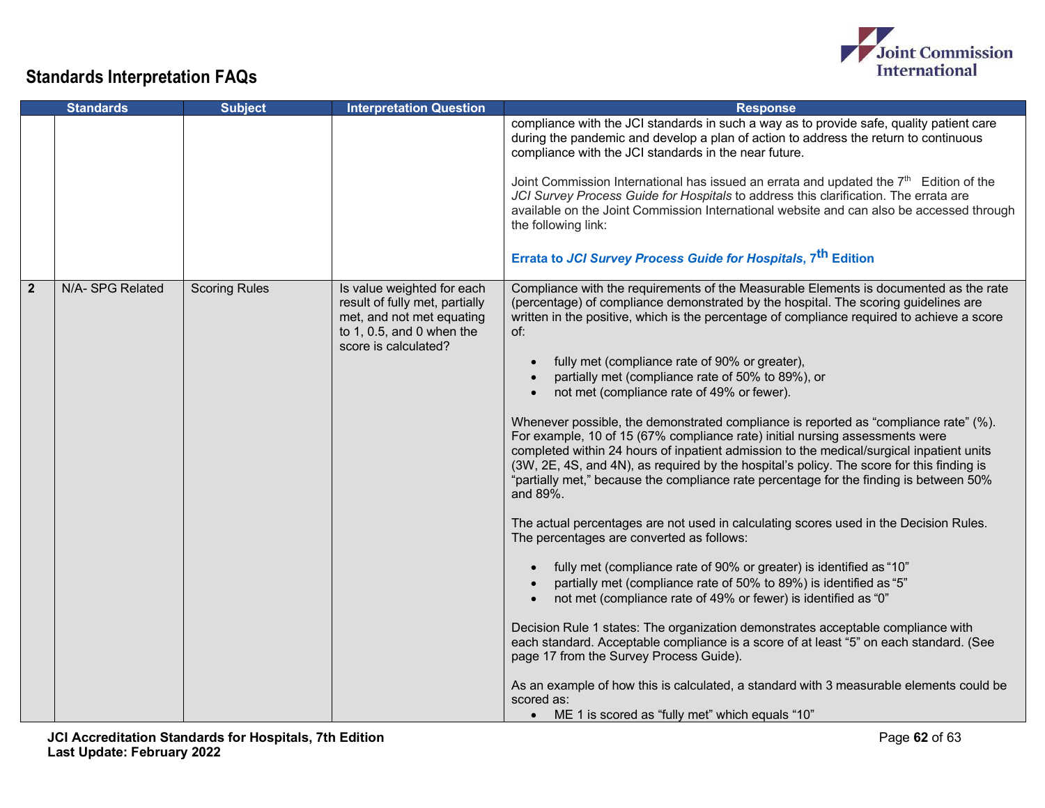

| <b>Standards</b> |                 | <b>Subject</b>       | <b>Interpretation Question</b>                                                                                                                 | <b>Response</b>                                                                                                                                                                                                                                                                                                                                                                                                                                                                                                                                                                                                                                                                                                                                                                                                                                                                                                                                                                                                                                                                                                                                                                                                                                                                                                                                                                                                                                                                                                                                                                                                                                         |
|------------------|-----------------|----------------------|------------------------------------------------------------------------------------------------------------------------------------------------|---------------------------------------------------------------------------------------------------------------------------------------------------------------------------------------------------------------------------------------------------------------------------------------------------------------------------------------------------------------------------------------------------------------------------------------------------------------------------------------------------------------------------------------------------------------------------------------------------------------------------------------------------------------------------------------------------------------------------------------------------------------------------------------------------------------------------------------------------------------------------------------------------------------------------------------------------------------------------------------------------------------------------------------------------------------------------------------------------------------------------------------------------------------------------------------------------------------------------------------------------------------------------------------------------------------------------------------------------------------------------------------------------------------------------------------------------------------------------------------------------------------------------------------------------------------------------------------------------------------------------------------------------------|
|                  |                 |                      |                                                                                                                                                | compliance with the JCI standards in such a way as to provide safe, quality patient care<br>during the pandemic and develop a plan of action to address the return to continuous<br>compliance with the JCI standards in the near future.<br>Joint Commission International has issued an errata and updated the 7th Edition of the<br>JCI Survey Process Guide for Hospitals to address this clarification. The errata are<br>available on the Joint Commission International website and can also be accessed through<br>the following link:<br>Errata to JCI Survey Process Guide for Hospitals, 7 <sup>th</sup> Edition                                                                                                                                                                                                                                                                                                                                                                                                                                                                                                                                                                                                                                                                                                                                                                                                                                                                                                                                                                                                                             |
| $\overline{2}$   | N/A-SPG Related | <b>Scoring Rules</b> | Is value weighted for each<br>result of fully met, partially<br>met, and not met equating<br>to 1, 0.5, and 0 when the<br>score is calculated? | Compliance with the requirements of the Measurable Elements is documented as the rate<br>(percentage) of compliance demonstrated by the hospital. The scoring guidelines are<br>written in the positive, which is the percentage of compliance required to achieve a score<br>of:<br>fully met (compliance rate of 90% or greater),<br>partially met (compliance rate of 50% to 89%), or<br>not met (compliance rate of 49% or fewer).<br>Whenever possible, the demonstrated compliance is reported as "compliance rate" (%).<br>For example, 10 of 15 (67% compliance rate) initial nursing assessments were<br>completed within 24 hours of inpatient admission to the medical/surgical inpatient units<br>(3W, 2E, 4S, and 4N), as required by the hospital's policy. The score for this finding is<br>"partially met," because the compliance rate percentage for the finding is between 50%<br>and 89%.<br>The actual percentages are not used in calculating scores used in the Decision Rules.<br>The percentages are converted as follows:<br>fully met (compliance rate of 90% or greater) is identified as "10"<br>partially met (compliance rate of 50% to 89%) is identified as "5"<br>not met (compliance rate of 49% or fewer) is identified as "0"<br>Decision Rule 1 states: The organization demonstrates acceptable compliance with<br>each standard. Acceptable compliance is a score of at least "5" on each standard. (See<br>page 17 from the Survey Process Guide).<br>As an example of how this is calculated, a standard with 3 measurable elements could be<br>scored as:<br>ME 1 is scored as "fully met" which equals "10" |